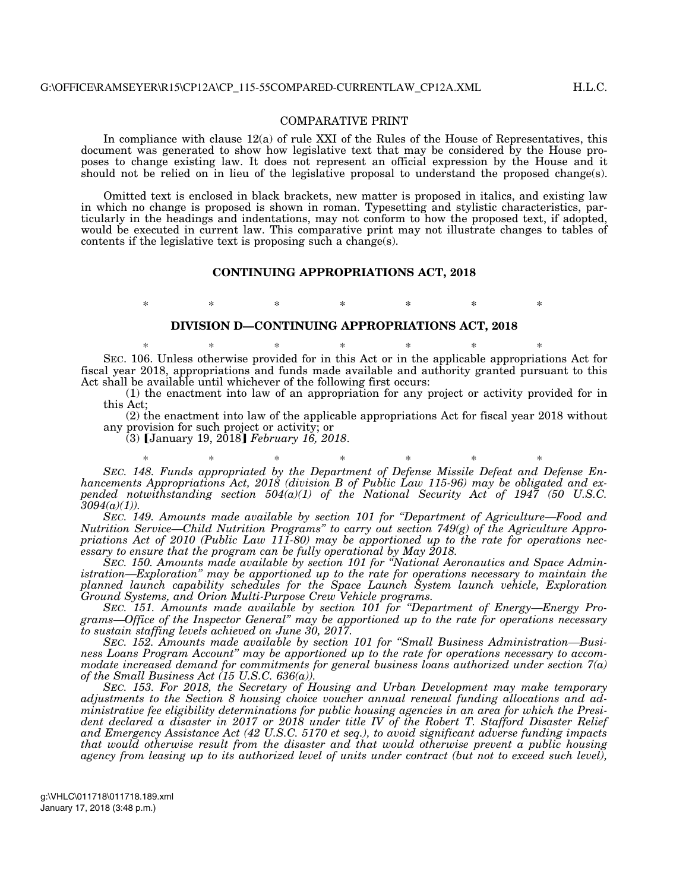### COMPARATIVE PRINT

In compliance with clause  $12(a)$  of rule XXI of the Rules of the House of Representatives, this document was generated to show how legislative text that may be considered by the House proposes to change existing law. It does not represent an official expression by the House and it should not be relied on in lieu of the legislative proposal to understand the proposed change(s).

Omitted text is enclosed in black brackets, new matter is proposed in italics, and existing law in which no change is proposed is shown in roman. Typesetting and stylistic characteristics, particularly in the headings and indentations, may not conform to how the proposed text, if adopted, would be executed in current law. This comparative print may not illustrate changes to tables of contents if the legislative text is proposing such a change(s).

#### **CONTINUING APPROPRIATIONS ACT, 2018**

# \* \* \* \* \* \* \* \* **DIVISION D—CONTINUING APPROPRIATIONS ACT, 2018**

\* \* \* \* \* \* \* SEC. 106. Unless otherwise provided for in this Act or in the applicable appropriations Act for fiscal year 2018, appropriations and funds made available and authority granted pursuant to this Act shall be available until whichever of the following first occurs:

(1) the enactment into law of an appropriation for any project or activity provided for in this Act;

(2) the enactment into law of the applicable appropriations Act for fiscal year 2018 without any provision for such project or activity; or

(3) øJanuary 19, 2018¿ *February 16, 2018*.

\* \* \* \* \* \* \* \* *SEC. 148. Funds appropriated by the Department of Defense Missile Defeat and Defense Enhancements Appropriations Act, 2018 (division B of Public Law 115-96) may be obligated and expended notwithstanding section 504(a)(1) of the National Security Act of 1947 (50 U.S.C. 3094(a)(1)).* 

*SEC. 149. Amounts made available by section 101 for ''Department of Agriculture—Food and Nutrition Service—Child Nutrition Programs'' to carry out section 749(g) of the Agriculture Appropriations Act of 2010 (Public Law 111-80) may be apportioned up to the rate for operations necessary to ensure that the program can be fully operational by May 2018.* 

*SEC. 150. Amounts made available by section 101 for ''National Aeronautics and Space Administration—Exploration'' may be apportioned up to the rate for operations necessary to maintain the planned launch capability schedules for the Space Launch System launch vehicle, Exploration Ground Systems, and Orion Multi-Purpose Crew Vehicle programs.* 

*SEC. 151. Amounts made available by section 101 for ''Department of Energy—Energy Programs—Office of the Inspector General'' may be apportioned up to the rate for operations necessary to sustain staffing levels achieved on June 30, 2017.* 

*SEC. 152. Amounts made available by section 101 for ''Small Business Administration—Business Loans Program Account'' may be apportioned up to the rate for operations necessary to accommodate increased demand for commitments for general business loans authorized under section 7(a) of the Small Business Act (15 U.S.C. 636(a)).* 

*SEC. 153. For 2018, the Secretary of Housing and Urban Development may make temporary adjustments to the Section 8 housing choice voucher annual renewal funding allocations and administrative fee eligibility determinations for public housing agencies in an area for which the President declared a disaster in 2017 or 2018 under title IV of the Robert T. Stafford Disaster Relief and Emergency Assistance Act (42 U.S.C. 5170 et seq.), to avoid significant adverse funding impacts that would otherwise result from the disaster and that would otherwise prevent a public housing agency from leasing up to its authorized level of units under contract (but not to exceed such level),*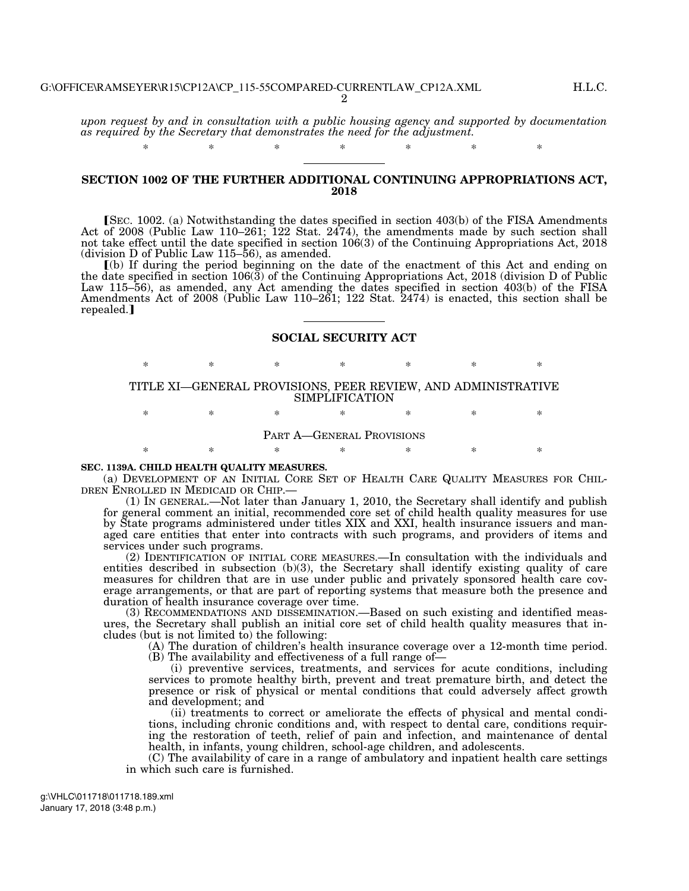*upon request by and in consultation with a public housing agency and supported by documentation as required by the Secretary that demonstrates the need for the adjustment.*  \* \* \* \* \* \* \* \*

### **SECTION 1002 OF THE FURTHER ADDITIONAL CONTINUING APPROPRIATIONS ACT, 2018**

[SEC. 1002. (a) Notwithstanding the dates specified in section 403(b) of the FISA Amendments Act of 2008 (Public Law 110–261; 122 Stat. 2474), the amendments made by such section shall not take effect until the date specified in section 106(3) of the Continuing Appropriations Act, 2018 (division D of Public Law 115–56), as amended.

ø(b) If during the period beginning on the date of the enactment of this Act and ending on the date specified in section 106(3) of the Continuing Appropriations Act, 2018 (division D of Public Law 115–56), as amended, any Act amending the dates specified in section 403(b) of the FISA Amendments Act of 2008 (Public Law 110–261; 122 Stat. 2474) is enacted, this section shall be repealed.]

### **SOCIAL SECURITY ACT**

TITLE XI—GENERAL PROVISIONS, PEER REVIEW, AND ADMINISTRATIVE SIMPLIFICATION

\* \* \* \* \* \* \* \*

\* \* \* \* \* \* \*

### PART A—GENERAL PROVISIONS

\* \* \* \* \* \* \* \*

#### **SEC. 1139A. CHILD HEALTH QUALITY MEASURES.**

(a) DEVELOPMENT OF AN INITIAL CORE SET OF HEALTH CARE QUALITY MEASURES FOR CHILDREN ENROLLED IN MEDICAID OR CHIP.—

 $(1)$  In GENERAL.—Not later than January 1, 2010, the Secretary shall identify and publish for general comment an initial, recommended core set of child health quality measures for use by State programs administered under titles XIX and XXI, health insurance issuers and managed care entities that enter into contracts with such programs, and providers of items and services under such programs.

(2) IDENTIFICATION OF INITIAL CORE MEASURES.—In consultation with the individuals and entities described in subsection (b)(3), the Secretary shall identify existing quality of care measures for children that are in use under public and privately sponsored health care coverage arrangements, or that are part of reporting systems that measure both the presence and duration of health insurance coverage over time.

(3) RECOMMENDATIONS AND DISSEMINATION.—Based on such existing and identified measures, the Secretary shall publish an initial core set of child health quality measures that includes (but is not limited to) the following:

(A) The duration of children's health insurance coverage over a 12-month time period.

(B) The availability and effectiveness of a full range of—

(i) preventive services, treatments, and services for acute conditions, including services to promote healthy birth, prevent and treat premature birth, and detect the presence or risk of physical or mental conditions that could adversely affect growth and development; and

(ii) treatments to correct or ameliorate the effects of physical and mental conditions, including chronic conditions and, with respect to dental care, conditions requiring the restoration of teeth, relief of pain and infection, and maintenance of dental health, in infants, young children, school-age children, and adolescents.

(C) The availability of care in a range of ambulatory and inpatient health care settings in which such care is furnished.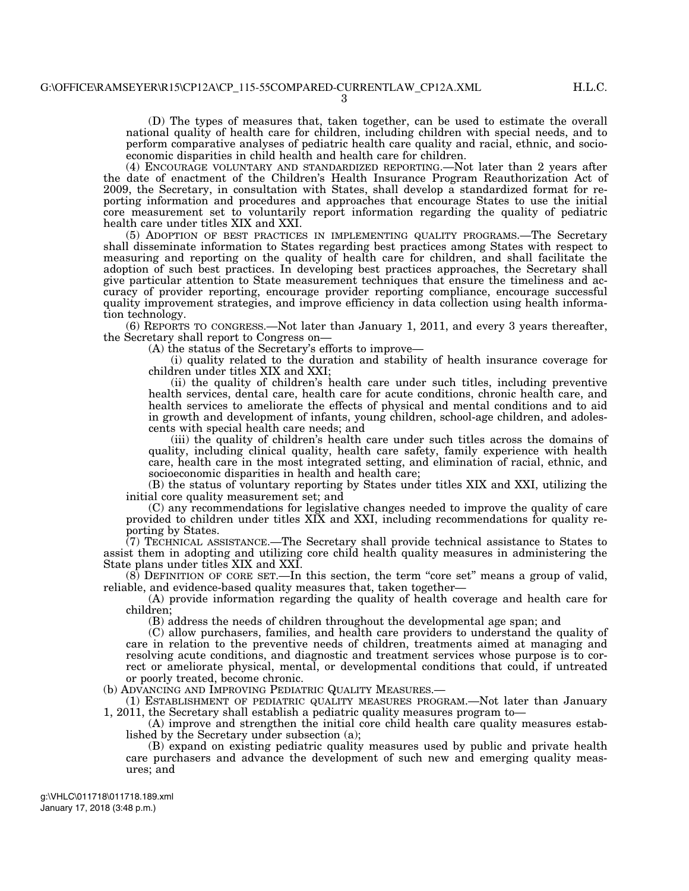H.L.C.

3

(D) The types of measures that, taken together, can be used to estimate the overall national quality of health care for children, including children with special needs, and to perform comparative analyses of pediatric health care quality and racial, ethnic, and socioeconomic disparities in child health and health care for children.

(4) ENCOURAGE VOLUNTARY AND STANDARDIZED REPORTING.—Not later than 2 years after the date of enactment of the Children's Health Insurance Program Reauthorization Act of 2009, the Secretary, in consultation with States, shall develop a standardized format for reporting information and procedures and approaches that encourage States to use the initial core measurement set to voluntarily report information regarding the quality of pediatric health care under titles XIX and XXI.

(5) ADOPTION OF BEST PRACTICES IN IMPLEMENTING QUALITY PROGRAMS.—The Secretary shall disseminate information to States regarding best practices among States with respect to measuring and reporting on the quality of health care for children, and shall facilitate the adoption of such best practices. In developing best practices approaches, the Secretary shall give particular attention to State measurement techniques that ensure the timeliness and accuracy of provider reporting, encourage provider reporting compliance, encourage successful quality improvement strategies, and improve efficiency in data collection using health information technology.

(6) REPORTS TO CONGRESS.—Not later than January 1, 2011, and every 3 years thereafter, the Secretary shall report to Congress on—

(A) the status of the Secretary's efforts to improve—

(i) quality related to the duration and stability of health insurance coverage for children under titles XIX and XXI;

(ii) the quality of children's health care under such titles, including preventive health services, dental care, health care for acute conditions, chronic health care, and health services to ameliorate the effects of physical and mental conditions and to aid in growth and development of infants, young children, school-age children, and adolescents with special health care needs; and

(iii) the quality of children's health care under such titles across the domains of quality, including clinical quality, health care safety, family experience with health care, health care in the most integrated setting, and elimination of racial, ethnic, and socioeconomic disparities in health and health care;

(B) the status of voluntary reporting by States under titles XIX and XXI, utilizing the initial core quality measurement set; and

(C) any recommendations for legislative changes needed to improve the quality of care provided to children under titles XIX and XXI, including recommendations for quality reporting by States.

(7) TECHNICAL ASSISTANCE.—The Secretary shall provide technical assistance to States to assist them in adopting and utilizing core child health quality measures in administering the State plans under titles XIX and XXI.

(8) DEFINITION OF CORE SET.—In this section, the term ''core set'' means a group of valid, reliable, and evidence-based quality measures that, taken together—

(A) provide information regarding the quality of health coverage and health care for children;

(B) address the needs of children throughout the developmental age span; and

(C) allow purchasers, families, and health care providers to understand the quality of care in relation to the preventive needs of children, treatments aimed at managing and resolving acute conditions, and diagnostic and treatment services whose purpose is to correct or ameliorate physical, mental, or developmental conditions that could, if untreated or poorly treated, become chronic.

(b) ADVANCING AND IMPROVING PEDIATRIC QUALITY MEASURES.—

(1) ESTABLISHMENT OF PEDIATRIC QUALITY MEASURES PROGRAM.—Not later than January 1, 2011, the Secretary shall establish a pediatric quality measures program to—

(A) improve and strengthen the initial core child health care quality measures established by the Secretary under subsection (a);

(B) expand on existing pediatric quality measures used by public and private health care purchasers and advance the development of such new and emerging quality measures; and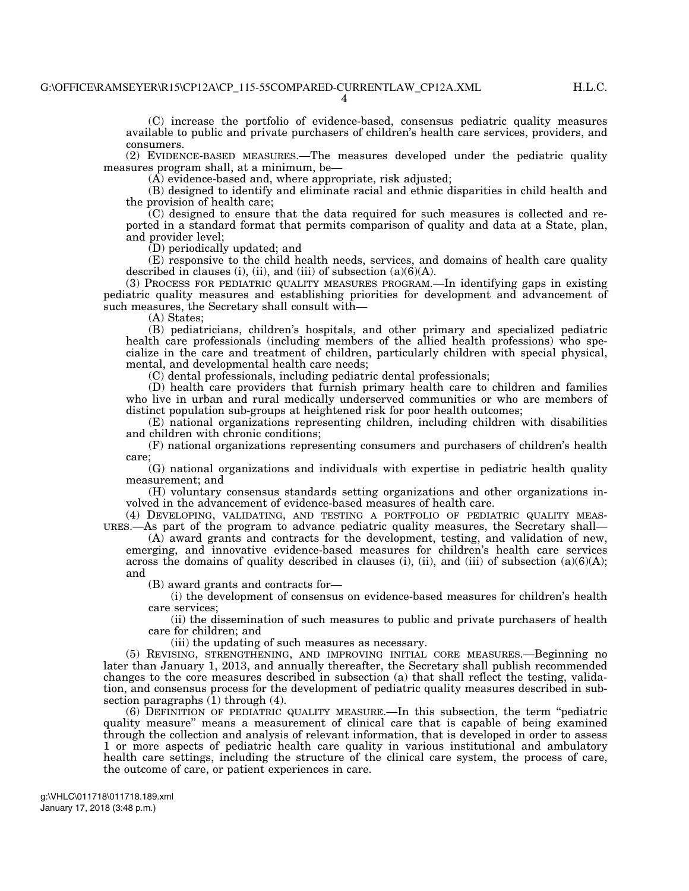4

(C) increase the portfolio of evidence-based, consensus pediatric quality measures available to public and private purchasers of children's health care services, providers, and consumers.

(2) EVIDENCE-BASED MEASURES.—The measures developed under the pediatric quality measures program shall, at a minimum, be—

(A) evidence-based and, where appropriate, risk adjusted;

(B) designed to identify and eliminate racial and ethnic disparities in child health and the provision of health care;

(C) designed to ensure that the data required for such measures is collected and reported in a standard format that permits comparison of quality and data at a State, plan, and provider level;

(D) periodically updated; and

(E) responsive to the child health needs, services, and domains of health care quality described in clauses (i), (ii), and (iii) of subsection  $(a)(6)(A)$ .

(3) PROCESS FOR PEDIATRIC QUALITY MEASURES PROGRAM.—In identifying gaps in existing pediatric quality measures and establishing priorities for development and advancement of such measures, the Secretary shall consult with—

(A) States;

(B) pediatricians, children's hospitals, and other primary and specialized pediatric health care professionals (including members of the allied health professions) who specialize in the care and treatment of children, particularly children with special physical, mental, and developmental health care needs;

(C) dental professionals, including pediatric dental professionals;

(D) health care providers that furnish primary health care to children and families who live in urban and rural medically underserved communities or who are members of distinct population sub-groups at heightened risk for poor health outcomes;

(E) national organizations representing children, including children with disabilities and children with chronic conditions;

(F) national organizations representing consumers and purchasers of children's health care;

(G) national organizations and individuals with expertise in pediatric health quality measurement; and

(H) voluntary consensus standards setting organizations and other organizations involved in the advancement of evidence-based measures of health care.

(4) DEVELOPING, VALIDATING, AND TESTING A PORTFOLIO OF PEDIATRIC QUALITY MEAS-URES.—As part of the program to advance pediatric quality measures, the Secretary shall—

(A) award grants and contracts for the development, testing, and validation of new, emerging, and innovative evidence-based measures for children's health care services across the domains of quality described in clauses (i), (ii), and (iii) of subsection (a)(6)(A); and

(B) award grants and contracts for—

(i) the development of consensus on evidence-based measures for children's health care services;

(ii) the dissemination of such measures to public and private purchasers of health care for children; and

(iii) the updating of such measures as necessary.

(5) REVISING, STRENGTHENING, AND IMPROVING INITIAL CORE MEASURES.—Beginning no later than January 1, 2013, and annually thereafter, the Secretary shall publish recommended changes to the core measures described in subsection (a) that shall reflect the testing, validation, and consensus process for the development of pediatric quality measures described in subsection paragraphs  $(1)$  through  $(4)$ .

(6) DEFINITION OF PEDIATRIC QUALITY MEASURE.—In this subsection, the term ''pediatric quality measure'' means a measurement of clinical care that is capable of being examined through the collection and analysis of relevant information, that is developed in order to assess 1 or more aspects of pediatric health care quality in various institutional and ambulatory health care settings, including the structure of the clinical care system, the process of care, the outcome of care, or patient experiences in care.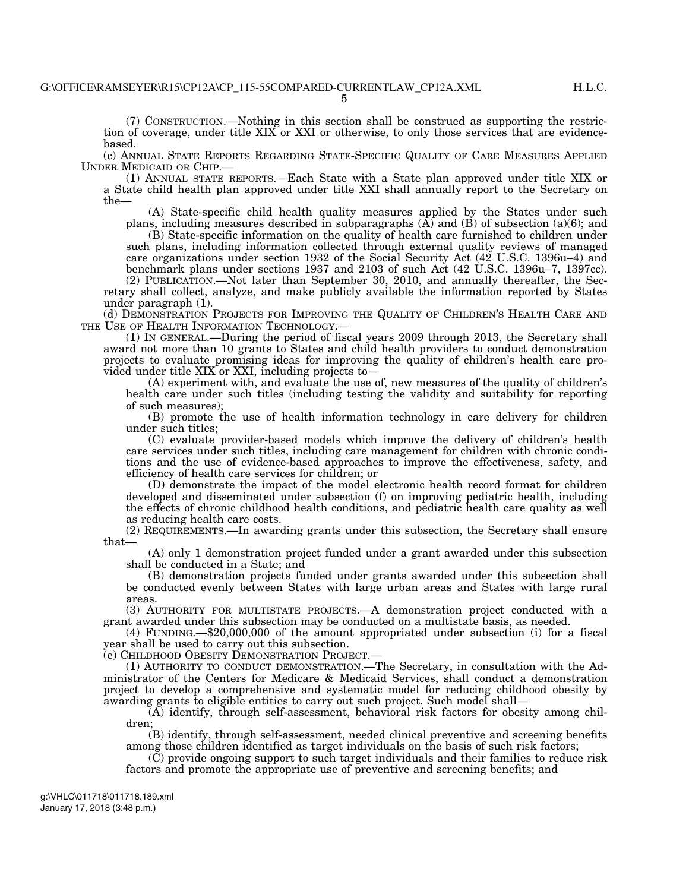(7) CONSTRUCTION.—Nothing in this section shall be construed as supporting the restriction of coverage, under title XIX or XXI or otherwise, to only those services that are evidencebased.

(c) ANNUAL STATE REPORTS REGARDING STATE-SPECIFIC QUALITY OF CARE MEASURES APPLIED UNDER MEDICAID OR CHIP.—

(1) ANNUAL STATE REPORTS.—Each State with a State plan approved under title XIX or a State child health plan approved under title XXI shall annually report to the Secretary on the—

(A) State-specific child health quality measures applied by the States under such plans, including measures described in subparagraphs  $(\overline{A})$  and  $(\overline{B})$  of subsection (a)(6); and

(B) State-specific information on the quality of health care furnished to children under such plans, including information collected through external quality reviews of managed care organizations under section 1932 of the Social Security Act (42 U.S.C. 1396u–4) and benchmark plans under sections 1937 and 2103 of such Act (42 U.S.C. 1396u–7, 1397cc). (2) PUBLICATION.—Not later than September 30, 2010, and annually thereafter, the Sec-

retary shall collect, analyze, and make publicly available the information reported by States under paragraph (1).

(d) DEMONSTRATION PROJECTS FOR IMPROVING THE QUALITY OF CHILDREN'S HEALTH CARE AND THE USE OF HEALTH INFORMATION TECHNOLOGY.-

(1) IN GENERAL.—During the period of fiscal years 2009 through 2013, the Secretary shall award not more than 10 grants to States and child health providers to conduct demonstration projects to evaluate promising ideas for improving the quality of children's health care provided under title XIX or XXI, including projects to—

(A) experiment with, and evaluate the use of, new measures of the quality of children's health care under such titles (including testing the validity and suitability for reporting of such measures);

(B) promote the use of health information technology in care delivery for children under such titles;

(C) evaluate provider-based models which improve the delivery of children's health care services under such titles, including care management for children with chronic conditions and the use of evidence-based approaches to improve the effectiveness, safety, and efficiency of health care services for children; or

(D) demonstrate the impact of the model electronic health record format for children developed and disseminated under subsection (f) on improving pediatric health, including the effects of chronic childhood health conditions, and pediatric health care quality as well as reducing health care costs.

(2) REQUIREMENTS.—In awarding grants under this subsection, the Secretary shall ensure that—

(A) only 1 demonstration project funded under a grant awarded under this subsection shall be conducted in a State; and

(B) demonstration projects funded under grants awarded under this subsection shall be conducted evenly between States with large urban areas and States with large rural areas.

(3) AUTHORITY FOR MULTISTATE PROJECTS.—A demonstration project conducted with a grant awarded under this subsection may be conducted on a multistate basis, as needed.

(4) FUNDING.—\$20,000,000 of the amount appropriated under subsection (i) for a fiscal year shall be used to carry out this subsection.

(e) CHILDHOOD OBESITY DEMONSTRATION PROJECT.—

(1) AUTHORITY TO CONDUCT DEMONSTRATION.—The Secretary, in consultation with the Administrator of the Centers for Medicare & Medicaid Services, shall conduct a demonstration project to develop a comprehensive and systematic model for reducing childhood obesity by awarding grants to eligible entities to carry out such project. Such model shall—

(A) identify, through self-assessment, behavioral risk factors for obesity among children;

(B) identify, through self-assessment, needed clinical preventive and screening benefits among those children identified as target individuals on the basis of such risk factors;

(C) provide ongoing support to such target individuals and their families to reduce risk factors and promote the appropriate use of preventive and screening benefits; and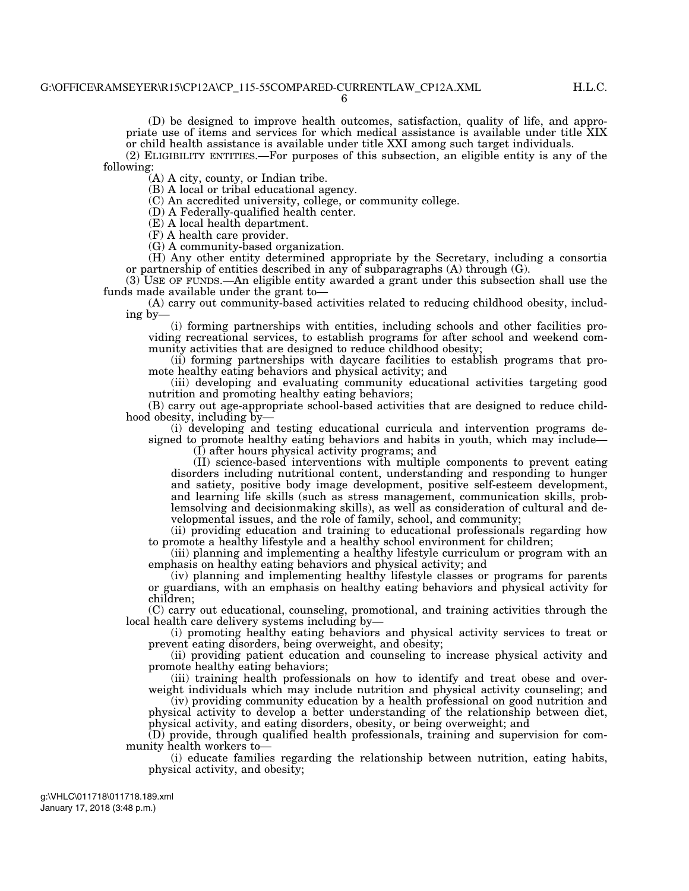6

(D) be designed to improve health outcomes, satisfaction, quality of life, and appropriate use of items and services for which medical assistance is available under title XIX or child health assistance is available under title XXI among such target individuals.

(2) ELIGIBILITY ENTITIES.—For purposes of this subsection, an eligible entity is any of the following:

(A) A city, county, or Indian tribe.

(B) A local or tribal educational agency.

(C) An accredited university, college, or community college.

(D) A Federally-qualified health center.

(E) A local health department.

(F) A health care provider.

(G) A community-based organization.

(H) Any other entity determined appropriate by the Secretary, including a consortia or partnership of entities described in any of subparagraphs (A) through (G).

(3) USE OF FUNDS.—An eligible entity awarded a grant under this subsection shall use the funds made available under the grant to—

(A) carry out community-based activities related to reducing childhood obesity, including by—

(i) forming partnerships with entities, including schools and other facilities providing recreational services, to establish programs for after school and weekend community activities that are designed to reduce childhood obesity;

(ii) forming partnerships with daycare facilities to establish programs that promote healthy eating behaviors and physical activity; and

(iii) developing and evaluating community educational activities targeting good nutrition and promoting healthy eating behaviors;

(B) carry out age-appropriate school-based activities that are designed to reduce childhood obesity, including by—

(i) developing and testing educational curricula and intervention programs designed to promote healthy eating behaviors and habits in youth, which may include—

(I) after hours physical activity programs; and

(II) science-based interventions with multiple components to prevent eating disorders including nutritional content, understanding and responding to hunger and satiety, positive body image development, positive self-esteem development, and learning life skills (such as stress management, communication skills, problemsolving and decisionmaking skills), as well as consideration of cultural and developmental issues, and the role of family, school, and community;

(ii) providing education and training to educational professionals regarding how to promote a healthy lifestyle and a healthy school environment for children;

(iii) planning and implementing a healthy lifestyle curriculum or program with an emphasis on healthy eating behaviors and physical activity; and

(iv) planning and implementing healthy lifestyle classes or programs for parents or guardians, with an emphasis on healthy eating behaviors and physical activity for children;

(C) carry out educational, counseling, promotional, and training activities through the local health care delivery systems including by—

(i) promoting healthy eating behaviors and physical activity services to treat or prevent eating disorders, being overweight, and obesity;

(ii) providing patient education and counseling to increase physical activity and promote healthy eating behaviors;

(iii) training health professionals on how to identify and treat obese and overweight individuals which may include nutrition and physical activity counseling; and

(iv) providing community education by a health professional on good nutrition and physical activity to develop a better understanding of the relationship between diet, physical activity, and eating disorders, obesity, or being overweight; and

(D) provide, through qualified health professionals, training and supervision for community health workers to—

(i) educate families regarding the relationship between nutrition, eating habits, physical activity, and obesity;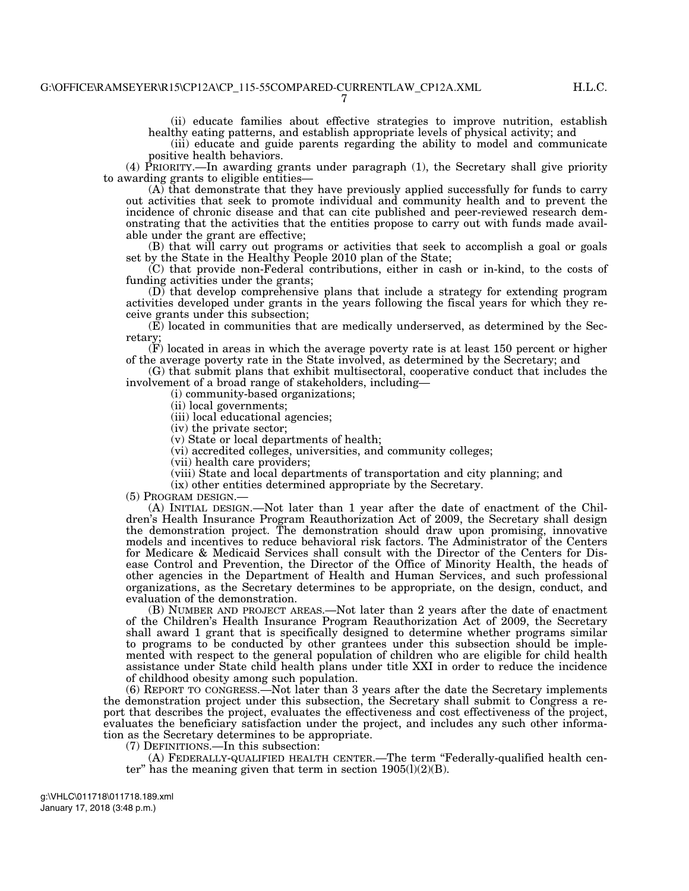7

(ii) educate families about effective strategies to improve nutrition, establish healthy eating patterns, and establish appropriate levels of physical activity; and

(iii) educate and guide parents regarding the ability to model and communicate positive health behaviors.

(4) PRIORITY.—In awarding grants under paragraph (1), the Secretary shall give priority to awarding grants to eligible entities—

(A) that demonstrate that they have previously applied successfully for funds to carry out activities that seek to promote individual and community health and to prevent the incidence of chronic disease and that can cite published and peer-reviewed research demonstrating that the activities that the entities propose to carry out with funds made available under the grant are effective;

(B) that will carry out programs or activities that seek to accomplish a goal or goals set by the State in the Healthy People 2010 plan of the State;

(C) that provide non-Federal contributions, either in cash or in-kind, to the costs of funding activities under the grants;

(D) that develop comprehensive plans that include a strategy for extending program activities developed under grants in the years following the fiscal years for which they receive grants under this subsection;

(E) located in communities that are medically underserved, as determined by the Secretary;

 $(F)$  located in areas in which the average poverty rate is at least 150 percent or higher of the average poverty rate in the State involved, as determined by the Secretary; and

(G) that submit plans that exhibit multisectoral, cooperative conduct that includes the involvement of a broad range of stakeholders, including—

(i) community-based organizations;

(ii) local governments;

(iii) local educational agencies;

(iv) the private sector;

(v) State or local departments of health;

(vi) accredited colleges, universities, and community colleges;

(vii) health care providers;

(viii) State and local departments of transportation and city planning; and

(ix) other entities determined appropriate by the Secretary.

(5) PROGRAM DESIGN.—

(A) INITIAL DESIGN.—Not later than 1 year after the date of enactment of the Children's Health Insurance Program Reauthorization Act of 2009, the Secretary shall design the demonstration project. The demonstration should draw upon promising, innovative models and incentives to reduce behavioral risk factors. The Administrator of the Centers for Medicare & Medicaid Services shall consult with the Director of the Centers for Disease Control and Prevention, the Director of the Office of Minority Health, the heads of other agencies in the Department of Health and Human Services, and such professional organizations, as the Secretary determines to be appropriate, on the design, conduct, and evaluation of the demonstration.

(B) NUMBER AND PROJECT AREAS.—Not later than 2 years after the date of enactment of the Children's Health Insurance Program Reauthorization Act of 2009, the Secretary shall award 1 grant that is specifically designed to determine whether programs similar to programs to be conducted by other grantees under this subsection should be implemented with respect to the general population of children who are eligible for child health assistance under State child health plans under title XXI in order to reduce the incidence of childhood obesity among such population.

(6) REPORT TO CONGRESS.—Not later than 3 years after the date the Secretary implements the demonstration project under this subsection, the Secretary shall submit to Congress a report that describes the project, evaluates the effectiveness and cost effectiveness of the project, evaluates the beneficiary satisfaction under the project, and includes any such other information as the Secretary determines to be appropriate.

(7) DEFINITIONS.—In this subsection:

(A) FEDERALLY-QUALIFIED HEALTH CENTER.—The term ''Federally-qualified health center" has the meaning given that term in section  $1905(1)(2)(B)$ .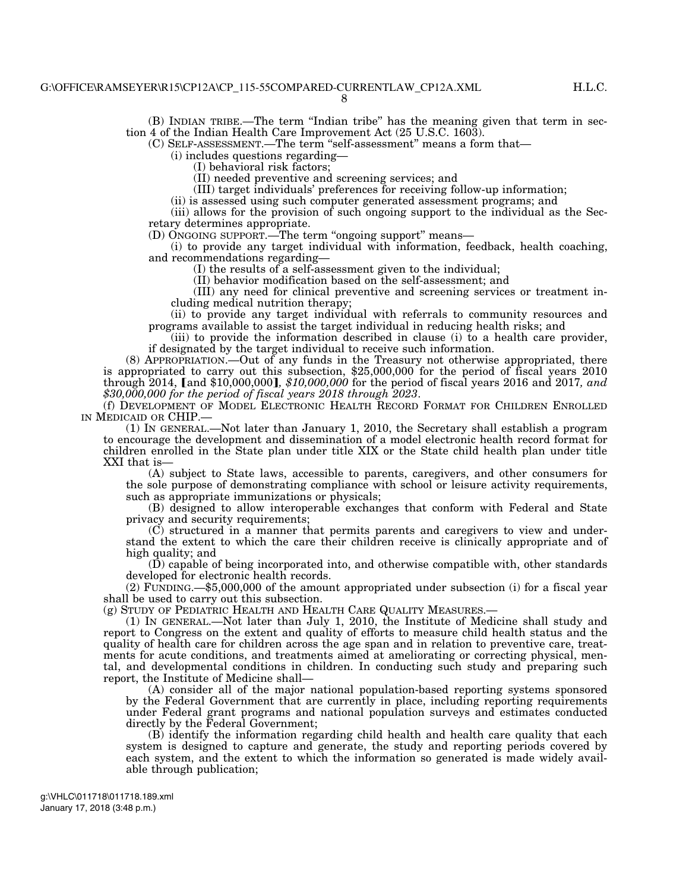8

(B) INDIAN TRIBE.—The term ''Indian tribe'' has the meaning given that term in section 4 of the Indian Health Care Improvement Act (25 U.S.C. 1603).

(C) SELF-ASSESSMENT.—The term ''self-assessment'' means a form that—

(i) includes questions regarding—

(I) behavioral risk factors;

(II) needed preventive and screening services; and

(III) target individuals' preferences for receiving follow-up information;

(ii) is assessed using such computer generated assessment programs; and

(iii) allows for the provision of such ongoing support to the individual as the Secretary determines appropriate.

(D) ONGOING SUPPORT.—The term ''ongoing support'' means—

(i) to provide any target individual with information, feedback, health coaching, and recommendations regarding—

(I) the results of a self-assessment given to the individual;

(II) behavior modification based on the self-assessment; and

(III) any need for clinical preventive and screening services or treatment including medical nutrition therapy;

(ii) to provide any target individual with referrals to community resources and programs available to assist the target individual in reducing health risks; and

(iii) to provide the information described in clause (i) to a health care provider, if designated by the target individual to receive such information.

(8) APPROPRIATION.—Out of any funds in the Treasury not otherwise appropriated, there is appropriated to carry out this subsection, \$25,000,000 for the period of fiscal years 2010 through 2014, [and \$10,000,000], \$10,000,000 for the period of fiscal years 2016 and 2017, and *\$30,000,000 for the period of fiscal years 2018 through 2023*.

(f) DEVELOPMENT OF MODEL ELECTRONIC HEALTH RECORD FORMAT FOR CHILDREN ENROLLED IN MEDICAID OR CHIP.—

(1) IN GENERAL.—Not later than January 1, 2010, the Secretary shall establish a program to encourage the development and dissemination of a model electronic health record format for children enrolled in the State plan under title XIX or the State child health plan under title XXI that is—

(A) subject to State laws, accessible to parents, caregivers, and other consumers for the sole purpose of demonstrating compliance with school or leisure activity requirements, such as appropriate immunizations or physicals;

(B) designed to allow interoperable exchanges that conform with Federal and State privacy and security requirements;

(C) structured in a manner that permits parents and caregivers to view and understand the extent to which the care their children receive is clinically appropriate and of high quality; and

(D) capable of being incorporated into, and otherwise compatible with, other standards developed for electronic health records.

(2) FUNDING.—\$5,000,000 of the amount appropriated under subsection (i) for a fiscal year shall be used to carry out this subsection.

(g) STUDY OF PEDIATRIC HEALTH AND HEALTH CARE QUALITY MEASURES.—

(1) IN GENERAL.—Not later than July 1, 2010, the Institute of Medicine shall study and report to Congress on the extent and quality of efforts to measure child health status and the quality of health care for children across the age span and in relation to preventive care, treatments for acute conditions, and treatments aimed at ameliorating or correcting physical, mental, and developmental conditions in children. In conducting such study and preparing such report, the Institute of Medicine shall—

(A) consider all of the major national population-based reporting systems sponsored by the Federal Government that are currently in place, including reporting requirements under Federal grant programs and national population surveys and estimates conducted directly by the Federal Government;

(B) identify the information regarding child health and health care quality that each system is designed to capture and generate, the study and reporting periods covered by each system, and the extent to which the information so generated is made widely available through publication;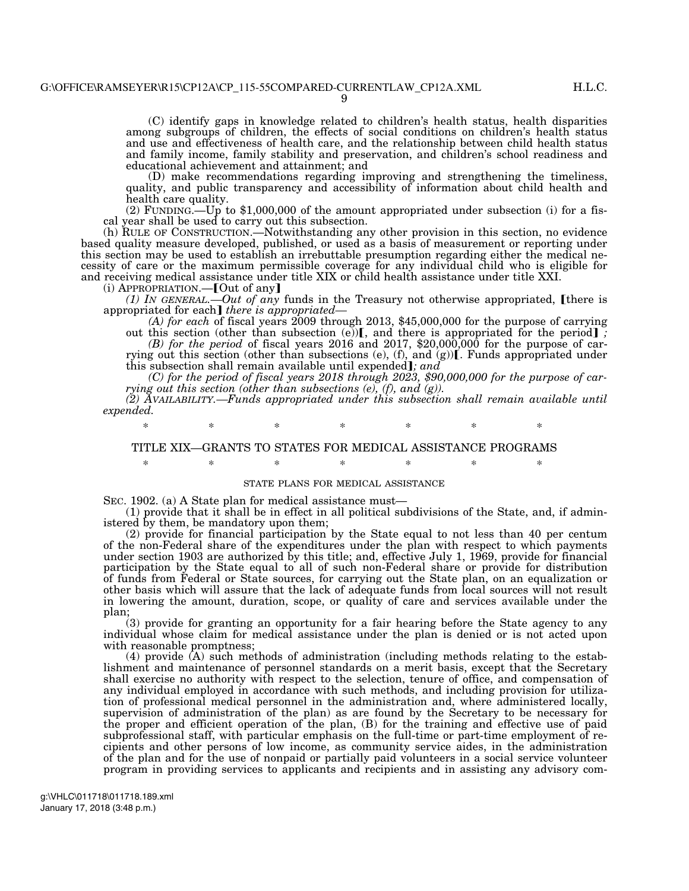9

(C) identify gaps in knowledge related to children's health status, health disparities among subgroups of children, the effects of social conditions on children's health status and use and effectiveness of health care, and the relationship between child health status and family income, family stability and preservation, and children's school readiness and educational achievement and attainment; and

(D) make recommendations regarding improving and strengthening the timeliness, quality, and public transparency and accessibility of information about child health and health care quality.

(2) FUNDING.—Up to \$1,000,000 of the amount appropriated under subsection (i) for a fiscal year shall be used to carry out this subsection.

(h) RULE OF CONSTRUCTION.—Notwithstanding any other provision in this section, no evidence based quality measure developed, published, or used as a basis of measurement or reporting under this section may be used to establish an irrebuttable presumption regarding either the medical necessity of care or the maximum permissible coverage for any individual child who is eligible for and receiving medical assistance under title XIX or child health assistance under title XXI.

(i) APPROPRIATION.-[Out of any]

 $(1)$  IN GENERAL.—Out of any funds in the Treasury not otherwise appropriated, [there is appropriated for each] *there is appropriated*—

(*A) for each* of fiscal years 2009 through 2013, \$45,000,000 for the purpose of carrying out this section (other than subsection (e)) $\mathbf{I}$ , and there is appropriated for the period $\mathbf{J}$ ;

*(B) for the period* of fiscal years 2016 and 2017, \$20,000,000 for the purpose of carrying out this section (other than subsections (e), (f), and (g))**[**. Funds appropriated under this subsection shall remain available until expended  $\mathbf{j}$ ; and

*(C) for the period of fiscal years 2018 through 2023, \$90,000,000 for the purpose of carrying out this section (other than subsections (e), (f), and (g)).* 

*(2) AVAILABILITY.—Funds appropriated under this subsection shall remain available until expended.* 

\* \* \* \* \* \* \* \*

TITLE XIX—GRANTS TO STATES FOR MEDICAL ASSISTANCE PROGRAMS \* \* \* \* \* \* \*

#### STATE PLANS FOR MEDICAL ASSISTANCE

SEC. 1902. (a) A State plan for medical assistance must—

(1) provide that it shall be in effect in all political subdivisions of the State, and, if administered by them, be mandatory upon them;

(2) provide for financial participation by the State equal to not less than 40 per centum of the non-Federal share of the expenditures under the plan with respect to which payments under section 1903 are authorized by this title; and, effective July 1, 1969, provide for financial participation by the State equal to all of such non-Federal share or provide for distribution of funds from Federal or State sources, for carrying out the State plan, on an equalization or other basis which will assure that the lack of adequate funds from local sources will not result in lowering the amount, duration, scope, or quality of care and services available under the plan;

(3) provide for granting an opportunity for a fair hearing before the State agency to any individual whose claim for medical assistance under the plan is denied or is not acted upon with reasonable promptness;

(4) provide (A) such methods of administration (including methods relating to the establishment and maintenance of personnel standards on a merit basis, except that the Secretary shall exercise no authority with respect to the selection, tenure of office, and compensation of any individual employed in accordance with such methods, and including provision for utilization of professional medical personnel in the administration and, where administered locally, supervision of administration of the plan) as are found by the Secretary to be necessary for the proper and efficient operation of the plan, (B) for the training and effective use of paid subprofessional staff, with particular emphasis on the full-time or part-time employment of recipients and other persons of low income, as community service aides, in the administration of the plan and for the use of nonpaid or partially paid volunteers in a social service volunteer program in providing services to applicants and recipients and in assisting any advisory com-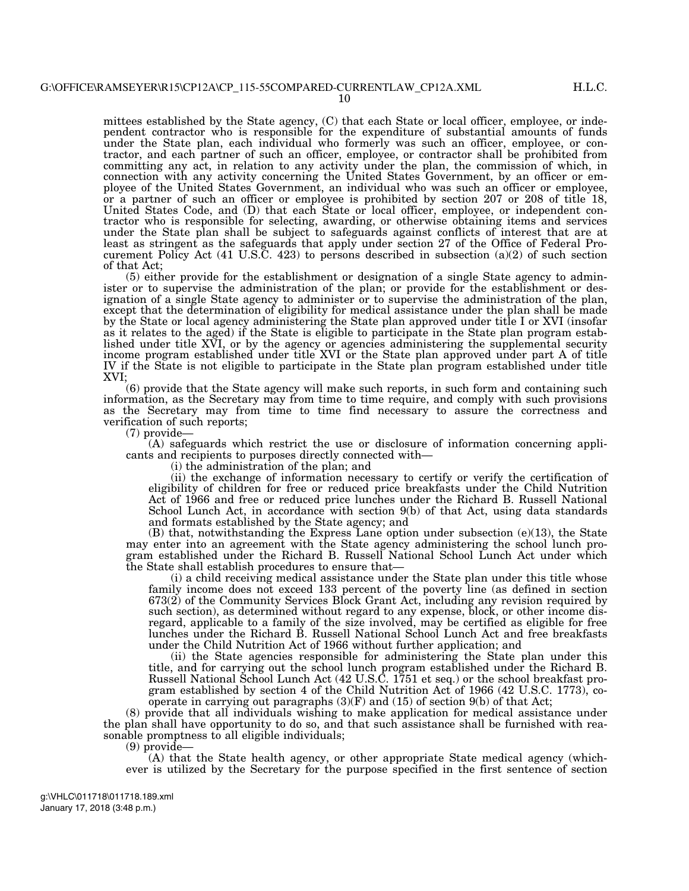10

H.L.C.

mittees established by the State agency, (C) that each State or local officer, employee, or independent contractor who is responsible for the expenditure of substantial amounts of funds under the State plan, each individual who formerly was such an officer, employee, or contractor, and each partner of such an officer, employee, or contractor shall be prohibited from committing any act, in relation to any activity under the plan, the commission of which, in connection with any activity concerning the United States Government, by an officer or employee of the United States Government, an individual who was such an officer or employee, or a partner of such an officer or employee is prohibited by section 207 or 208 of title 18, United States Code, and (D) that each State or local officer, employee, or independent contractor who is responsible for selecting, awarding, or otherwise obtaining items and services under the State plan shall be subject to safeguards against conflicts of interest that are at least as stringent as the safeguards that apply under section 27 of the Office of Federal Procurement Policy Act  $(41 \text{ U.S.}\bar{C}$ . 423) to persons described in subsection  $(a)(2)$  of such section of that Act;

(5) either provide for the establishment or designation of a single State agency to administer or to supervise the administration of the plan; or provide for the establishment or designation of a single State agency to administer or to supervise the administration of the plan, except that the determination of eligibility for medical assistance under the plan shall be made by the State or local agency administering the State plan approved under title I or XVI (insofar as it relates to the aged) if the State is eligible to participate in the State plan program established under title XVI, or by the agency or agencies administering the supplemental security income program established under title XVI or the State plan approved under part A of title IV if the State is not eligible to participate in the State plan program established under title XVI;

(6) provide that the State agency will make such reports, in such form and containing such information, as the Secretary may from time to time require, and comply with such provisions as the Secretary may from time to time find necessary to assure the correctness and verification of such reports;

(7) provide—

(A) safeguards which restrict the use or disclosure of information concerning applicants and recipients to purposes directly connected with—

(i) the administration of the plan; and

(ii) the exchange of information necessary to certify or verify the certification of eligibility of children for free or reduced price breakfasts under the Child Nutrition Act of 1966 and free or reduced price lunches under the Richard B. Russell National School Lunch Act, in accordance with section 9(b) of that Act, using data standards and formats established by the State agency; and

(B) that, notwithstanding the Express Lane option under subsection (e)(13), the State may enter into an agreement with the State agency administering the school lunch program established under the Richard B. Russell National School Lunch Act under which the State shall establish procedures to ensure that—

(i) a child receiving medical assistance under the State plan under this title whose family income does not exceed 133 percent of the poverty line (as defined in section 673(2) of the Community Services Block Grant Act, including any revision required by such section), as determined without regard to any expense, block, or other income disregard, applicable to a family of the size involved, may be certified as eligible for free lunches under the Richard B. Russell National School Lunch Act and free breakfasts under the Child Nutrition Act of 1966 without further application; and

(ii) the State agencies responsible for administering the State plan under this title, and for carrying out the school lunch program established under the Richard B. Russell National School Lunch Act (42 U.S.C. 1751 et seq.) or the school breakfast program established by section 4 of the Child Nutrition Act of 1966 (42 U.S.C. 1773), cooperate in carrying out paragraphs  $(3)(F)$  and  $(15)$  of section 9(b) of that Act;

(8) provide that all individuals wishing to make application for medical assistance under the plan shall have opportunity to do so, and that such assistance shall be furnished with reasonable promptness to all eligible individuals;

(9) provide—

(A) that the State health agency, or other appropriate State medical agency (whichever is utilized by the Secretary for the purpose specified in the first sentence of section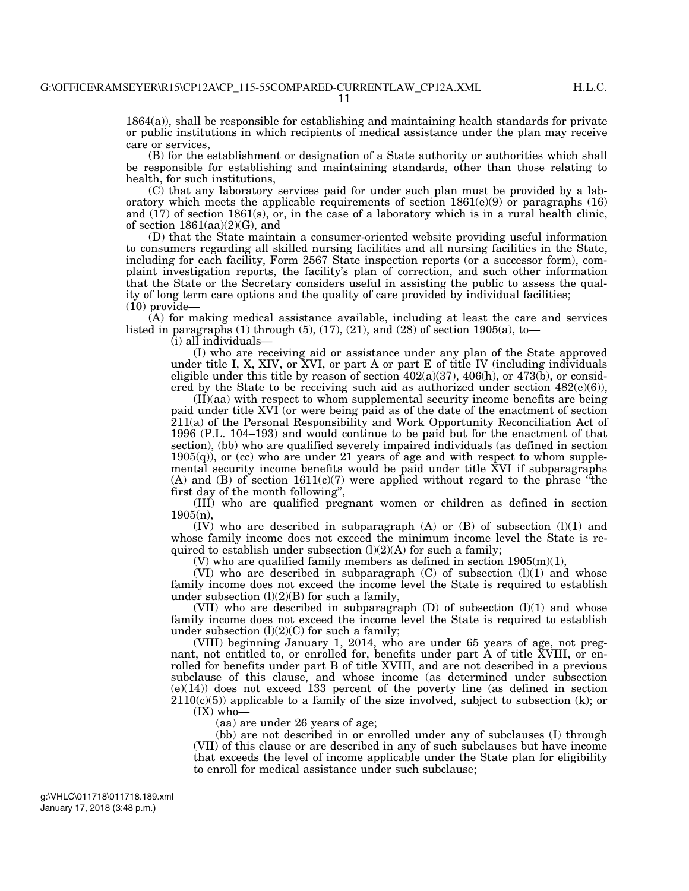H.L.C.

1864(a)), shall be responsible for establishing and maintaining health standards for private or public institutions in which recipients of medical assistance under the plan may receive care or services,

(B) for the establishment or designation of a State authority or authorities which shall be responsible for establishing and maintaining standards, other than those relating to health, for such institutions,

(C) that any laboratory services paid for under such plan must be provided by a laboratory which meets the applicable requirements of section  $1861(e)(9)$  or paragraphs (16) and  $(17)$  of section  $1861(s)$ , or, in the case of a laboratory which is in a rural health clinic, of section  $1861(aa)(2)(G)$ , and

(D) that the State maintain a consumer-oriented website providing useful information to consumers regarding all skilled nursing facilities and all nursing facilities in the State, including for each facility, Form 2567 State inspection reports (or a successor form), complaint investigation reports, the facility's plan of correction, and such other information that the State or the Secretary considers useful in assisting the public to assess the quality of long term care options and the quality of care provided by individual facilities; (10) provide—

(A) for making medical assistance available, including at least the care and services listed in paragraphs  $(1)$  through  $(5)$ ,  $(17)$ ,  $(21)$ , and  $(28)$  of section 1905(a), to

(i) all individuals—

(I) who are receiving aid or assistance under any plan of the State approved under title I, X, XIV, or XVI, or part A or part E of title IV (including individuals eligible under this title by reason of section  $402(a)(37)$ ,  $406(h)$ , or  $473(b)$ , or considered by the State to be receiving such aid as authorized under section  $482(e)(6)$ ),

(II)(aa) with respect to whom supplemental security income benefits are being paid under title XVI (or were being paid as of the date of the enactment of section 211(a) of the Personal Responsibility and Work Opportunity Reconciliation Act of 1996 (P.L. 104–193) and would continue to be paid but for the enactment of that section), (bb) who are qualified severely impaired individuals (as defined in section  $1905(q)$ ), or (cc) who are under 21 years of age and with respect to whom supplemental security income benefits would be paid under title XVI if subparagraphs  $(A)$  and  $(B)$  of section 1611 $(c)$ , were applied without regard to the phrase "the first day of the month following'',

(III) who are qualified pregnant women or children as defined in section  $1905(n)$ ,

(IV) who are described in subparagraph (A) or (B) of subsection  $(l)(1)$  and whose family income does not exceed the minimum income level the State is required to establish under subsection  $(l)(2)(A)$  for such a family;

(V) who are qualified family members as defined in section  $1905(m)(1)$ ,

(VI) who are described in subparagraph  $(C)$  of subsection  $(l)(1)$  and whose family income does not exceed the income level the State is required to establish under subsection  $(l)(2)(B)$  for such a family,

(VII) who are described in subparagraph  $(D)$  of subsection  $(l)(1)$  and whose family income does not exceed the income level the State is required to establish under subsection (l)(2)(C) for such a family;

(VIII) beginning January 1, 2014, who are under 65 years of age, not pregnant, not entitled to, or enrolled for, benefits under part A of title XVIII, or enrolled for benefits under part B of title XVIII, and are not described in a previous subclause of this clause, and whose income (as determined under subsection  $(e)(14)$  does not exceed 133 percent of the poverty line (as defined in section  $2110(c)(5)$  applicable to a family of the size involved, subject to subsection (k); or  $(IX)$  who-

(aa) are under 26 years of age;

(bb) are not described in or enrolled under any of subclauses (I) through (VII) of this clause or are described in any of such subclauses but have income that exceeds the level of income applicable under the State plan for eligibility to enroll for medical assistance under such subclause;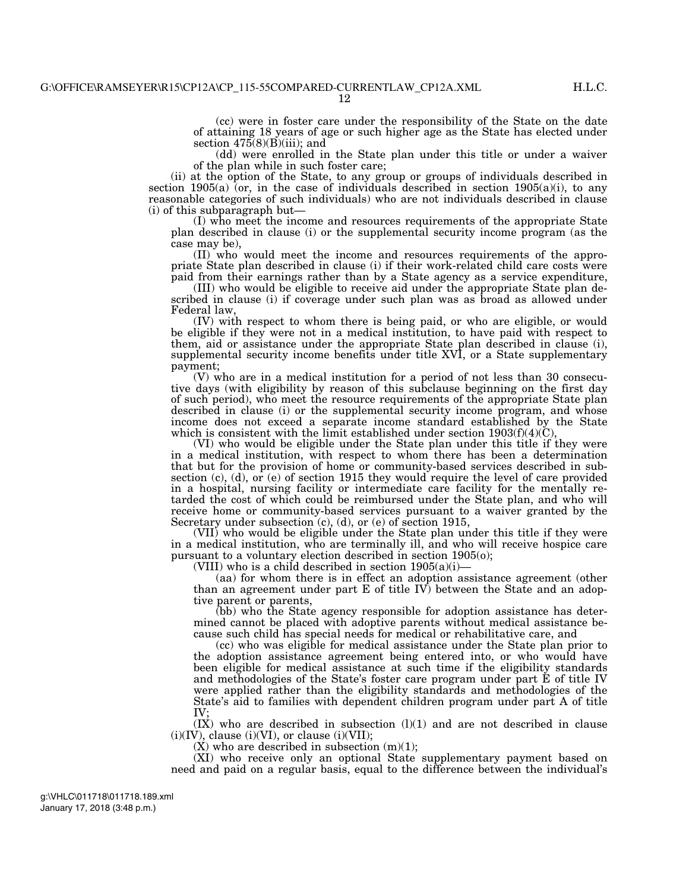(cc) were in foster care under the responsibility of the State on the date of attaining 18 years of age or such higher age as the State has elected under section  $475(8)(\overrightarrow{B})(\overrightarrow{iii})$ ; and

(dd) were enrolled in the State plan under this title or under a waiver of the plan while in such foster care;

(ii) at the option of the State, to any group or groups of individuals described in section 1905(a) (or, in the case of individuals described in section 1905(a)(i), to any reasonable categories of such individuals) who are not individuals described in clause (i) of this subparagraph but—

(I) who meet the income and resources requirements of the appropriate State plan described in clause (i) or the supplemental security income program (as the case may be),

(II) who would meet the income and resources requirements of the appropriate State plan described in clause (i) if their work-related child care costs were paid from their earnings rather than by a State agency as a service expenditure,

(III) who would be eligible to receive aid under the appropriate State plan described in clause (i) if coverage under such plan was as broad as allowed under Federal law,

(IV) with respect to whom there is being paid, or who are eligible, or would be eligible if they were not in a medical institution, to have paid with respect to them, aid or assistance under the appropriate State plan described in clause (i), supplemental security income benefits under title XVI, or a State supplementary payment;

(V) who are in a medical institution for a period of not less than 30 consecutive days (with eligibility by reason of this subclause beginning on the first day of such period), who meet the resource requirements of the appropriate State plan described in clause (i) or the supplemental security income program, and whose income does not exceed a separate income standard established by the State which is consistent with the limit established under section  $1903(f)(4)(C)$ ,

(VI) who would be eligible under the State plan under this title if they were in a medical institution, with respect to whom there has been a determination that but for the provision of home or community-based services described in subsection  $(c)$ ,  $(d)$ , or  $(e)$  of section 1915 they would require the level of care provided in a hospital, nursing facility or intermediate care facility for the mentally retarded the cost of which could be reimbursed under the State plan, and who will receive home or community-based services pursuant to a waiver granted by the Secretary under subsection (c), (d), or (e) of section 1915,

(VII) who would be eligible under the State plan under this title if they were in a medical institution, who are terminally ill, and who will receive hospice care pursuant to a voluntary election described in section 1905(o);

(VIII) who is a child described in section  $1905(a)(i)$ 

(aa) for whom there is in effect an adoption assistance agreement (other than an agreement under part E of title IV) between the State and an adoptive parent or parents,

(bb) who the State agency responsible for adoption assistance has determined cannot be placed with adoptive parents without medical assistance because such child has special needs for medical or rehabilitative care, and

(cc) who was eligible for medical assistance under the State plan prior to the adoption assistance agreement being entered into, or who would have been eligible for medical assistance at such time if the eligibility standards and methodologies of the State's foster care program under part E of title IV were applied rather than the eligibility standards and methodologies of the State's aid to families with dependent children program under part A of title IV;

 $(IX)$  who are described in subsection  $(l)(1)$  and are not described in clause  $(i)(IV)$ , clause  $(i)(VI)$ , or clause  $(i)(VII)$ ;

 $(X)$  who are described in subsection  $(m)(1)$ ;

(XI) who receive only an optional State supplementary payment based on need and paid on a regular basis, equal to the difference between the individual's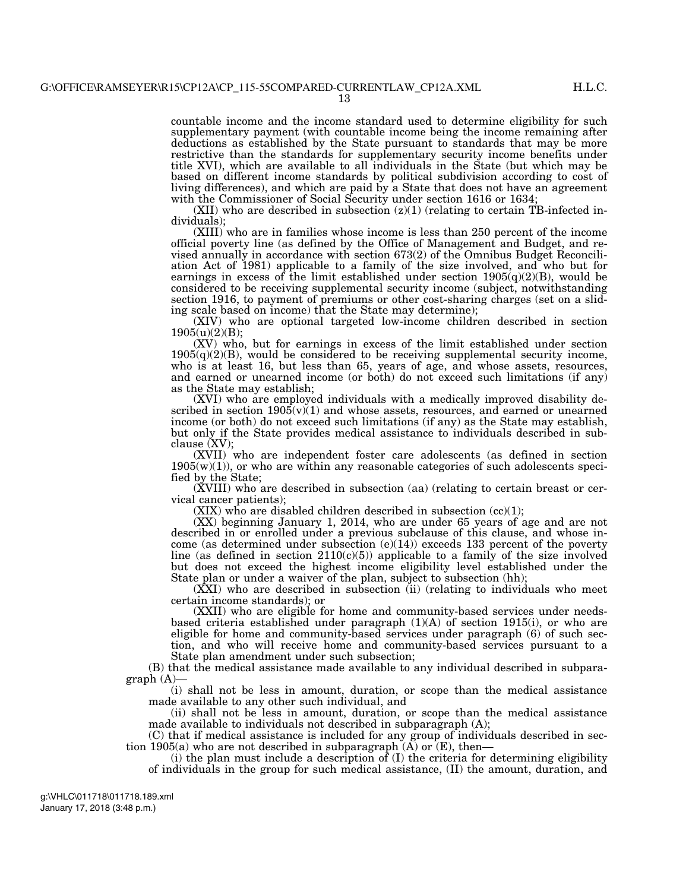countable income and the income standard used to determine eligibility for such supplementary payment (with countable income being the income remaining after deductions as established by the State pursuant to standards that may be more restrictive than the standards for supplementary security income benefits under title XVI), which are available to all individuals in the State (but which may be based on different income standards by political subdivision according to cost of living differences), and which are paid by a State that does not have an agreement with the Commissioner of Social Security under section 1616 or 1634;

 $(XII)$  who are described in subsection  $(z)(1)$  (relating to certain TB-infected individuals);

(XIII) who are in families whose income is less than 250 percent of the income official poverty line (as defined by the Office of Management and Budget, and revised annually in accordance with section 673(2) of the Omnibus Budget Reconciliation Act of 1981) applicable to a family of the size involved, and who but for earnings in excess of the limit established under section  $1905(q)(2)(B)$ , would be considered to be receiving supplemental security income (subject, notwithstanding section 1916, to payment of premiums or other cost-sharing charges (set on a sliding scale based on income) that the State may determine);

(XIV) who are optional targeted low-income children described in section 1905(u)(2)(B);

(XV) who, but for earnings in excess of the limit established under section  $1905(q)(2)(B)$ , would be considered to be receiving supplemental security income, who is at least 16, but less than 65, years of age, and whose assets, resources, and earned or unearned income (or both) do not exceed such limitations (if any) as the State may establish;

(XVI) who are employed individuals with a medically improved disability described in section  $1905(v)(1)$  and whose assets, resources, and earned or unearned income (or both) do not exceed such limitations (if any) as the State may establish, but only if the State provides medical assistance to individuals described in subclause (XV);

(XVII) who are independent foster care adolescents (as defined in section  $1905(w)(1)$ , or who are within any reasonable categories of such adolescents specified by the State;

(XVIII) who are described in subsection (aa) (relating to certain breast or cervical cancer patients);

(XIX) who are disabled children described in subsection (cc)(1);

(XX) beginning January 1, 2014, who are under 65 years of age and are not described in or enrolled under a previous subclause of this clause, and whose income (as determined under subsection  $(e)(14)$ ) exceeds 133 percent of the poverty line (as defined in section  $2110(c(5))$  applicable to a family of the size involved but does not exceed the highest income eligibility level established under the State plan or under a waiver of the plan, subject to subsection (hh);

(XXI) who are described in subsection (ii) (relating to individuals who meet certain income standards); or

(XXII) who are eligible for home and community-based services under needsbased criteria established under paragraph (1)(A) of section 1915(i), or who are eligible for home and community-based services under paragraph (6) of such section, and who will receive home and community-based services pursuant to a State plan amendment under such subsection;

(B) that the medical assistance made available to any individual described in subparagraph (A)—

(i) shall not be less in amount, duration, or scope than the medical assistance made available to any other such individual, and

(ii) shall not be less in amount, duration, or scope than the medical assistance made available to individuals not described in subparagraph (A);

(C) that if medical assistance is included for any group of individuals described in section 1905(a) who are not described in subparagraph  $\overline{A}$  or  $\overline{E}$ , then-

(i) the plan must include a description of (I) the criteria for determining eligibility of individuals in the group for such medical assistance, (II) the amount, duration, and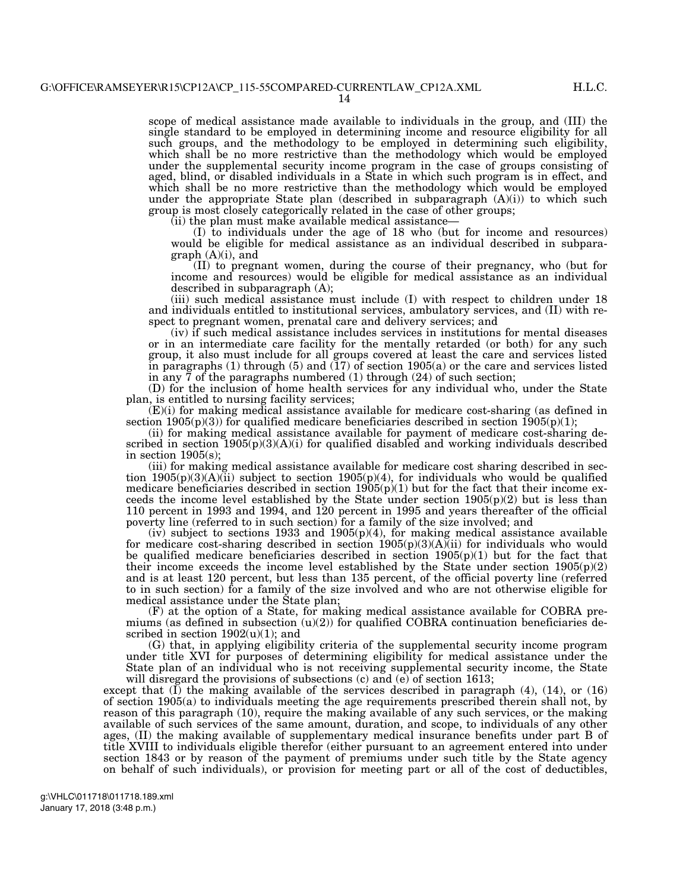scope of medical assistance made available to individuals in the group, and (III) the single standard to be employed in determining income and resource eligibility for all such groups, and the methodology to be employed in determining such eligibility, which shall be no more restrictive than the methodology which would be employed under the supplemental security income program in the case of groups consisting of aged, blind, or disabled individuals in a State in which such program is in effect, and which shall be no more restrictive than the methodology which would be employed under the appropriate State plan (described in subparagraph  $(A)(i)$ ) to which such group is most closely categorically related in the case of other groups;

(ii) the plan must make available medical assistance—

(I) to individuals under the age of 18 who (but for income and resources) would be eligible for medical assistance as an individual described in subpara $graph (A)(i)$ , and

(II) to pregnant women, during the course of their pregnancy, who (but for income and resources) would be eligible for medical assistance as an individual described in subparagraph (A);

(iii) such medical assistance must include (I) with respect to children under 18 and individuals entitled to institutional services, ambulatory services, and (II) with respect to pregnant women, prenatal care and delivery services; and

(iv) if such medical assistance includes services in institutions for mental diseases or in an intermediate care facility for the mentally retarded (or both) for any such group, it also must include for all groups covered at least the care and services listed in paragraphs (1) through (5) and (17) of section 1905(a) or the care and services listed in any  $\bar{7}$  of the paragraphs numbered (1) through (24) of such section;

(D) for the inclusion of home health services for any individual who, under the State plan, is entitled to nursing facility services;

(E)(i) for making medical assistance available for medicare cost-sharing (as defined in section  $1905(p)(3)$  for qualified medicare beneficiaries described in section  $1905(p)(1)$ ;

(ii) for making medical assistance available for payment of medicare cost-sharing described in section  $1905(p)(3)(A)(i)$  for qualified disabled and working individuals described in section 1905(s);

(iii) for making medical assistance available for medicare cost sharing described in section  $1905(p)(3)(A)(ii)$  subject to section  $1905(p)(4)$ , for individuals who would be qualified medicare beneficiaries described in section  $1905(p)(1)$  but for the fact that their income exceeds the income level established by the State under section  $1905(p)(2)$  but is less than 110 percent in 1993 and 1994, and 120 percent in 1995 and years thereafter of the official poverty line (referred to in such section) for a family of the size involved; and

(iv) subject to sections 1933 and  $1905(p)(4)$ , for making medical assistance available for medicare cost-sharing described in section  $1905(p)(3)(A)(ii)$  for individuals who would be qualified medicare beneficiaries described in section  $1905(p)(1)$  but for the fact that their income exceeds the income level established by the State under section  $1905(p)(2)$ and is at least 120 percent, but less than 135 percent, of the official poverty line (referred to in such section) for a family of the size involved and who are not otherwise eligible for medical assistance under the State plan;

(F) at the option of a State, for making medical assistance available for COBRA premiums (as defined in subsection  $(u)(2)$ ) for qualified COBRA continuation beneficiaries described in section  $1902(u)(1)$ ; and

(G) that, in applying eligibility criteria of the supplemental security income program under title XVI for purposes of determining eligibility for medical assistance under the State plan of an individual who is not receiving supplemental security income, the State will disregard the provisions of subsections (c) and (e) of section 1613;

except that (I) the making available of the services described in paragraph (4), (14), or (16) of section 1905(a) to individuals meeting the age requirements prescribed therein shall not, by reason of this paragraph (10), require the making available of any such services, or the making available of such services of the same amount, duration, and scope, to individuals of any other ages, (II) the making available of supplementary medical insurance benefits under part B of title XVIII to individuals eligible therefor (either pursuant to an agreement entered into under section 1843 or by reason of the payment of premiums under such title by the State agency on behalf of such individuals), or provision for meeting part or all of the cost of deductibles,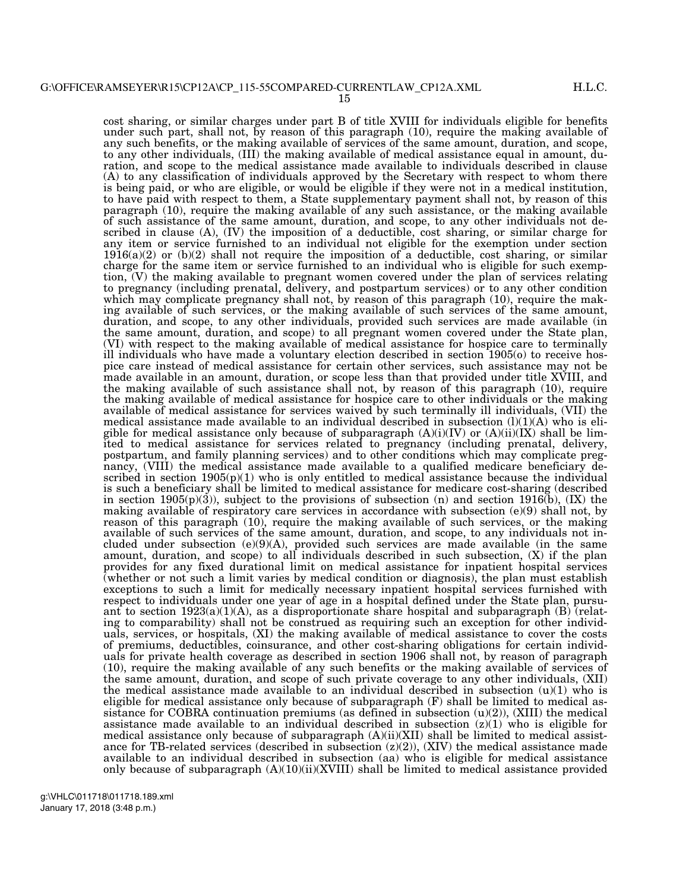H.L.C.

cost sharing, or similar charges under part B of title XVIII for individuals eligible for benefits under such part, shall not, by reason of this paragraph (10), require the making available of any such benefits, or the making available of services of the same amount, duration, and scope, to any other individuals, (III) the making available of medical assistance equal in amount, duration, and scope to the medical assistance made available to individuals described in clause (A) to any classification of individuals approved by the Secretary with respect to whom there is being paid, or who are eligible, or would be eligible if they were not in a medical institution, to have paid with respect to them, a State supplementary payment shall not, by reason of this paragraph (10), require the making available of any such assistance, or the making available of such assistance of the same amount, duration, and scope, to any other individuals not described in clause (A), (IV) the imposition of a deductible, cost sharing, or similar charge for any item or service furnished to an individual not eligible for the exemption under section  $1916(a)(2)$  or  $(b)(2)$  shall not require the imposition of a deductible, cost sharing, or similar charge for the same item or service furnished to an individual who is eligible for such exemption, (V) the making available to pregnant women covered under the plan of services relating to pregnancy (including prenatal, delivery, and postpartum services) or to any other condition which may complicate pregnancy shall not, by reason of this paragraph (10), require the making available of such services, or the making available of such services of the same amount, duration, and scope, to any other individuals, provided such services are made available (in the same amount, duration, and scope) to all pregnant women covered under the State plan, (VI) with respect to the making available of medical assistance for hospice care to terminally ill individuals who have made a voluntary election described in section 1905(o) to receive hospice care instead of medical assistance for certain other services, such assistance may not be made available in an amount, duration, or scope less than that provided under title XVIII, and the making available of such assistance shall not, by reason of this paragraph (10), require the making available of medical assistance for hospice care to other individuals or the making available of medical assistance for services waived by such terminally ill individuals, (VII) the medical assistance made available to an individual described in subsection  $(l)(1)(A)$  who is eligible for medical assistance only because of subparagraph  $(A)(i)(IV)$  or  $(A)(ii)(IX)$  shall be limited to medical assistance for services related to pregnancy (including prenatal, delivery, postpartum, and family planning services) and to other conditions which may complicate pregnancy, (VIII) the medical assistance made available to a qualified medicare beneficiary described in section  $1905(p)(1)$  who is only entitled to medical assistance because the individual is such a beneficiary shall be limited to medical assistance for medicare cost-sharing (described in section 1905(p)(3)), subject to the provisions of subsection (n) and section 1916(b),  $(IX)$  the making available of respiratory care services in accordance with subsection  $(e)(9)$  shall not, by reason of this paragraph (10), require the making available of such services, or the making available of such services of the same amount, duration, and scope, to any individuals not included under subsection  $(e)(9)(A)$ , provided such services are made available (in the same amount, duration, and scope) to all individuals described in such subsection, (X) if the plan provides for any fixed durational limit on medical assistance for inpatient hospital services (whether or not such a limit varies by medical condition or diagnosis), the plan must establish exceptions to such a limit for medically necessary inpatient hospital services furnished with respect to individuals under one year of age in a hospital defined under the State plan, pursuant to section  $1923(a)(1)(A)$ , as a disproportionate share hospital and subparagraph (B) (relating to comparability) shall not be construed as requiring such an exception for other individuals, services, or hospitals, (XI) the making available of medical assistance to cover the costs of premiums, deductibles, coinsurance, and other cost-sharing obligations for certain individuals for private health coverage as described in section 1906 shall not, by reason of paragraph (10), require the making available of any such benefits or the making available of services of the same amount, duration, and scope of such private coverage to any other individuals, (XII) the medical assistance made available to an individual described in subsection  $(u)(1)$  who is eligible for medical assistance only because of subparagraph (F) shall be limited to medical assistance for COBRA continuation premiums (as defined in subsection  $(u)(2)$ ), (XIII) the medical assistance made available to an individual described in subsection  $(z)(1)$  who is eligible for medical assistance only because of subparagraph (A)(ii)(XII) shall be limited to medical assistance for TB-related services (described in subsection  $(z)(2)$ ), (XIV) the medical assistance made available to an individual described in subsection (aa) who is eligible for medical assistance only because of subparagraph  $(A)(10)(ii)(XVIII)$  shall be limited to medical assistance provided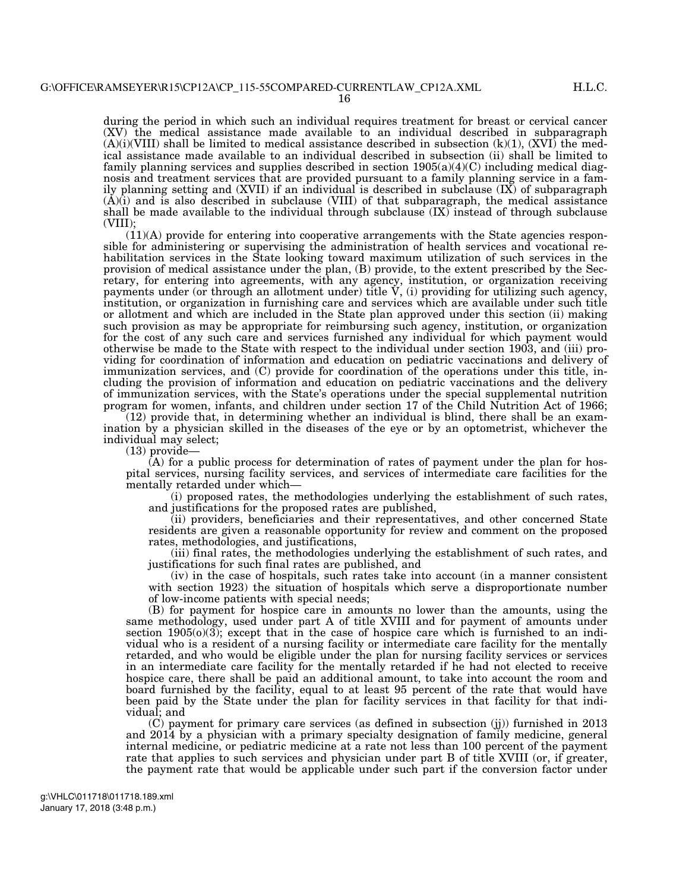H.L.C.

during the period in which such an individual requires treatment for breast or cervical cancer (XV) the medical assistance made available to an individual described in subparagraph  $(A)(i)(VIII)$  shall be limited to medical assistance described in subsection  $(k)(1)$ ,  $(XVI)$  the medical assistance made available to an individual described in subsection (ii) shall be limited to family planning services and supplies described in section 1905(a)(4)(C) including medical diagnosis and treatment services that are provided pursuant to a family planning service in a family planning setting and (XVII) if an individual is described in subclause (IX) of subparagraph (A)(i) and is also described in subclause (VIII) of that subparagraph, the medical assistance shall be made available to the individual through subclause  $(IX)$  instead of through subclause (VIII);

(11)(A) provide for entering into cooperative arrangements with the State agencies responsible for administering or supervising the administration of health services and vocational rehabilitation services in the State looking toward maximum utilization of such services in the provision of medical assistance under the plan, (B) provide, to the extent prescribed by the Secretary, for entering into agreements, with any agency, institution, or organization receiving payments under (or through an allotment under) title V, (i) providing for utilizing such agency, institution, or organization in furnishing care and services which are available under such title or allotment and which are included in the State plan approved under this section (ii) making such provision as may be appropriate for reimbursing such agency, institution, or organization for the cost of any such care and services furnished any individual for which payment would otherwise be made to the State with respect to the individual under section 1903, and (iii) providing for coordination of information and education on pediatric vaccinations and delivery of immunization services, and (C) provide for coordination of the operations under this title, including the provision of information and education on pediatric vaccinations and the delivery of immunization services, with the State's operations under the special supplemental nutrition program for women, infants, and children under section 17 of the Child Nutrition Act of 1966;

(12) provide that, in determining whether an individual is blind, there shall be an examination by a physician skilled in the diseases of the eye or by an optometrist, whichever the individual may select;

(13) provide—

(A) for a public process for determination of rates of payment under the plan for hospital services, nursing facility services, and services of intermediate care facilities for the mentally retarded under which—

(i) proposed rates, the methodologies underlying the establishment of such rates, and justifications for the proposed rates are published,

(ii) providers, beneficiaries and their representatives, and other concerned State residents are given a reasonable opportunity for review and comment on the proposed rates, methodologies, and justifications,

(iii) final rates, the methodologies underlying the establishment of such rates, and justifications for such final rates are published, and

(iv) in the case of hospitals, such rates take into account (in a manner consistent with section 1923) the situation of hospitals which serve a disproportionate number of low-income patients with special needs;

(B) for payment for hospice care in amounts no lower than the amounts, using the same methodology, used under part A of title XVIII and for payment of amounts under section 1905( $o(3)$ ; except that in the case of hospice care which is furnished to an individual who is a resident of a nursing facility or intermediate care facility for the mentally retarded, and who would be eligible under the plan for nursing facility services or services in an intermediate care facility for the mentally retarded if he had not elected to receive hospice care, there shall be paid an additional amount, to take into account the room and board furnished by the facility, equal to at least 95 percent of the rate that would have been paid by the State under the plan for facility services in that facility for that individual; and

(C) payment for primary care services (as defined in subsection (jj)) furnished in 2013 and 2014 by a physician with a primary specialty designation of family medicine, general internal medicine, or pediatric medicine at a rate not less than 100 percent of the payment rate that applies to such services and physician under part B of title XVIII (or, if greater, the payment rate that would be applicable under such part if the conversion factor under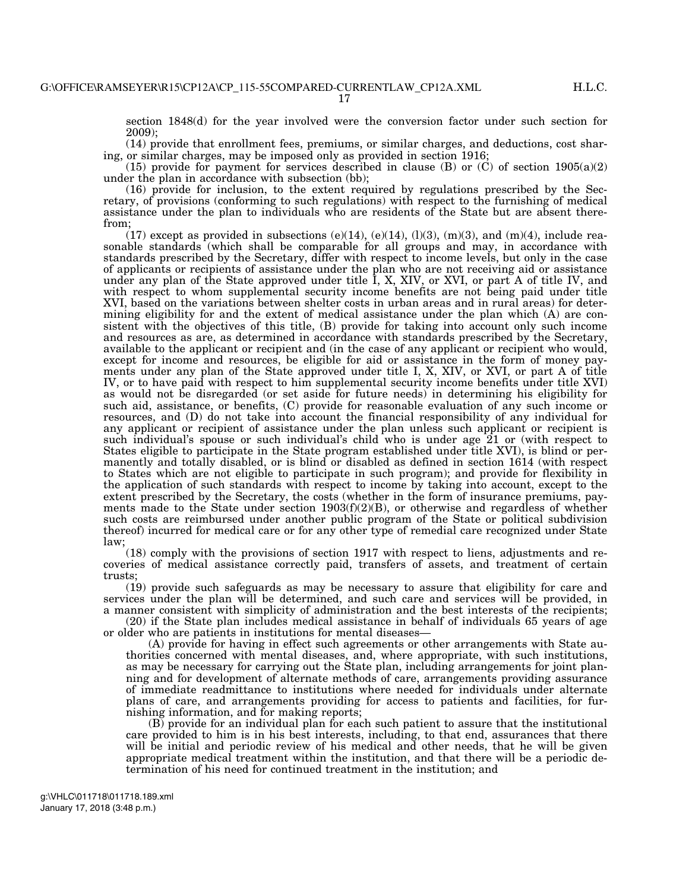section 1848(d) for the year involved were the conversion factor under such section for 2009);

(14) provide that enrollment fees, premiums, or similar charges, and deductions, cost sharing, or similar charges, may be imposed only as provided in section 1916;

(15) provide for payment for services described in clause (B) or  $(C)$  of section 1905(a)(2) under the plan in accordance with subsection (bb);

(16) provide for inclusion, to the extent required by regulations prescribed by the Secretary, of provisions (conforming to such regulations) with respect to the furnishing of medical assistance under the plan to individuals who are residents of the State but are absent therefrom;

(17) except as provided in subsections (e)(14), (e)(14), (l)(3), (m)(3), and (m)(4), include reasonable standards (which shall be comparable for all groups and may, in accordance with standards prescribed by the Secretary, differ with respect to income levels, but only in the case of applicants or recipients of assistance under the plan who are not receiving aid or assistance under any plan of the State approved under title I, X, XIV, or XVI, or part A of title IV, and with respect to whom supplemental security income benefits are not being paid under title XVI, based on the variations between shelter costs in urban areas and in rural areas) for determining eligibility for and the extent of medical assistance under the plan which (A) are consistent with the objectives of this title, (B) provide for taking into account only such income and resources as are, as determined in accordance with standards prescribed by the Secretary, available to the applicant or recipient and (in the case of any applicant or recipient who would, except for income and resources, be eligible for aid or assistance in the form of money payments under any plan of the State approved under title I, X, XIV, or XVI, or part A of title IV, or to have paid with respect to him supplemental security income benefits under title XVI) as would not be disregarded (or set aside for future needs) in determining his eligibility for such aid, assistance, or benefits, (C) provide for reasonable evaluation of any such income or resources, and (D) do not take into account the financial responsibility of any individual for any applicant or recipient of assistance under the plan unless such applicant or recipient is such individual's spouse or such individual's child who is under age 21 or (with respect to States eligible to participate in the State program established under title XVI), is blind or permanently and totally disabled, or is blind or disabled as defined in section 1614 (with respect to States which are not eligible to participate in such program); and provide for flexibility in the application of such standards with respect to income by taking into account, except to the extent prescribed by the Secretary, the costs (whether in the form of insurance premiums, payments made to the State under section  $1903(f)(2)(B)$ , or otherwise and regardless of whether such costs are reimbursed under another public program of the State or political subdivision thereof) incurred for medical care or for any other type of remedial care recognized under State law;

(18) comply with the provisions of section 1917 with respect to liens, adjustments and recoveries of medical assistance correctly paid, transfers of assets, and treatment of certain trusts;

(19) provide such safeguards as may be necessary to assure that eligibility for care and services under the plan will be determined, and such care and services will be provided, in a manner consistent with simplicity of administration and the best interests of the recipients;

(20) if the State plan includes medical assistance in behalf of individuals 65 years of age or older who are patients in institutions for mental diseases—

(A) provide for having in effect such agreements or other arrangements with State authorities concerned with mental diseases, and, where appropriate, with such institutions, as may be necessary for carrying out the State plan, including arrangements for joint planning and for development of alternate methods of care, arrangements providing assurance of immediate readmittance to institutions where needed for individuals under alternate plans of care, and arrangements providing for access to patients and facilities, for furnishing information, and for making reports;

(B) provide for an individual plan for each such patient to assure that the institutional care provided to him is in his best interests, including, to that end, assurances that there will be initial and periodic review of his medical and other needs, that he will be given appropriate medical treatment within the institution, and that there will be a periodic determination of his need for continued treatment in the institution; and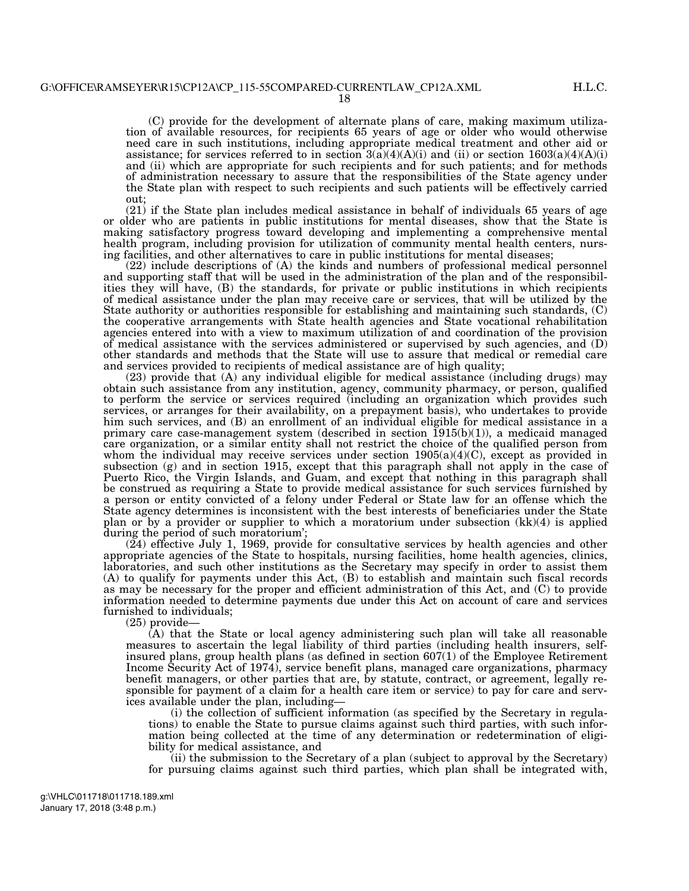(C) provide for the development of alternate plans of care, making maximum utilization of available resources, for recipients 65 years of age or older who would otherwise need care in such institutions, including appropriate medical treatment and other aid or assistance; for services referred to in section  $3(a)(4)(A)(i)$  and (ii) or section  $1603(a)(4)(A)(i)$ and (ii) which are appropriate for such recipients and for such patients; and for methods of administration necessary to assure that the responsibilities of the State agency under the State plan with respect to such recipients and such patients will be effectively carried out;

(21) if the State plan includes medical assistance in behalf of individuals 65 years of age or older who are patients in public institutions for mental diseases, show that the State is making satisfactory progress toward developing and implementing a comprehensive mental health program, including provision for utilization of community mental health centers, nursing facilities, and other alternatives to care in public institutions for mental diseases;

(22) include descriptions of (A) the kinds and numbers of professional medical personnel and supporting staff that will be used in the administration of the plan and of the responsibilities they will have, (B) the standards, for private or public institutions in which recipients of medical assistance under the plan may receive care or services, that will be utilized by the State authority or authorities responsible for establishing and maintaining such standards, (C) the cooperative arrangements with State health agencies and State vocational rehabilitation agencies entered into with a view to maximum utilization of and coordination of the provision of medical assistance with the services administered or supervised by such agencies, and (D) other standards and methods that the State will use to assure that medical or remedial care and services provided to recipients of medical assistance are of high quality;

(23) provide that (A) any individual eligible for medical assistance (including drugs) may obtain such assistance from any institution, agency, community pharmacy, or person, qualified to perform the service or services required (including an organization which provides such services, or arranges for their availability, on a prepayment basis), who undertakes to provide him such services, and (B) an enrollment of an individual eligible for medical assistance in a primary care case-management system (described in section  $1915(b)(1)$ ), a medicaid managed care organization, or a similar entity shall not restrict the choice of the qualified person from whom the individual may receive services under section  $1905(a)(4)(C)$ , except as provided in subsection (g) and in section 1915, except that this paragraph shall not apply in the case of Puerto Rico, the Virgin Islands, and Guam, and except that nothing in this paragraph shall be construed as requiring a State to provide medical assistance for such services furnished by a person or entity convicted of a felony under Federal or State law for an offense which the State agency determines is inconsistent with the best interests of beneficiaries under the State plan or by a provider or supplier to which a moratorium under subsection (kk)(4) is applied during the period of such moratorium';

 $(24)$  effective July 1, 1969, provide for consultative services by health agencies and other appropriate agencies of the State to hospitals, nursing facilities, home health agencies, clinics, laboratories, and such other institutions as the Secretary may specify in order to assist them (A) to qualify for payments under this Act, (B) to establish and maintain such fiscal records as may be necessary for the proper and efficient administration of this Act, and (C) to provide information needed to determine payments due under this Act on account of care and services furnished to individuals;

(25) provide—

(A) that the State or local agency administering such plan will take all reasonable measures to ascertain the legal liability of third parties (including health insurers, selfinsured plans, group health plans (as defined in section 607(1) of the Employee Retirement Income Security Act of 1974), service benefit plans, managed care organizations, pharmacy benefit managers, or other parties that are, by statute, contract, or agreement, legally responsible for payment of a claim for a health care item or service) to pay for care and services available under the plan, including—

(i) the collection of sufficient information (as specified by the Secretary in regulations) to enable the State to pursue claims against such third parties, with such information being collected at the time of any determination or redetermination of eligibility for medical assistance, and

(ii) the submission to the Secretary of a plan (subject to approval by the Secretary) for pursuing claims against such third parties, which plan shall be integrated with,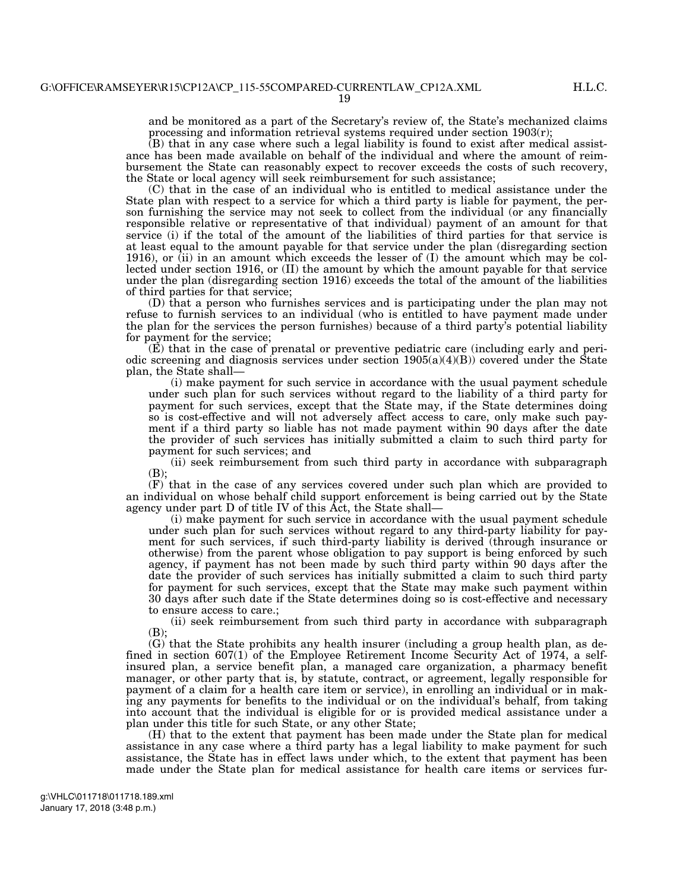19

and be monitored as a part of the Secretary's review of, the State's mechanized claims processing and information retrieval systems required under section  $1903(r)$ ;

(B) that in any case where such a legal liability is found to exist after medical assistance has been made available on behalf of the individual and where the amount of reimbursement the State can reasonably expect to recover exceeds the costs of such recovery, the State or local agency will seek reimbursement for such assistance;

(C) that in the case of an individual who is entitled to medical assistance under the State plan with respect to a service for which a third party is liable for payment, the person furnishing the service may not seek to collect from the individual (or any financially responsible relative or representative of that individual) payment of an amount for that service (i) if the total of the amount of the liabilities of third parties for that service is at least equal to the amount payable for that service under the plan (disregarding section 1916), or (ii) in an amount which exceeds the lesser of  $(I)$  the amount which may be collected under section 1916, or (II) the amount by which the amount payable for that service under the plan (disregarding section 1916) exceeds the total of the amount of the liabilities of third parties for that service;

(D) that a person who furnishes services and is participating under the plan may not refuse to furnish services to an individual (who is entitled to have payment made under the plan for the services the person furnishes) because of a third party's potential liability for payment for the service;

(E) that in the case of prenatal or preventive pediatric care (including early and periodic screening and diagnosis services under section  $1905(a)(4)(B)$  covered under the State plan, the State shall—

(i) make payment for such service in accordance with the usual payment schedule under such plan for such services without regard to the liability of a third party for payment for such services, except that the State may, if the State determines doing so is cost-effective and will not adversely affect access to care, only make such payment if a third party so liable has not made payment within 90 days after the date the provider of such services has initially submitted a claim to such third party for payment for such services; and

(ii) seek reimbursement from such third party in accordance with subparagraph (B);

(F) that in the case of any services covered under such plan which are provided to an individual on whose behalf child support enforcement is being carried out by the State agency under part D of title IV of this Act, the State shall—

(i) make payment for such service in accordance with the usual payment schedule under such plan for such services without regard to any third-party liability for payment for such services, if such third-party liability is derived (through insurance or otherwise) from the parent whose obligation to pay support is being enforced by such agency, if payment has not been made by such third party within 90 days after the date the provider of such services has initially submitted a claim to such third party for payment for such services, except that the State may make such payment within 30 days after such date if the State determines doing so is cost-effective and necessary to ensure access to care.;

(ii) seek reimbursement from such third party in accordance with subparagraph (B);

(G) that the State prohibits any health insurer (including a group health plan, as defined in section 607(1) of the Employee Retirement Income Security Act of 1974, a selfinsured plan, a service benefit plan, a managed care organization, a pharmacy benefit manager, or other party that is, by statute, contract, or agreement, legally responsible for payment of a claim for a health care item or service), in enrolling an individual or in making any payments for benefits to the individual or on the individual's behalf, from taking into account that the individual is eligible for or is provided medical assistance under a plan under this title for such State, or any other State;

(H) that to the extent that payment has been made under the State plan for medical assistance in any case where a third party has a legal liability to make payment for such assistance, the State has in effect laws under which, to the extent that payment has been made under the State plan for medical assistance for health care items or services fur-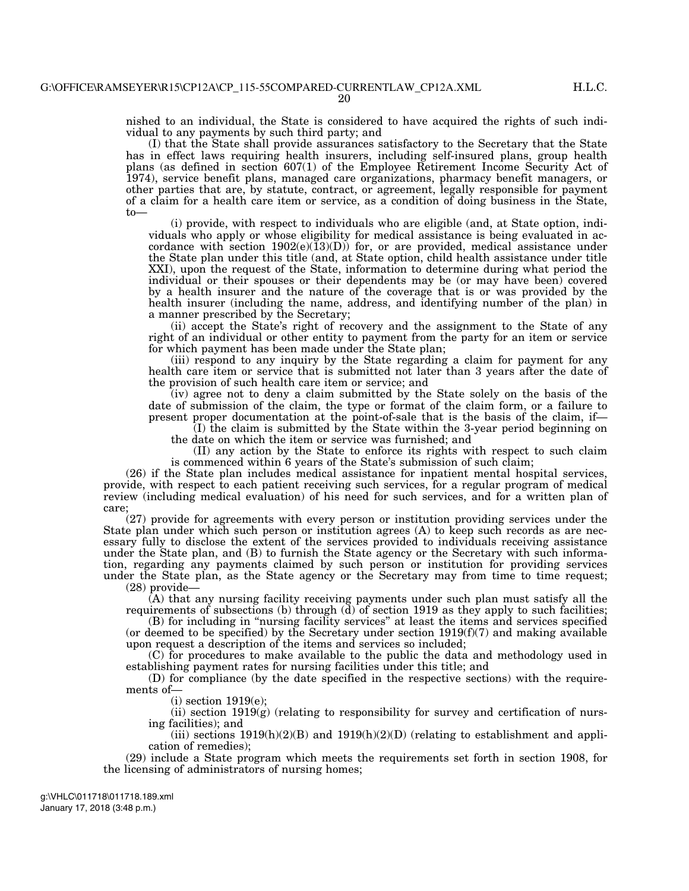20

nished to an individual, the State is considered to have acquired the rights of such individual to any payments by such third party; and

(I) that the State shall provide assurances satisfactory to the Secretary that the State has in effect laws requiring health insurers, including self-insured plans, group health plans (as defined in section 607(1) of the Employee Retirement Income Security Act of 1974), service benefit plans, managed care organizations, pharmacy benefit managers, or other parties that are, by statute, contract, or agreement, legally responsible for payment of a claim for a health care item or service, as a condition of doing business in the State, to—

(i) provide, with respect to individuals who are eligible (and, at State option, individuals who apply or whose eligibility for medical assistance is being evaluated in accordance with section  $1902(e)(13)(D)$  for, or are provided, medical assistance under the State plan under this title (and, at State option, child health assistance under title XXI), upon the request of the State, information to determine during what period the individual or their spouses or their dependents may be (or may have been) covered by a health insurer and the nature of the coverage that is or was provided by the health insurer (including the name, address, and identifying number of the plan) in a manner prescribed by the Secretary;

(ii) accept the State's right of recovery and the assignment to the State of any right of an individual or other entity to payment from the party for an item or service for which payment has been made under the State plan;

(iii) respond to any inquiry by the State regarding a claim for payment for any health care item or service that is submitted not later than 3 years after the date of the provision of such health care item or service; and

(iv) agree not to deny a claim submitted by the State solely on the basis of the date of submission of the claim, the type or format of the claim form, or a failure to present proper documentation at the point-of-sale that is the basis of the claim, if—

(I) the claim is submitted by the State within the 3-year period beginning on the date on which the item or service was furnished; and

(II) any action by the State to enforce its rights with respect to such claim is commenced within 6 years of the State's submission of such claim;

(26) if the State plan includes medical assistance for inpatient mental hospital services, provide, with respect to each patient receiving such services, for a regular program of medical review (including medical evaluation) of his need for such services, and for a written plan of care;

(27) provide for agreements with every person or institution providing services under the State plan under which such person or institution agrees (A) to keep such records as are necessary fully to disclose the extent of the services provided to individuals receiving assistance under the State plan, and (B) to furnish the State agency or the Secretary with such information, regarding any payments claimed by such person or institution for providing services under the State plan, as the State agency or the Secretary may from time to time request;

(28) provide—

(A) that any nursing facility receiving payments under such plan must satisfy all the requirements of subsections (b) through (d) of section 1919 as they apply to such facilities;

(B) for including in ''nursing facility services'' at least the items and services specified (or deemed to be specified) by the Secretary under section  $1919(f)(7)$  and making available upon request a description of the items and services so included;

(C) for procedures to make available to the public the data and methodology used in establishing payment rates for nursing facilities under this title; and

(D) for compliance (by the date specified in the respective sections) with the requirements of—

(i) section 1919(e);

(ii) section  $1919(g)$  (relating to responsibility for survey and certification of nursing facilities); and

(iii) sections  $1919(h)(2)(B)$  and  $1919(h)(2)(D)$  (relating to establishment and application of remedies);

(29) include a State program which meets the requirements set forth in section 1908, for the licensing of administrators of nursing homes;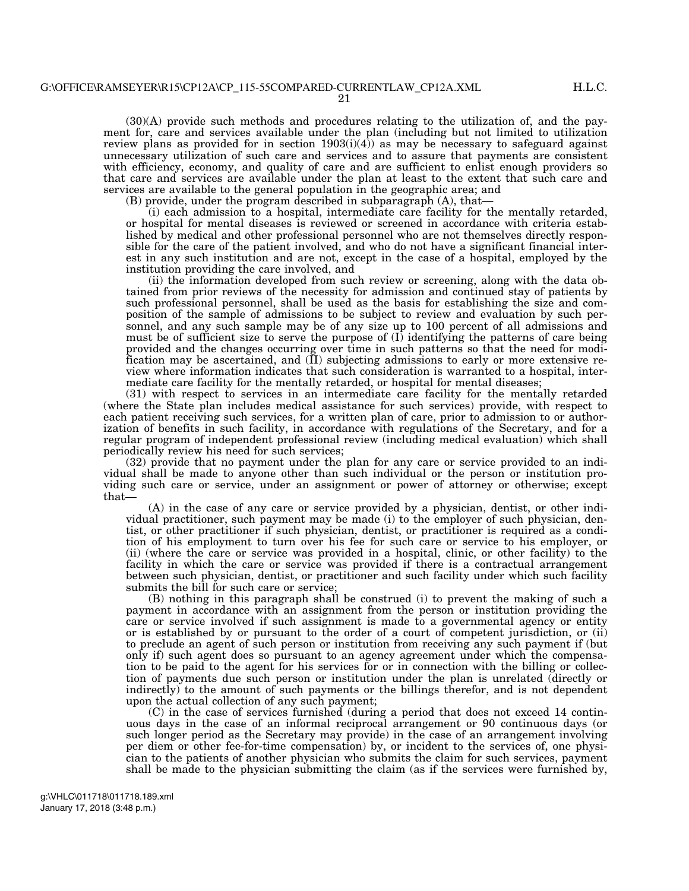21

 $(30)(A)$  provide such methods and procedures relating to the utilization of, and the payment for, care and services available under the plan (including but not limited to utilization review plans as provided for in section  $1903(i)(4)$  as may be necessary to safeguard against

unnecessary utilization of such care and services and to assure that payments are consistent with efficiency, economy, and quality of care and are sufficient to enlist enough providers so that care and services are available under the plan at least to the extent that such care and services are available to the general population in the geographic area; and

(B) provide, under the program described in subparagraph (A), that—

(i) each admission to a hospital, intermediate care facility for the mentally retarded, or hospital for mental diseases is reviewed or screened in accordance with criteria established by medical and other professional personnel who are not themselves directly responsible for the care of the patient involved, and who do not have a significant financial interest in any such institution and are not, except in the case of a hospital, employed by the institution providing the care involved, and

(ii) the information developed from such review or screening, along with the data obtained from prior reviews of the necessity for admission and continued stay of patients by such professional personnel, shall be used as the basis for establishing the size and composition of the sample of admissions to be subject to review and evaluation by such personnel, and any such sample may be of any size up to 100 percent of all admissions and must be of sufficient size to serve the purpose of  $(I)$  identifying the patterns of care being provided and the changes occurring over time in such patterns so that the need for modification may be ascertained, and (II) subjecting admissions to early or more extensive review where information indicates that such consideration is warranted to a hospital, intermediate care facility for the mentally retarded, or hospital for mental diseases;

(31) with respect to services in an intermediate care facility for the mentally retarded (where the State plan includes medical assistance for such services) provide, with respect to each patient receiving such services, for a written plan of care, prior to admission to or authorization of benefits in such facility, in accordance with regulations of the Secretary, and for a regular program of independent professional review (including medical evaluation) which shall periodically review his need for such services;

(32) provide that no payment under the plan for any care or service provided to an individual shall be made to anyone other than such individual or the person or institution providing such care or service, under an assignment or power of attorney or otherwise; except that—

(A) in the case of any care or service provided by a physician, dentist, or other individual practitioner, such payment may be made (i) to the employer of such physician, dentist, or other practitioner if such physician, dentist, or practitioner is required as a condition of his employment to turn over his fee for such care or service to his employer, or (ii) (where the care or service was provided in a hospital, clinic, or other facility) to the facility in which the care or service was provided if there is a contractual arrangement between such physician, dentist, or practitioner and such facility under which such facility submits the bill for such care or service;

(B) nothing in this paragraph shall be construed (i) to prevent the making of such a payment in accordance with an assignment from the person or institution providing the care or service involved if such assignment is made to a governmental agency or entity or is established by or pursuant to the order of a court of competent jurisdiction, or (ii) to preclude an agent of such person or institution from receiving any such payment if (but only if) such agent does so pursuant to an agency agreement under which the compensation to be paid to the agent for his services for or in connection with the billing or collection of payments due such person or institution under the plan is unrelated (directly or indirectly) to the amount of such payments or the billings therefor, and is not dependent upon the actual collection of any such payment;

(C) in the case of services furnished (during a period that does not exceed 14 continuous days in the case of an informal reciprocal arrangement or 90 continuous days (or such longer period as the Secretary may provide) in the case of an arrangement involving per diem or other fee-for-time compensation) by, or incident to the services of, one physician to the patients of another physician who submits the claim for such services, payment shall be made to the physician submitting the claim (as if the services were furnished by,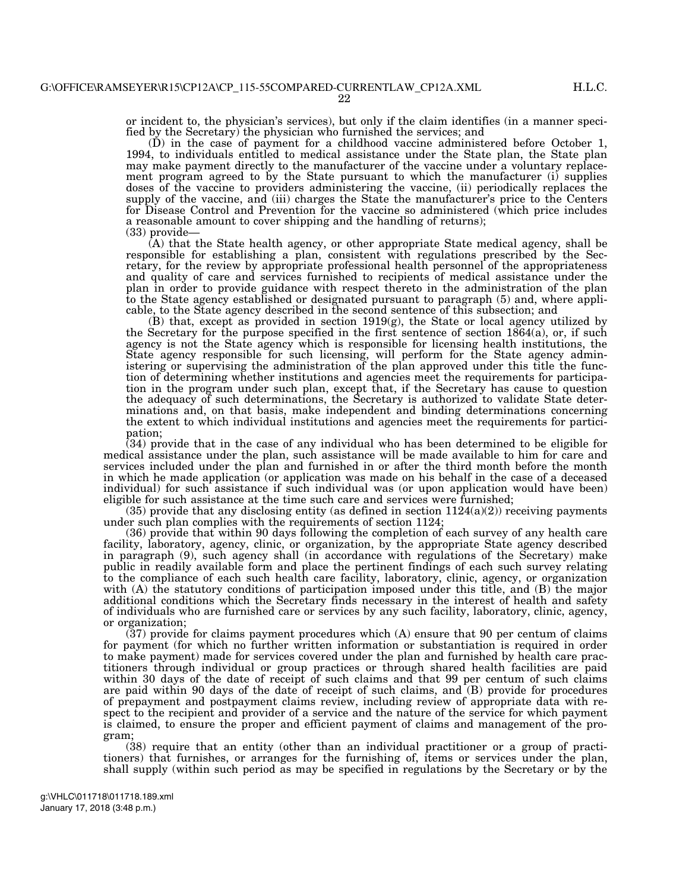or incident to, the physician's services), but only if the claim identifies (in a manner specified by the Secretary) the physician who furnished the services; and

(D) in the case of payment for a childhood vaccine administered before October 1, 1994, to individuals entitled to medical assistance under the State plan, the State plan may make payment directly to the manufacturer of the vaccine under a voluntary replacement program agreed to by the State pursuant to which the manufacturer (i) supplies doses of the vaccine to providers administering the vaccine, (ii) periodically replaces the supply of the vaccine, and (iii) charges the State the manufacturer's price to the Centers for Disease Control and Prevention for the vaccine so administered (which price includes a reasonable amount to cover shipping and the handling of returns); (33) provide—

(A) that the State health agency, or other appropriate State medical agency, shall be responsible for establishing a plan, consistent with regulations prescribed by the Secretary, for the review by appropriate professional health personnel of the appropriateness and quality of care and services furnished to recipients of medical assistance under the plan in order to provide guidance with respect thereto in the administration of the plan to the State agency established or designated pursuant to paragraph (5) and, where applicable, to the State agency described in the second sentence of this subsection; and

(B) that, except as provided in section 1919(g), the State or local agency utilized by the Secretary for the purpose specified in the first sentence of section 1864(a), or, if such agency is not the State agency which is responsible for licensing health institutions, the State agency responsible for such licensing, will perform for the State agency administering or supervising the administration of the plan approved under this title the function of determining whether institutions and agencies meet the requirements for participation in the program under such plan, except that, if the Secretary has cause to question the adequacy of such determinations, the Secretary is authorized to validate State determinations and, on that basis, make independent and binding determinations concerning the extent to which individual institutions and agencies meet the requirements for participation;

(34) provide that in the case of any individual who has been determined to be eligible for medical assistance under the plan, such assistance will be made available to him for care and services included under the plan and furnished in or after the third month before the month in which he made application (or application was made on his behalf in the case of a deceased individual) for such assistance if such individual was (or upon application would have been) eligible for such assistance at the time such care and services were furnished;

(35) provide that any disclosing entity (as defined in section  $1124(a)(2)$ ) receiving payments under such plan complies with the requirements of section 1124;

(36) provide that within 90 days following the completion of each survey of any health care facility, laboratory, agency, clinic, or organization, by the appropriate State agency described in paragraph (9), such agency shall (in accordance with regulations of the Secretary) make public in readily available form and place the pertinent findings of each such survey relating to the compliance of each such health care facility, laboratory, clinic, agency, or organization with (A) the statutory conditions of participation imposed under this title, and (B) the major additional conditions which the Secretary finds necessary in the interest of health and safety of individuals who are furnished care or services by any such facility, laboratory, clinic, agency, or organization;

(37) provide for claims payment procedures which (A) ensure that 90 per centum of claims for payment (for which no further written information or substantiation is required in order to make payment) made for services covered under the plan and furnished by health care practitioners through individual or group practices or through shared health facilities are paid within 30 days of the date of receipt of such claims and that 99 per centum of such claims are paid within 90 days of the date of receipt of such claims, and (B) provide for procedures of prepayment and postpayment claims review, including review of appropriate data with respect to the recipient and provider of a service and the nature of the service for which payment is claimed, to ensure the proper and efficient payment of claims and management of the program;

(38) require that an entity (other than an individual practitioner or a group of practitioners) that furnishes, or arranges for the furnishing of, items or services under the plan, shall supply (within such period as may be specified in regulations by the Secretary or by the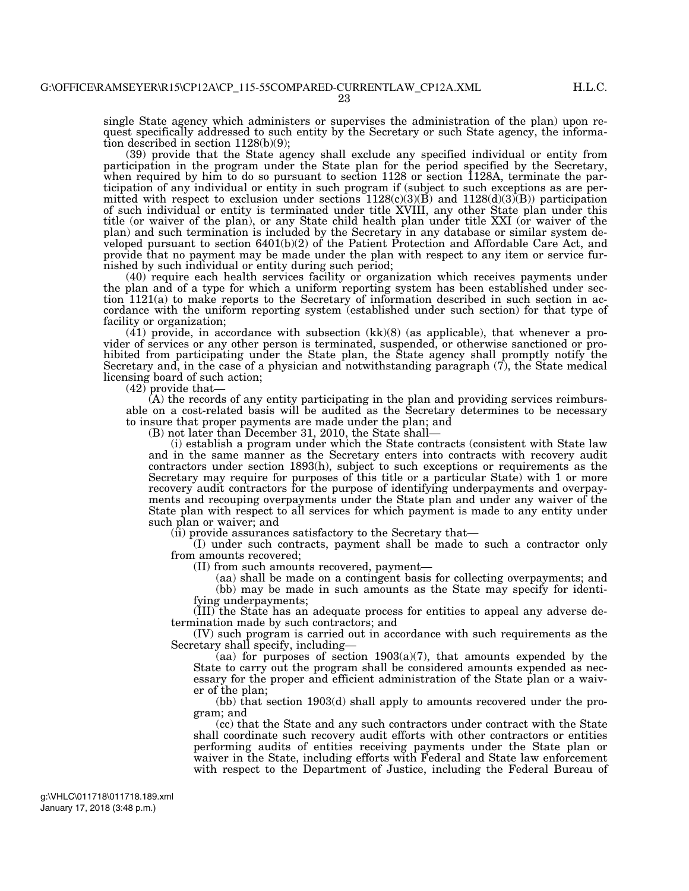single State agency which administers or supervises the administration of the plan) upon request specifically addressed to such entity by the Secretary or such State agency, the information described in section 1128(b)(9);

(39) provide that the State agency shall exclude any specified individual or entity from participation in the program under the State plan for the period specified by the Secretary, when required by him to do so pursuant to section 1128 or section 1128A, terminate the participation of any individual or entity in such program if (subject to such exceptions as are permitted with respect to exclusion under sections  $1128(c)(3)(B)$  and  $1128(d)(3)(B)$  participation of such individual or entity is terminated under title XVIII, any other State plan under this title (or waiver of the plan), or any State child health plan under title XXI (or waiver of the plan) and such termination is included by the Secretary in any database or similar system developed pursuant to section 6401(b)(2) of the Patient Protection and Affordable Care Act, and provide that no payment may be made under the plan with respect to any item or service furnished by such individual or entity during such period;

(40) require each health services facility or organization which receives payments under the plan and of a type for which a uniform reporting system has been established under section 1121(a) to make reports to the Secretary of information described in such section in accordance with the uniform reporting system (established under such section) for that type of facility or organization;

(41) provide, in accordance with subsection (kk)(8) (as applicable), that whenever a provider of services or any other person is terminated, suspended, or otherwise sanctioned or prohibited from participating under the State plan, the State agency shall promptly notify the Secretary and, in the case of a physician and notwithstanding paragraph (7), the State medical licensing board of such action;

(42) provide that—

(A) the records of any entity participating in the plan and providing services reimbursable on a cost-related basis will be audited as the Secretary determines to be necessary to insure that proper payments are made under the plan; and

(B) not later than December 31, 2010, the State shall—

(i) establish a program under which the State contracts (consistent with State law and in the same manner as the Secretary enters into contracts with recovery audit contractors under section 1893(h), subject to such exceptions or requirements as the Secretary may require for purposes of this title or a particular State) with 1 or more recovery audit contractors for the purpose of identifying underpayments and overpayments and recouping overpayments under the State plan and under any waiver of the State plan with respect to all services for which payment is made to any entity under such plan or waiver; and

 $(iii)$  provide assurances satisfactory to the Secretary that—

(I) under such contracts, payment shall be made to such a contractor only from amounts recovered;

(II) from such amounts recovered, payment—

(aa) shall be made on a contingent basis for collecting overpayments; and

(bb) may be made in such amounts as the State may specify for identifying underpayments;

(III) the State has an adequate process for entities to appeal any adverse determination made by such contractors; and

(IV) such program is carried out in accordance with such requirements as the Secretary shall specify, including—

(aa) for purposes of section  $1903(a)(7)$ , that amounts expended by the State to carry out the program shall be considered amounts expended as necessary for the proper and efficient administration of the State plan or a waiver of the plan;

(bb) that section 1903(d) shall apply to amounts recovered under the program; and

(cc) that the State and any such contractors under contract with the State shall coordinate such recovery audit efforts with other contractors or entities performing audits of entities receiving payments under the State plan or waiver in the State, including efforts with Federal and State law enforcement with respect to the Department of Justice, including the Federal Bureau of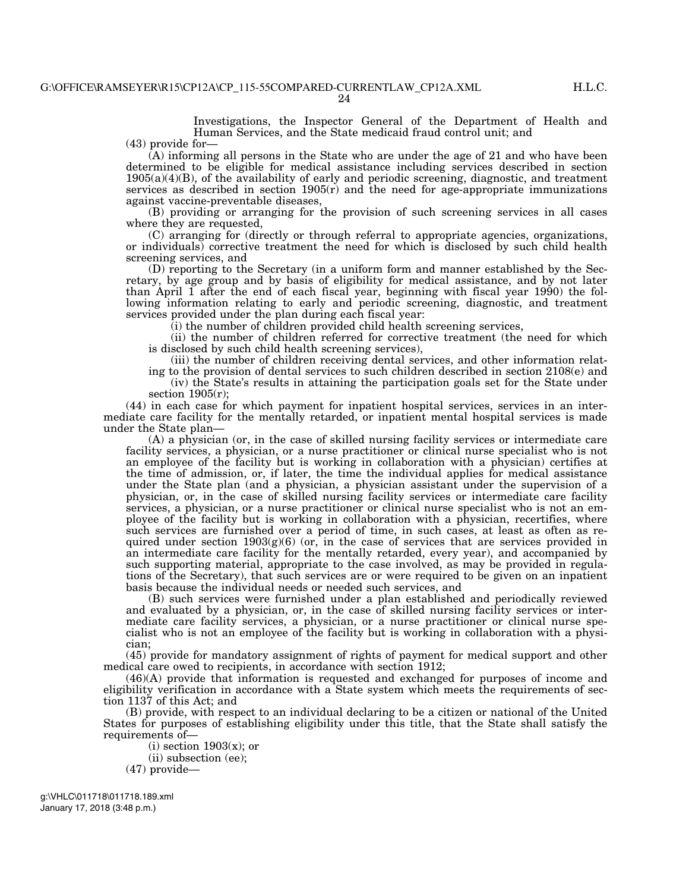24

Investigations, the Inspector General of the Department of Health and Human Services, and the State medicaid fraud control unit; and

(43) provide for—

(A) informing all persons in the State who are under the age of 21 and who have been determined to be eligible for medical assistance including services described in section 1905(a)(4)(B), of the availability of early and periodic screening, diagnostic, and treatment services as described in section  $1905(r)$  and the need for age-appropriate immunizations against vaccine-preventable diseases,

(B) providing or arranging for the provision of such screening services in all cases where they are requested,

(C) arranging for (directly or through referral to appropriate agencies, organizations, or individuals) corrective treatment the need for which is disclosed by such child health screening services, and

(D) reporting to the Secretary (in a uniform form and manner established by the Secretary, by age group and by basis of eligibility for medical assistance, and by not later than April 1 after the end of each fiscal year, beginning with fiscal year 1990) the following information relating to early and periodic screening, diagnostic, and treatment services provided under the plan during each fiscal year:

(i) the number of children provided child health screening services,

(ii) the number of children referred for corrective treatment (the need for which is disclosed by such child health screening services),

(iii) the number of children receiving dental services, and other information relat-

ing to the provision of dental services to such children described in section 2108(e) and (iv) the State's results in attaining the participation goals set for the State under section  $1905(r)$ ;

(44) in each case for which payment for inpatient hospital services, services in an intermediate care facility for the mentally retarded, or inpatient mental hospital services is made under the State plan—

(A) a physician (or, in the case of skilled nursing facility services or intermediate care facility services, a physician, or a nurse practitioner or clinical nurse specialist who is not an employee of the facility but is working in collaboration with a physician) certifies at the time of admission, or, if later, the time the individual applies for medical assistance under the State plan (and a physician, a physician assistant under the supervision of a physician, or, in the case of skilled nursing facility services or intermediate care facility services, a physician, or a nurse practitioner or clinical nurse specialist who is not an employee of the facility but is working in collaboration with a physician, recertifies, where such services are furnished over a period of time, in such cases, at least as often as required under section  $1903(g)(6)$  (or, in the case of services that are services provided in an intermediate care facility for the mentally retarded, every year), and accompanied by such supporting material, appropriate to the case involved, as may be provided in regulations of the Secretary), that such services are or were required to be given on an inpatient basis because the individual needs or needed such services, and

(B) such services were furnished under a plan established and periodically reviewed and evaluated by a physician, or, in the case of skilled nursing facility services or intermediate care facility services, a physician, or a nurse practitioner or clinical nurse specialist who is not an employee of the facility but is working in collaboration with a physician;

(45) provide for mandatory assignment of rights of payment for medical support and other medical care owed to recipients, in accordance with section 1912;

(46)(A) provide that information is requested and exchanged for purposes of income and eligibility verification in accordance with a State system which meets the requirements of section 1137 of this Act; and

(B) provide, with respect to an individual declaring to be a citizen or national of the United States for purposes of establishing eligibility under this title, that the State shall satisfy the requirements of—

(i) section  $1903(x)$ ; or

(ii) subsection (ee);

(47) provide—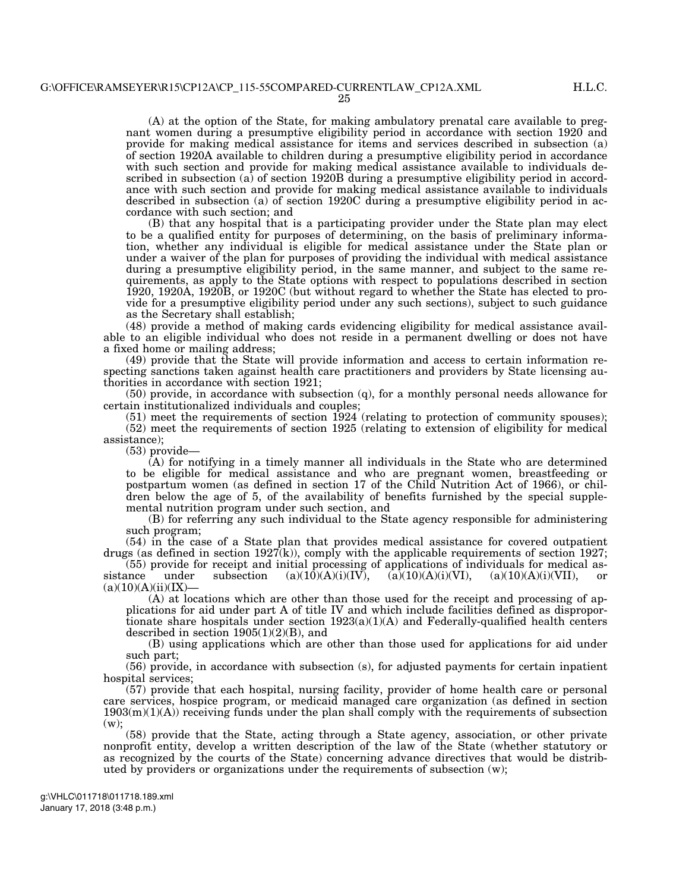25

(A) at the option of the State, for making ambulatory prenatal care available to pregnant women during a presumptive eligibility period in accordance with section 1920 and provide for making medical assistance for items and services described in subsection (a) of section 1920A available to children during a presumptive eligibility period in accordance with such section and provide for making medical assistance available to individuals described in subsection (a) of section 1920B during a presumptive eligibility period in accordance with such section and provide for making medical assistance available to individuals described in subsection (a) of section 1920C during a presumptive eligibility period in accordance with such section; and

(B) that any hospital that is a participating provider under the State plan may elect to be a qualified entity for purposes of determining, on the basis of preliminary information, whether any individual is eligible for medical assistance under the State plan or under a waiver of the plan for purposes of providing the individual with medical assistance during a presumptive eligibility period, in the same manner, and subject to the same requirements, as apply to the State options with respect to populations described in section 1920, 1920A, 1920B, or 1920C (but without regard to whether the State has elected to provide for a presumptive eligibility period under any such sections), subject to such guidance as the Secretary shall establish;

(48) provide a method of making cards evidencing eligibility for medical assistance available to an eligible individual who does not reside in a permanent dwelling or does not have a fixed home or mailing address;

(49) provide that the State will provide information and access to certain information respecting sanctions taken against health care practitioners and providers by State licensing authorities in accordance with section 1921;

(50) provide, in accordance with subsection (q), for a monthly personal needs allowance for certain institutionalized individuals and couples;

(51) meet the requirements of section 1924 (relating to protection of community spouses); (52) meet the requirements of section 1925 (relating to extension of eligibility for medical assistance);

(53) provide—

(A) for notifying in a timely manner all individuals in the State who are determined to be eligible for medical assistance and who are pregnant women, breastfeeding or postpartum women (as defined in section 17 of the Child Nutrition Act of 1966), or children below the age of 5, of the availability of benefits furnished by the special supplemental nutrition program under such section, and

(B) for referring any such individual to the State agency responsible for administering such program;

(54) in the case of a State plan that provides medical assistance for covered outpatient drugs (as defined in section  $1927(k)$ ), comply with the applicable requirements of section 1927;

(55) provide for receipt and initial processing of applications of individuals for medical assistance under subsection  $(a)(10)(A)(i)(IV), (a)(10)(A)(i)(VI), (a)(10)(A)(i)(VII),$  or  $(a)(10)(A)(ii)(IX)$ 

(A) at locations which are other than those used for the receipt and processing of applications for aid under part A of title IV and which include facilities defined as disproportionate share hospitals under section  $1923(a)(1)(A)$  and Federally-qualified health centers described in section  $1905(1)(2)(B)$ , and

(B) using applications which are other than those used for applications for aid under such part;

(56) provide, in accordance with subsection (s), for adjusted payments for certain inpatient hospital services;

(57) provide that each hospital, nursing facility, provider of home health care or personal care services, hospice program, or medicaid managed care organization (as defined in section  $1903(m)(1)(A)$ ) receiving funds under the plan shall comply with the requirements of subsection (w);

(58) provide that the State, acting through a State agency, association, or other private nonprofit entity, develop a written description of the law of the State (whether statutory or as recognized by the courts of the State) concerning advance directives that would be distributed by providers or organizations under the requirements of subsection (w);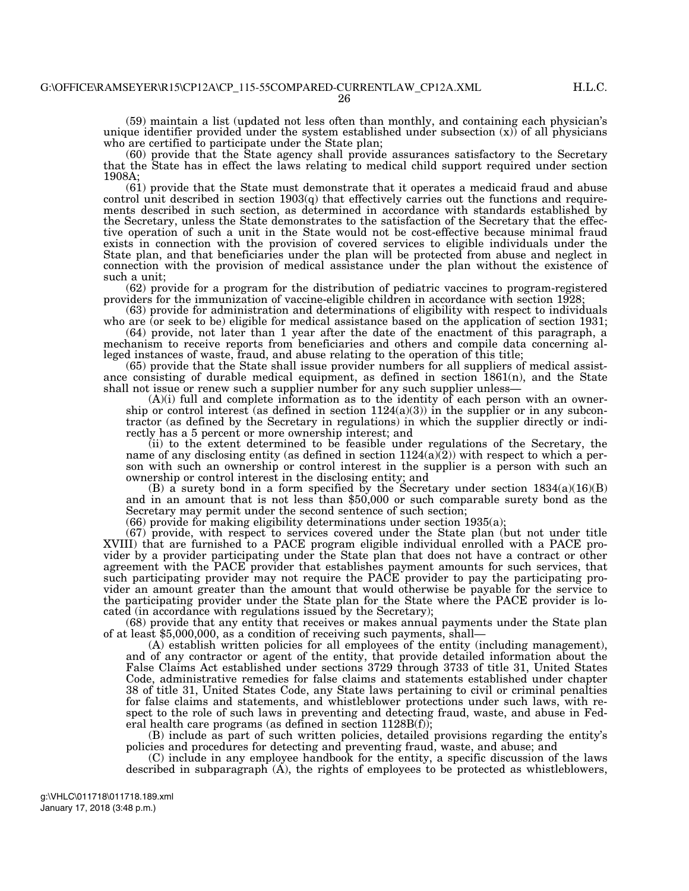(59) maintain a list (updated not less often than monthly, and containing each physician's unique identifier provided under the system established under subsection  $(x)$  of all physicians who are certified to participate under the State plan;

(60) provide that the State agency shall provide assurances satisfactory to the Secretary that the State has in effect the laws relating to medical child support required under section 1908A;

(61) provide that the State must demonstrate that it operates a medicaid fraud and abuse control unit described in section  $1903(q)$  that effectively carries out the functions and requirements described in such section, as determined in accordance with standards established by the Secretary, unless the State demonstrates to the satisfaction of the Secretary that the effective operation of such a unit in the State would not be cost-effective because minimal fraud exists in connection with the provision of covered services to eligible individuals under the State plan, and that beneficiaries under the plan will be protected from abuse and neglect in connection with the provision of medical assistance under the plan without the existence of such a unit;

(62) provide for a program for the distribution of pediatric vaccines to program-registered providers for the immunization of vaccine-eligible children in accordance with section 1928;

(63) provide for administration and determinations of eligibility with respect to individuals who are (or seek to be) eligible for medical assistance based on the application of section 1931;

(64) provide, not later than 1 year after the date of the enactment of this paragraph, a mechanism to receive reports from beneficiaries and others and compile data concerning alleged instances of waste, fraud, and abuse relating to the operation of this title;

(65) provide that the State shall issue provider numbers for all suppliers of medical assistance consisting of durable medical equipment, as defined in section  $1861(n)$ , and the State shall not issue or renew such a supplier number for any such supplier unless—

(A)(i) full and complete information as to the identity of each person with an ownership or control interest (as defined in section  $1124(a)(3)$ ) in the supplier or in any subcontractor (as defined by the Secretary in regulations) in which the supplier directly or indirectly has a 5 percent or more ownership interest; and

(ii) to the extent determined to be feasible under regulations of the Secretary, the name of any disclosing entity (as defined in section  $1124(a)(2)$ ) with respect to which a person with such an ownership or control interest in the supplier is a person with such an ownership or control interest in the disclosing entity; and<br>(B) a surety bond in a form specified by the Secretary under section  $1834(a)(16)(B)$ 

and in an amount that is not less than  $$50,000$  or such comparable surety bond as the Secretary may permit under the second sentence of such section;

(66) provide for making eligibility determinations under section 1935(a);

(67) provide, with respect to services covered under the State plan (but not under title XVIII) that are furnished to a PACE program eligible individual enrolled with a PACE provider by a provider participating under the State plan that does not have a contract or other agreement with the PACE provider that establishes payment amounts for such services, that such participating provider may not require the PACE provider to pay the participating provider an amount greater than the amount that would otherwise be payable for the service to the participating provider under the State plan for the State where the PACE provider is located (in accordance with regulations issued by the Secretary);

(68) provide that any entity that receives or makes annual payments under the State plan of at least \$5,000,000, as a condition of receiving such payments, shall—

(A) establish written policies for all employees of the entity (including management), and of any contractor or agent of the entity, that provide detailed information about the False Claims Act established under sections 3729 through 3733 of title 31, United States Code, administrative remedies for false claims and statements established under chapter 38 of title 31, United States Code, any State laws pertaining to civil or criminal penalties for false claims and statements, and whistleblower protections under such laws, with respect to the role of such laws in preventing and detecting fraud, waste, and abuse in Federal health care programs (as defined in section 1128B(f));

(B) include as part of such written policies, detailed provisions regarding the entity's policies and procedures for detecting and preventing fraud, waste, and abuse; and

(C) include in any employee handbook for the entity, a specific discussion of the laws described in subparagraph (A), the rights of employees to be protected as whistleblowers,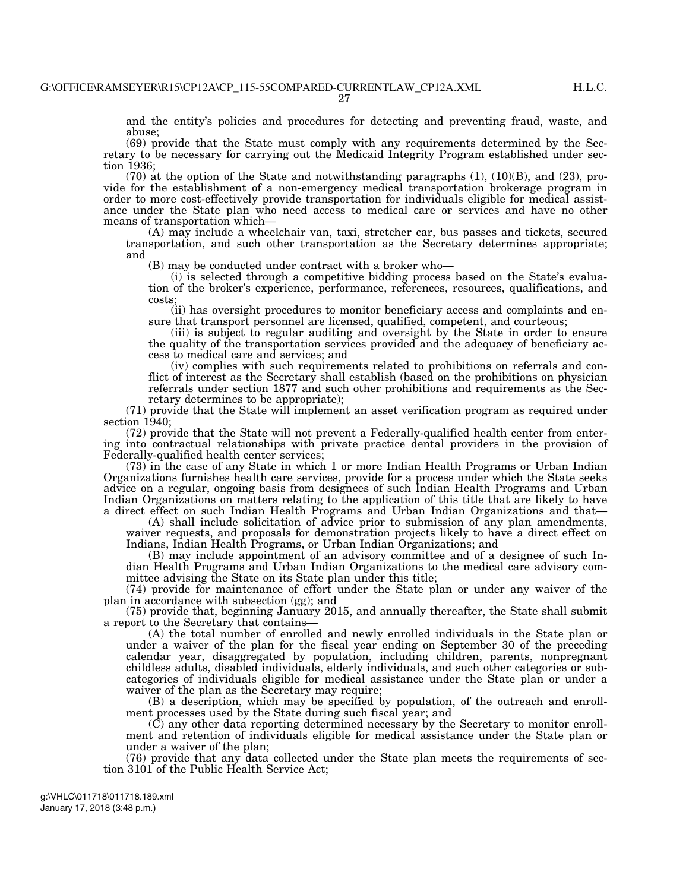and the entity's policies and procedures for detecting and preventing fraud, waste, and abuse;

(69) provide that the State must comply with any requirements determined by the Secretary to be necessary for carrying out the Medicaid Integrity Program established under section 1936;

(70) at the option of the State and notwithstanding paragraphs (1), (10)(B), and (23), provide for the establishment of a non-emergency medical transportation brokerage program in order to more cost-effectively provide transportation for individuals eligible for medical assistance under the State plan who need access to medical care or services and have no other means of transportation which—

(A) may include a wheelchair van, taxi, stretcher car, bus passes and tickets, secured transportation, and such other transportation as the Secretary determines appropriate; and

(B) may be conducted under contract with a broker who—

(i) is selected through a competitive bidding process based on the State's evaluation of the broker's experience, performance, references, resources, qualifications, and costs;

(ii) has oversight procedures to monitor beneficiary access and complaints and ensure that transport personnel are licensed, qualified, competent, and courteous;

(iii) is subject to regular auditing and oversight by the State in order to ensure the quality of the transportation services provided and the adequacy of beneficiary access to medical care and services; and

(iv) complies with such requirements related to prohibitions on referrals and conflict of interest as the Secretary shall establish (based on the prohibitions on physician referrals under section 1877 and such other prohibitions and requirements as the Secretary determines to be appropriate);

(71) provide that the State will implement an asset verification program as required under section 1940;

(72) provide that the State will not prevent a Federally-qualified health center from entering into contractual relationships with private practice dental providers in the provision of Federally-qualified health center services;

(73) in the case of any State in which 1 or more Indian Health Programs or Urban Indian Organizations furnishes health care services, provide for a process under which the State seeks advice on a regular, ongoing basis from designees of such Indian Health Programs and Urban Indian Organizations on matters relating to the application of this title that are likely to have a direct effect on such Indian Health Programs and Urban Indian Organizations and that—

(A) shall include solicitation of advice prior to submission of any plan amendments, waiver requests, and proposals for demonstration projects likely to have a direct effect on Indians, Indian Health Programs, or Urban Indian Organizations; and

(B) may include appointment of an advisory committee and of a designee of such Indian Health Programs and Urban Indian Organizations to the medical care advisory committee advising the State on its State plan under this title;

(74) provide for maintenance of effort under the State plan or under any waiver of the plan in accordance with subsection (gg); and

(75) provide that, beginning January 2015, and annually thereafter, the State shall submit a report to the Secretary that contains

(A) the total number of enrolled and newly enrolled individuals in the State plan or under a waiver of the plan for the fiscal year ending on September 30 of the preceding calendar year, disaggregated by population, including children, parents, nonpregnant childless adults, disabled individuals, elderly individuals, and such other categories or subcategories of individuals eligible for medical assistance under the State plan or under a waiver of the plan as the Secretary may require;

(B) a description, which may be specified by population, of the outreach and enrollment processes used by the State during such fiscal year; and

(C) any other data reporting determined necessary by the Secretary to monitor enrollment and retention of individuals eligible for medical assistance under the State plan or under a waiver of the plan;

(76) provide that any data collected under the State plan meets the requirements of section 3101 of the Public Health Service Act;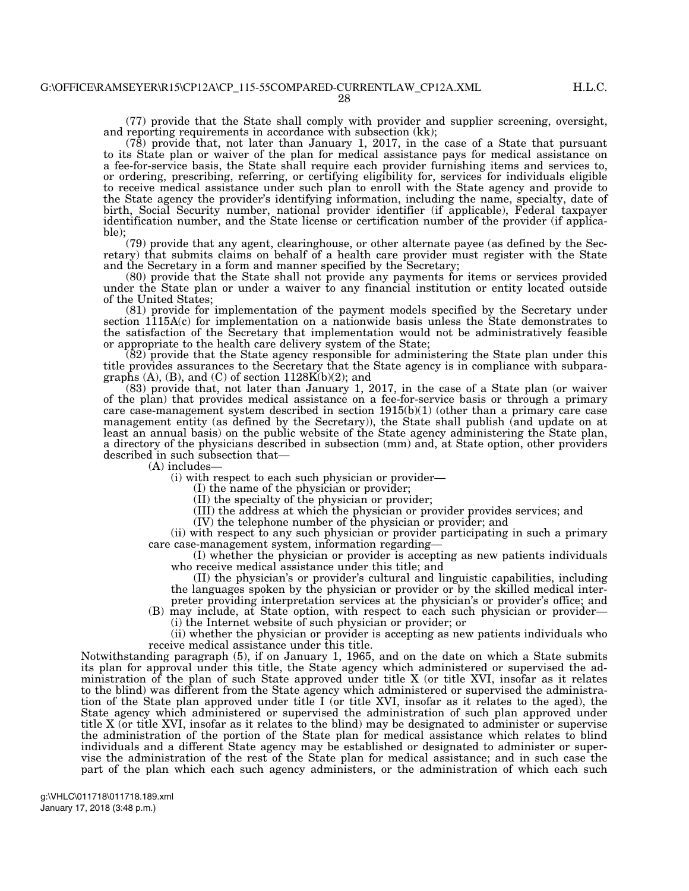28

(77) provide that the State shall comply with provider and supplier screening, oversight, and reporting requirements in accordance with subsection (kk);

(78) provide that, not later than January 1, 2017, in the case of a State that pursuant to its State plan or waiver of the plan for medical assistance pays for medical assistance on a fee-for-service basis, the State shall require each provider furnishing items and services to, or ordering, prescribing, referring, or certifying eligibility for, services for individuals eligible to receive medical assistance under such plan to enroll with the State agency and provide to the State agency the provider's identifying information, including the name, specialty, date of birth, Social Security number, national provider identifier (if applicable), Federal taxpayer identification number, and the State license or certification number of the provider (if applicable);

(79) provide that any agent, clearinghouse, or other alternate payee (as defined by the Secretary) that submits claims on behalf of a health care provider must register with the State and the Secretary in a form and manner specified by the Secretary;

(80) provide that the State shall not provide any payments for items or services provided under the State plan or under a waiver to any financial institution or entity located outside of the United States;

(81) provide for implementation of the payment models specified by the Secretary under section 1115A(c) for implementation on a nationwide basis unless the State demonstrates to the satisfaction of the Secretary that implementation would not be administratively feasible or appropriate to the health care delivery system of the State;

(82) provide that the State agency responsible for administering the State plan under this title provides assurances to the Secretary that the State agency is in compliance with subparagraphs  $(A)$ ,  $(B)$ , and  $(C)$  of section 1128 $K(b)(2)$ ; and

(83) provide that, not later than January 1, 2017, in the case of a State plan (or waiver of the plan) that provides medical assistance on a fee-for-service basis or through a primary care case-management system described in section 1915(b)(1) (other than a primary care case management entity (as defined by the Secretary)), the State shall publish (and update on at least an annual basis) on the public website of the State agency administering the State plan, a directory of the physicians described in subsection (mm) and, at State option, other providers described in such subsection that—

(A) includes—

(i) with respect to each such physician or provider—

(I) the name of the physician or provider;

(II) the specialty of the physician or provider;

(III) the address at which the physician or provider provides services; and

(IV) the telephone number of the physician or provider; and

(ii) with respect to any such physician or provider participating in such a primary care case-management system, information regarding—

(I) whether the physician or provider is accepting as new patients individuals who receive medical assistance under this title; and

(II) the physician's or provider's cultural and linguistic capabilities, including the languages spoken by the physician or provider or by the skilled medical inter-

preter providing interpretation services at the physician's or provider's office; and (B) may include, at State option, with respect to each such physician or provider—

(i) the Internet website of such physician or provider; or

(ii) whether the physician or provider is accepting as new patients individuals who receive medical assistance under this title.

Notwithstanding paragraph (5), if on January 1, 1965, and on the date on which a State submits its plan for approval under this title, the State agency which administered or supervised the administration of the plan of such State approved under title  $X$  (or title XVI, insofar as it relates to the blind) was different from the State agency which administered or supervised the administration of the State plan approved under title I (or title XVI, insofar as it relates to the aged), the State agency which administered or supervised the administration of such plan approved under title X (or title XVI, insofar as it relates to the blind) may be designated to administer or supervise the administration of the portion of the State plan for medical assistance which relates to blind individuals and a different State agency may be established or designated to administer or supervise the administration of the rest of the State plan for medical assistance; and in such case the part of the plan which each such agency administers, or the administration of which each such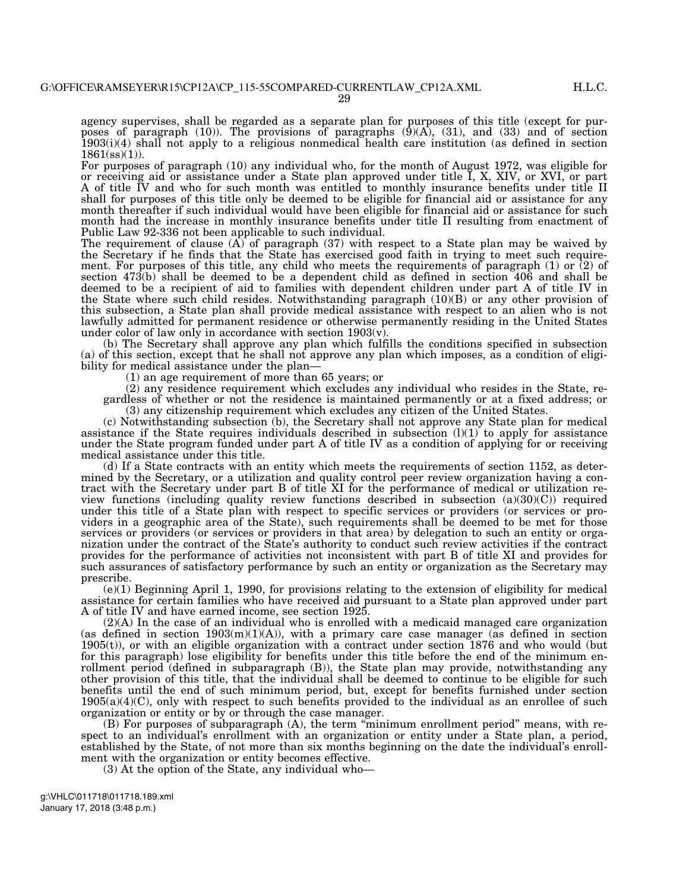agency supervises, shall be regarded as a separate plan for purposes of this title (except for purposes of paragraph (10)). The provisions of paragraphs  $(\hat{9})(A)$ , (31), and (33) and of section 1903(i)(4) shall not apply to a religious nonmedical health care institution (as defined in section  $1861(s)(1)$ ).

For purposes of paragraph (10) any individual who, for the month of August 1972, was eligible for or receiving aid or assistance under a State plan approved under title I, X, XIV, or XVI, or part A of title IV and who for such month was entitled to monthly insurance benefits under title II shall for purposes of this title only be deemed to be eligible for financial aid or assistance for any month thereafter if such individual would have been eligible for financial aid or assistance for such month had the increase in monthly insurance benefits under title II resulting from enactment of Public Law 92-336 not been applicable to such individual.

The requirement of clause (A) of paragraph (37) with respect to a State plan may be waived by the Secretary if he finds that the State has exercised good faith in trying to meet such requirement. For purposes of this title, any child who meets the requirements of paragraph (1) or (2) of section 473(b) shall be deemed to be a dependent child as defined in section 406 and shall be deemed to be a recipient of aid to families with dependent children under part A of title IV in the State where such child resides. Notwithstanding paragraph (10)(B) or any other provision of this subsection, a State plan shall provide medical assistance with respect to an alien who is not lawfully admitted for permanent residence or otherwise permanently residing in the United States under color of law only in accordance with section  $1903(v)$ .

(b) The Secretary shall approve any plan which fulfills the conditions specified in subsection (a) of this section, except that he shall not approve any plan which imposes, as a condition of eligibility for medical assistance under the plan—

(1) an age requirement of more than 65 years; or

(2) any residence requirement which excludes any individual who resides in the State, regardless of whether or not the residence is maintained permanently or at a fixed address; or (3) any citizenship requirement which excludes any citizen of the United States.

(c) Notwithstanding subsection (b), the Secretary shall not approve any State plan for medical assistance if the State requires individuals described in subsection  $(l)(1)$  to apply for assistance under the State program funded under part A of title IV as a condition of applying for or receiving medical assistance under this title.

(d) If a State contracts with an entity which meets the requirements of section 1152, as determined by the Secretary, or a utilization and quality control peer review organization having a contract with the Secretary under part B of title XI for the performance of medical or utilization review functions (including quality review functions described in subsection (a)(30)(C)) required under this title of a State plan with respect to specific services or providers (or services or providers in a geographic area of the State), such requirements shall be deemed to be met for those services or providers (or services or providers in that area) by delegation to such an entity or organization under the contract of the State's authority to conduct such review activities if the contract provides for the performance of activities not inconsistent with part B of title XI and provides for such assurances of satisfactory performance by such an entity or organization as the Secretary may prescribe.

(e)(1) Beginning April 1, 1990, for provisions relating to the extension of eligibility for medical assistance for certain families who have received aid pursuant to a State plan approved under part A of title IV and have earned income, see section 1925.

 $2(A)$  In the case of an individual who is enrolled with a medicaid managed care organization (as defined in section  $1903(m)(1)(A)$ ), with a primary care case manager (as defined in section 1905(t)), or with an eligible organization with a contract under section 1876 and who would (but for this paragraph) lose eligibility for benefits under this title before the end of the minimum enrollment period (defined in subparagraph (B)), the State plan may provide, notwithstanding any other provision of this title, that the individual shall be deemed to continue to be eligible for such benefits until the end of such minimum period, but, except for benefits furnished under section  $1905(a)(4)(C)$ , only with respect to such benefits provided to the individual as an enrollee of such organization or entity or by or through the case manager.

(B) For purposes of subparagraph (A), the term ''minimum enrollment period'' means, with respect to an individual's enrollment with an organization or entity under a State plan, a period, established by the State, of not more than six months beginning on the date the individual's enrollment with the organization or entity becomes effective.

(3) At the option of the State, any individual who—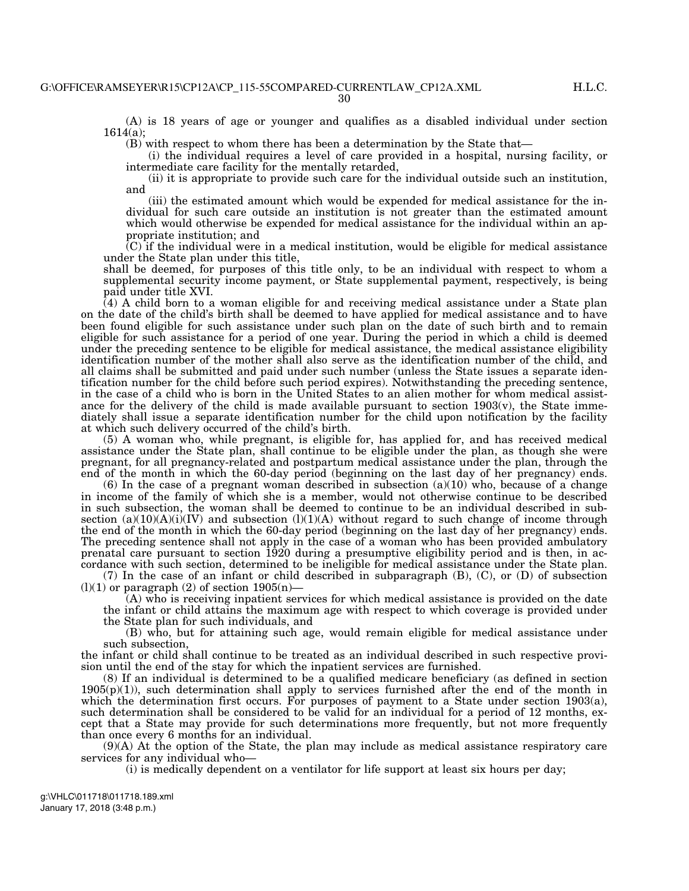30

(A) is 18 years of age or younger and qualifies as a disabled individual under section 1614(a);

(B) with respect to whom there has been a determination by the State that—

(i) the individual requires a level of care provided in a hospital, nursing facility, or intermediate care facility for the mentally retarded,

(ii) it is appropriate to provide such care for the individual outside such an institution, and

(iii) the estimated amount which would be expended for medical assistance for the individual for such care outside an institution is not greater than the estimated amount which would otherwise be expended for medical assistance for the individual within an appropriate institution; and

(C) if the individual were in a medical institution, would be eligible for medical assistance under the State plan under this title,

shall be deemed, for purposes of this title only, to be an individual with respect to whom a supplemental security income payment, or State supplemental payment, respectively, is being paid under title XVI.

 $(4)$  A child born to a woman eligible for and receiving medical assistance under a State plan on the date of the child's birth shall be deemed to have applied for medical assistance and to have been found eligible for such assistance under such plan on the date of such birth and to remain eligible for such assistance for a period of one year. During the period in which a child is deemed under the preceding sentence to be eligible for medical assistance, the medical assistance eligibility identification number of the mother shall also serve as the identification number of the child, and all claims shall be submitted and paid under such number (unless the State issues a separate identification number for the child before such period expires). Notwithstanding the preceding sentence, in the case of a child who is born in the United States to an alien mother for whom medical assistance for the delivery of the child is made available pursuant to section 1903(v), the State immediately shall issue a separate identification number for the child upon notification by the facility at which such delivery occurred of the child's birth.

(5) A woman who, while pregnant, is eligible for, has applied for, and has received medical assistance under the State plan, shall continue to be eligible under the plan, as though she were pregnant, for all pregnancy-related and postpartum medical assistance under the plan, through the end of the month in which the 60-day period (beginning on the last day of her pregnancy) ends.

(6) In the case of a pregnant woman described in subsection  $(a)(10)$  who, because of a change in income of the family of which she is a member, would not otherwise continue to be described in such subsection, the woman shall be deemed to continue to be an individual described in subsection  $(a)(10)(A)(i)(IV)$  and subsection  $(l)(1)(A)$  without regard to such change of income through the end of the month in which the 60-day period (beginning on the last day of her pregnancy) ends. The preceding sentence shall not apply in the case of a woman who has been provided ambulatory prenatal care pursuant to section 1920 during a presumptive eligibility period and is then, in accordance with such section, determined to be ineligible for medical assistance under the State plan.

(7) In the case of an infant or child described in subparagraph (B), (C), or (D) of subsection  $(l)(1)$  or paragraph  $(2)$  of section 1905 $(n)$ —

(A) who is receiving inpatient services for which medical assistance is provided on the date the infant or child attains the maximum age with respect to which coverage is provided under the State plan for such individuals, and

(B) who, but for attaining such age, would remain eligible for medical assistance under such subsection,

the infant or child shall continue to be treated as an individual described in such respective provision until the end of the stay for which the inpatient services are furnished.

(8) If an individual is determined to be a qualified medicare beneficiary (as defined in section  $1905(p)(1)$ , such determination shall apply to services furnished after the end of the month in which the determination first occurs. For purposes of payment to a State under section 1903(a), such determination shall be considered to be valid for an individual for a period of 12 months, except that a State may provide for such determinations more frequently, but not more frequently than once every 6 months for an individual.

(9)(A) At the option of the State, the plan may include as medical assistance respiratory care services for any individual who—

(i) is medically dependent on a ventilator for life support at least six hours per day;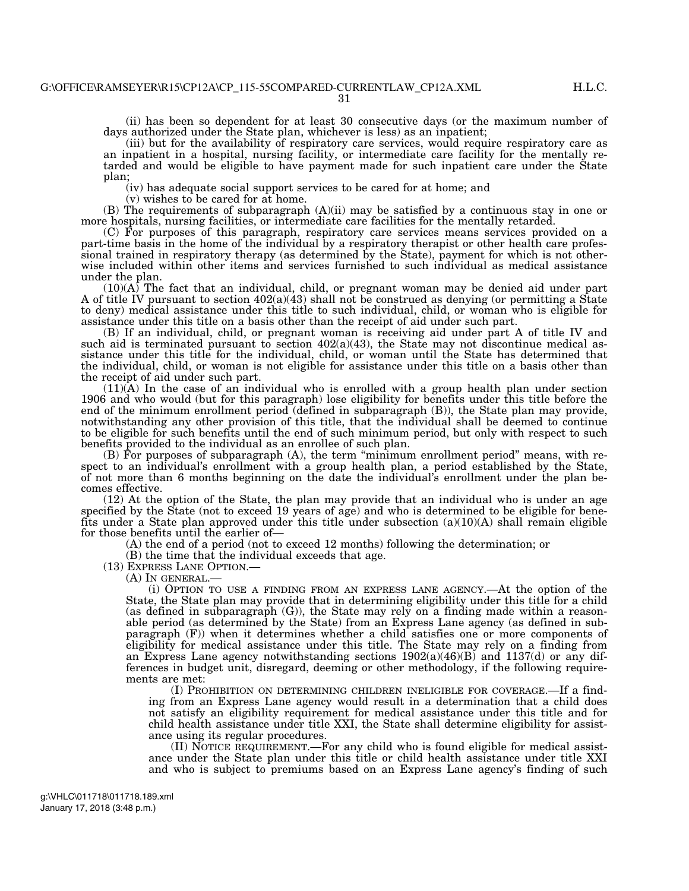31

(ii) has been so dependent for at least 30 consecutive days (or the maximum number of days authorized under the State plan, whichever is less) as an inpatient;

(iii) but for the availability of respiratory care services, would require respiratory care as an inpatient in a hospital, nursing facility, or intermediate care facility for the mentally retarded and would be eligible to have payment made for such inpatient care under the State plan;

(iv) has adequate social support services to be cared for at home; and

(v) wishes to be cared for at home.

(B) The requirements of subparagraph (A)(ii) may be satisfied by a continuous stay in one or more hospitals, nursing facilities, or intermediate care facilities for the mentally retarded.

(C) For purposes of this paragraph, respiratory care services means services provided on a part-time basis in the home of the individual by a respiratory therapist or other health care professional trained in respiratory therapy (as determined by the State), payment for which is not otherwise included within other items and services furnished to such individual as medical assistance under the plan.

(10)(A) The fact that an individual, child, or pregnant woman may be denied aid under part A of title IV pursuant to section  $402(a)(43)$  shall not be construed as denying (or permitting a State to deny) medical assistance under this title to such individual, child, or woman who is eligible for assistance under this title on a basis other than the receipt of aid under such part.

(B) If an individual, child, or pregnant woman is receiving aid under part A of title IV and such aid is terminated pursuant to section 402(a)(43), the State may not discontinue medical assistance under this title for the individual, child, or woman until the State has determined that the individual, child, or woman is not eligible for assistance under this title on a basis other than the receipt of aid under such part.

 $(11)(\hat{A})$  In the case of an individual who is enrolled with a group health plan under section 1906 and who would (but for this paragraph) lose eligibility for benefits under this title before the end of the minimum enrollment period (defined in subparagraph (B)), the State plan may provide, notwithstanding any other provision of this title, that the individual shall be deemed to continue to be eligible for such benefits until the end of such minimum period, but only with respect to such benefits provided to the individual as an enrollee of such plan.

(B) For purposes of subparagraph (A), the term ''minimum enrollment period'' means, with respect to an individual's enrollment with a group health plan, a period established by the State, of not more than 6 months beginning on the date the individual's enrollment under the plan becomes effective.

(12) At the option of the State, the plan may provide that an individual who is under an age specified by the State (not to exceed 19 years of age) and who is determined to be eligible for benefits under a State plan approved under this title under subsection (a)(10)(A) shall remain eligible for those benefits until the earlier of—

(A) the end of a period (not to exceed 12 months) following the determination; or

(B) the time that the individual exceeds that age.

(13) EXPRESS LANE OPTION.—

(A) IN GENERAL.—

(i) OPTION TO USE A FINDING FROM AN EXPRESS LANE AGENCY.—At the option of the State, the State plan may provide that in determining eligibility under this title for a child (as defined in subparagraph  $(G)$ ), the State may rely on a finding made within a reasonable period (as determined by the State) from an Express Lane agency (as defined in subparagraph (F)) when it determines whether a child satisfies one or more components of eligibility for medical assistance under this title. The State may rely on a finding from an Express Lane agency notwithstanding sections  $1902(a)(46)(B)$  and  $1137(d)$  or any differences in budget unit, disregard, deeming or other methodology, if the following requirements are met:

(I) PROHIBITION ON DETERMINING CHILDREN INELIGIBLE FOR COVERAGE.—If a finding from an Express Lane agency would result in a determination that a child does not satisfy an eligibility requirement for medical assistance under this title and for child health assistance under title XXI, the State shall determine eligibility for assistance using its regular procedures.

(II) NOTICE REQUIREMENT.—For any child who is found eligible for medical assistance under the State plan under this title or child health assistance under title XXI and who is subject to premiums based on an Express Lane agency's finding of such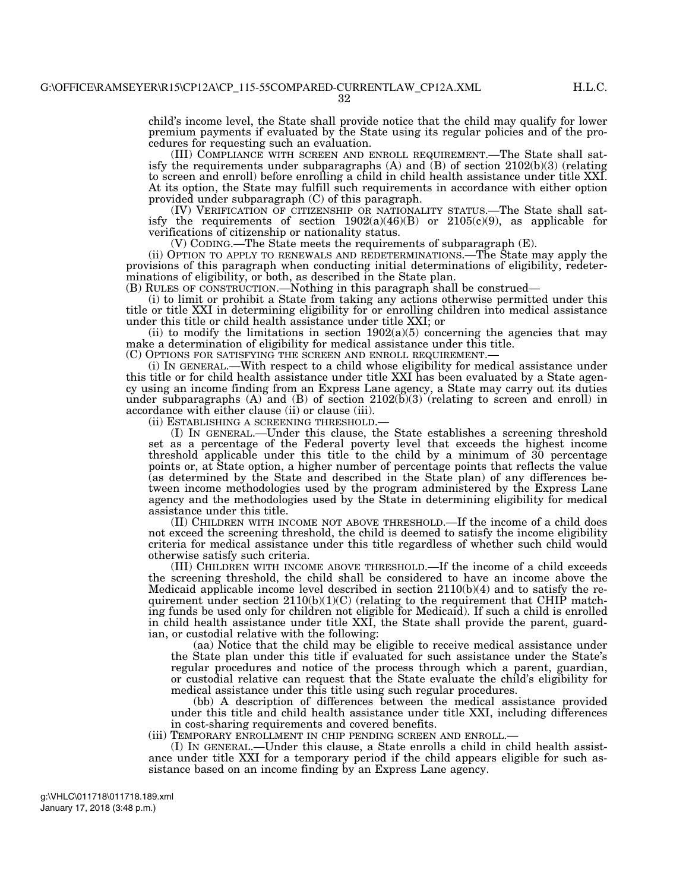child's income level, the State shall provide notice that the child may qualify for lower premium payments if evaluated by the State using its regular policies and of the procedures for requesting such an evaluation.

(III) COMPLIANCE WITH SCREEN AND ENROLL REQUIREMENT.—The State shall satisfy the requirements under subparagraphs  $(A)$  and  $(B)$  of section 2102 $(b)(3)$  (relating to screen and enroll) before enrolling a child in child health assistance under title XXI. At its option, the State may fulfill such requirements in accordance with either option provided under subparagraph (C) of this paragraph.

(IV) VERIFICATION OF CITIZENSHIP OR NATIONALITY STATUS.—The State shall satisfy the requirements of section  $1902(a)(46)(B)$  or  $2105(c)(9)$ , as applicable for verifications of citizenship or nationality status.

(V) CODING.—The State meets the requirements of subparagraph (E).

(ii) OPTION TO APPLY TO RENEWALS AND REDETERMINATIONS.—The State may apply the provisions of this paragraph when conducting initial determinations of eligibility, redeterminations of eligibility, or both, as described in the State plan.

(B) RULES OF CONSTRUCTION.—Nothing in this paragraph shall be construed—

(i) to limit or prohibit a State from taking any actions otherwise permitted under this title or title XXI in determining eligibility for or enrolling children into medical assistance under this title or child health assistance under title XXI; or

(ii) to modify the limitations in section  $1902(a)(5)$  concerning the agencies that may make a determination of eligibility for medical assistance under this title.<br>(C) OPTIONS FOR SATISFYING THE SCREEN AND ENROLL REQUIREMENT.—

(i) IN GENERAL.—With respect to a child whose eligibility for medical assistance under this title or for child health assistance under title XXI has been evaluated by a State agency using an income finding from an Express Lane agency, a State may carry out its duties under subparagraphs (A) and (B) of section  $2102(b)(3)$  (relating to screen and enroll) in accordance with either clause (ii) or clause (iii).<br>(ii) ESTABLISHING A SCREENING THRESHOLD.

 $(I)$  IN GENERAL.—Under this clause, the State establishes a screening threshold set as a percentage of the Federal poverty level that exceeds the highest income threshold applicable under this title to the child by a minimum of 30 percentage points or, at State option, a higher number of percentage points that reflects the value (as determined by the State and described in the State plan) of any differences between income methodologies used by the program administered by the Express Lane agency and the methodologies used by the State in determining eligibility for medical assistance under this title.

(II) CHILDREN WITH INCOME NOT ABOVE THRESHOLD.—If the income of a child does not exceed the screening threshold, the child is deemed to satisfy the income eligibility criteria for medical assistance under this title regardless of whether such child would otherwise satisfy such criteria.

(III) CHILDREN WITH INCOME ABOVE THRESHOLD.—If the income of a child exceeds the screening threshold, the child shall be considered to have an income above the Medicaid applicable income level described in section 2110(b)(4) and to satisfy the requirement under section  $2110(b)(1)(C)$  (relating to the requirement that CHIP matching funds be used only for children not eligible for Medicaid). If such a child is enrolled in child health assistance under title XXI, the State shall provide the parent, guardian, or custodial relative with the following:

(aa) Notice that the child may be eligible to receive medical assistance under the State plan under this title if evaluated for such assistance under the State's regular procedures and notice of the process through which a parent, guardian, or custodial relative can request that the State evaluate the child's eligibility for medical assistance under this title using such regular procedures.

(bb) A description of differences between the medical assistance provided under this title and child health assistance under title XXI, including differences in cost-sharing requirements and covered benefits.

(iii) TEMPORARY ENROLLMENT IN CHIP PENDING SCREEN AND ENROLL.-

(I) IN GENERAL.—Under this clause, a State enrolls a child in child health assistance under title XXI for a temporary period if the child appears eligible for such assistance based on an income finding by an Express Lane agency.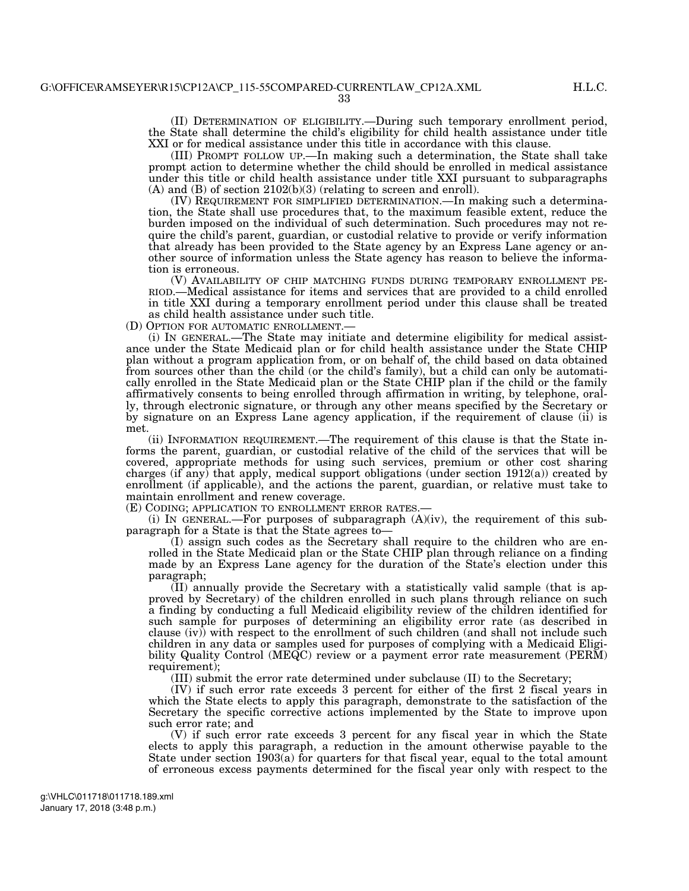33

(II) DETERMINATION OF ELIGIBILITY.—During such temporary enrollment period, the State shall determine the child's eligibility for child health assistance under title XXI or for medical assistance under this title in accordance with this clause.

(III) PROMPT FOLLOW UP.—In making such a determination, the State shall take prompt action to determine whether the child should be enrolled in medical assistance under this title or child health assistance under title XXI pursuant to subparagraphs  $(A)$  and  $(B)$  of section  $2102(b)(3)$  (relating to screen and enroll).

(IV) REQUIREMENT FOR SIMPLIFIED DETERMINATION.—In making such a determination, the State shall use procedures that, to the maximum feasible extent, reduce the burden imposed on the individual of such determination. Such procedures may not require the child's parent, guardian, or custodial relative to provide or verify information that already has been provided to the State agency by an Express Lane agency or another source of information unless the State agency has reason to believe the information is erroneous.

(V) AVAILABILITY OF CHIP MATCHING FUNDS DURING TEMPORARY ENROLLMENT PE-RIOD.—Medical assistance for items and services that are provided to a child enrolled in title XXI during a temporary enrollment period under this clause shall be treated as child health assistance under such title.

(D) OPTION FOR AUTOMATIC ENROLLMENT.—

(i) IN GENERAL.—The State may initiate and determine eligibility for medical assistance under the State Medicaid plan or for child health assistance under the State CHIP plan without a program application from, or on behalf of, the child based on data obtained from sources other than the child (or the child's family), but a child can only be automatically enrolled in the State Medicaid plan or the State CHIP plan if the child or the family affirmatively consents to being enrolled through affirmation in writing, by telephone, orally, through electronic signature, or through any other means specified by the Secretary or by signature on an Express Lane agency application, if the requirement of clause (ii) is met.

(ii) INFORMATION REQUIREMENT.—The requirement of this clause is that the State informs the parent, guardian, or custodial relative of the child of the services that will be covered, appropriate methods for using such services, premium or other cost sharing charges (if any) that apply, medical support obligations (under section  $1912(a)$ ) created by enrollment (if applicable), and the actions the parent, guardian, or relative must take to maintain enrollment and renew coverage.

(E) CODING; APPLICATION TO ENROLLMENT ERROR RATES.—

(i) IN GENERAL.—For purposes of subparagraph  $(A)(iv)$ , the requirement of this subparagraph for a State is that the State agrees to—

(I) assign such codes as the Secretary shall require to the children who are enrolled in the State Medicaid plan or the State CHIP plan through reliance on a finding made by an Express Lane agency for the duration of the State's election under this paragraph;

(II) annually provide the Secretary with a statistically valid sample (that is approved by Secretary) of the children enrolled in such plans through reliance on such a finding by conducting a full Medicaid eligibility review of the children identified for such sample for purposes of determining an eligibility error rate (as described in clause (iv)) with respect to the enrollment of such children (and shall not include such children in any data or samples used for purposes of complying with a Medicaid Eligibility Quality Control (MEQC) review or a payment error rate measurement (PERM) requirement);

(III) submit the error rate determined under subclause (II) to the Secretary;

(IV) if such error rate exceeds 3 percent for either of the first 2 fiscal years in which the State elects to apply this paragraph, demonstrate to the satisfaction of the Secretary the specific corrective actions implemented by the State to improve upon such error rate; and

(V) if such error rate exceeds 3 percent for any fiscal year in which the State elects to apply this paragraph, a reduction in the amount otherwise payable to the State under section 1903(a) for quarters for that fiscal year, equal to the total amount of erroneous excess payments determined for the fiscal year only with respect to the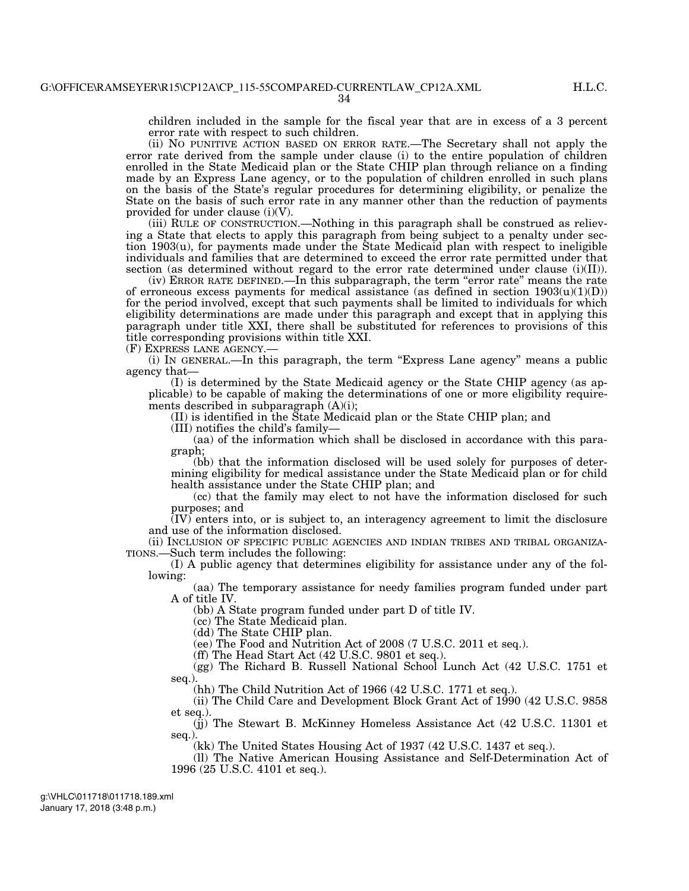34

children included in the sample for the fiscal year that are in excess of a 3 percent error rate with respect to such children.

(ii) NO PUNITIVE ACTION BASED ON ERROR RATE.—The Secretary shall not apply the error rate derived from the sample under clause (i) to the entire population of children enrolled in the State Medicaid plan or the State CHIP plan through reliance on a finding made by an Express Lane agency, or to the population of children enrolled in such plans on the basis of the State's regular procedures for determining eligibility, or penalize the State on the basis of such error rate in any manner other than the reduction of payments provided for under clause (i)(V).

(iii) RULE OF CONSTRUCTION.—Nothing in this paragraph shall be construed as relieving a State that elects to apply this paragraph from being subject to a penalty under section 1903(u), for payments made under the State Medicaid plan with respect to ineligible individuals and families that are determined to exceed the error rate permitted under that section (as determined without regard to the error rate determined under clause  $(i)(II)$ ).

(iv) ERROR RATE DEFINED.—In this subparagraph, the term ''error rate'' means the rate of erroneous excess payments for medical assistance (as defined in section  $1903(u)(1)(D)$ ) for the period involved, except that such payments shall be limited to individuals for which eligibility determinations are made under this paragraph and except that in applying this paragraph under title XXI, there shall be substituted for references to provisions of this title corresponding provisions within title XXI.

(F) EXPRESS LANE AGENCY.—

(i) IN GENERAL.—In this paragraph, the term ''Express Lane agency'' means a public agency that—

(I) is determined by the State Medicaid agency or the State CHIP agency (as applicable) to be capable of making the determinations of one or more eligibility requirements described in subparagraph  $(A)(i)$ ;

(II) is identified in the State Medicaid plan or the State CHIP plan; and

(III) notifies the child's family—

(aa) of the information which shall be disclosed in accordance with this paragraph;

(bb) that the information disclosed will be used solely for purposes of determining eligibility for medical assistance under the State Medicaid plan or for child health assistance under the State CHIP plan; and

(cc) that the family may elect to not have the information disclosed for such purposes; and

(IV) enters into, or is subject to, an interagency agreement to limit the disclosure and use of the information disclosed.

(ii) INCLUSION OF SPECIFIC PUBLIC AGENCIES AND INDIAN TRIBES AND TRIBAL ORGANIZA-TIONS.—Such term includes the following:

(I) A public agency that determines eligibility for assistance under any of the following:

(aa) The temporary assistance for needy families program funded under part A of title IV.

(bb) A State program funded under part D of title IV.

(cc) The State Medicaid plan.

(dd) The State CHIP plan.

(ee) The Food and Nutrition Act of 2008 (7 U.S.C. 2011 et seq.).

(ff) The Head Start Act (42 U.S.C. 9801 et seq.).

(gg) The Richard B. Russell National School Lunch Act (42 U.S.C. 1751 et seq.).

(hh) The Child Nutrition Act of 1966 (42 U.S.C. 1771 et seq.).

(ii) The Child Care and Development Block Grant Act of 1990 (42 U.S.C. 9858 et seq.).

(jj) The Stewart B. McKinney Homeless Assistance Act (42 U.S.C. 11301 et seq.)

(kk) The United States Housing Act of 1937 (42 U.S.C. 1437 et seq.).

(ll) The Native American Housing Assistance and Self-Determination Act of 1996 (25 U.S.C. 4101 et seq.).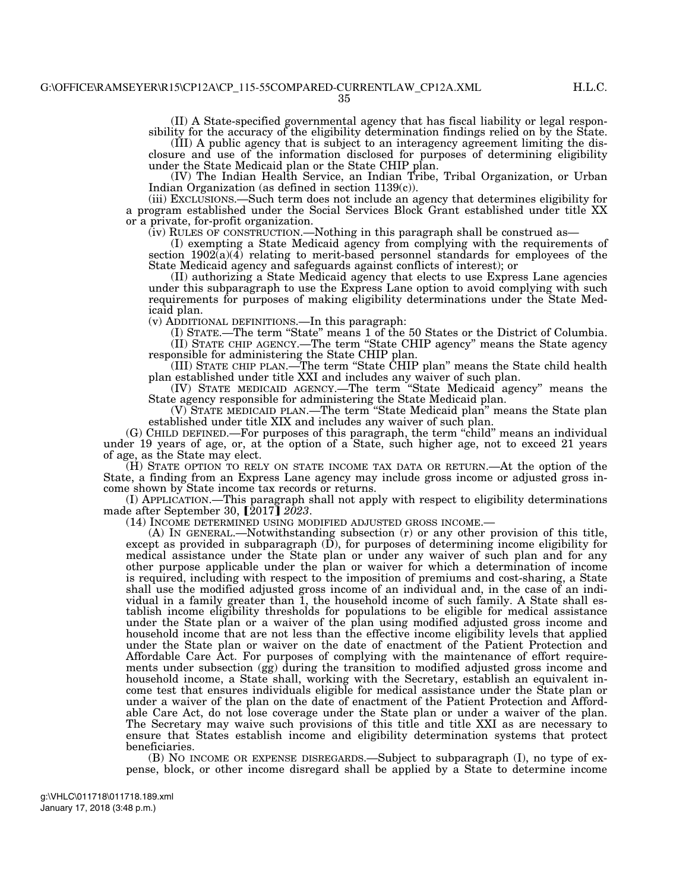35

(II) A State-specified governmental agency that has fiscal liability or legal responsibility for the accuracy of the eligibility determination findings relied on by the State.

(III) A public agency that is subject to an interagency agreement limiting the disclosure and use of the information disclosed for purposes of determining eligibility under the State Medicaid plan or the State CHIP plan.

(IV) The Indian Health Service, an Indian Tribe, Tribal Organization, or Urban Indian Organization (as defined in section 1139(c)).

(iii) EXCLUSIONS.—Such term does not include an agency that determines eligibility for a program established under the Social Services Block Grant established under title XX or a private, for-profit organization.

(iv) RULES OF CONSTRUCTION.—Nothing in this paragraph shall be construed as—

(I) exempting a State Medicaid agency from complying with the requirements of section  $1902(a)(4)$  relating to merit-based personnel standards for employees of the State Medicaid agency and safeguards against conflicts of interest); or

(II) authorizing a State Medicaid agency that elects to use Express Lane agencies under this subparagraph to use the Express Lane option to avoid complying with such requirements for purposes of making eligibility determinations under the State Medicaid plan.

(v) ADDITIONAL DEFINITIONS.—In this paragraph:

(I) STATE.—The term ''State'' means 1 of the 50 States or the District of Columbia. (II) STATE CHIP AGENCY.—The term ''State CHIP agency'' means the State agency responsible for administering the State CHIP plan.

(III) STATE CHIP PLAN.—The term ''State CHIP plan'' means the State child health plan established under title XXI and includes any waiver of such plan.

(IV) STATE MEDICAID AGENCY.—The term ''State Medicaid agency'' means the State agency responsible for administering the State Medicaid plan.

(V) STATE MEDICAID PLAN.—The term ''State Medicaid plan'' means the State plan established under title XIX and includes any waiver of such plan.

(G) CHILD DEFINED.—For purposes of this paragraph, the term ''child'' means an individual under 19 years of age, or, at the option of a State, such higher age, not to exceed 21 years of age, as the State may elect.

(H) STATE OPTION TO RELY ON STATE INCOME TAX DATA OR RETURN.—At the option of the State, a finding from an Express Lane agency may include gross income or adjusted gross income shown by State income tax records or returns.

(I) APPLICATION.—This paragraph shall not apply with respect to eligibility determinations

 $(14)$  INCOME DETERMINED USING MODIFIED ADJUSTED GROSS INCOME.—<br>(A) IN GENERAL.—Notwithstanding subsection (r) or any other provision of this title, except as provided in subparagraph  $(D)$ , for purposes of determining income eligibility for medical assistance under the State plan or under any waiver of such plan and for any other purpose applicable under the plan or waiver for which a determination of income is required, including with respect to the imposition of premiums and cost-sharing, a State shall use the modified adjusted gross income of an individual and, in the case of an individual in a family greater than 1, the household income of such family. A State shall establish income eligibility thresholds for populations to be eligible for medical assistance under the State plan or a waiver of the plan using modified adjusted gross income and household income that are not less than the effective income eligibility levels that applied under the State plan or waiver on the date of enactment of the Patient Protection and Affordable Care Act. For purposes of complying with the maintenance of effort requirements under subsection (gg) during the transition to modified adjusted gross income and household income, a State shall, working with the Secretary, establish an equivalent income test that ensures individuals eligible for medical assistance under the State plan or under a waiver of the plan on the date of enactment of the Patient Protection and Affordable Care Act, do not lose coverage under the State plan or under a waiver of the plan. The Secretary may waive such provisions of this title and title XXI as are necessary to ensure that States establish income and eligibility determination systems that protect beneficiaries.

(B) NO INCOME OR EXPENSE DISREGARDS.—Subject to subparagraph (I), no type of expense, block, or other income disregard shall be applied by a State to determine income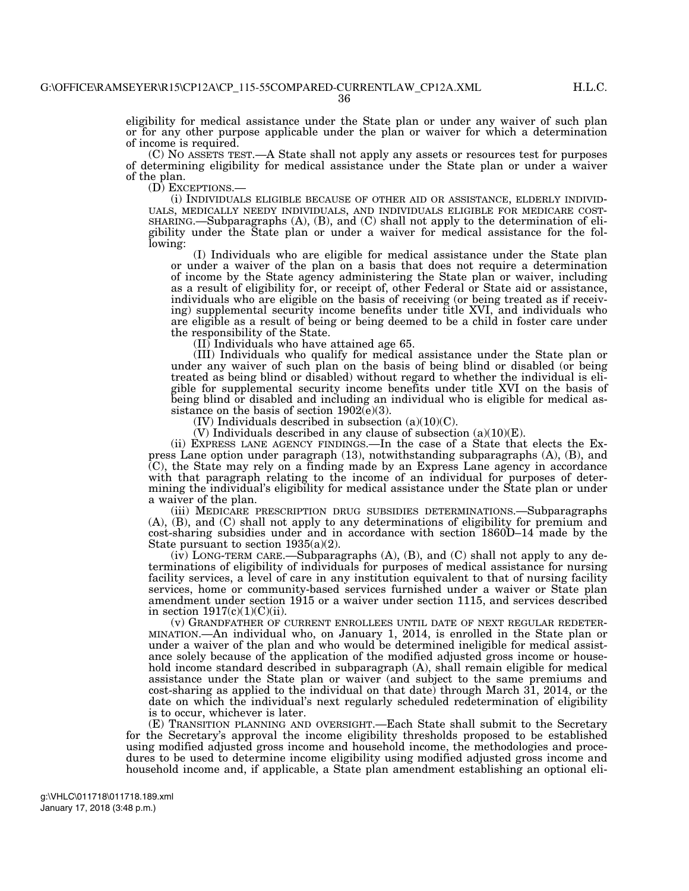eligibility for medical assistance under the State plan or under any waiver of such plan or for any other purpose applicable under the plan or waiver for which a determination of income is required.

(C) NO ASSETS TEST.—A State shall not apply any assets or resources test for purposes of determining eligibility for medical assistance under the State plan or under a waiver % of the plan.<br>(D) Exceptions.—

(i) INDIVIDUALS ELIGIBLE BECAUSE OF OTHER AID OR ASSISTANCE, ELDERLY INDIVIDUALS, MEDICALLY NEEDY INDIVIDUALS, AND INDIVIDUALS ELIGIBLE FOR MEDICARE COST-SHARING.—Subparagraphs  $(A)$ ,  $(B)$ , and  $(C)$  shall not apply to the gibility under the State plan or under a waiver for medical assistance for the following:

(I) Individuals who are eligible for medical assistance under the State plan or under a waiver of the plan on a basis that does not require a determination of income by the State agency administering the State plan or waiver, including as a result of eligibility for, or receipt of, other Federal or State aid or assistance, individuals who are eligible on the basis of receiving (or being treated as if receiving) supplemental security income benefits under title XVI, and individuals who are eligible as a result of being or being deemed to be a child in foster care under the responsibility of the State.

(II) Individuals who have attained age 65.

(III) Individuals who qualify for medical assistance under the State plan or under any waiver of such plan on the basis of being blind or disabled (or being treated as being blind or disabled) without regard to whether the individual is eligible for supplemental security income benefits under title XVI on the basis of being blind or disabled and including an individual who is eligible for medical assistance on the basis of section  $1902(e)(3)$ .

(IV) Individuals described in subsection (a)(10)(C).

(V) Individuals described in any clause of subsection  $(a)(10)(E)$ .

(ii) EXPRESS LANE AGENCY FINDINGS.—In the case of a State that elects the Express Lane option under paragraph (13), notwithstanding subparagraphs (A), (B), and (C), the State may rely on a finding made by an Express Lane agency in accordance with that paragraph relating to the income of an individual for purposes of determining the individual's eligibility for medical assistance under the State plan or under a waiver of the plan.

(iii) MEDICARE PRESCRIPTION DRUG SUBSIDIES DETERMINATIONS.—Subparagraphs (A), (B), and (C) shall not apply to any determinations of eligibility for premium and cost-sharing subsidies under and in accordance with section 1860D–14 made by the State pursuant to section 1935(a)(2).

 $(iv)$  LONG-TERM CARE.—Subparagraphs  $(A)$ ,  $(B)$ , and  $(C)$  shall not apply to any determinations of eligibility of individuals for purposes of medical assistance for nursing facility services, a level of care in any institution equivalent to that of nursing facility services, home or community-based services furnished under a waiver or State plan amendment under section 1915 or a waiver under section 1115, and services described in section  $1917(c)(1)(C)(ii)$ .

(v) GRANDFATHER OF CURRENT ENROLLEES UNTIL DATE OF NEXT REGULAR REDETER-MINATION.—An individual who, on January 1, 2014, is enrolled in the State plan or under a waiver of the plan and who would be determined ineligible for medical assistance solely because of the application of the modified adjusted gross income or household income standard described in subparagraph (A), shall remain eligible for medical assistance under the State plan or waiver (and subject to the same premiums and cost-sharing as applied to the individual on that date) through March 31, 2014, or the date on which the individual's next regularly scheduled redetermination of eligibility is to occur, whichever is later.

(E) TRANSITION PLANNING AND OVERSIGHT.—Each State shall submit to the Secretary for the Secretary's approval the income eligibility thresholds proposed to be established using modified adjusted gross income and household income, the methodologies and procedures to be used to determine income eligibility using modified adjusted gross income and household income and, if applicable, a State plan amendment establishing an optional eli-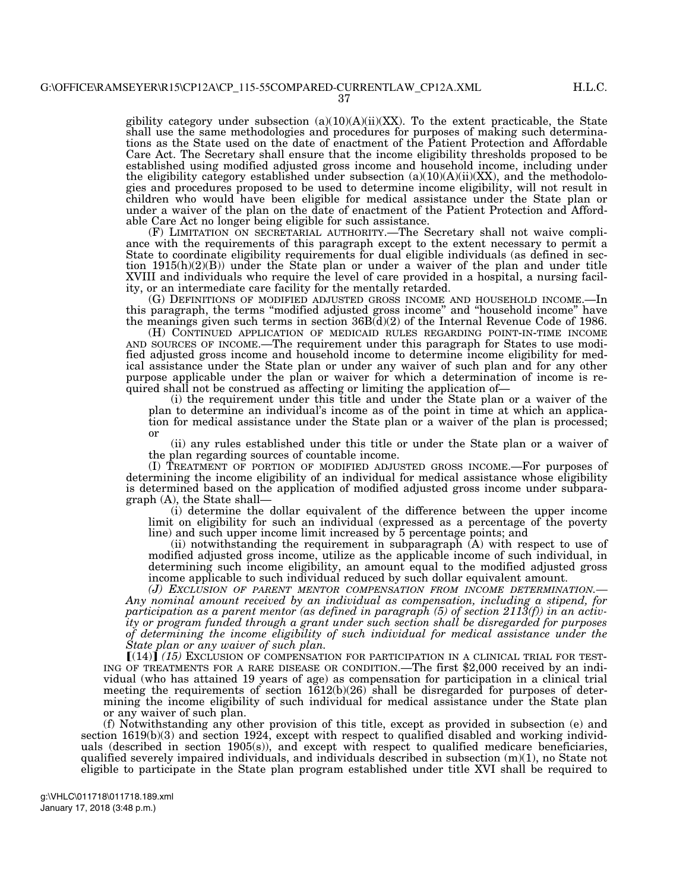37

gibility category under subsection  $(a)(10)(A)(ii)(XX)$ . To the extent practicable, the State shall use the same methodologies and procedures for purposes of making such determinations as the State used on the date of enactment of the Patient Protection and Affordable Care Act. The Secretary shall ensure that the income eligibility thresholds proposed to be established using modified adjusted gross income and household income, including under the eligibility category established under subsection  $(a)(10)(A)(ii)(XX)$ , and the methodologies and procedures proposed to be used to determine income eligibility, will not result in children who would have been eligible for medical assistance under the State plan or under a waiver of the plan on the date of enactment of the Patient Protection and Affordable Care Act no longer being eligible for such assistance.

(F) LIMITATION ON SECRETARIAL AUTHORITY.—The Secretary shall not waive compliance with the requirements of this paragraph except to the extent necessary to permit a State to coordinate eligibility requirements for dual eligible individuals (as defined in section 1915(h)(2)(B)) under the State plan or under a waiver of the plan and under title XVIII and individuals who require the level of care provided in a hospital, a nursing facility, or an intermediate care facility for the mentally retarded.

(G) DEFINITIONS OF MODIFIED ADJUSTED GROSS INCOME AND HOUSEHOLD INCOME.—In this paragraph, the terms ''modified adjusted gross income'' and ''household income'' have the meanings given such terms in section  $36B(d)(2)$  of the Internal Revenue Code of 1986.

(H) CONTINUED APPLICATION OF MEDICAID RULES REGARDING POINT-IN-TIME INCOME AND SOURCES OF INCOME.—The requirement under this paragraph for States to use modified adjusted gross income and household income to determine income eligibility for medical assistance under the State plan or under any waiver of such plan and for any other purpose applicable under the plan or waiver for which a determination of income is required shall not be construed as affecting or limiting the application of—

(i) the requirement under this title and under the State plan or a waiver of the plan to determine an individual's income as of the point in time at which an application for medical assistance under the State plan or a waiver of the plan is processed; or

(ii) any rules established under this title or under the State plan or a waiver of the plan regarding sources of countable income.

(I) TREATMENT OF PORTION OF MODIFIED ADJUSTED GROSS INCOME.—For purposes of determining the income eligibility of an individual for medical assistance whose eligibility is determined based on the application of modified adjusted gross income under subparagraph (A), the State shall—

(i) determine the dollar equivalent of the difference between the upper income limit on eligibility for such an individual (expressed as a percentage of the poverty line) and such upper income limit increased by 5 percentage points; and

(ii) notwithstanding the requirement in subparagraph (A) with respect to use of modified adjusted gross income, utilize as the applicable income of such individual, in determining such income eligibility, an amount equal to the modified adjusted gross income applicable to such individual reduced by such dollar equivalent amount.

*(J) EXCLUSION OF PARENT MENTOR COMPENSATION FROM INCOME DETERMINATION.— Any nominal amount received by an individual as compensation, including a stipend, for participation as a parent mentor (as defined in paragraph (5) of section 2113(f)) in an activity or program funded through a grant under such section shall be disregarded for purposes of determining the income eligibility of such individual for medical assistance under the State plan or any waiver of such plan.* 

 $[(14)]$   $(15)$  Exclusion of compensation for participation in a clinical trial for test-ING OF TREATMENTS FOR A RARE DISEASE OR CONDITION.—The first \$2,000 received by an individual (who has attained 19 years of age) as compensation for participation in a clinical trial meeting the requirements of section  $1612(b)(26)$  shall be disregarded for purposes of determining the income eligibility of such individual for medical assistance under the State plan or any waiver of such plan.

(f) Notwithstanding any other provision of this title, except as provided in subsection (e) and section 1619(b)(3) and section 1924, except with respect to qualified disabled and working individuals (described in section 1905(s)), and except with respect to qualified medicare beneficiaries, qualified severely impaired individuals, and individuals described in subsection (m)(1), no State not eligible to participate in the State plan program established under title XVI shall be required to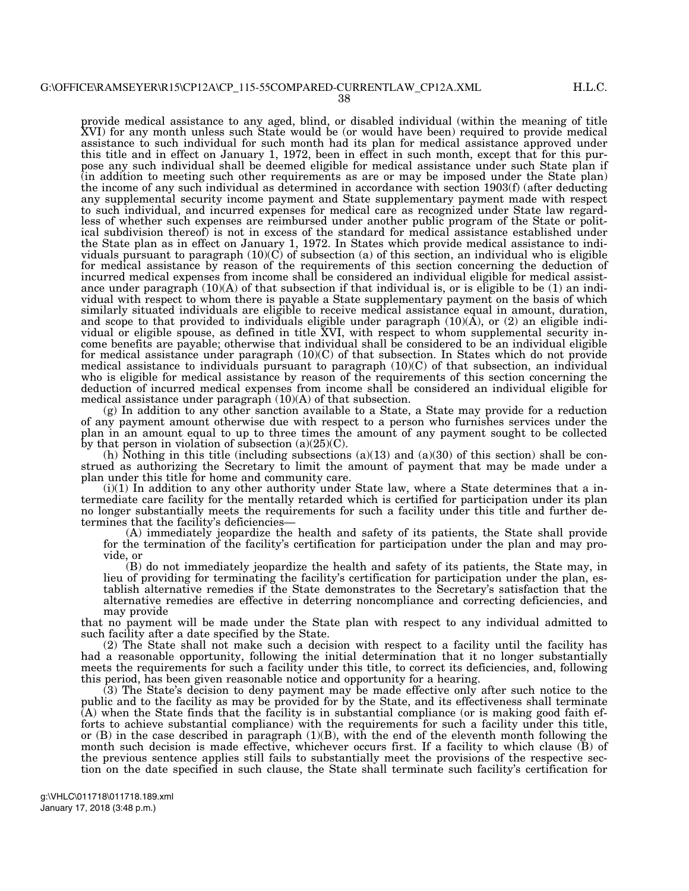provide medical assistance to any aged, blind, or disabled individual (within the meaning of title XVI) for any month unless such State would be (or would have been) required to provide medical assistance to such individual for such month had its plan for medical assistance approved under this title and in effect on January 1, 1972, been in effect in such month, except that for this purpose any such individual shall be deemed eligible for medical assistance under such State plan if (in addition to meeting such other requirements as are or may be imposed under the State plan) the income of any such individual as determined in accordance with section 1903(f) (after deducting any supplemental security income payment and State supplementary payment made with respect to such individual, and incurred expenses for medical care as recognized under State law regardless of whether such expenses are reimbursed under another public program of the State or political subdivision thereof) is not in excess of the standard for medical assistance established under the State plan as in effect on January 1, 1972. In States which provide medical assistance to individuals pursuant to paragraph  $(10)(C)$  of subsection (a) of this section, an individual who is eligible for medical assistance by reason of the requirements of this section concerning the deduction of incurred medical expenses from income shall be considered an individual eligible for medical assistance under paragraph  $(10)(A)$  of that subsection if that individual is, or is eligible to be (1) an individual with respect to whom there is payable a State supplementary payment on the basis of which similarly situated individuals are eligible to receive medical assistance equal in amount, duration, and scope to that provided to individuals eligible under paragraph  $(10)(A)$ , or  $(2)$  an eligible individual or eligible spouse, as defined in title XVI, with respect to whom supplemental security income benefits are payable; otherwise that individual shall be considered to be an individual eligible for medical assistance under paragraph (10)(C) of that subsection. In States which do not provide medical assistance to individuals pursuant to paragraph  $(10)(C)$  of that subsection, an individual who is eligible for medical assistance by reason of the requirements of this section concerning the deduction of incurred medical expenses from income shall be considered an individual eligible for medical assistance under paragraph (10)(A) of that subsection.

(g) In addition to any other sanction available to a State, a State may provide for a reduction of any payment amount otherwise due with respect to a person who furnishes services under the plan in an amount equal to up to three times the amount of any payment sought to be collected by that person in violation of subsection  $(a)(25)(C)$ .

(h) Nothing in this title (including subsections  $(a)(13)$  and  $(a)(30)$  of this section) shall be construed as authorizing the Secretary to limit the amount of payment that may be made under a plan under this title for home and community care.

 $(i)(1)$  In addition to any other authority under State law, where a State determines that a intermediate care facility for the mentally retarded which is certified for participation under its plan no longer substantially meets the requirements for such a facility under this title and further determines that the facility's deficiencies—

(A) immediately jeopardize the health and safety of its patients, the State shall provide for the termination of the facility's certification for participation under the plan and may provide, or

(B) do not immediately jeopardize the health and safety of its patients, the State may, in lieu of providing for terminating the facility's certification for participation under the plan, establish alternative remedies if the State demonstrates to the Secretary's satisfaction that the alternative remedies are effective in deterring noncompliance and correcting deficiencies, and may provide

that no payment will be made under the State plan with respect to any individual admitted to such facility after a date specified by the State.

(2) The State shall not make such a decision with respect to a facility until the facility has had a reasonable opportunity, following the initial determination that it no longer substantially meets the requirements for such a facility under this title, to correct its deficiencies, and, following this period, has been given reasonable notice and opportunity for a hearing.

(3) The State's decision to deny payment may be made effective only after such notice to the public and to the facility as may be provided for by the State, and its effectiveness shall terminate  $(A)$  when the State finds that the facility is in substantial compliance (or is making good faith efforts to achieve substantial compliance) with the requirements for such a facility under this title, or  $(B)$  in the case described in paragraph  $(1)(B)$ , with the end of the eleventh month following the month such decision is made effective, whichever occurs first. If a facility to which clause (B) of the previous sentence applies still fails to substantially meet the provisions of the respective section on the date specified in such clause, the State shall terminate such facility's certification for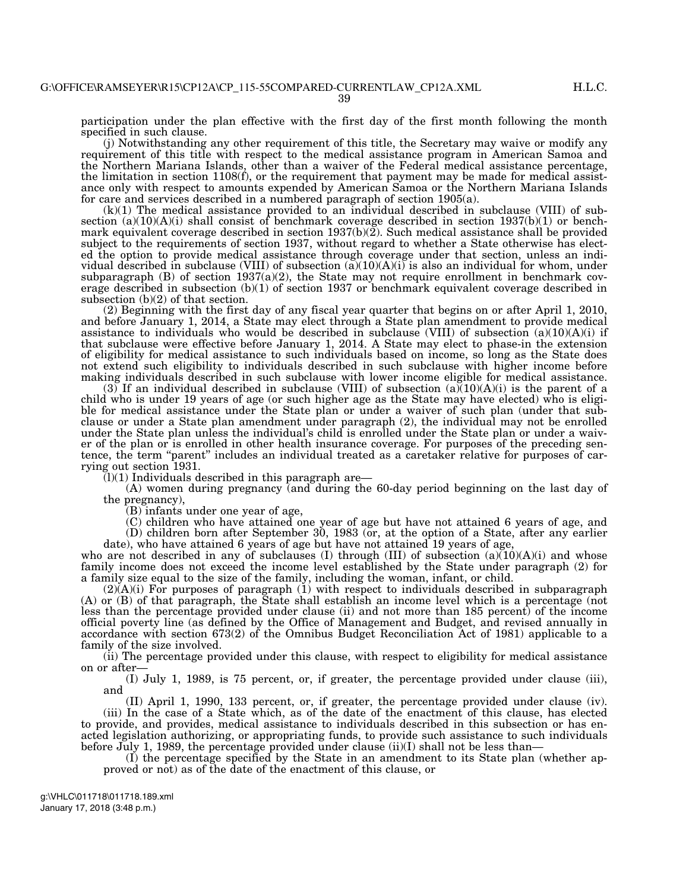participation under the plan effective with the first day of the first month following the month specified in such clause.

(j) Notwithstanding any other requirement of this title, the Secretary may waive or modify any requirement of this title with respect to the medical assistance program in American Samoa and the Northern Mariana Islands, other than a waiver of the Federal medical assistance percentage, the limitation in section 1108(f), or the requirement that payment may be made for medical assistance only with respect to amounts expended by American Samoa or the Northern Mariana Islands for care and services described in a numbered paragraph of section 1905(a).

(k)(1) The medical assistance provided to an individual described in subclause (VIII) of subsection  $(a)(10)(A)(i)$  shall consist of benchmark coverage described in section 1937(b)(1) or benchmark equivalent coverage described in section  $1937(b)(2)$ . Such medical assistance shall be provided subject to the requirements of section 1937, without regard to whether a State otherwise has elected the option to provide medical assistance through coverage under that section, unless an individual described in subclause (VIII) of subsection  $(\tilde{a})(10)(A)(i)$  is also an individual for whom, under subparagraph (B) of section  $1937(a)(2)$ , the State may not require enrollment in benchmark coverage described in subsection (b)(1) of section 1937 or benchmark equivalent coverage described in subsection (b)(2) of that section.

(2) Beginning with the first day of any fiscal year quarter that begins on or after April 1, 2010, and before January 1, 2014, a State may elect through a State plan amendment to provide medical assistance to individuals who would be described in subclause (VIII) of subsection (a)(10)(A)(i) if that subclause were effective before January 1, 2014. A State may elect to phase-in the extension of eligibility for medical assistance to such individuals based on income, so long as the State does not extend such eligibility to individuals described in such subclause with higher income before making individuals described in such subclause with lower income eligible for medical assistance.

(3) If an individual described in subclause (VIII) of subsection  $(a)(10)(A)(i)$  is the parent of a child who is under 19 years of age (or such higher age as the State may have elected) who is eligible for medical assistance under the State plan or under a waiver of such plan (under that subclause or under a State plan amendment under paragraph (2), the individual may not be enrolled under the State plan unless the individual's child is enrolled under the State plan or under a waiver of the plan or is enrolled in other health insurance coverage. For purposes of the preceding sentence, the term ''parent'' includes an individual treated as a caretaker relative for purposes of carrying out section 1931.

 $(1)(1)$  Individuals described in this paragraph are—

(A) women during pregnancy (and during the 60-day period beginning on the last day of the pregnancy),

(B) infants under one year of age,

(C) children who have attained one year of age but have not attained 6 years of age, and (D) children born after September 30, 1983 (or, at the option of a State, after any earlier

date), who have attained 6 years of age but have not attained 19 years of age, who are not described in any of subclauses (I) through (III) of subsection  $(a)(10)(A)(i)$  and whose family income does not exceed the income level established by the State under paragraph (2) for a family size equal to the size of the family, including the woman, infant, or child.

 $(2)(A)(i)$  For purposes of paragraph  $(1)$  with respect to individuals described in subparagraph (A) or (B) of that paragraph, the State shall establish an income level which is a percentage (not less than the percentage provided under clause (ii) and not more than 185 percent) of the income official poverty line (as defined by the Office of Management and Budget, and revised annually in accordance with section 673(2) of the Omnibus Budget Reconciliation Act of 1981) applicable to a family of the size involved.

(ii) The percentage provided under this clause, with respect to eligibility for medical assistance on or after—

(I) July 1, 1989, is 75 percent, or, if greater, the percentage provided under clause (iii), and

(II) April 1, 1990, 133 percent, or, if greater, the percentage provided under clause (iv). (iii) In the case of a State which, as of the date of the enactment of this clause, has elected to provide, and provides, medical assistance to individuals described in this subsection or has enacted legislation authorizing, or appropriating funds, to provide such assistance to such individuals before July 1, 1989, the percentage provided under clause (ii)(I) shall not be less than-

(I) the percentage specified by the State in an amendment to its State plan (whether approved or not) as of the date of the enactment of this clause, or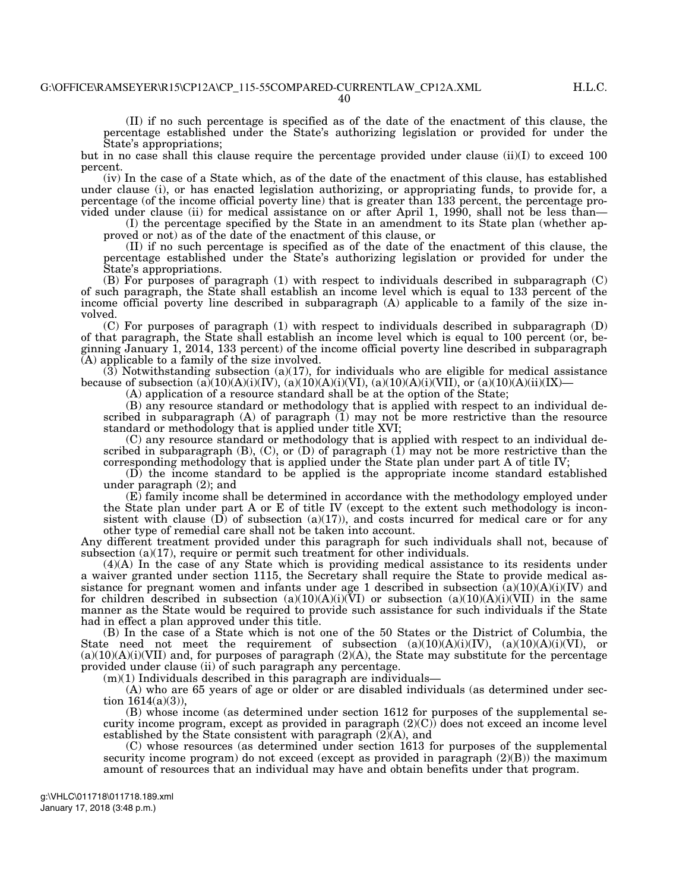(II) if no such percentage is specified as of the date of the enactment of this clause, the percentage established under the State's authorizing legislation or provided for under the State's appropriations;

but in no case shall this clause require the percentage provided under clause (ii)(I) to exceed 100 percent.

(iv) In the case of a State which, as of the date of the enactment of this clause, has established under clause (i), or has enacted legislation authorizing, or appropriating funds, to provide for, a percentage (of the income official poverty line) that is greater than 133 percent, the percentage provided under clause (ii) for medical assistance on or after April 1, 1990, shall not be less than—

(I) the percentage specified by the State in an amendment to its State plan (whether approved or not) as of the date of the enactment of this clause, or

(II) if no such percentage is specified as of the date of the enactment of this clause, the percentage established under the State's authorizing legislation or provided for under the State's appropriations.

(B) For purposes of paragraph (1) with respect to individuals described in subparagraph (C) of such paragraph, the State shall establish an income level which is equal to 133 percent of the income official poverty line described in subparagraph (A) applicable to a family of the size involved.

(C) For purposes of paragraph (1) with respect to individuals described in subparagraph (D) of that paragraph, the State shall establish an income level which is equal to 100 percent (or, beginning January 1, 2014, 133 percent) of the income official poverty line described in subparagraph (A) applicable to a family of the size involved.

(3) Notwithstanding subsection (a)(17), for individuals who are eligible for medical assistance because of subsection  $(a)(10)(A)(i)(IV), (a)(10)(A)(i)(VI), (a)(10)(A)(i)(VII),$  or  $(a)(10)(A)(ii)(IX)$ —

(A) application of a resource standard shall be at the option of the State;

(B) any resource standard or methodology that is applied with respect to an individual described in subparagraph (A) of paragraph (1) may not be more restrictive than the resource standard or methodology that is applied under title XVI;

(C) any resource standard or methodology that is applied with respect to an individual described in subparagraph (B), (C), or (D) of paragraph (1) may not be more restrictive than the corresponding methodology that is applied under the State plan under part A of title IV;

(D) the income standard to be applied is the appropriate income standard established under paragraph (2); and

(E) family income shall be determined in accordance with the methodology employed under the State plan under part A or E of title IV (except to the extent such methodology is inconsistent with clause (D) of subsection (a)(17)), and costs incurred for medical care or for any other type of remedial care shall not be taken into account.

Any different treatment provided under this paragraph for such individuals shall not, because of subsection  $(a)(17)$ , require or permit such treatment for other individuals.

(4)(A) In the case of any State which is providing medical assistance to its residents under a waiver granted under section 1115, the Secretary shall require the State to provide medical assistance for pregnant women and infants under age 1 described in subsection  $(a)(10)(A)(i)(IV)$  and for children described in subsection  $(a)(10)(A)(i)(V)$  or subsection  $(a)(10)(A)(i)(V)$  in the same manner as the State would be required to provide such assistance for such individuals if the State had in effect a plan approved under this title.

(B) In the case of a State which is not one of the 50 States or the District of Columbia, the State need not meet the requirement of subsection  $(a)(10)(A)(i)(IV)$ ,  $(a)(10)(A)(i)(VI)$ , or  $(a)(10)(A)(i)(VII)$  and, for purposes of paragraph  $(2)(A)$ , the State may substitute for the percentage provided under clause (ii) of such paragraph any percentage.

 $(m)(1)$  Individuals described in this paragraph are individuals—

(A) who are 65 years of age or older or are disabled individuals (as determined under section  $1614(a)(3)$ ),

(B) whose income (as determined under section 1612 for purposes of the supplemental security income program, except as provided in paragraph (2)(C)) does not exceed an income level established by the State consistent with paragraph (2)(A), and

(C) whose resources (as determined under section 1613 for purposes of the supplemental security income program) do not exceed (except as provided in paragraph  $(2)(B)$ ) the maximum amount of resources that an individual may have and obtain benefits under that program.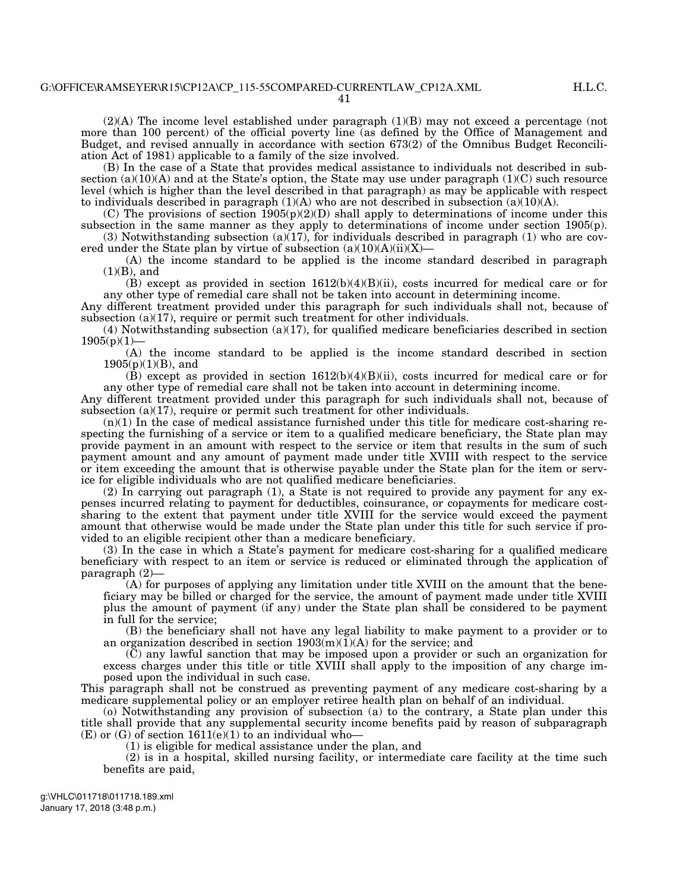41

 $(2)(A)$  The income level established under paragraph  $(1)(B)$  may not exceed a percentage (not more than 100 percent) of the official poverty line (as defined by the Office of Management and Budget, and revised annually in accordance with section 673(2) of the Omnibus Budget Reconciliation Act of 1981) applicable to a family of the size involved.

(B) In the case of a State that provides medical assistance to individuals not described in subsection  $(a)(10)(A)$  and at the State's option, the State may use under paragraph  $(1)(C)$  such resource level (which is higher than the level described in that paragraph) as may be applicable with respect to individuals described in paragraph (1)(A) who are not described in subsection (a)(10)(A).

(C) The provisions of section  $1905(p)(2)(D)$  shall apply to determinations of income under this subsection in the same manner as they apply to determinations of income under section 1905(p).

(3) Notwithstanding subsection  $(a)(17)$ , for individuals described in paragraph (1) who are covered under the State plan by virtue of subsection  $(a)(10)(A)(ii)(X)$ —

(A) the income standard to be applied is the income standard described in paragraph  $(1)(B)$ , and

(B) except as provided in section  $1612(b)(4)(B)(ii)$ , costs incurred for medical care or for any other type of remedial care shall not be taken into account in determining income.

Any different treatment provided under this paragraph for such individuals shall not, because of subsection  $(a)(17)$ , require or permit such treatment for other individuals.

 $(4)$  Notwithstanding subsection  $(a)(17)$ , for qualified medicare beneficiaries described in section  $1905(p)(1)$ 

(A) the income standard to be applied is the income standard described in section 1905(p)(1)(B), and

 $(\bar{B})$  except as provided in section  $1612(b)(4)(B)(ii)$ , costs incurred for medical care or for any other type of remedial care shall not be taken into account in determining income.

Any different treatment provided under this paragraph for such individuals shall not, because of subsection  $(a)(17)$ , require or permit such treatment for other individuals.

 $(n)(1)$  In the case of medical assistance furnished under this title for medicare cost-sharing respecting the furnishing of a service or item to a qualified medicare beneficiary, the State plan may provide payment in an amount with respect to the service or item that results in the sum of such payment amount and any amount of payment made under title XVIII with respect to the service or item exceeding the amount that is otherwise payable under the State plan for the item or service for eligible individuals who are not qualified medicare beneficiaries.

 $(2)$  In carrying out paragraph  $(1)$ , a State is not required to provide any payment for any expenses incurred relating to payment for deductibles, coinsurance, or copayments for medicare costsharing to the extent that payment under title XVIII for the service would exceed the payment amount that otherwise would be made under the State plan under this title for such service if provided to an eligible recipient other than a medicare beneficiary.

(3) In the case in which a State's payment for medicare cost-sharing for a qualified medicare beneficiary with respect to an item or service is reduced or eliminated through the application of paragraph (2)—

(A) for purposes of applying any limitation under title XVIII on the amount that the beneficiary may be billed or charged for the service, the amount of payment made under title XVIII plus the amount of payment (if any) under the State plan shall be considered to be payment in full for the service;

(B) the beneficiary shall not have any legal liability to make payment to a provider or to an organization described in section  $1903(m)(\tilde{1})(A)$  for the service; and

(C) any lawful sanction that may be imposed upon a provider or such an organization for excess charges under this title or title XVIII shall apply to the imposition of any charge imposed upon the individual in such case.

This paragraph shall not be construed as preventing payment of any medicare cost-sharing by a medicare supplemental policy or an employer retiree health plan on behalf of an individual.

(o) Notwithstanding any provision of subsection (a) to the contrary, a State plan under this title shall provide that any supplemental security income benefits paid by reason of subparagraph (E) or (G) of section  $1611(e)(1)$  to an individual who-

(1) is eligible for medical assistance under the plan, and

(2) is in a hospital, skilled nursing facility, or intermediate care facility at the time such benefits are paid,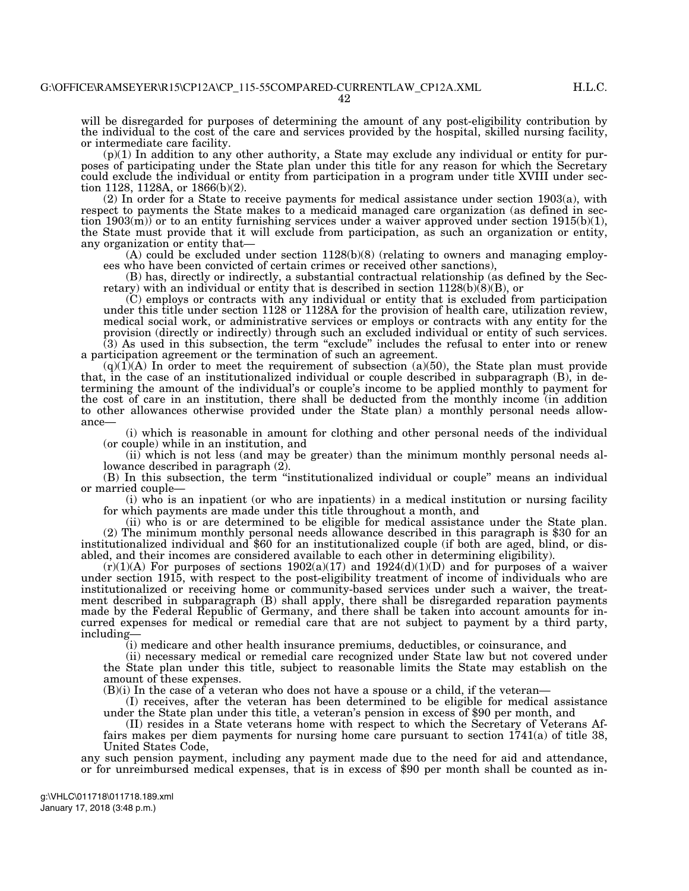will be disregarded for purposes of determining the amount of any post-eligibility contribution by the individual to the cost of the care and services provided by the hospital, skilled nursing facility, or intermediate care facility.

(p)(1) In addition to any other authority, a State may exclude any individual or entity for purposes of participating under the State plan under this title for any reason for which the Secretary could exclude the individual or entity from participation in a program under title XVIII under section 1128, 1128A, or 1866(b)(2).

(2) In order for a State to receive payments for medical assistance under section 1903(a), with respect to payments the State makes to a medicaid managed care organization (as defined in section  $1903(\text{m})$  or to an entity furnishing services under a waiver approved under section  $1915(b)(1)$ , the State must provide that it will exclude from participation, as such an organization or entity, any organization or entity that—

 $(A)$  could be excluded under section 1128 $(b)(8)$  (relating to owners and managing employees who have been convicted of certain crimes or received other sanctions),

(B) has, directly or indirectly, a substantial contractual relationship (as defined by the Secretary) with an individual or entity that is described in section  $1128(b)(8)(B)$ , or

(C) employs or contracts with any individual or entity that is excluded from participation under this title under section 1128 or 1128A for the provision of health care, utilization review, medical social work, or administrative services or employs or contracts with any entity for the provision (directly or indirectly) through such an excluded individual or entity of such services. (3) As used in this subsection, the term ''exclude'' includes the refusal to enter into or renew a participation agreement or the termination of such an agreement.

 $(q)(1)(A)$  In order to meet the requirement of subsection (a)(50), the State plan must provide that, in the case of an institutionalized individual or couple described in subparagraph (B), in determining the amount of the individual's or couple's income to be applied monthly to payment for the cost of care in an institution, there shall be deducted from the monthly income (in addition to other allowances otherwise provided under the State plan) a monthly personal needs allowance—

(i) which is reasonable in amount for clothing and other personal needs of the individual (or couple) while in an institution, and

(ii) which is not less (and may be greater) than the minimum monthly personal needs allowance described in paragraph (2).

(B) In this subsection, the term ''institutionalized individual or couple'' means an individual or married couple—

(i) who is an inpatient (or who are inpatients) in a medical institution or nursing facility for which payments are made under this title throughout a month, and<br>(ii) who is or are determined to be eligible for medical assistance under the State plan.

(2) The minimum monthly personal needs allowance described in this paragraph is \$30 for an institutionalized individual and \$60 for an institutionalized couple (if both are aged, blind, or disabled, and their incomes are considered available to each other in determining eligibility).

 $(r)(1)(A)$  For purposes of sections  $1902(a)(17)$  and  $1924(d)(1)(D)$  and for purposes of a waiver under section 1915, with respect to the post-eligibility treatment of income of individuals who are institutionalized or receiving home or community-based services under such a waiver, the treatment described in subparagraph (B) shall apply, there shall be disregarded reparation payments made by the Federal Republic of Germany, and there shall be taken into account amounts for incurred expenses for medical or remedial care that are not subject to payment by a third party, including—

(i) medicare and other health insurance premiums, deductibles, or coinsurance, and

(ii) necessary medical or remedial care recognized under State law but not covered under the State plan under this title, subject to reasonable limits the State may establish on the amount of these expenses.

(B)(i) In the case of a veteran who does not have a spouse or a child, if the veteran—

(I) receives, after the veteran has been determined to be eligible for medical assistance under the State plan under this title, a veteran's pension in excess of \$90 per month, and

(II) resides in a State veterans home with respect to which the Secretary of Veterans Affairs makes per diem payments for nursing home care pursuant to section 1741(a) of title 38, United States Code,

any such pension payment, including any payment made due to the need for aid and attendance, or for unreimbursed medical expenses, that is in excess of \$90 per month shall be counted as in-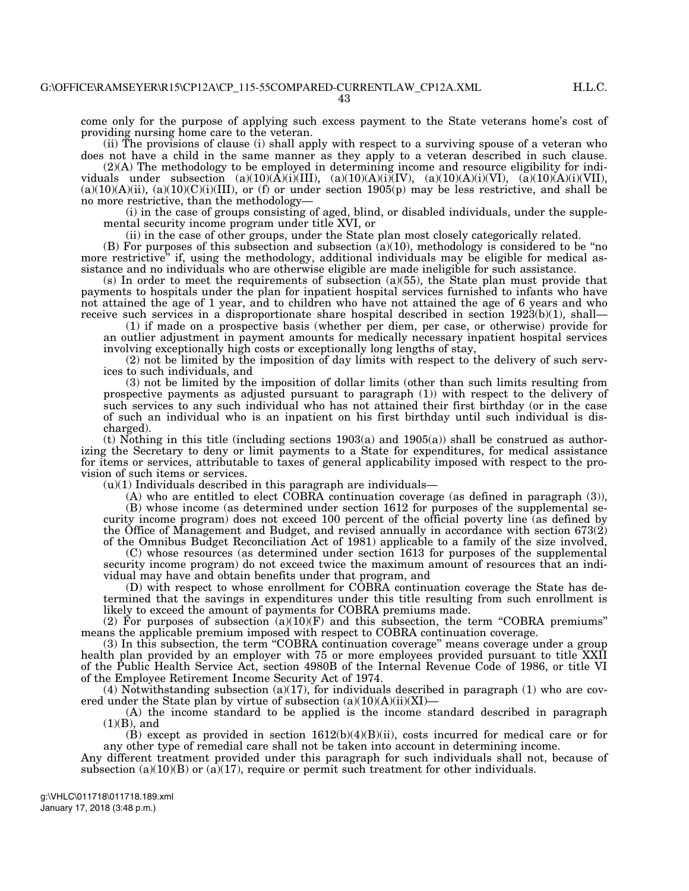come only for the purpose of applying such excess payment to the State veterans home's cost of providing nursing home care to the veteran.

(ii) The provisions of clause (i) shall apply with respect to a surviving spouse of a veteran who does not have a child in the same manner as they apply to a veteran described in such clause.

(2)(A) The methodology to be employed in determining income and resource eligibility for individuals under subsection  $(a)(10)(A)(i)(III)$ ,  $(a)(10)(A)(i)(IV)$ ,  $(a)(10)(A)(i)(VI)$ ,  $(a)(10)(A)(i)(VII)$ ,  $(a)(10)(A)(ii)$ ,  $(a)(10)(C)(i)(III)$ , or (f) or under section 1905(p) may be less restrictive, and shall be no more restrictive, than the methodology—

(i) in the case of groups consisting of aged, blind, or disabled individuals, under the supplemental security income program under title XVI, or

(ii) in the case of other groups, under the State plan most closely categorically related.

(B) For purposes of this subsection and subsection  $(a)(10)$ , methodology is considered to be "no more restrictive'' if, using the methodology, additional individuals may be eligible for medical assistance and no individuals who are otherwise eligible are made ineligible for such assistance.

(s) In order to meet the requirements of subsection (a)(55), the State plan must provide that payments to hospitals under the plan for inpatient hospital services furnished to infants who have not attained the age of 1 year, and to children who have not attained the age of 6 years and who receive such services in a disproportionate share hospital described in section 1923(b)(1), shall—

(1) if made on a prospective basis (whether per diem, per case, or otherwise) provide for an outlier adjustment in payment amounts for medically necessary inpatient hospital services involving exceptionally high costs or exceptionally long lengths of stay,

(2) not be limited by the imposition of day limits with respect to the delivery of such services to such individuals, and

(3) not be limited by the imposition of dollar limits (other than such limits resulting from prospective payments as adjusted pursuant to paragraph (1)) with respect to the delivery of such services to any such individual who has not attained their first birthday (or in the case of such an individual who is an inpatient on his first birthday until such individual is discharged).

(t) Nothing in this title (including sections 1903(a) and 1905(a)) shall be construed as authorizing the Secretary to deny or limit payments to a State for expenditures, for medical assistance for items or services, attributable to taxes of general applicability imposed with respect to the provision of such items or services.

 $(u)(1)$  Individuals described in this paragraph are individuals—

(A) who are entitled to elect COBRA continuation coverage (as defined in paragraph (3)), (B) whose income (as determined under section 1612 for purposes of the supplemental security income program) does not exceed 100 percent of the official poverty line (as defined by the Office of Management and Budget, and revised annually in accordance with section 673(2) of the Omnibus Budget Reconciliation Act of 1981) applicable to a family of the size involved,

(C) whose resources (as determined under section 1613 for purposes of the supplemental security income program) do not exceed twice the maximum amount of resources that an individual may have and obtain benefits under that program, and

(D) with respect to whose enrollment for COBRA continuation coverage the State has determined that the savings in expenditures under this title resulting from such enrollment is likely to exceed the amount of payments for COBRA premiums made.

(2) For purposes of subsection  $(a)(10)(F)$  and this subsection, the term "COBRA premiums" means the applicable premium imposed with respect to COBRA continuation coverage.

(3) In this subsection, the term ''COBRA continuation coverage'' means coverage under a group health plan provided by an employer with 75 or more employees provided pursuant to title XXII of the Public Health Service Act, section 4980B of the Internal Revenue Code of 1986, or title VI of the Employee Retirement Income Security Act of 1974.

(4) Notwithstanding subsection (a)(17), for individuals described in paragraph (1) who are covered under the State plan by virtue of subsection  $(a)(10)(A)(ii)(XI)$ —

(A) the income standard to be applied is the income standard described in paragraph  $(1)(B)$ , and

 $(B)$  except as provided in section  $1612(b)(4)(B)(ii)$ , costs incurred for medical care or for any other type of remedial care shall not be taken into account in determining income.

Any different treatment provided under this paragraph for such individuals shall not, because of subsection (a)(10)(B) or (a)(17), require or permit such treatment for other individuals.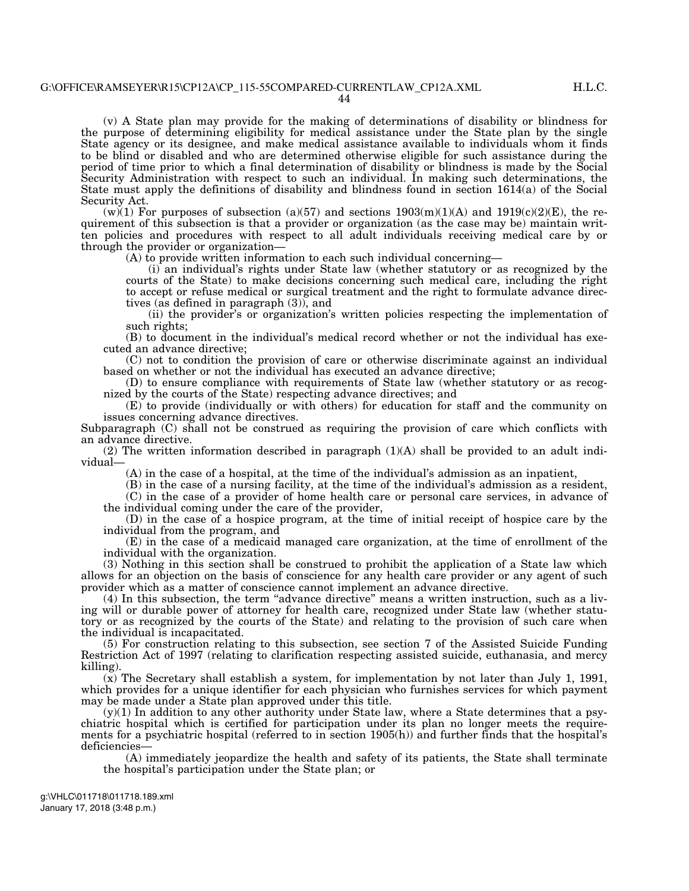H.L.C.

(v) A State plan may provide for the making of determinations of disability or blindness for the purpose of determining eligibility for medical assistance under the State plan by the single State agency or its designee, and make medical assistance available to individuals whom it finds to be blind or disabled and who are determined otherwise eligible for such assistance during the period of time prior to which a final determination of disability or blindness is made by the Social Security Administration with respect to such an individual. In making such determinations, the State must apply the definitions of disability and blindness found in section 1614(a) of the Social Security Act.

 $(w)(1)$  For purposes of subsection (a)(57) and sections 1903(m)(1)(A) and 1919(c)(2)(E), the requirement of this subsection is that a provider or organization (as the case may be) maintain written policies and procedures with respect to all adult individuals receiving medical care by or through the provider or organization—

(A) to provide written information to each such individual concerning—

(i) an individual's rights under State law (whether statutory or as recognized by the courts of the State) to make decisions concerning such medical care, including the right to accept or refuse medical or surgical treatment and the right to formulate advance directives (as defined in paragraph (3)), and

(ii) the provider's or organization's written policies respecting the implementation of such rights;

(B) to document in the individual's medical record whether or not the individual has executed an advance directive;

(C) not to condition the provision of care or otherwise discriminate against an individual based on whether or not the individual has executed an advance directive;

(D) to ensure compliance with requirements of State law (whether statutory or as recognized by the courts of the State) respecting advance directives; and

(E) to provide (individually or with others) for education for staff and the community on issues concerning advance directives.

Subparagraph (C) shall not be construed as requiring the provision of care which conflicts with an advance directive.

 $(2)$  The written information described in paragraph  $(1)(A)$  shall be provided to an adult individual—

(A) in the case of a hospital, at the time of the individual's admission as an inpatient,

(B) in the case of a nursing facility, at the time of the individual's admission as a resident,

(C) in the case of a provider of home health care or personal care services, in advance of the individual coming under the care of the provider,

(D) in the case of a hospice program, at the time of initial receipt of hospice care by the individual from the program, and

(E) in the case of a medicaid managed care organization, at the time of enrollment of the individual with the organization.

(3) Nothing in this section shall be construed to prohibit the application of a State law which allows for an objection on the basis of conscience for any health care provider or any agent of such provider which as a matter of conscience cannot implement an advance directive.

(4) In this subsection, the term ''advance directive'' means a written instruction, such as a living will or durable power of attorney for health care, recognized under State law (whether statutory or as recognized by the courts of the State) and relating to the provision of such care when the individual is incapacitated.

(5) For construction relating to this subsection, see section 7 of the Assisted Suicide Funding Restriction Act of 1997 (relating to clarification respecting assisted suicide, euthanasia, and mercy killing).

 $(\bar{x})$  The Secretary shall establish a system, for implementation by not later than July 1, 1991, which provides for a unique identifier for each physician who furnishes services for which payment may be made under a State plan approved under this title.

 $(y)(1)$  In addition to any other authority under State law, where a State determines that a psychiatric hospital which is certified for participation under its plan no longer meets the requirements for a psychiatric hospital (referred to in section 1905(h)) and further finds that the hospital's deficiencies—

(A) immediately jeopardize the health and safety of its patients, the State shall terminate the hospital's participation under the State plan; or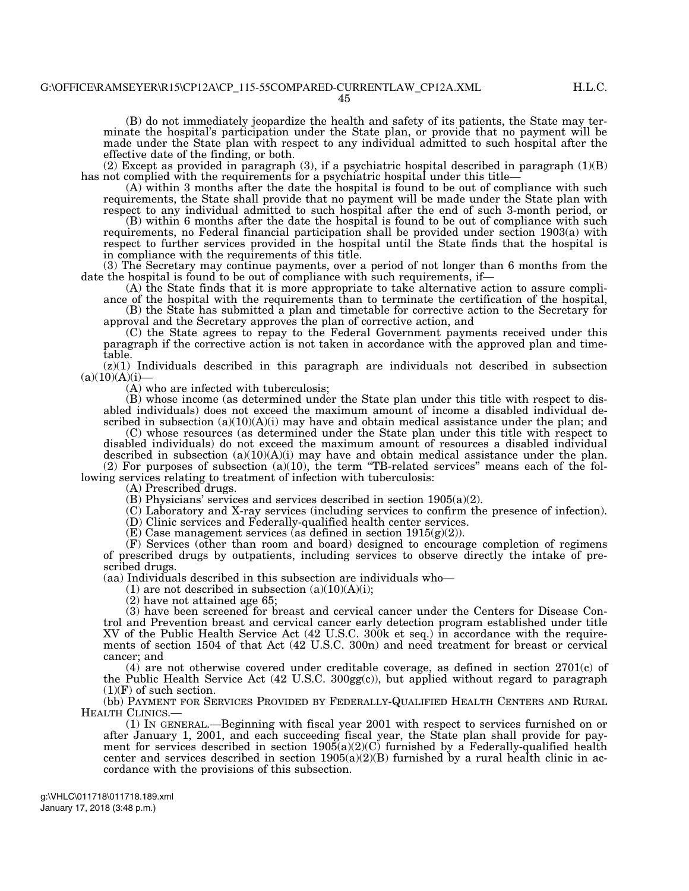45

(B) do not immediately jeopardize the health and safety of its patients, the State may terminate the hospital's participation under the State plan, or provide that no payment will be made under the State plan with respect to any individual admitted to such hospital after the effective date of the finding, or both.

(2) Except as provided in paragraph (3), if a psychiatric hospital described in paragraph (1)(B) has not complied with the requirements for a psychiatric hospital under this title—

(A) within 3 months after the date the hospital is found to be out of compliance with such requirements, the State shall provide that no payment will be made under the State plan with respect to any individual admitted to such hospital after the end of such 3-month period, or

(B) within 6 months after the date the hospital is found to be out of compliance with such requirements, no Federal financial participation shall be provided under section 1903(a) with respect to further services provided in the hospital until the State finds that the hospital is in compliance with the requirements of this title.

(3) The Secretary may continue payments, over a period of not longer than 6 months from the date the hospital is found to be out of compliance with such requirements, if—

(A) the State finds that it is more appropriate to take alternative action to assure compliance of the hospital with the requirements than to terminate the certification of the hospital,

(B) the State has submitted a plan and timetable for corrective action to the Secretary for approval and the Secretary approves the plan of corrective action, and

(C) the State agrees to repay to the Federal Government payments received under this paragraph if the corrective action is not taken in accordance with the approved plan and timetable.

 $(z)(1)$  Individuals described in this paragraph are individuals not described in subsection  $(a)(10)(A)(i)$ 

(A) who are infected with tuberculosis;

(B) whose income (as determined under the State plan under this title with respect to disabled individuals) does not exceed the maximum amount of income a disabled individual described in subsection  $(a)(10)(A)(i)$  may have and obtain medical assistance under the plan; and

(C) whose resources (as determined under the State plan under this title with respect to disabled individuals) do not exceed the maximum amount of resources a disabled individual described in subsection  $(a)(10)(A)(i)$  may have and obtain medical assistance under the plan.  $(2)$  For purposes of subsection  $(a)(10)$ , the term "TB-related services" means each of the fol-

lowing services relating to treatment of infection with tuberculosis:

(A) Prescribed drugs.

(B) Physicians' services and services described in section 1905(a)(2).

(C) Laboratory and X-ray services (including services to confirm the presence of infection).

(D) Clinic services and Federally-qualified health center services.

(E) Case management services (as defined in section  $1915(g)(2)$ ).

(F) Services (other than room and board) designed to encourage completion of regimens of prescribed drugs by outpatients, including services to observe directly the intake of prescribed drugs.

(aa) Individuals described in this subsection are individuals who—

(1) are not described in subsection  $(a)(10)(A)(i)$ ;

 $(2)$  have not attained age 65;

(3) have been screened for breast and cervical cancer under the Centers for Disease Control and Prevention breast and cervical cancer early detection program established under title XV of the Public Health Service Act (42 U.S.C. 300k et seq.) in accordance with the requirements of section 1504 of that Act (42 U.S.C. 300n) and need treatment for breast or cervical cancer; and

(4) are not otherwise covered under creditable coverage, as defined in section 2701(c) of the Public Health Service Act  $(42 \text{ U.S.C. } 300 \text{gg}(c))$ , but applied without regard to paragraph  $(1)(F)$  of such section.

(bb) PAYMENT FOR SERVICES PROVIDED BY FEDERALLY-QUALIFIED HEALTH CENTERS AND RURAL HEALTH CLINICS.—

(1) IN GENERAL.—Beginning with fiscal year 2001 with respect to services furnished on or after January 1, 2001, and each succeeding fiscal year, the State plan shall provide for payment for services described in section  $1905(a)(2)(C)$  furnished by a Federally-qualified health center and services described in section  $1905(a)(2)(B)$  furnished by a rural health clinic in accordance with the provisions of this subsection.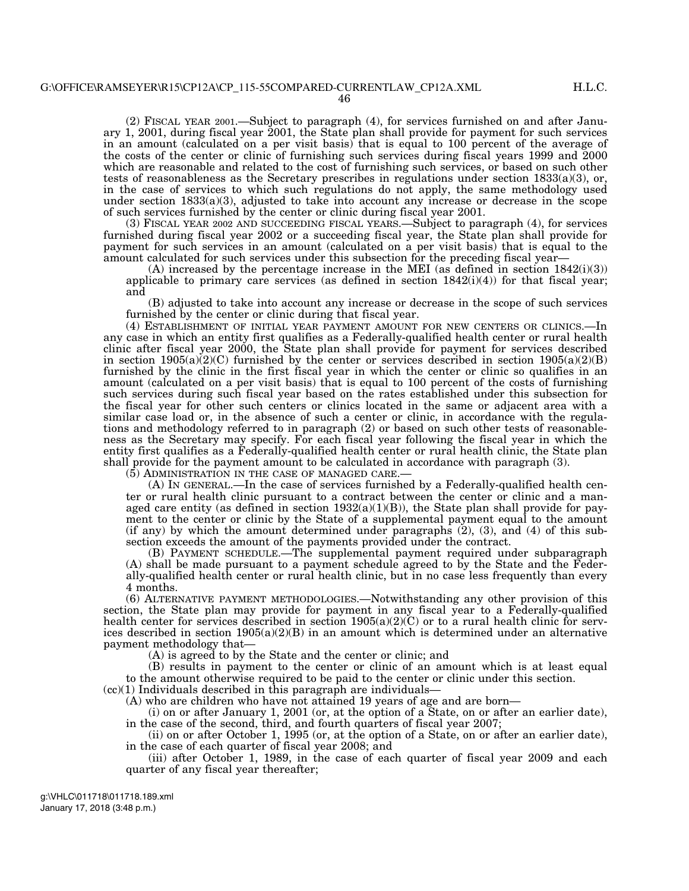H.L.C.

(2) FISCAL YEAR 2001.—Subject to paragraph (4), for services furnished on and after January 1, 2001, during fiscal year 2001, the State plan shall provide for payment for such services in an amount (calculated on a per visit basis) that is equal to 100 percent of the average of the costs of the center or clinic of furnishing such services during fiscal years 1999 and 2000 which are reasonable and related to the cost of furnishing such services, or based on such other tests of reasonableness as the Secretary prescribes in regulations under section 1833(a)(3), or, in the case of services to which such regulations do not apply, the same methodology used under section 1833(a)(3), adjusted to take into account any increase or decrease in the scope of such services furnished by the center or clinic during fiscal year 2001.

(3) FISCAL YEAR 2002 AND SUCCEEDING FISCAL YEARS.—Subject to paragraph (4), for services furnished during fiscal year 2002 or a succeeding fiscal year, the State plan shall provide for payment for such services in an amount (calculated on a per visit basis) that is equal to the amount calculated for such services under this subsection for the preceding fiscal year—

(A) increased by the percentage increase in the MEI (as defined in section  $1842(i)(3)$ ) applicable to primary care services (as defined in section  $1842(i)(4)$ ) for that fiscal year; and

(B) adjusted to take into account any increase or decrease in the scope of such services furnished by the center or clinic during that fiscal year.

(4) ESTABLISHMENT OF INITIAL YEAR PAYMENT AMOUNT FOR NEW CENTERS OR CLINICS.—In any case in which an entity first qualifies as a Federally-qualified health center or rural health clinic after fiscal year 2000, the State plan shall provide for payment for services described in section  $1905(a)(2)(C)$  furnished by the center or services described in section  $1905(a)(2)(B)$ furnished by the clinic in the first fiscal year in which the center or clinic so qualifies in an amount (calculated on a per visit basis) that is equal to 100 percent of the costs of furnishing such services during such fiscal year based on the rates established under this subsection for the fiscal year for other such centers or clinics located in the same or adjacent area with a similar case load or, in the absence of such a center or clinic, in accordance with the regulations and methodology referred to in paragraph (2) or based on such other tests of reasonableness as the Secretary may specify. For each fiscal year following the fiscal year in which the entity first qualifies as a Federally-qualified health center or rural health clinic, the State plan shall provide for the payment amount to be calculated in accordance with paragraph (3).

 $(5)$  ADMINISTRATION IN THE CASE OF MANAGED CARE.

(A) IN GENERAL.—In the case of services furnished by a Federally-qualified health center or rural health clinic pursuant to a contract between the center or clinic and a managed care entity (as defined in section  $1932(a)(1)(B)$ ), the State plan shall provide for payment to the center or clinic by the State of a supplemental payment equal to the amount (if any) by which the amount determined under paragraphs (2), (3), and (4) of this subsection exceeds the amount of the payments provided under the contract.

(B) PAYMENT SCHEDULE.—The supplemental payment required under subparagraph (A) shall be made pursuant to a payment schedule agreed to by the State and the Federally-qualified health center or rural health clinic, but in no case less frequently than every 4 months.

(6) ALTERNATIVE PAYMENT METHODOLOGIES.—Notwithstanding any other provision of this section, the State plan may provide for payment in any fiscal year to a Federally-qualified health center for services described in section  $1905(a)(2)(C)$  or to a rural health clinic for services described in section  $1905(a)(2)(B)$  in an amount which is determined under an alternative payment methodology that—

(A) is agreed to by the State and the center or clinic; and

(B) results in payment to the center or clinic of an amount which is at least equal to the amount otherwise required to be paid to the center or clinic under this section.

 $(cc)(1)$  Individuals described in this paragraph are individuals—

(A) who are children who have not attained 19 years of age and are born—

(i) on or after January 1, 2001 (or, at the option of a State, on or after an earlier date), in the case of the second, third, and fourth quarters of fiscal year 2007;

(ii) on or after October 1, 1995 (or, at the option of a State, on or after an earlier date), in the case of each quarter of fiscal year 2008; and

(iii) after October 1, 1989, in the case of each quarter of fiscal year 2009 and each quarter of any fiscal year thereafter;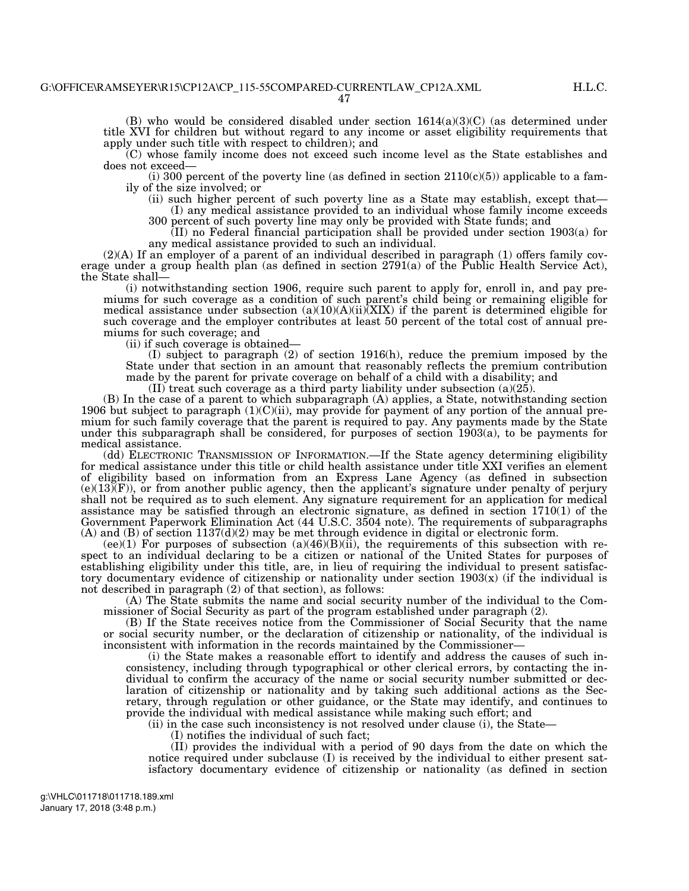47

(B) who would be considered disabled under section  $1614(a)(3)(C)$  (as determined under title XVI for children but without regard to any income or asset eligibility requirements that apply under such title with respect to children); and

(C) whose family income does not exceed such income level as the State establishes and does not exceed—

(i) 300 percent of the poverty line (as defined in section  $2110(c)(5)$ ) applicable to a family of the size involved; or

(ii) such higher percent of such poverty line as a State may establish, except that— (I) any medical assistance provided to an individual whose family income exceeds

300 percent of such poverty line may only be provided with State funds; and

(II) no Federal financial participation shall be provided under section 1903(a) for any medical assistance provided to such an individual.

(2)(A) If an employer of a parent of an individual described in paragraph (1) offers family coverage under a group health plan (as defined in section 2791(a) of the Public Health Service Act), the State shall—

(i) notwithstanding section 1906, require such parent to apply for, enroll in, and pay premiums for such coverage as a condition of such parent's child being or remaining eligible for medical assistance under subsection  $(a)(10)(A)(ii)(XIX)$  if the parent is determined eligible for such coverage and the employer contributes at least 50 percent of the total cost of annual premiums for such coverage; and

(ii) if such coverage is obtained—

(I) subject to paragraph (2) of section 1916(h), reduce the premium imposed by the State under that section in an amount that reasonably reflects the premium contribution made by the parent for private coverage on behalf of a child with a disability; and

(II) treat such coverage as a third party liability under subsection (a)(25).

(B) In the case of a parent to which subparagraph (A) applies, a State, notwithstanding section 1906 but subject to paragraph  $(1)(C)(ii)$ , may provide for payment of any portion of the annual premium for such family coverage that the parent is required to pay. Any payments made by the State under this subparagraph shall be considered, for purposes of section  $1903(a)$ , to be payments for medical assistance.

(dd) ELECTRONIC TRANSMISSION OF INFORMATION.—If the State agency determining eligibility for medical assistance under this title or child health assistance under title XXI verifies an element of eligibility based on information from an Express Lane Agency (as defined in subsection  $(e)(13)(F)$ , or from another public agency, then the applicant's signature under penalty of perjury shall not be required as to such element. Any signature requirement for an application for medical assistance may be satisfied through an electronic signature, as defined in section 1710(1) of the Government Paperwork Elimination Act (44 U.S.C. 3504 note). The requirements of subparagraphs  $(A)$  and  $(B)$  of section 1137 $(d)(2)$  may be met through evidence in digital or electronic form.

 $(ee)(1)$  For purposes of subsection  $(a)(46)(B)(ii)$ , the requirements of this subsection with respect to an individual declaring to be a citizen or national of the United States for purposes of establishing eligibility under this title, are, in lieu of requiring the individual to present satisfactory documentary evidence of citizenship or nationality under section  $1903(x)$  (if the individual is not described in paragraph (2) of that section), as follows:

(A) The State submits the name and social security number of the individual to the Commissioner of Social Security as part of the program established under paragraph (2).

(B) If the State receives notice from the Commissioner of Social Security that the name or social security number, or the declaration of citizenship or nationality, of the individual is inconsistent with information in the records maintained by the Commissioner—

(i) the State makes a reasonable effort to identify and address the causes of such inconsistency, including through typographical or other clerical errors, by contacting the individual to confirm the accuracy of the name or social security number submitted or declaration of citizenship or nationality and by taking such additional actions as the Secretary, through regulation or other guidance, or the State may identify, and continues to provide the individual with medical assistance while making such effort; and

(ii) in the case such inconsistency is not resolved under clause (i), the State—

(I) notifies the individual of such fact;

(II) provides the individual with a period of 90 days from the date on which the notice required under subclause (I) is received by the individual to either present satisfactory documentary evidence of citizenship or nationality (as defined in section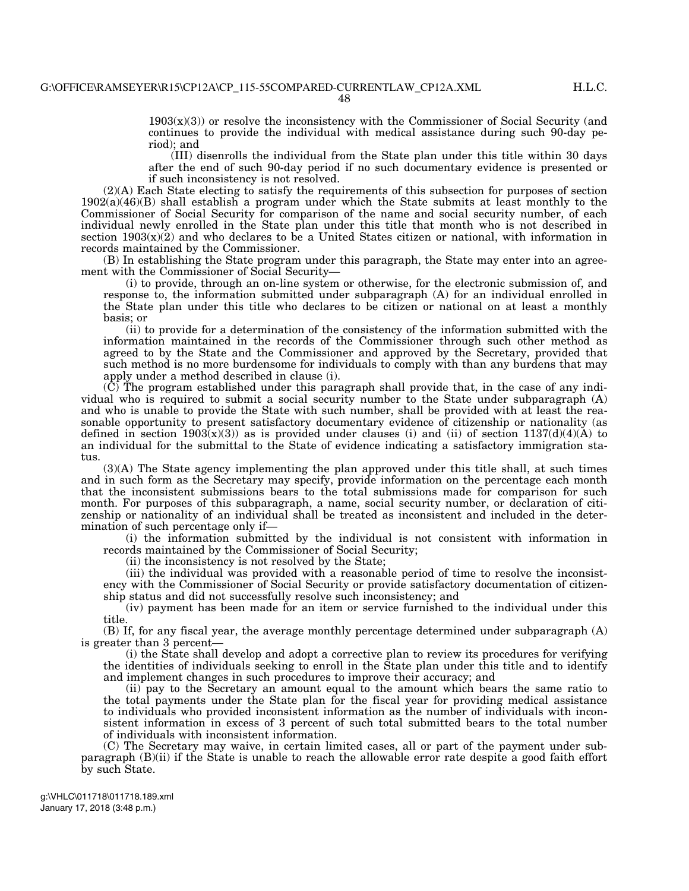$1903(x)(3)$  or resolve the inconsistency with the Commissioner of Social Security (and continues to provide the individual with medical assistance during such 90-day period); and

(III) disenrolls the individual from the State plan under this title within 30 days after the end of such 90-day period if no such documentary evidence is presented or if such inconsistency is not resolved.

(2)(A) Each State electing to satisfy the requirements of this subsection for purposes of section  $1902(a)(46)(B)$  shall establish a program under which the State submits at least monthly to the Commissioner of Social Security for comparison of the name and social security number, of each individual newly enrolled in the State plan under this title that month who is not described in section  $1903(x)(2)$  and who declares to be a United States citizen or national, with information in records maintained by the Commissioner.

(B) In establishing the State program under this paragraph, the State may enter into an agreement with the Commissioner of Social Security—

(i) to provide, through an on-line system or otherwise, for the electronic submission of, and response to, the information submitted under subparagraph (A) for an individual enrolled in the State plan under this title who declares to be citizen or national on at least a monthly basis; or

(ii) to provide for a determination of the consistency of the information submitted with the information maintained in the records of the Commissioner through such other method as agreed to by the State and the Commissioner and approved by the Secretary, provided that such method is no more burdensome for individuals to comply with than any burdens that may apply under a method described in clause (i).

 $(\tilde{C})$  The program established under this paragraph shall provide that, in the case of any individual who is required to submit a social security number to the State under subparagraph (A) and who is unable to provide the State with such number, shall be provided with at least the reasonable opportunity to present satisfactory documentary evidence of citizenship or nationality (as defined in section  $1903(x)(3)$  as is provided under clauses (i) and (ii) of section  $1137(d)(4)(A)$  to an individual for the submittal to the State of evidence indicating a satisfactory immigration status.

(3)(A) The State agency implementing the plan approved under this title shall, at such times and in such form as the Secretary may specify, provide information on the percentage each month that the inconsistent submissions bears to the total submissions made for comparison for such month. For purposes of this subparagraph, a name, social security number, or declaration of citizenship or nationality of an individual shall be treated as inconsistent and included in the determination of such percentage only if—

(i) the information submitted by the individual is not consistent with information in records maintained by the Commissioner of Social Security;

(ii) the inconsistency is not resolved by the State;

(iii) the individual was provided with a reasonable period of time to resolve the inconsistency with the Commissioner of Social Security or provide satisfactory documentation of citizenship status and did not successfully resolve such inconsistency; and

(iv) payment has been made for an item or service furnished to the individual under this title.

(B) If, for any fiscal year, the average monthly percentage determined under subparagraph (A) is greater than 3 percent—

(i) the State shall develop and adopt a corrective plan to review its procedures for verifying the identities of individuals seeking to enroll in the State plan under this title and to identify and implement changes in such procedures to improve their accuracy; and

(ii) pay to the Secretary an amount equal to the amount which bears the same ratio to the total payments under the State plan for the fiscal year for providing medical assistance to individuals who provided inconsistent information as the number of individuals with inconsistent information in excess of 3 percent of such total submitted bears to the total number of individuals with inconsistent information.

(C) The Secretary may waive, in certain limited cases, all or part of the payment under subparagraph (B)(ii) if the State is unable to reach the allowable error rate despite a good faith effort by such State.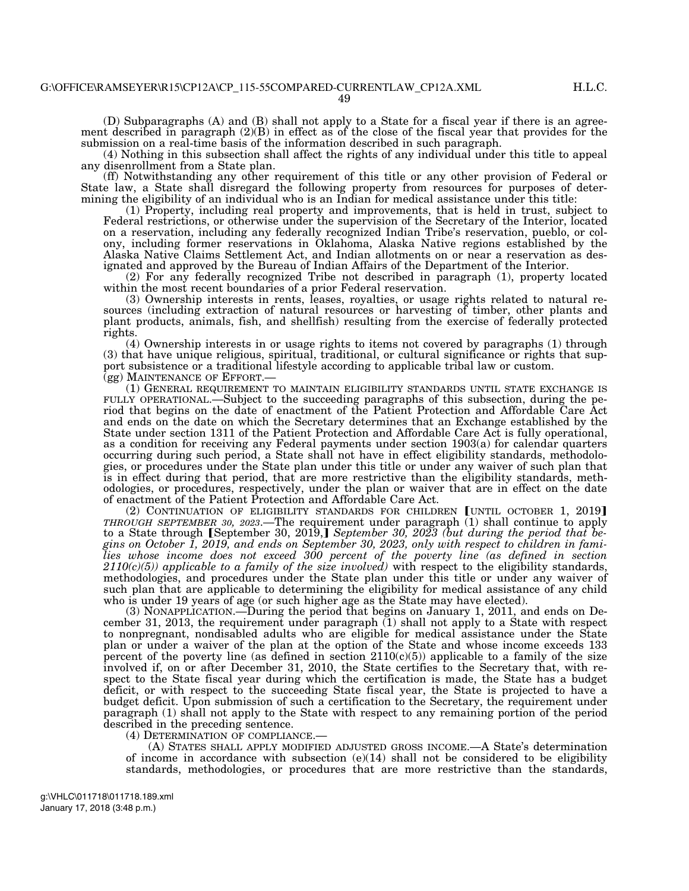49

(D) Subparagraphs (A) and (B) shall not apply to a State for a fiscal year if there is an agreement described in paragraph (2)(B) in effect as of the close of the fiscal year that provides for the submission on a real-time basis of the information described in such paragraph.

(4) Nothing in this subsection shall affect the rights of any individual under this title to appeal any disenrollment from a State plan.

(ff) Notwithstanding any other requirement of this title or any other provision of Federal or State law, a State shall disregard the following property from resources for purposes of determining the eligibility of an individual who is an Indian for medical assistance under this title:

(1) Property, including real property and improvements, that is held in trust, subject to Federal restrictions, or otherwise under the supervision of the Secretary of the Interior, located on a reservation, including any federally recognized Indian Tribe's reservation, pueblo, or colony, including former reservations in Oklahoma, Alaska Native regions established by the Alaska Native Claims Settlement Act, and Indian allotments on or near a reservation as designated and approved by the Bureau of Indian Affairs of the Department of the Interior.

(2) For any federally recognized Tribe not described in paragraph (1), property located within the most recent boundaries of a prior Federal reservation.

(3) Ownership interests in rents, leases, royalties, or usage rights related to natural resources (including extraction of natural resources or harvesting of timber, other plants and plant products, animals, fish, and shellfish) resulting from the exercise of federally protected rights.

(4) Ownership interests in or usage rights to items not covered by paragraphs (1) through (3) that have unique religious, spiritual, traditional, or cultural significance or rights that support subsistence or a traditional lifestyle according to applicable tribal law or custom.<br>(gg) MAINTENANCE OF EFFORT.—

(1) GENERAL REQUIREMENT TO MAINTAIN ELIGIBILITY STANDARDS UNTIL STATE EXCHANGE IS FULLY OPERATIONAL.—Subject to the succeeding paragraphs of this subsection, during the period that begins on the date of enactment of the Patient Protection and Affordable Care Act and ends on the date on which the Secretary determines that an Exchange established by the State under section 1311 of the Patient Protection and Affordable Care Act is fully operational, as a condition for receiving any Federal payments under section 1903(a) for calendar quarters occurring during such period, a State shall not have in effect eligibility standards, methodologies, or procedures under the State plan under this title or under any waiver of such plan that is in effect during that period, that are more restrictive than the eligibility standards, methodologies, or procedures, respectively, under the plan or waiver that are in effect on the date of enactment of the Patient Protection and Affordable Care Act.

 $(2)$  CONTINUATION OF ELIGIBILITY STANDARDS FOR CHILDREN [UNTIL OCTOBER 1, 2019] *THROUGH SEPTEMBER 30, 2023*.—The requirement under paragraph (1) shall continue to apply to a State through [September 30, 2019,] *September 30, 2023 (but during the period that begins on October 1, 2019, and ends on September 30, 2023, only with respect to children in families whose income does not exceed 300 percent of the poverty line (as defined in section 2110(c)(5)) applicable to a family of the size involved)* with respect to the eligibility standards, methodologies, and procedures under the State plan under this title or under any waiver of such plan that are applicable to determining the eligibility for medical assistance of any child who is under 19 years of age (or such higher age as the State may have elected).

(3) NONAPPLICATION.—During the period that begins on January 1, 2011, and ends on December 31, 2013, the requirement under paragraph (1) shall not apply to a State with respect to nonpregnant, nondisabled adults who are eligible for medical assistance under the State plan or under a waiver of the plan at the option of the State and whose income exceeds 133 percent of the poverty line (as defined in section  $2110(c)(5)$ ) applicable to a family of the size involved if, on or after December 31, 2010, the State certifies to the Secretary that, with respect to the State fiscal year during which the certification is made, the State has a budget deficit, or with respect to the succeeding State fiscal year, the State is projected to have a budget deficit. Upon submission of such a certification to the Secretary, the requirement under paragraph (1) shall not apply to the State with respect to any remaining portion of the period described in the preceding sentence.

(4) DETERMINATION OF COMPLIANCE.—

(A) STATES SHALL APPLY MODIFIED ADJUSTED GROSS INCOME.—A State's determination of income in accordance with subsection  $(e)(14)$  shall not be considered to be eligibility standards, methodologies, or procedures that are more restrictive than the standards,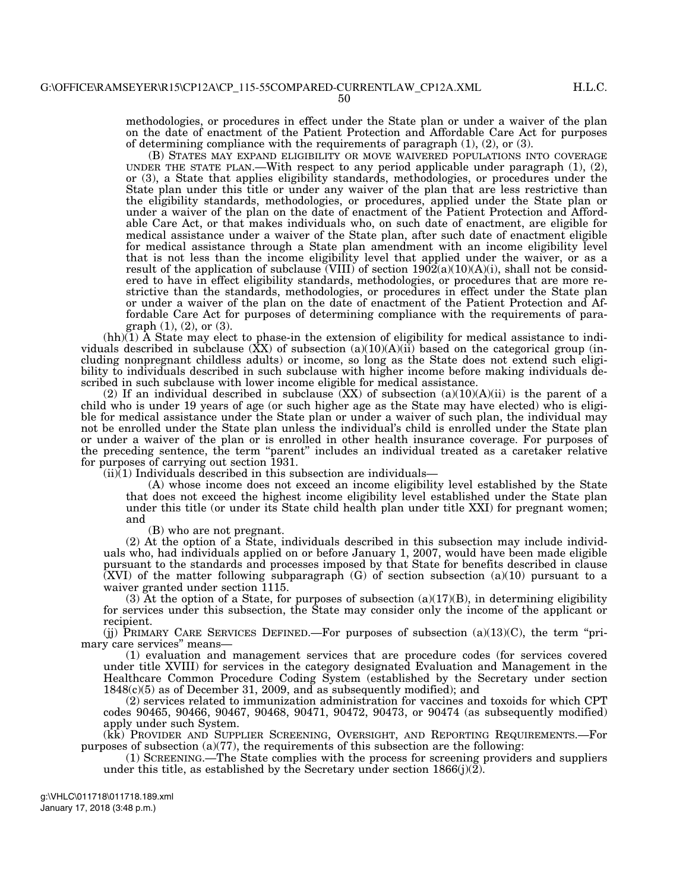H.L.C.

methodologies, or procedures in effect under the State plan or under a waiver of the plan on the date of enactment of the Patient Protection and Affordable Care Act for purposes of determining compliance with the requirements of paragraph  $(1)$ ,  $(2)$ , or  $(3)$ .

(B) STATES MAY EXPAND ELIGIBILITY OR MOVE WAIVERED POPULATIONS INTO COVERAGE UNDER THE STATE PLAN.—With respect to any period applicable under paragraph (1), (2), or (3), a State that applies eligibility standards, methodologies, or procedures under the State plan under this title or under any waiver of the plan that are less restrictive than the eligibility standards, methodologies, or procedures, applied under the State plan or under a waiver of the plan on the date of enactment of the Patient Protection and Affordable Care Act, or that makes individuals who, on such date of enactment, are eligible for medical assistance under a waiver of the State plan, after such date of enactment eligible for medical assistance through a State plan amendment with an income eligibility level that is not less than the income eligibility level that applied under the waiver, or as a result of the application of subclause (VIII) of section  $1902(a)(10)(A)(i)$ , shall not be considered to have in effect eligibility standards, methodologies, or procedures that are more restrictive than the standards, methodologies, or procedures in effect under the State plan or under a waiver of the plan on the date of enactment of the Patient Protection and Affordable Care Act for purposes of determining compliance with the requirements of paragraph  $(1)$ ,  $(2)$ , or  $(3)$ .

 $(hh)(1)$  A State may elect to phase-in the extension of eligibility for medical assistance to individuals described in subclause  $(\overline{XX})$  of subsection  $(a)(10)(A)(ii)$  based on the categorical group (including nonpregnant childless adults) or income, so long as the State does not extend such eligibility to individuals described in such subclause with higher income before making individuals described in such subclause with lower income eligible for medical assistance.

(2) If an individual described in subclause  $(XX)$  of subsection  $(a)(10)(A)(ii)$  is the parent of a child who is under 19 years of age (or such higher age as the State may have elected) who is eligible for medical assistance under the State plan or under a waiver of such plan, the individual may not be enrolled under the State plan unless the individual's child is enrolled under the State plan or under a waiver of the plan or is enrolled in other health insurance coverage. For purposes of the preceding sentence, the term ''parent'' includes an individual treated as a caretaker relative for purposes of carrying out section 1931.

 $(iii)(1)$  Individuals described in this subsection are individuals—

(A) whose income does not exceed an income eligibility level established by the State that does not exceed the highest income eligibility level established under the State plan under this title (or under its State child health plan under title XXI) for pregnant women; and

(B) who are not pregnant.

(2) At the option of a State, individuals described in this subsection may include individuals who, had individuals applied on or before January 1, 2007, would have been made eligible pursuant to the standards and processes imposed by that State for benefits described in clause  $(XVI)$  of the matter following subparagraph  $(G)$  of section subsection  $(a)(10)$  pursuant to a waiver granted under section 1115.

(3) At the option of a State, for purposes of subsection  $(a)(17)(B)$ , in determining eligibility for services under this subsection, the State may consider only the income of the applicant or recipient.

(ii) PRIMARY CARE SERVICES DEFINED.—For purposes of subsection  $(a)(13)(C)$ , the term "primary care services'' means—

(1) evaluation and management services that are procedure codes (for services covered under title XVIII) for services in the category designated Evaluation and Management in the Healthcare Common Procedure Coding System (established by the Secretary under section 1848(c)(5) as of December 31, 2009, and as subsequently modified); and

(2) services related to immunization administration for vaccines and toxoids for which CPT codes 90465, 90466, 90467, 90468, 90471, 90472, 90473, or 90474 (as subsequently modified) apply under such System.

(kk) PROVIDER AND SUPPLIER SCREENING, OVERSIGHT, AND REPORTING REQUIREMENTS.—For purposes of subsection  $(a)(77)$ , the requirements of this subsection are the following:

(1) SCREENING.—The State complies with the process for screening providers and suppliers under this title, as established by the Secretary under section  $1866(j)(2)$ .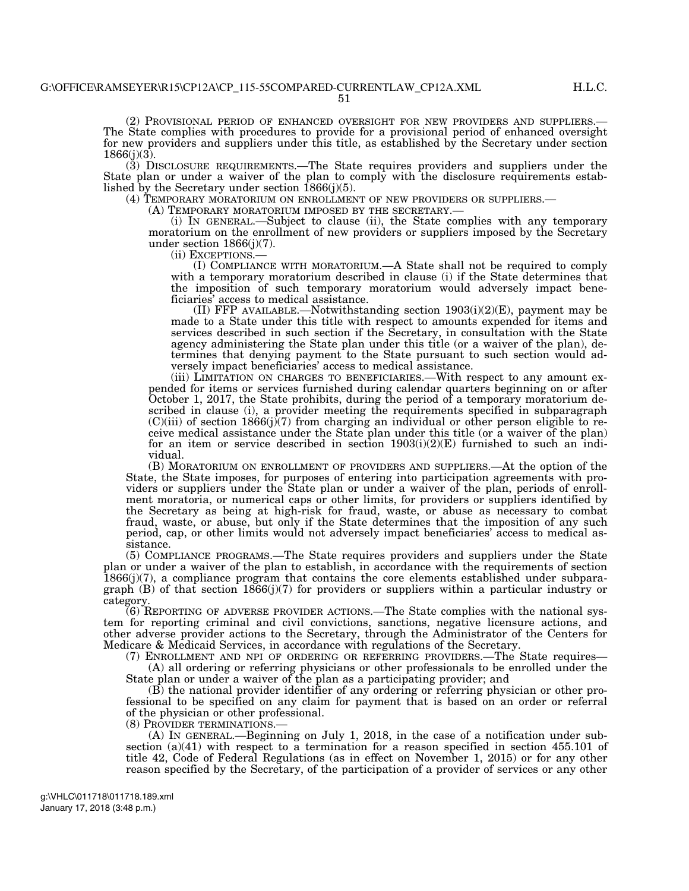(2) PROVISIONAL PERIOD OF ENHANCED OVERSIGHT FOR NEW PROVIDERS AND SUPPLIERS.— The State complies with procedures to provide for a provisional period of enhanced oversight for new providers and suppliers under this title, as established by the Secretary under section  $1866(j)(3)$ .

(3) DISCLOSURE REQUIREMENTS.—The State requires providers and suppliers under the State plan or under a waiver of the plan to comply with the disclosure requirements established by the Secretary under section 1866(j)(5).<br>
(4) TEMPORARY MORATORIUM ON ENROLLMENT OF NEW PROVIDERS OR SUPPLIERS.—

(A) TEMPORARY MORATORIUM IMPOSED BY THE SECRETARY.—<br>(i) IN GENERAL.—Subject to clause (ii), the State complies with any temporary moratorium on the enrollment of new providers or suppliers imposed by the Secretary under section  $1866(j)(7)$ .<br>(ii) EXCEPTIONS.—

I) COMPLIANCE WITH MORATORIUM.—A State shall not be required to comply with a temporary moratorium described in clause (i) if the State determines that the imposition of such temporary moratorium would adversely impact beneficiaries' access to medical assistance.

(II) FFP AVAILABLE.—Notwithstanding section  $1903(i)(2)(E)$ , payment may be made to a State under this title with respect to amounts expended for items and services described in such section if the Secretary, in consultation with the State agency administering the State plan under this title (or a waiver of the plan), determines that denying payment to the State pursuant to such section would adversely impact beneficiaries' access to medical assistance.

(iii) LIMITATION ON CHARGES TO BENEFICIARIES.—With respect to any amount expended for items or services furnished during calendar quarters beginning on or after October 1, 2017, the State prohibits, during the period of a temporary moratorium described in clause (i), a provider meeting the requirements specified in subparagraph  $(C)(iii)$  of section 1866(j)(7) from charging an individual or other person eligible to receive medical assistance under the State plan under this title (or a waiver of the plan) for an item or service described in section  $1903(i)(2)(E)$  furnished to such an individual.

(B) MORATORIUM ON ENROLLMENT OF PROVIDERS AND SUPPLIERS.—At the option of the State, the State imposes, for purposes of entering into participation agreements with providers or suppliers under the State plan or under a waiver of the plan, periods of enrollment moratoria, or numerical caps or other limits, for providers or suppliers identified by the Secretary as being at high-risk for fraud, waste, or abuse as necessary to combat fraud, waste, or abuse, but only if the State determines that the imposition of any such period, cap, or other limits would not adversely impact beneficiaries' access to medical assistance.

(5) COMPLIANCE PROGRAMS.—The State requires providers and suppliers under the State plan or under a waiver of the plan to establish, in accordance with the requirements of section  $1866(j)(7)$ , a compliance program that contains the core elements established under subparagraph (B) of that section  $1866(j)$  for providers or suppliers within a particular industry or category.

(6) REPORTING OF ADVERSE PROVIDER ACTIONS.—The State complies with the national system for reporting criminal and civil convictions, sanctions, negative licensure actions, and other adverse provider actions to the Secretary, through the Administrator of the Centers for Medicare & Medicaid Services, in accordance with regulations of the Secretary.

(7) ENROLLMENT AND NPI OF ORDERING OR REFERRING PROVIDERS.—The State requires— (A) all ordering or referring physicians or other professionals to be enrolled under the State plan or under a waiver of the plan as a participating provider; and

(B) the national provider identifier of any ordering or referring physician or other professional to be specified on any claim for payment that is based on an order or referral of the physician or other professional.

(8) PROVIDER TERMINATIONS.—

(A) IN GENERAL.—Beginning on July 1, 2018, in the case of a notification under subsection  $(a)(41)$  with respect to a termination for a reason specified in section 455.101 of title 42, Code of Federal Regulations (as in effect on November 1, 2015) or for any other reason specified by the Secretary, of the participation of a provider of services or any other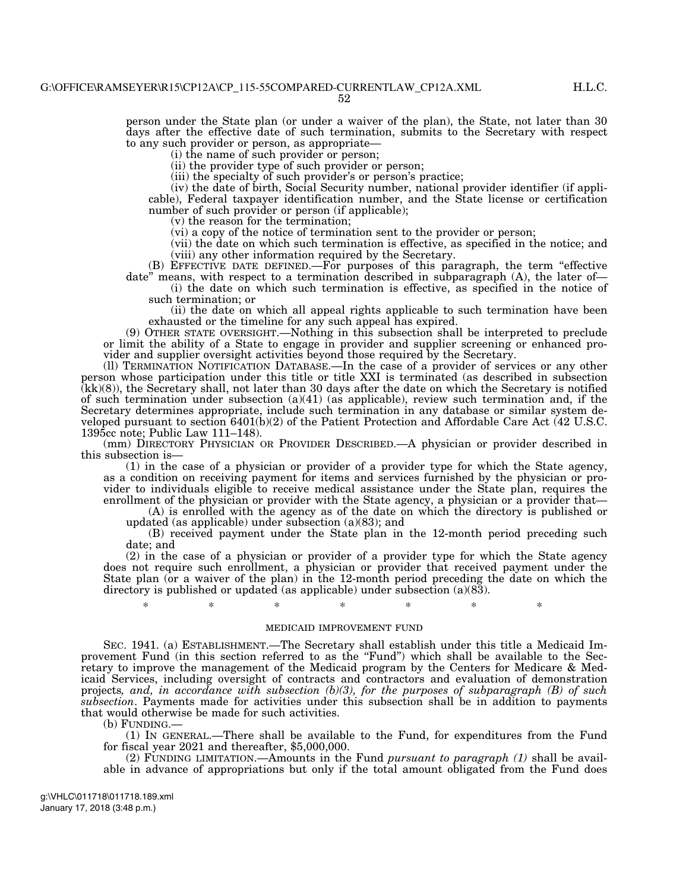person under the State plan (or under a waiver of the plan), the State, not later than 30 days after the effective date of such termination, submits to the Secretary with respect to any such provider or person, as appropriate—

(i) the name of such provider or person;

(ii) the provider type of such provider or person;

(iii) the specialty of such provider's or person's practice;

(iv) the date of birth, Social Security number, national provider identifier (if applicable), Federal taxpayer identification number, and the State license or certification number of such provider or person (if applicable);

(v) the reason for the termination;

(vi) a copy of the notice of termination sent to the provider or person;

(vii) the date on which such termination is effective, as specified in the notice; and (viii) any other information required by the Secretary.

(B) EFFECTIVE DATE DEFINED.—For purposes of this paragraph, the term ''effective date'' means, with respect to a termination described in subparagraph (A), the later of—

(i) the date on which such termination is effective, as specified in the notice of such termination; or

(ii) the date on which all appeal rights applicable to such termination have been exhausted or the timeline for any such appeal has expired.

(9) OTHER STATE OVERSIGHT.—Nothing in this subsection shall be interpreted to preclude or limit the ability of a State to engage in provider and supplier screening or enhanced provider and supplier oversight activities beyond those required by the Secretary.

(ll) TERMINATION NOTIFICATION DATABASE.—In the case of a provider of services or any other person whose participation under this title or title XXI is terminated (as described in subsection (kk)(8)), the Secretary shall, not later than 30 days after the date on which the Secretary is notified of such termination under subsection  $(a)(41)$  (as applicable), review such termination and, if the Secretary determines appropriate, include such termination in any database or similar system developed pursuant to section  $6401(b)(2)$  of the Patient Protection and Affordable Care Act (42 U.S.C. 1395cc note; Public Law 111–148).

(mm) DIRECTORY PHYSICIAN OR PROVIDER DESCRIBED.—A physician or provider described in this subsection is—

(1) in the case of a physician or provider of a provider type for which the State agency, as a condition on receiving payment for items and services furnished by the physician or provider to individuals eligible to receive medical assistance under the State plan, requires the enrollment of the physician or provider with the State agency, a physician or a provider that—

(A) is enrolled with the agency as of the date on which the directory is published or updated (as applicable) under subsection (a)(83); and

(B) received payment under the State plan in the 12-month period preceding such date; and

(2) in the case of a physician or provider of a provider type for which the State agency does not require such enrollment, a physician or provider that received payment under the State plan (or a waiver of the plan) in the 12-month period preceding the date on which the directory is published or updated (as applicable) under subsection (a)(83).

\* \* \* \* \* \* \* \*

#### MEDICAID IMPROVEMENT FUND

SEC. 1941. (a) ESTABLISHMENT.—The Secretary shall establish under this title a Medicaid Improvement Fund (in this section referred to as the ''Fund'') which shall be available to the Secretary to improve the management of the Medicaid program by the Centers for Medicare & Medicaid Services, including oversight of contracts and contractors and evaluation of demonstration projects*, and, in accordance with subsection (b)(3), for the purposes of subparagraph (B) of such subsection*. Payments made for activities under this subsection shall be in addition to payments that would otherwise be made for such activities.

(b) FUNDING.—

(1) IN GENERAL.—There shall be available to the Fund, for expenditures from the Fund for fiscal year 2021 and thereafter, \$5,000,000.

(2) FUNDING LIMITATION.—Amounts in the Fund *pursuant to paragraph (1)* shall be available in advance of appropriations but only if the total amount obligated from the Fund does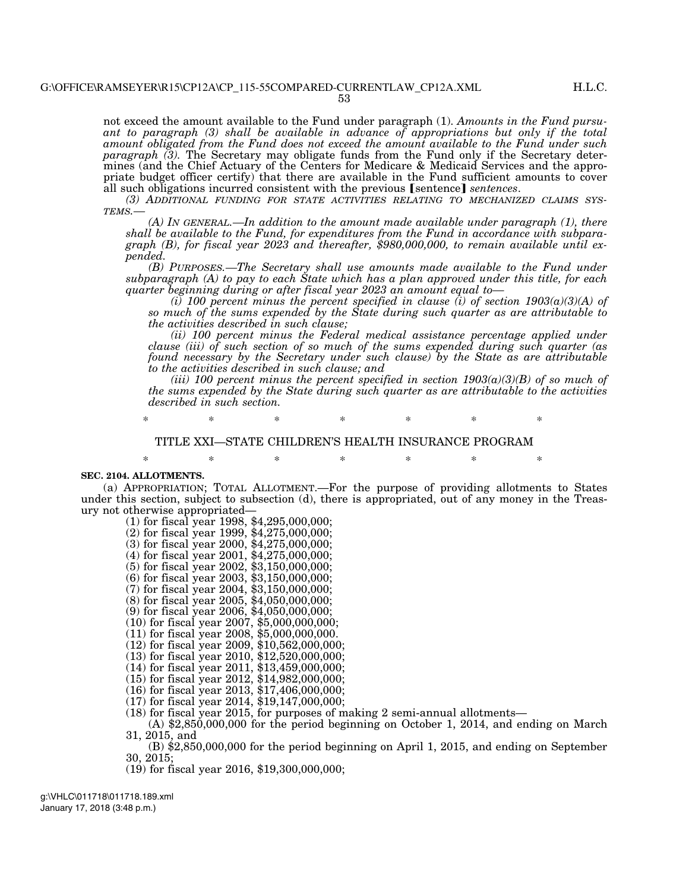53

H.L.C.

not exceed the amount available to the Fund under paragraph (1). *Amounts in the Fund pursuant to paragraph (3) shall be available in advance of appropriations but only if the total amount obligated from the Fund does not exceed the amount available to the Fund under such paragraph (3).* The Secretary may obligate funds from the Fund only if the Secretary determines (and the Chief Actuary of the Centers for Medicare & Medicaid Services and the appropriate budget officer certify) that there are available in the Fund sufficient amounts to cover all such obligations incurred consistent with the previous [sentence] *sentences*.

(3) ADDITIONAL FUNDING FOR STATE ACTIVITIES RELATING TO MECHANIZED CLAIMS SYSTEMS.<br>  $(A)$  IN GENERAL.—In addition to the amount made available under paragraph (1), there

*shall be available to the Fund, for expenditures from the Fund in accordance with subparagraph (B), for fiscal year 2023 and thereafter, \$980,000,000, to remain available until expended.* 

*(B) PURPOSES.—The Secretary shall use amounts made available to the Fund under subparagraph (A) to pay to each State which has a plan approved under this title, for each quarter beginning during or after fiscal year 2023 an amount equal to—* 

 $(i)$  100 percent minus the percent specified in clause  $(i)$  of section 1903(a)(3)(A) of *so much of the sums expended by the State during such quarter as are attributable to the activities described in such clause;* 

*(ii) 100 percent minus the Federal medical assistance percentage applied under clause (iii) of such section of so much of the sums expended during such quarter (as found necessary by the Secretary under such clause) by the State as are attributable to the activities described in such clause; and* 

*(iii)* 100 percent minus the percent specified in section  $1903(a)(3)(B)$  of so much of *the sums expended by the State during such quarter as are attributable to the activities described in such section.* 

\* \* \* \* \* \* \* \*

### TITLE XXI—STATE CHILDREN'S HEALTH INSURANCE PROGRAM

\* \* \* \* \* \* \*

### **SEC. 2104. ALLOTMENTS.**

(a) APPROPRIATION; TOTAL ALLOTMENT.—For the purpose of providing allotments to States under this section, subject to subsection (d), there is appropriated, out of any money in the Treasury not otherwise appropriated—

- (1) for fiscal year 1998, \$4,295,000,000;
- (2) for fiscal year 1999, \$4,275,000,000;
- (3) for fiscal year 2000, \$4,275,000,000;
- (4) for fiscal year 2001, \$4,275,000,000;
- (5) for fiscal year 2002, \$3,150,000,000; (6) for fiscal year 2003, \$3,150,000,000;
- (7) for fiscal year 2004, \$3,150,000,000;
- (8) for fiscal year 2005, \$4,050,000,000;
- (9) for fiscal year 2006, \$4,050,000,000;
- (10) for fiscal year 2007, \$5,000,000,000;
- (11) for fiscal year 2008, \$5,000,000,000.
- (12) for fiscal year 2009, \$10,562,000,000;
- (13) for fiscal year 2010, \$12,520,000,000;
- (14) for fiscal year 2011, \$13,459,000,000;
- $(15)$  for fiscal year 2012, \$14,982,000,000;
- (16) for fiscal year 2013, \$17,406,000,000;
- (17) for fiscal year 2014, \$19,147,000,000;
- (18) for fiscal year 2015, for purposes of making 2 semi-annual allotments—

(A) \$2,850,000,000 for the period beginning on October 1, 2014, and ending on March 31, 2015, and

(B) \$2,850,000,000 for the period beginning on April 1, 2015, and ending on September 30, 2015;

(19) for fiscal year 2016, \$19,300,000,000;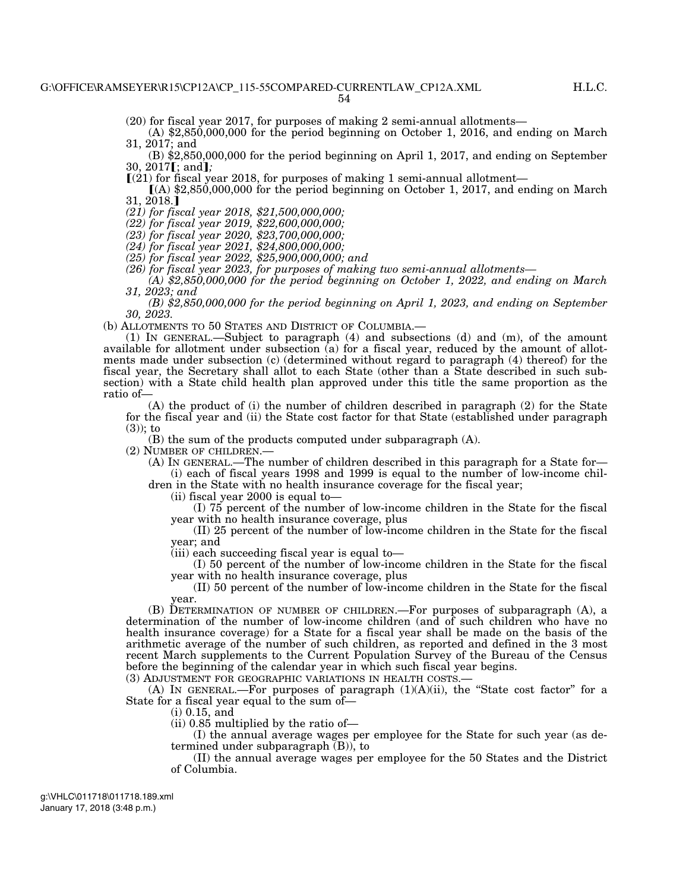(20) for fiscal year 2017, for purposes of making 2 semi-annual allotments—

(A) \$2,850,000,000 for the period beginning on October 1, 2016, and ending on March 31, 2017; and

(B) \$2,850,000,000 for the period beginning on April 1, 2017, and ending on September 30, 2017**[**; and**]**;

 $[(21)$  for fiscal year 2018, for purposes of making 1 semi-annual allotment-

 $(A)$  \$2,850,000,000 for the period beginning on October 1, 2017, and ending on March 31, 2018.]

*(21) for fiscal year 2018, \$21,500,000,000;* 

*(22) for fiscal year 2019, \$22,600,000,000;* 

*(23) for fiscal year 2020, \$23,700,000,000;* 

*(24) for fiscal year 2021, \$24,800,000,000;* 

*(25) for fiscal year 2022, \$25,900,000,000; and* 

*(26) for fiscal year 2023, for purposes of making two semi-annual allotments—* 

*(A) \$2,850,000,000 for the period beginning on October 1, 2022, and ending on March 31, 2023; and* 

*(B) \$2,850,000,000 for the period beginning on April 1, 2023, and ending on September 30, 2023.* 

(b) ALLOTMENTS TO 50 STATES AND DISTRICT OF COLUMBIA.—

(1) IN GENERAL.—Subject to paragraph (4) and subsections (d) and (m), of the amount available for allotment under subsection (a) for a fiscal year, reduced by the amount of allotments made under subsection (c) (determined without regard to paragraph (4) thereof) for the fiscal year, the Secretary shall allot to each State (other than a State described in such subsection) with a State child health plan approved under this title the same proportion as the ratio of—

(A) the product of (i) the number of children described in paragraph (2) for the State for the fiscal year and (ii) the State cost factor for that State (established under paragraph  $(3)$ ; to

(B) the sum of the products computed under subparagraph (A).

(2) NUMBER OF CHILDREN.—

(A) IN GENERAL.—The number of children described in this paragraph for a State for— (i) each of fiscal years 1998 and 1999 is equal to the number of low-income chil-

dren in the State with no health insurance coverage for the fiscal year;

(ii) fiscal year 2000 is equal to—

(I) 75 percent of the number of low-income children in the State for the fiscal year with no health insurance coverage, plus

(II) 25 percent of the number of low-income children in the State for the fiscal year; and

(iii) each succeeding fiscal year is equal to—

(I) 50 percent of the number of low-income children in the State for the fiscal year with no health insurance coverage, plus

(II) 50 percent of the number of low-income children in the State for the fiscal year.

(B) DETERMINATION OF NUMBER OF CHILDREN.—For purposes of subparagraph (A), a determination of the number of low-income children (and of such children who have no health insurance coverage) for a State for a fiscal year shall be made on the basis of the arithmetic average of the number of such children, as reported and defined in the 3 most recent March supplements to the Current Population Survey of the Bureau of the Census before the beginning of the calendar year in which such fiscal year begins.

(3) ADJUSTMENT FOR GEOGRAPHIC VARIATIONS IN HEALTH COSTS.—

(A) IN GENERAL.—For purposes of paragraph (1)(A)(ii), the ''State cost factor'' for a State for a fiscal year equal to the sum of—

(i) 0.15, and

(ii) 0.85 multiplied by the ratio of—

(I) the annual average wages per employee for the State for such year (as determined under subparagraph (B)), to

(II) the annual average wages per employee for the 50 States and the District of Columbia.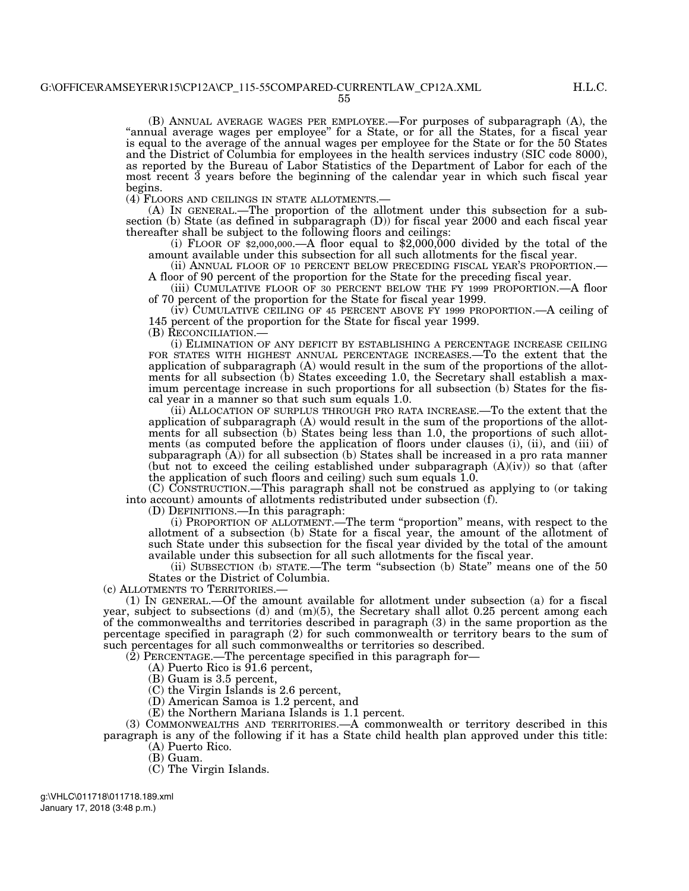55

(B) ANNUAL AVERAGE WAGES PER EMPLOYEE.—For purposes of subparagraph (A), the "annual average wages per employee" for a State, or for all the States, for a fiscal year is equal to the average of the annual wages per employee for the State or for the 50 States and the District of Columbia for employees in the health services industry (SIC code 8000), as reported by the Bureau of Labor Statistics of the Department of Labor for each of the most recent 3 years before the beginning of the calendar year in which such fiscal year begins.<br>(4) FLOORS AND CEILINGS IN STATE ALLOTMENTS.—

 $(A)$  In GENERAL.—The proportion of the allotment under this subsection for a subsection (b) State (as defined in subparagraph (D)) for fiscal year 2000 and each fiscal year thereafter shall be subject to the following floors and ceilings:

(i) FLOOR OF \$2,000,000.—A floor equal to \$2,000,000 divided by the total of the amount available under this subsection for all such allotments for the fiscal year.

A floor of 90 percent of the proportion for the State for the preceding fiscal year.

(iii) CUMULATIVE FLOOR OF 30 PERCENT BELOW THE FY 1999 PROPORTION.—A floor of 70 percent of the proportion for the State for fiscal year 1999.

(iv) CUMULATIVE CEILING OF 45 PERCENT ABOVE FY 1999 PROPORTION.—A ceiling of 145 percent of the proportion for the State for fiscal year 1999.<br>(B) RECONCILIATION.—

(i) ELIMINATION OF ANY DEFICIT BY ESTABLISHING A PERCENTAGE INCREASE CEILING FOR STATES WITH HIGHEST ANNUAL PERCENTAGE INCREASES.—To the extent that the application of subparagraph (A) would result in the sum of the proportions of the allotments for all subsection (b) States exceeding 1.0, the Secretary shall establish a maximum percentage increase in such proportions for all subsection (b) States for the fiscal year in a manner so that such sum equals 1.0.

(ii) ALLOCATION OF SURPLUS THROUGH PRO RATA INCREASE.—To the extent that the application of subparagraph (A) would result in the sum of the proportions of the allotments for all subsection (b) States being less than 1.0, the proportions of such allotments (as computed before the application of floors under clauses (i), (ii), and (iii) of subparagraph  $(A)$ ) for all subsection (b) States shall be increased in a pro rata manner (but not to exceed the ceiling established under subparagraph  $(A)(iv)$ ) so that (after the application of such floors and ceiling) such sum equals 1.0.

(C) CONSTRUCTION.—This paragraph shall not be construed as applying to (or taking into account) amounts of allotments redistributed under subsection (f).

(D) DEFINITIONS.—In this paragraph:

(i) PROPORTION OF ALLOTMENT.—The term ''proportion'' means, with respect to the allotment of a subsection (b) State for a fiscal year, the amount of the allotment of such State under this subsection for the fiscal year divided by the total of the amount available under this subsection for all such allotments for the fiscal year.

(ii) SUBSECTION (b) STATE.—The term ''subsection (b) State'' means one of the 50 States or the District of Columbia.

(c) ALLOTMENTS TO TERRITORIES.—

(1) IN GENERAL.—Of the amount available for allotment under subsection (a) for a fiscal year, subject to subsections (d) and  $(m)(5)$ , the Secretary shall allot 0.25 percent among each of the commonwealths and territories described in paragraph (3) in the same proportion as the percentage specified in paragraph (2) for such commonwealth or territory bears to the sum of such percentages for all such commonwealths or territories so described.

 $(2)$  PERCENTAGE.—The percentage specified in this paragraph for-

 $(A)$  Puerto Rico is  $91.6$  percent,

(B) Guam is 3.5 percent,

(C) the Virgin Islands is 2.6 percent,

(D) American Samoa is 1.2 percent, and

(E) the Northern Mariana Islands is 1.1 percent.

(3) COMMONWEALTHS AND TERRITORIES.—A commonwealth or territory described in this paragraph is any of the following if it has a State child health plan approved under this title: (A) Puerto Rico.

(B) Guam.

(C) The Virgin Islands.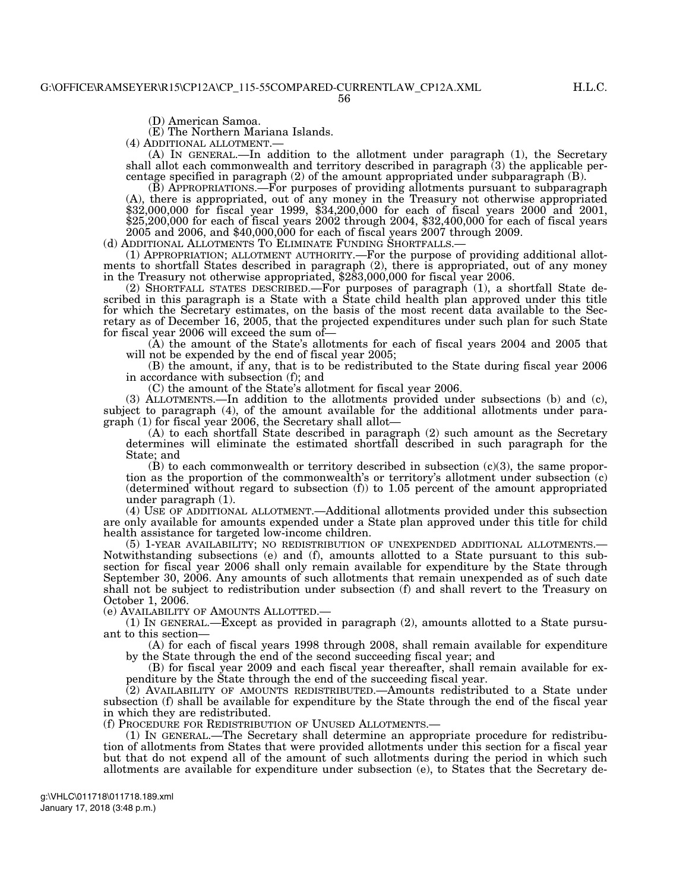(D) American Samoa.

(E) The Northern Mariana Islands.<br>(4) ADDITIONAL ALLOTMENT.—

 $(A)$  In GENERAL.—In addition to the allotment under paragraph  $(1)$ , the Secretary shall allot each commonwealth and territory described in paragraph (3) the applicable percentage specified in paragraph (2) of the amount appropriated under subparagraph (B).

(B) APPROPRIATIONS.—For purposes of providing allotments pursuant to subparagraph (A), there is appropriated, out of any money in the Treasury not otherwise appropriated \$32,000,000 for fiscal year 1999, \$34,200,000 for each of fiscal years 2000 and 2001, \$25,200,000 for each of fiscal years 2002 through 2004, \$32,400,000 for each of fiscal years 2005 and 2006, and \$40,000,000 for each of fiscal years 2007 through 2009.

(d) ADDITIONAL ALLOTMENTS TO ELIMINATE FUNDING SHORTFALLS.— (1) APPROPRIATION; ALLOTMENT AUTHORITY.—For the purpose of providing additional allotments to shortfall States described in paragraph (2), there is appropriated, out of any money in the Treasury not otherwise appropriated, \$283,000,000 for fiscal year 2006.

(2) SHORTFALL STATES DESCRIBED.—For purposes of paragraph (1), a shortfall State described in this paragraph is a State with a State child health plan approved under this title for which the Secretary estimates, on the basis of the most recent data available to the Secretary as of December 16, 2005, that the projected expenditures under such plan for such State for fiscal year 2006 will exceed the sum of—

(A) the amount of the State's allotments for each of fiscal years 2004 and 2005 that will not be expended by the end of fiscal year 2005;

(B) the amount, if any, that is to be redistributed to the State during fiscal year 2006 in accordance with subsection (f); and

(C) the amount of the State's allotment for fiscal year 2006.

(3) ALLOTMENTS.—In addition to the allotments provided under subsections (b) and (c), subject to paragraph (4), of the amount available for the additional allotments under paragraph (1) for fiscal year 2006, the Secretary shall allot—

(A) to each shortfall State described in paragraph (2) such amount as the Secretary determines will eliminate the estimated shortfall described in such paragraph for the State; and

 $(B)$  to each commonwealth or territory described in subsection  $(c)(3)$ , the same proportion as the proportion of the commonwealth's or territory's allotment under subsection (c) (determined without regard to subsection  $(f)$ ) to 1.05 percent of the amount appropriated under paragraph (1).

(4) USE OF ADDITIONAL ALLOTMENT.—Additional allotments provided under this subsection are only available for amounts expended under a State plan approved under this title for child health assistance for targeted low-income children.<br>(5) 1-YEAR AVAILABILITY; NO REDISTRIBUTION OF UNEXPENDED ADDITIONAL ALLOTMENTS.

Notwithstanding subsections (e) and (f), amounts allotted to a State pursuant to this subsection for fiscal year 2006 shall only remain available for expenditure by the State through September 30, 2006. Any amounts of such allotments that remain unexpended as of such date shall not be subject to redistribution under subsection (f) and shall revert to the Treasury on October 1, 2006.

(e) AVAILABILITY OF AMOUNTS ALLOTTED.—

(1) IN GENERAL.—Except as provided in paragraph (2), amounts allotted to a State pursuant to this section—

(A) for each of fiscal years 1998 through 2008, shall remain available for expenditure by the State through the end of the second succeeding fiscal year; and

(B) for fiscal year 2009 and each fiscal year thereafter, shall remain available for expenditure by the State through the end of the succeeding fiscal year.

(2) AVAILABILITY OF AMOUNTS REDISTRIBUTED.—Amounts redistributed to a State under subsection (f) shall be available for expenditure by the State through the end of the fiscal year in which they are redistributed.

(f) PROCEDURE FOR REDISTRIBUTION OF UNUSED ALLOTMENTS.—

(1) IN GENERAL.—The Secretary shall determine an appropriate procedure for redistribution of allotments from States that were provided allotments under this section for a fiscal year but that do not expend all of the amount of such allotments during the period in which such allotments are available for expenditure under subsection (e), to States that the Secretary de-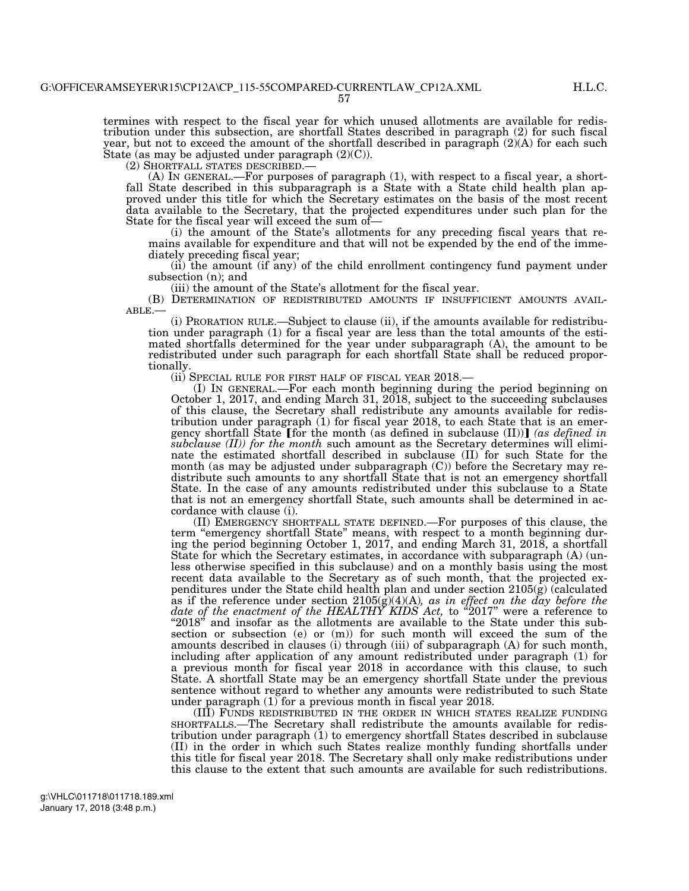termines with respect to the fiscal year for which unused allotments are available for redistribution under this subsection, are shortfall States described in paragraph (2) for such fiscal year, but not to exceed the amount of the shortfall described in paragraph  $(2)(A)$  for each such State (as may be adjusted under paragraph  $(2)(C)$ ).<br>(2) SHORTFALL STATES DESCRIBED.—

 $(A)$  In GENERAL.—For purposes of paragraph (1), with respect to a fiscal year, a shortfall State described in this subparagraph is a State with a State child health plan approved under this title for which the Secretary estimates on the basis of the most recent data available to the Secretary, that the projected expenditures under such plan for the State for the fiscal year will exceed the sum of—

(i) the amount of the State's allotments for any preceding fiscal years that remains available for expenditure and that will not be expended by the end of the immediately preceding fiscal year;

(ii) the amount (if any) of the child enrollment contingency fund payment under subsection (n); and

(iii) the amount of the State's allotment for the fiscal year.

(B) DETERMINATION OF REDISTRIBUTED AMOUNTS IF INSUFFICIENT AMOUNTS AVAIL-<br>ABLE.— (i) PRORATION RULE.—Subject to clause (ii), if the amounts available for redistribu-

tion under paragraph (1) for a fiscal year are less than the total amounts of the estimated shortfalls determined for the year under subparagraph (A), the amount to be redistributed under such paragraph for each shortfall State shall be reduced proportionally.

(ii) SPECIAL RULE FOR FIRST HALF OF FISCAL YEAR 2018.—

(I) IN GENERAL.—For each month beginning during the period beginning on October 1, 2017, and ending March 31, 2018, subject to the succeeding subclauses of this clause, the Secretary shall redistribute any amounts available for redistribution under paragraph (1) for fiscal year 2018, to each State that is an emergency shortfall State  $\lbrack \rbrack$  for the month (as defined in subclause (II)) $\lbrack \rbrack$  *(as defined in*) *subclause (II)) for the month* such amount as the Secretary determines will eliminate the estimated shortfall described in subclause (II) for such State for the month (as may be adjusted under subparagraph (C)) before the Secretary may redistribute such amounts to any shortfall State that is not an emergency shortfall State. In the case of any amounts redistributed under this subclause to a State that is not an emergency shortfall State, such amounts shall be determined in accordance with clause (i).

(II) EMERGENCY SHORTFALL STATE DEFINED.—For purposes of this clause, the term "emergency shortfall State" means, with respect to a month beginning during the period beginning October 1, 2017, and ending March 31, 2018, a shortfall State for which the Secretary estimates, in accordance with subparagraph (A) (unless otherwise specified in this subclause) and on a monthly basis using the most recent data available to the Secretary as of such month, that the projected expenditures under the State child health plan and under section 2105(g) (calculated as if the reference under section 2105(g)(4)(A)*, as in effect on the day before the date of the enactment of the HEALTHY KIDS Act,* to ''2017'' were a reference to " $2018$ " and insofar as the allotments are available to the State under this subsection or subsection (e) or (m)) for such month will exceed the sum of the amounts described in clauses (i) through (iii) of subparagraph (A) for such month, including after application of any amount redistributed under paragraph (1) for a previous month for fiscal year 2018 in accordance with this clause, to such State. A shortfall State may be an emergency shortfall State under the previous sentence without regard to whether any amounts were redistributed to such State under paragraph (1) for a previous month in fiscal year 2018.

(III) FUNDS REDISTRIBUTED IN THE ORDER IN WHICH STATES REALIZE FUNDING SHORTFALLS.—The Secretary shall redistribute the amounts available for redistribution under paragraph  $(1)$  to emergency shortfall States described in subclause (II) in the order in which such States realize monthly funding shortfalls under this title for fiscal year 2018. The Secretary shall only make redistributions under this clause to the extent that such amounts are available for such redistributions.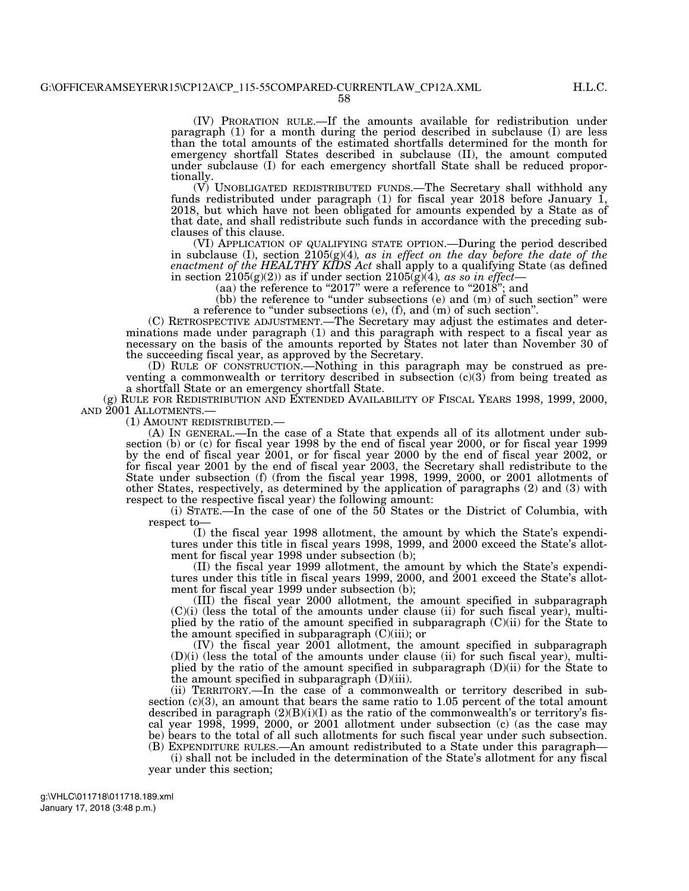(IV) PRORATION RULE.—If the amounts available for redistribution under paragraph (1) for a month during the period described in subclause (I) are less than the total amounts of the estimated shortfalls determined for the month for emergency shortfall States described in subclause (II), the amount computed under subclause (I) for each emergency shortfall State shall be reduced proportionally.

(V) UNOBLIGATED REDISTRIBUTED FUNDS.—The Secretary shall withhold any funds redistributed under paragraph (1) for fiscal year 2018 before January 1, 2018, but which have not been obligated for amounts expended by a State as of that date, and shall redistribute such funds in accordance with the preceding subclauses of this clause.

(VI) APPLICATION OF QUALIFYING STATE OPTION.—During the period described in subclause (I), section  $2105(g)(4)$ *, as in effect on the day before the date of the* enactment of the HEALTHY KIDS Act shall apply to a qualifying State (as defined in section  $2105(g)(2)$ ) as if under section  $2105(g)(4)$ *, as so in effect*— (aa) the reference to "2017" were a reference to "2018"; and

(bb) the reference to "under subsections (e) and  $(m)$  of such section" were a reference to ''under subsections (e), (f), and (m) of such section''.

(C) RETROSPECTIVE ADJUSTMENT.—The Secretary may adjust the estimates and determinations made under paragraph (1) and this paragraph with respect to a fiscal year as necessary on the basis of the amounts reported by States not later than November 30 of the succeeding fiscal year, as approved by the Secretary.

(D) RULE OF CONSTRUCTION.—Nothing in this paragraph may be construed as preventing a commonwealth or territory described in subsection  $(c)(3)$  from being treated as a shortfall State or an emergency shortfall State.

(g) RULE FOR REDISTRIBUTION AND EXTENDED AVAILABILITY OF FISCAL YEARS 1998, 1999, 2000, AND 2001 ALLOTMENTS.—

(1) AMOUNT REDISTRIBUTED.—<br>(A) IN GENERAL.—In the case of a State that expends all of its allotment under subsection (b) or (c) for fiscal year 1998 by the end of fiscal year 2000, or for fiscal year 1999 by the end of fiscal year 2001, or for fiscal year 2000 by the end of fiscal year 2002, or for fiscal year 2001 by the end of fiscal year 2003, the Secretary shall redistribute to the State under subsection (f) (from the fiscal year 1998, 1999, 2000, or 2001 allotments of other States, respectively, as determined by the application of paragraphs (2) and (3) with respect to the respective fiscal year) the following amount:

(i) STATE.—In the case of one of the 50 States or the District of Columbia, with respect to—

(I) the fiscal year 1998 allotment, the amount by which the State's expenditures under this title in fiscal years 1998, 1999, and 2000 exceed the State's allotment for fiscal year 1998 under subsection (b);

(II) the fiscal year 1999 allotment, the amount by which the State's expenditures under this title in fiscal years 1999, 2000, and 2001 exceed the State's allotment for fiscal year 1999 under subsection (b);

(III) the fiscal year 2000 allotment, the amount specified in subparagraph  $(C)(i)$  (less the total of the amounts under clause (ii) for such fiscal year), multiplied by the ratio of the amount specified in subparagraph  $(C)(ii)$  for the State to the amount specified in subparagraph  $(C)(iii)$ ; or

(IV) the fiscal year 2001 allotment, the amount specified in subparagraph (D)(i) (less the total of the amounts under clause (ii) for such fiscal year), multiplied by the ratio of the amount specified in subparagraph  $(D)(ii)$  for the State to the amount specified in subparagraph  $(D)(iii)$ .

(ii) TERRITORY.—In the case of a commonwealth or territory described in subsection  $(c)(3)$ , an amount that bears the same ratio to 1.05 percent of the total amount described in paragraph  $(2)(B)(i)(I)$  as the ratio of the commonwealth's or territory's fiscal year 1998, 1999, 2000, or 2001 allotment under subsection (c) (as the case may be) bears to the total of all such allotments for such fiscal year under such subsection. (B) EXPENDITURE RULES.—An amount redistributed to a State under this paragraph—

(i) shall not be included in the determination of the State's allotment for any fiscal year under this section;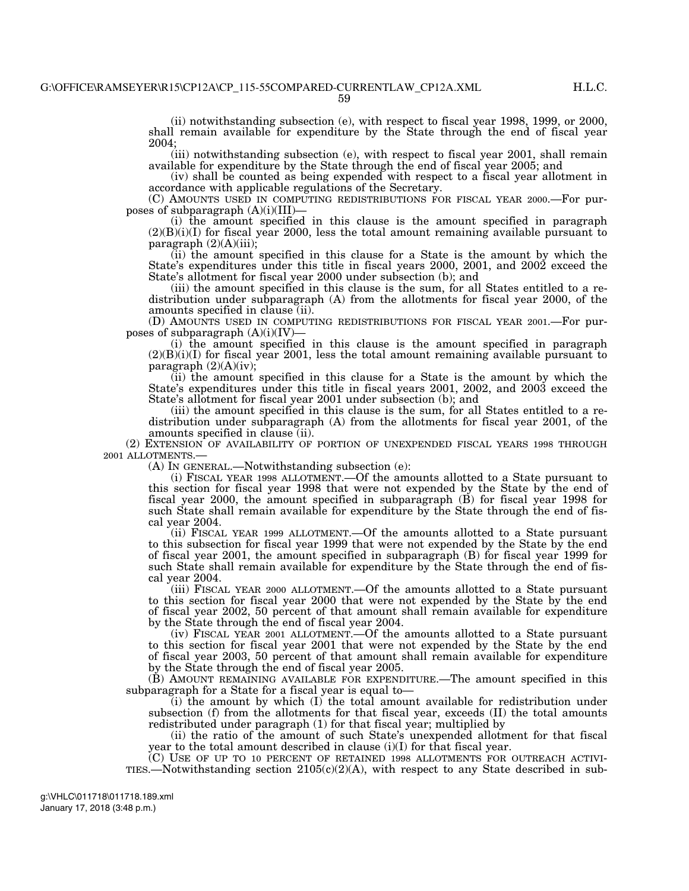(ii) notwithstanding subsection (e), with respect to fiscal year 1998, 1999, or 2000, shall remain available for expenditure by the State through the end of fiscal year 2004;

(iii) notwithstanding subsection (e), with respect to fiscal year 2001, shall remain available for expenditure by the State through the end of fiscal year 2005; and

(iv) shall be counted as being expended with respect to a fiscal year allotment in accordance with applicable regulations of the Secretary.

(C) AMOUNTS USED IN COMPUTING REDISTRIBUTIONS FOR FISCAL YEAR 2000.—For purposes of subparagraph  $(A)(i)(III)$ —

(i) the amount specified in this clause is the amount specified in paragraph  $(2)(B)(i)(I)$  for fiscal year 2000, less the total amount remaining available pursuant to paragraph  $(2)(A)(iii)$ ;

(ii) the amount specified in this clause for a State is the amount by which the State's expenditures under this title in fiscal years 2000, 2001, and 2002 exceed the State's allotment for fiscal year 2000 under subsection (b); and

(iii) the amount specified in this clause is the sum, for all States entitled to a redistribution under subparagraph (A) from the allotments for fiscal year 2000, of the amounts specified in clause (ii).

(D) AMOUNTS USED IN COMPUTING REDISTRIBUTIONS FOR FISCAL YEAR 2001.—For purposes of subparagraph  $(A)(i)(IV)$ 

(i) the amount specified in this clause is the amount specified in paragraph (2)(B)(i)(I) for fiscal year 2001, less the total amount remaining available pursuant to paragraph  $(2)(A)(iv)$ ;

(ii) the amount specified in this clause for a State is the amount by which the State's expenditures under this title in fiscal years 2001, 2002, and 2003 exceed the State's allotment for fiscal year 2001 under subsection (b); and

(iii) the amount specified in this clause is the sum, for all States entitled to a redistribution under subparagraph (A) from the allotments for fiscal year 2001, of the amounts specified in clause (ii).

(2) EXTENSION OF AVAILABILITY OF PORTION OF UNEXPENDED FISCAL YEARS 1998 THROUGH 2001 ALLOTMENTS.—<br>(A) IN GENERAL.—Notwithstanding subsection (e):

(i) FISCAL YEAR 1998 ALLOTMENT.—Of the amounts allotted to a State pursuant to this section for fiscal year 1998 that were not expended by the State by the end of fiscal year 2000, the amount specified in subparagraph (B) for fiscal year 1998 for such State shall remain available for expenditure by the State through the end of fiscal year 2004.

(ii) FISCAL YEAR 1999 ALLOTMENT.—Of the amounts allotted to a State pursuant to this subsection for fiscal year 1999 that were not expended by the State by the end of fiscal year 2001, the amount specified in subparagraph (B) for fiscal year 1999 for such State shall remain available for expenditure by the State through the end of fiscal year 2004.

(iii) FISCAL YEAR 2000 ALLOTMENT.—Of the amounts allotted to a State pursuant to this section for fiscal year 2000 that were not expended by the State by the end of fiscal year 2002, 50 percent of that amount shall remain available for expenditure by the State through the end of fiscal year 2004.

(iv) FISCAL YEAR 2001 ALLOTMENT.—Of the amounts allotted to a State pursuant to this section for fiscal year 2001 that were not expended by the State by the end of fiscal year 2003, 50 percent of that amount shall remain available for expenditure by the State through the end of fiscal year 2005.

(B) AMOUNT REMAINING AVAILABLE FOR EXPENDITURE.—The amount specified in this subparagraph for a State for a fiscal year is equal to—

(i) the amount by which (I) the total amount available for redistribution under subsection (f) from the allotments for that fiscal year, exceeds (II) the total amounts redistributed under paragraph (1) for that fiscal year; multiplied by

(ii) the ratio of the amount of such State's unexpended allotment for that fiscal year to the total amount described in clause (i)(I) for that fiscal year.

(C) USE OF UP TO 10 PERCENT OF RETAINED 1998 ALLOTMENTS FOR OUTREACH ACTIVI-TIES.—Notwithstanding section  $2105(c)(2)(A)$ , with respect to any State described in sub-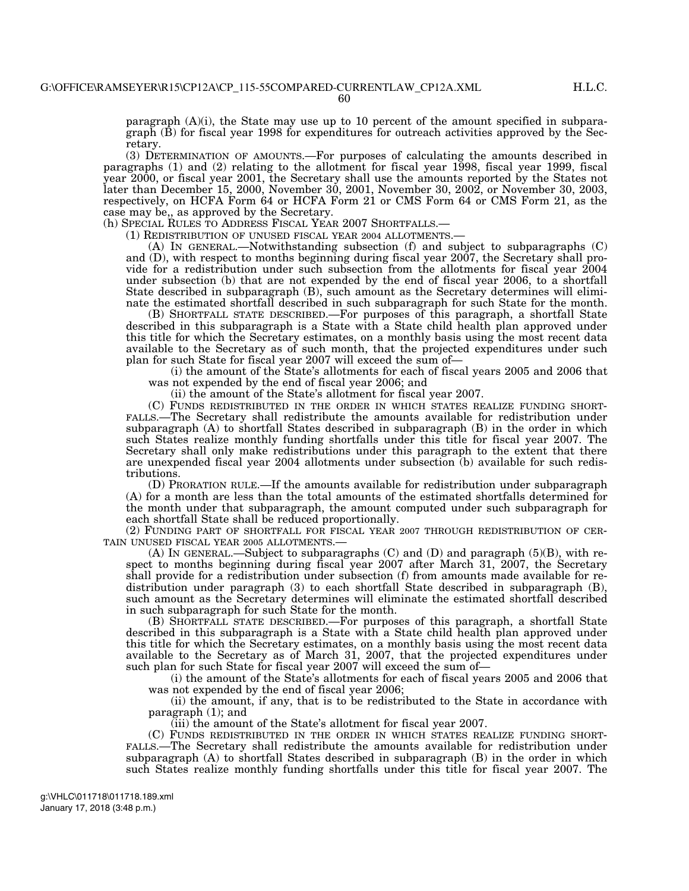paragraph  $(A)(i)$ , the State may use up to 10 percent of the amount specified in subparagraph (B) for fiscal year 1998 for expenditures for outreach activities approved by the Secretary.

(3) DETERMINATION OF AMOUNTS.—For purposes of calculating the amounts described in paragraphs (1) and (2) relating to the allotment for fiscal year 1998, fiscal year 1999, fiscal year 2000, or fiscal year 2001, the Secretary shall use the amounts reported by the States not later than December 15, 2000, November 30, 2001, November 30, 2002, or November 30, 2003, respectively, on HCFA Form 64 or HCFA Form 21 or CMS Form 64 or CMS Form 21, as the case may be,, as approved by the Secretary.

(h) SPECIAL RULES TO ADDRESS FISCAL YEAR 2007 SHORTFALLS.—

(1) REDISTRIBUTION OF UNUSED FISCAL YEAR 2004 ALLOTMENTS.—

(A) IN GENERAL.—Notwithstanding subsection (f) and subject to subparagraphs (C) and (D), with respect to months beginning during fiscal year 2007, the Secretary shall provide for a redistribution under such subsection from the allotments for fiscal year 2004 under subsection (b) that are not expended by the end of fiscal year 2006, to a shortfall State described in subparagraph (B), such amount as the Secretary determines will eliminate the estimated shortfall described in such subparagraph for such State for the month.

(B) SHORTFALL STATE DESCRIBED.—For purposes of this paragraph, a shortfall State described in this subparagraph is a State with a State child health plan approved under this title for which the Secretary estimates, on a monthly basis using the most recent data available to the Secretary as of such month, that the projected expenditures under such plan for such State for fiscal year 2007 will exceed the sum of—

(i) the amount of the State's allotments for each of fiscal years 2005 and 2006 that was not expended by the end of fiscal year 2006; and

(ii) the amount of the State's allotment for fiscal year 2007.

(C) FUNDS REDISTRIBUTED IN THE ORDER IN WHICH STATES REALIZE FUNDING SHORT-FALLS.—The Secretary shall redistribute the amounts available for redistribution under subparagraph (A) to shortfall States described in subparagraph (B) in the order in which such States realize monthly funding shortfalls under this title for fiscal year 2007. The Secretary shall only make redistributions under this paragraph to the extent that there are unexpended fiscal year 2004 allotments under subsection (b) available for such redistributions.

(D) PRORATION RULE.—If the amounts available for redistribution under subparagraph (A) for a month are less than the total amounts of the estimated shortfalls determined for the month under that subparagraph, the amount computed under such subparagraph for each shortfall State shall be reduced proportionally.

(2) FUNDING PART OF SHORTFALL FOR FISCAL YEAR 2007 THROUGH REDISTRIBUTION OF CER-TAIN UNUSED FISCAL YEAR 2005 ALLOTMENTS.—

(A) IN GENERAL.—Subject to subparagraphs (C) and (D) and paragraph (5)(B), with respect to months beginning during fiscal year 2007 after March 31, 2007, the Secretary shall provide for a redistribution under subsection (f) from amounts made available for redistribution under paragraph (3) to each shortfall State described in subparagraph (B), such amount as the Secretary determines will eliminate the estimated shortfall described in such subparagraph for such State for the month.

(B) SHORTFALL STATE DESCRIBED.—For purposes of this paragraph, a shortfall State described in this subparagraph is a State with a State child health plan approved under this title for which the Secretary estimates, on a monthly basis using the most recent data available to the Secretary as of March 31, 2007, that the projected expenditures under such plan for such State for fiscal year 2007 will exceed the sum of—

(i) the amount of the State's allotments for each of fiscal years 2005 and 2006 that was not expended by the end of fiscal year 2006;

(ii) the amount, if any, that is to be redistributed to the State in accordance with paragraph (1); and

(iii) the amount of the State's allotment for fiscal year 2007.

(C) FUNDS REDISTRIBUTED IN THE ORDER IN WHICH STATES REALIZE FUNDING SHORT-FALLS.—The Secretary shall redistribute the amounts available for redistribution under subparagraph (A) to shortfall States described in subparagraph (B) in the order in which such States realize monthly funding shortfalls under this title for fiscal year 2007. The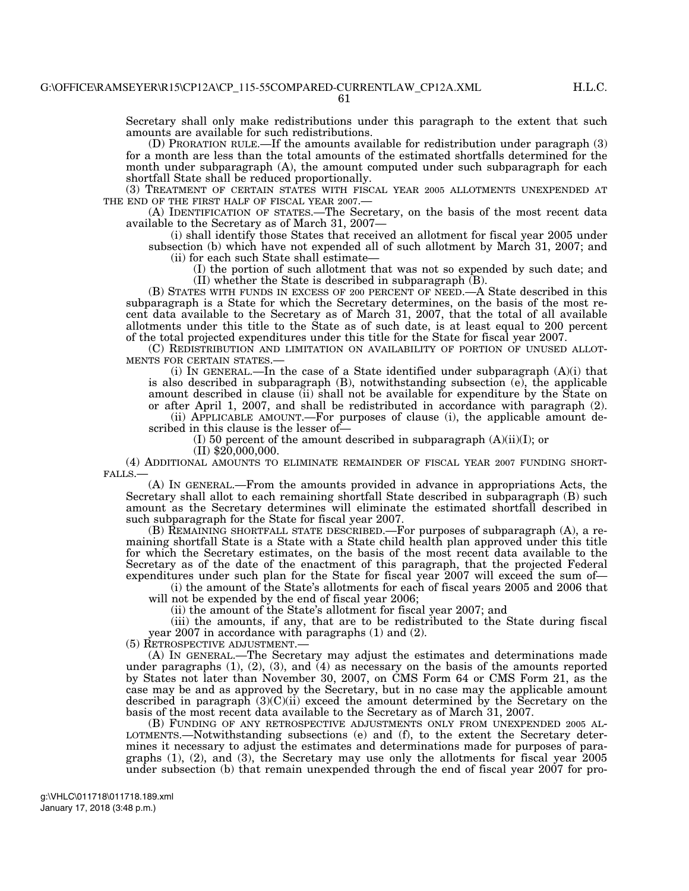Secretary shall only make redistributions under this paragraph to the extent that such amounts are available for such redistributions.

(D) PRORATION RULE.—If the amounts available for redistribution under paragraph (3) for a month are less than the total amounts of the estimated shortfalls determined for the month under subparagraph (A), the amount computed under such subparagraph for each shortfall State shall be reduced proportionally.

(3) TREATMENT OF CERTAIN STATES WITH FISCAL YEAR 2005 ALLOTMENTS UNEXPENDED AT THE END OF THE FIRST HALF OF FISCAL YEAR 2007.—

(A) IDENTIFICATION OF STATES.—The Secretary, on the basis of the most recent data available to the Secretary as of March 31, 2007—

(i) shall identify those States that received an allotment for fiscal year 2005 under subsection (b) which have not expended all of such allotment by March 31, 2007; and (ii) for each such State shall estimate—

(I) the portion of such allotment that was not so expended by such date; and (II) whether the State is described in subparagraph (B).

(B) STATES WITH FUNDS IN EXCESS OF 200 PERCENT OF NEED.—A State described in this subparagraph is a State for which the Secretary determines, on the basis of the most recent data available to the Secretary as of March 31, 2007, that the total of all available allotments under this title to the State as of such date, is at least equal to 200 percent of the total projected expenditures under this title for the State for fiscal year 2007.

(C) REDISTRIBUTION AND LIMITATION ON AVAILABILITY OF PORTION OF UNUSED ALLOT-MENTS FOR CERTAIN STATES.—

(i) IN GENERAL.—In the case of a State identified under subparagraph (A)(i) that is also described in subparagraph (B), notwithstanding subsection (e), the applicable amount described in clause (ii) shall not be available for expenditure by the State on or after April 1, 2007, and shall be redistributed in accordance with paragraph (2).

(ii) APPLICABLE AMOUNT.—For purposes of clause (i), the applicable amount described in this clause is the lesser of—

(I) 50 percent of the amount described in subparagraph  $(A)(ii)(I)$ ; or

(II) \$20,000,000.

(4) ADDITIONAL AMOUNTS TO ELIMINATE REMAINDER OF FISCAL YEAR 2007 FUNDING SHORT-FALLS.—

(A) IN GENERAL.—From the amounts provided in advance in appropriations Acts, the Secretary shall allot to each remaining shortfall State described in subparagraph (B) such amount as the Secretary determines will eliminate the estimated shortfall described in such subparagraph for the State for fiscal year 2007.

(B) REMAINING SHORTFALL STATE DESCRIBED.—For purposes of subparagraph (A), a remaining shortfall State is a State with a State child health plan approved under this title for which the Secretary estimates, on the basis of the most recent data available to the Secretary as of the date of the enactment of this paragraph, that the projected Federal expenditures under such plan for the State for fiscal year 2007 will exceed the sum of—

(i) the amount of the State's allotments for each of fiscal years 2005 and 2006 that will not be expended by the end of fiscal year 2006;

(ii) the amount of the State's allotment for fiscal year 2007; and

(iii) the amounts, if any, that are to be redistributed to the State during fiscal year 2007 in accordance with paragraphs (1) and (2).

(5) RETROSPECTIVE ADJUSTMENT.—

(A) IN GENERAL.—The Secretary may adjust the estimates and determinations made under paragraphs  $(1)$ ,  $(2)$ ,  $(3)$ , and  $(4)$  as necessary on the basis of the amounts reported by States not later than November 30, 2007, on CMS Form 64 or CMS Form 21, as the case may be and as approved by the Secretary, but in no case may the applicable amount described in paragraph (3)(C)(ii) exceed the amount determined by the Secretary on the basis of the most recent data available to the Secretary as of March 31, 2007.

(B) FUNDING OF ANY RETROSPECTIVE ADJUSTMENTS ONLY FROM UNEXPENDED 2005 AL-LOTMENTS.—Notwithstanding subsections (e) and (f), to the extent the Secretary determines it necessary to adjust the estimates and determinations made for purposes of paragraphs (1), (2), and (3), the Secretary may use only the allotments for fiscal year 2005 under subsection (b) that remain unexpended through the end of fiscal year 2007 for pro-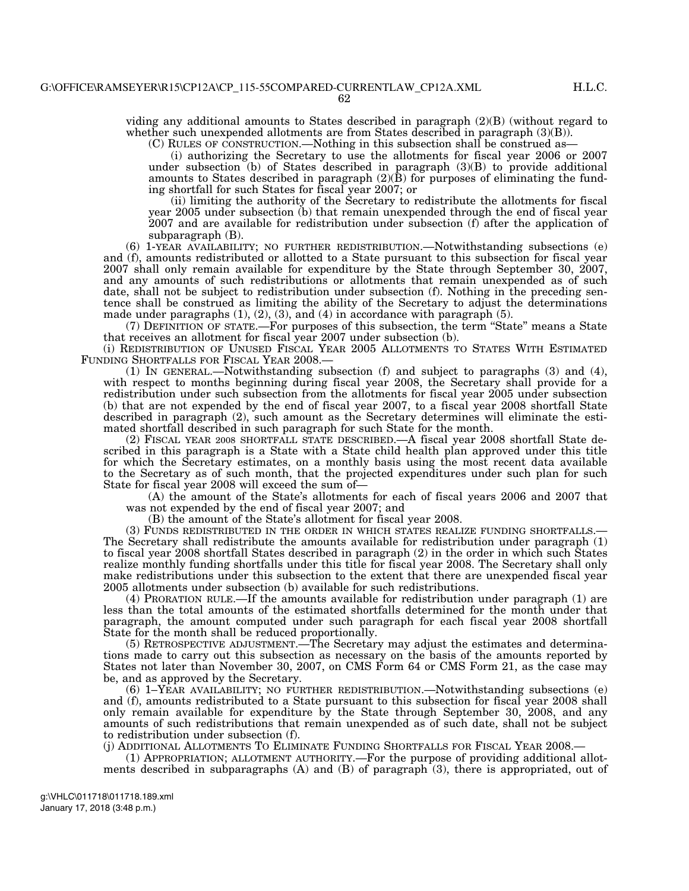viding any additional amounts to States described in paragraph (2)(B) (without regard to whether such unexpended allotments are from States described in paragraph (3)(B)).

(C) RULES OF CONSTRUCTION.—Nothing in this subsection shall be construed as—

(i) authorizing the Secretary to use the allotments for fiscal year 2006 or 2007 under subsection (b) of States described in paragraph (3)(B) to provide additional amounts to States described in paragraph  $(2)(B)$  for purposes of eliminating the funding shortfall for such States for fiscal year 2007; or

(ii) limiting the authority of the Secretary to redistribute the allotments for fiscal year 2005 under subsection (b) that remain unexpended through the end of fiscal year 2007 and are available for redistribution under subsection (f) after the application of subparagraph (B).

(6) 1-YEAR AVAILABILITY; NO FURTHER REDISTRIBUTION.—Notwithstanding subsections (e) and (f), amounts redistributed or allotted to a State pursuant to this subsection for fiscal year 2007 shall only remain available for expenditure by the State through September 30, 2007, and any amounts of such redistributions or allotments that remain unexpended as of such date, shall not be subject to redistribution under subsection (f). Nothing in the preceding sentence shall be construed as limiting the ability of the Secretary to adjust the determinations made under paragraphs  $(1)$ ,  $(2)$ ,  $(3)$ , and  $(4)$  in accordance with paragraph  $(5)$ .

(7) DEFINITION OF STATE.—For purposes of this subsection, the term ''State'' means a State that receives an allotment for fiscal year 2007 under subsection (b).

(i) REDISTRIBUTION OF UNUSED FISCAL YEAR 2005 ALLOTMENTS TO STATES WITH ESTIMATED FUNDING SHORTFALLS FOR FISCAL YEAR 2008.—

(1) IN GENERAL.—Notwithstanding subsection (f) and subject to paragraphs (3) and (4), with respect to months beginning during fiscal year 2008, the Secretary shall provide for a redistribution under such subsection from the allotments for fiscal year 2005 under subsection (b) that are not expended by the end of fiscal year 2007, to a fiscal year 2008 shortfall State described in paragraph (2), such amount as the Secretary determines will eliminate the estimated shortfall described in such paragraph for such State for the month.

(2) FISCAL YEAR 2008 SHORTFALL STATE DESCRIBED.—A fiscal year 2008 shortfall State described in this paragraph is a State with a State child health plan approved under this title for which the Secretary estimates, on a monthly basis using the most recent data available to the Secretary as of such month, that the projected expenditures under such plan for such State for fiscal year 2008 will exceed the sum of—

(A) the amount of the State's allotments for each of fiscal years 2006 and 2007 that was not expended by the end of fiscal year 2007; and

(B) the amount of the State's allotment for fiscal year 2008.

(3) FUNDS REDISTRIBUTED IN THE ORDER IN WHICH STATES REALIZE FUNDING SHORTFALLS.— The Secretary shall redistribute the amounts available for redistribution under paragraph (1) to fiscal year 2008 shortfall States described in paragraph (2) in the order in which such States realize monthly funding shortfalls under this title for fiscal year 2008. The Secretary shall only make redistributions under this subsection to the extent that there are unexpended fiscal year 2005 allotments under subsection (b) available for such redistributions.

(4) PRORATION RULE.—If the amounts available for redistribution under paragraph (1) are less than the total amounts of the estimated shortfalls determined for the month under that paragraph, the amount computed under such paragraph for each fiscal year 2008 shortfall State for the month shall be reduced proportionally.

(5) RETROSPECTIVE ADJUSTMENT.—The Secretary may adjust the estimates and determinations made to carry out this subsection as necessary on the basis of the amounts reported by States not later than November 30, 2007, on CMS Form 64 or CMS Form 21, as the case may be, and as approved by the Secretary.

(6) 1–YEAR AVAILABILITY; NO FURTHER REDISTRIBUTION.—Notwithstanding subsections (e) and (f), amounts redistributed to a State pursuant to this subsection for fiscal year 2008 shall only remain available for expenditure by the State through September 30, 2008, and any amounts of such redistributions that remain unexpended as of such date, shall not be subject to redistribution under subsection (f).

(j) ADDITIONAL ALLOTMENTS TO ELIMINATE FUNDING SHORTFALLS FOR FISCAL YEAR 2008.—

(1) APPROPRIATION; ALLOTMENT AUTHORITY.—For the purpose of providing additional allotments described in subparagraphs (A) and (B) of paragraph (3), there is appropriated, out of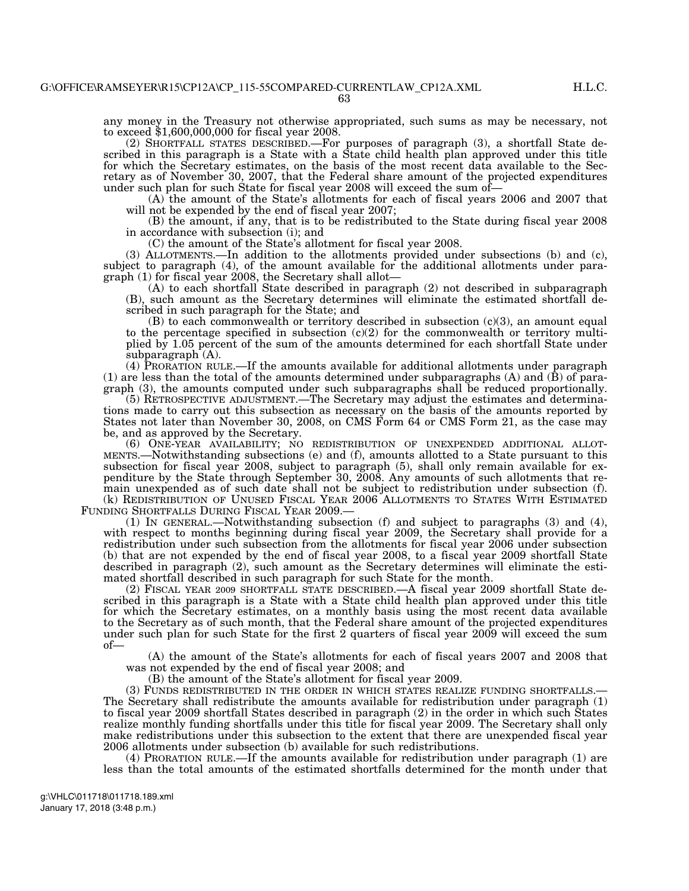63

any money in the Treasury not otherwise appropriated, such sums as may be necessary, not to exceed \$1,600,000,000 for fiscal year 2008.

(2) SHORTFALL STATES DESCRIBED.—For purposes of paragraph (3), a shortfall State described in this paragraph is a State with a State child health plan approved under this title for which the Secretary estimates, on the basis of the most recent data available to the Secretary as of November 30, 2007, that the Federal share amount of the projected expenditures under such plan for such State for fiscal year 2008 will exceed the sum of

(A) the amount of the State's allotments for each of fiscal years 2006 and 2007 that will not be expended by the end of fiscal year 2007;

(B) the amount, if any, that is to be redistributed to the State during fiscal year 2008 in accordance with subsection (i); and

(C) the amount of the State's allotment for fiscal year 2008.

(3) ALLOTMENTS.—In addition to the allotments provided under subsections (b) and (c), subject to paragraph (4), of the amount available for the additional allotments under paragraph (1) for fiscal year 2008, the Secretary shall allot—

(A) to each shortfall State described in paragraph (2) not described in subparagraph (B), such amount as the Secretary determines will eliminate the estimated shortfall described in such paragraph for the State; and

(B) to each commonwealth or territory described in subsection (c)(3), an amount equal to the percentage specified in subsection  $(c)(2)$  for the commonwealth or territory multiplied by 1.05 percent of the sum of the amounts determined for each shortfall State under subparagraph (A).

(4) PRORATION RULE.—If the amounts available for additional allotments under paragraph (1) are less than the total of the amounts determined under subparagraphs (A) and  $(\hat{B})$  of paragraph (3), the amounts computed under such subparagraphs shall be reduced proportionally.

(5) RETROSPECTIVE ADJUSTMENT.—The Secretary may adjust the estimates and determinations made to carry out this subsection as necessary on the basis of the amounts reported by States not later than November 30, 2008, on CMS Form 64 or CMS Form 21, as the case may be, and as approved by the Secretary.

(6) ONE-YEAR AVAILABILITY; NO REDISTRIBUTION OF UNEXPENDED ADDITIONAL ALLOT- MENTS.—Notwithstanding subsections (e) and (f), amounts allotted to a State pursuant to this subsection for fiscal year 2008, subject to paragraph (5), shall only remain available for expenditure by the State through September 30, 2008. Any amounts of such allotments that remain unexpended as of such date shall not be subject to redistribution under subsection (f). (k) REDISTRIBUTION OF UNUSED FISCAL YEAR 2006 ALLOTMENTS TO STATES WITH ESTIMATED FUNDING SHORTFALLS DURING FISCAL YEAR 2009.—

(1) IN GENERAL.—Notwithstanding subsection (f) and subject to paragraphs (3) and (4), with respect to months beginning during fiscal year 2009, the Secretary shall provide for a redistribution under such subsection from the allotments for fiscal year 2006 under subsection (b) that are not expended by the end of fiscal year 2008, to a fiscal year 2009 shortfall State described in paragraph (2), such amount as the Secretary determines will eliminate the estimated shortfall described in such paragraph for such State for the month.

(2) FISCAL YEAR 2009 SHORTFALL STATE DESCRIBED.—A fiscal year 2009 shortfall State described in this paragraph is a State with a State child health plan approved under this title for which the Secretary estimates, on a monthly basis using the most recent data available to the Secretary as of such month, that the Federal share amount of the projected expenditures under such plan for such State for the first 2 quarters of fiscal year 2009 will exceed the sum of—

(A) the amount of the State's allotments for each of fiscal years 2007 and 2008 that was not expended by the end of fiscal year 2008; and

(B) the amount of the State's allotment for fiscal year 2009.

(3) FUNDS REDISTRIBUTED IN THE ORDER IN WHICH STATES REALIZE FUNDING SHORTFALLS.— The Secretary shall redistribute the amounts available for redistribution under paragraph (1) to fiscal year 2009 shortfall States described in paragraph (2) in the order in which such States realize monthly funding shortfalls under this title for fiscal year 2009. The Secretary shall only make redistributions under this subsection to the extent that there are unexpended fiscal year 2006 allotments under subsection (b) available for such redistributions.

(4) PRORATION RULE.—If the amounts available for redistribution under paragraph (1) are less than the total amounts of the estimated shortfalls determined for the month under that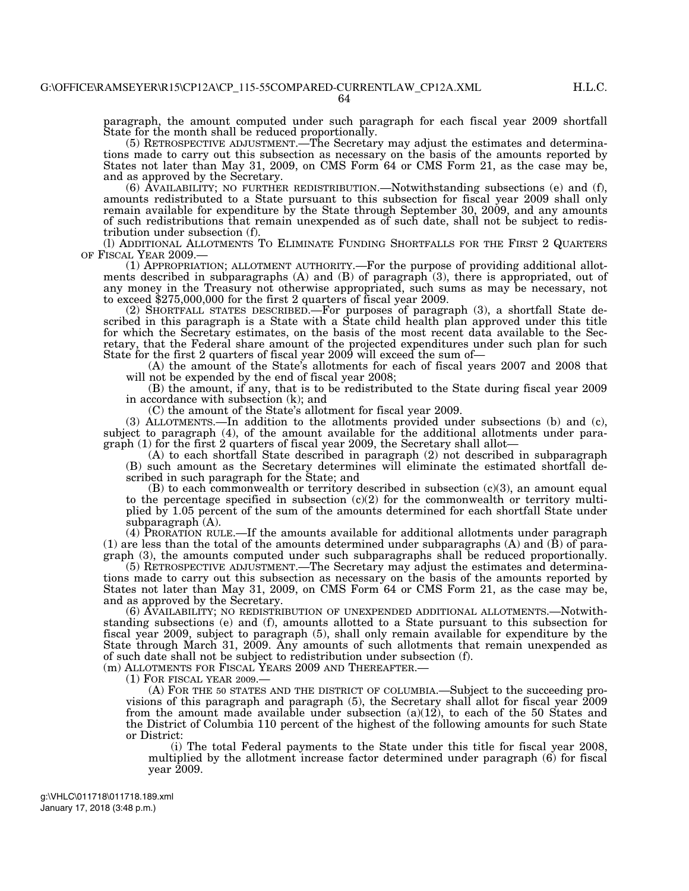64

paragraph, the amount computed under such paragraph for each fiscal year 2009 shortfall State for the month shall be reduced proportionally.

(5) RETROSPECTIVE ADJUSTMENT.—The Secretary may adjust the estimates and determinations made to carry out this subsection as necessary on the basis of the amounts reported by States not later than May 31, 2009, on CMS Form 64 or CMS Form 21, as the case may be, and as approved by the Secretary.

(6)  $\hat{A}$ VAILABILITY; NO FURTHER REDISTRIBUTION.—Notwithstanding subsections (e) and (f), amounts redistributed to a State pursuant to this subsection for fiscal year 2009 shall only remain available for expenditure by the State through September 30, 2009, and any amounts of such redistributions that remain unexpended as of such date, shall not be subject to redistribution under subsection (f).

(l) ADDITIONAL ALLOTMENTS TO ELIMINATE FUNDING SHORTFALLS FOR THE FIRST 2 QUARTERS OF FISCAL YEAR 2009.-

(1) APPROPRIATION; ALLOTMENT AUTHORITY.—For the purpose of providing additional allotments described in subparagraphs (A) and (B) of paragraph (3), there is appropriated, out of any money in the Treasury not otherwise appropriated, such sums as may be necessary, not to exceed \$275,000,000 for the first 2 quarters of fiscal year 2009.

(2) SHORTFALL STATES DESCRIBED.—For purposes of paragraph (3), a shortfall State described in this paragraph is a State with a State child health plan approved under this title for which the Secretary estimates, on the basis of the most recent data available to the Secretary, that the Federal share amount of the projected expenditures under such plan for such State for the first 2 quarters of fiscal year 2009 will exceed the sum of—

(A) the amount of the State's allotments for each of fiscal years 2007 and 2008 that will not be expended by the end of fiscal year 2008;

(B) the amount, if any, that is to be redistributed to the State during fiscal year 2009 in accordance with subsection (k); and

(C) the amount of the State's allotment for fiscal year 2009.

(3) ALLOTMENTS.—In addition to the allotments provided under subsections (b) and (c), subject to paragraph (4), of the amount available for the additional allotments under paragraph (1) for the first 2 quarters of fiscal year 2009, the Secretary shall allot—

(A) to each shortfall State described in paragraph (2) not described in subparagraph (B) such amount as the Secretary determines will eliminate the estimated shortfall described in such paragraph for the State; and

 $(B)$  to each commonwealth or territory described in subsection  $(c)(3)$ , an amount equal to the percentage specified in subsection  $(c)(2)$  for the commonwealth or territory multiplied by 1.05 percent of the sum of the amounts determined for each shortfall State under subparagraph (A).

(4) PRORATION RULE.—If the amounts available for additional allotments under paragraph (1) are less than the total of the amounts determined under subparagraphs (A) and  $(\hat{B})$  of paragraph (3), the amounts computed under such subparagraphs shall be reduced proportionally.

(5) RETROSPECTIVE ADJUSTMENT.—The Secretary may adjust the estimates and determinations made to carry out this subsection as necessary on the basis of the amounts reported by States not later than May 31, 2009, on CMS Form 64 or CMS Form 21, as the case may be, and as approved by the Secretary.

(6) AVAILABILITY; NO REDISTRIBUTION OF UNEXPENDED ADDITIONAL ALLOTMENTS.—Notwithstanding subsections (e) and (f), amounts allotted to a State pursuant to this subsection for fiscal year 2009, subject to paragraph (5), shall only remain available for expenditure by the State through March 31, 2009. Any amounts of such allotments that remain unexpended as of such date shall not be subject to redistribution under subsection (f).

(m) ALLOTMENTS FOR FISCAL YEARS 2009 AND THEREAFTER.—

(1) FOR FISCAL YEAR 2009.—

(A) FOR THE 50 STATES AND THE DISTRICT OF COLUMBIA.—Subject to the succeeding provisions of this paragraph and paragraph  $(5)$ , the Secretary shall allot for fiscal year  $2009$ from the amount made available under subsection  $(a)(12)$ , to each of the 50 States and the District of Columbia 110 percent of the highest of the following amounts for such State or District:

(i) The total Federal payments to the State under this title for fiscal year 2008, multiplied by the allotment increase factor determined under paragraph (6) for fiscal year 2009.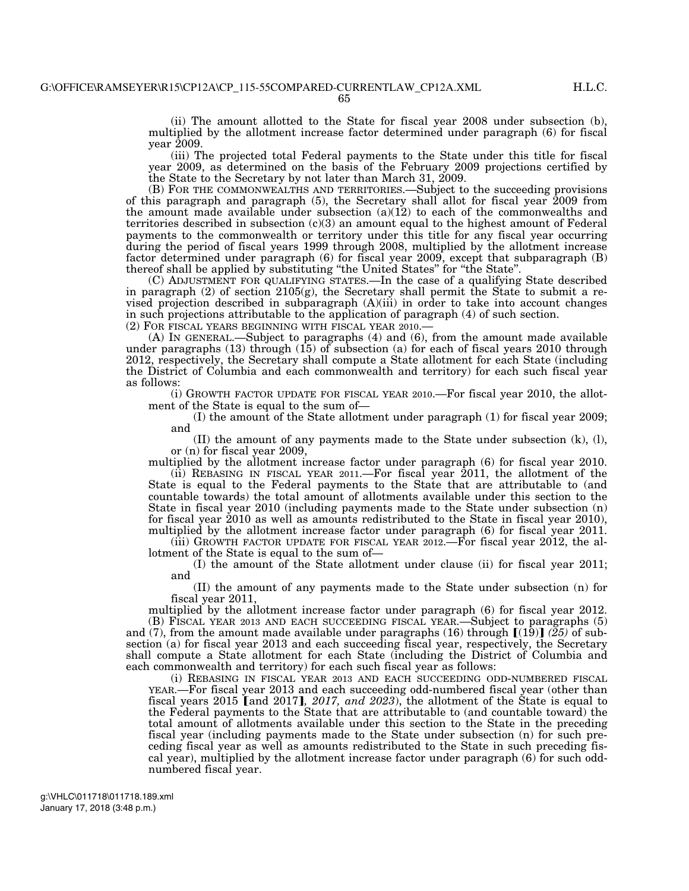(ii) The amount allotted to the State for fiscal year 2008 under subsection (b), multiplied by the allotment increase factor determined under paragraph (6) for fiscal year 2009.

(iii) The projected total Federal payments to the State under this title for fiscal year 2009, as determined on the basis of the February 2009 projections certified by the State to the Secretary by not later than March 31, 2009.

(B) FOR THE COMMONWEALTHS AND TERRITORIES.—Subject to the succeeding provisions of this paragraph and paragraph (5), the Secretary shall allot for fiscal year 2009 from the amount made available under subsection (a)(12) to each of the commonwealths and territories described in subsection (c)(3) an amount equal to the highest amount of Federal payments to the commonwealth or territory under this title for any fiscal year occurring during the period of fiscal years 1999 through 2008, multiplied by the allotment increase factor determined under paragraph (6) for fiscal year 2009, except that subparagraph (B) thereof shall be applied by substituting ''the United States'' for ''the State''.

(C) ADJUSTMENT FOR QUALIFYING STATES.—In the case of a qualifying State described in paragraph (2) of section  $2105(g)$ , the Secretary shall permit the State to submit a revised projection described in subparagraph (A)(iii) in order to take into account changes in such projections attributable to the application of paragraph (4) of such section.

(2) FOR FISCAL YEARS BEGINNING WITH FISCAL YEAR 2010.—

(A) IN GENERAL.—Subject to paragraphs (4) and (6), from the amount made available under paragraphs (13) through (15) of subsection (a) for each of fiscal years 2010 through 2012, respectively, the Secretary shall compute a State allotment for each State (including the District of Columbia and each commonwealth and territory) for each such fiscal year as follows:

(i) GROWTH FACTOR UPDATE FOR FISCAL YEAR 2010.—For fiscal year 2010, the allotment of the State is equal to the sum of—

(I) the amount of the State allotment under paragraph (1) for fiscal year 2009; and

(II) the amount of any payments made to the State under subsection  $(k)$ ,  $(l)$ , or (n) for fiscal year 2009,

multiplied by the allotment increase factor under paragraph (6) for fiscal year 2010. (ii) REBASING IN FISCAL YEAR 2011.—For fiscal year 2011, the allotment of the

State is equal to the Federal payments to the State that are attributable to (and countable towards) the total amount of allotments available under this section to the State in fiscal year 2010 (including payments made to the State under subsection (n) for fiscal year 2010 as well as amounts redistributed to the State in fiscal year 2010), multiplied by the allotment increase factor under paragraph (6) for fiscal year 2011.

(iii) GROWTH FACTOR UPDATE FOR FISCAL YEAR 2012.—For fiscal year 2012, the allotment of the State is equal to the sum of—

(I) the amount of the State allotment under clause (ii) for fiscal year 2011; and

(II) the amount of any payments made to the State under subsection (n) for fiscal year 2011,

multiplied by the allotment increase factor under paragraph (6) for fiscal year 2012. (B) FISCAL YEAR 2013 AND EACH SUCCEEDING FISCAL YEAR.—Subject to paragraphs (5) and (7), from the amount made available under paragraphs (16) through  $\lceil (19) \rceil$  (25) of subsection (a) for fiscal year 2013 and each succeeding fiscal year, respectively, the Secretary shall compute a State allotment for each State (including the District of Columbia and each commonwealth and territory) for each such fiscal year as follows:

(i) REBASING IN FISCAL YEAR 2013 AND EACH SUCCEEDING ODD-NUMBERED FISCAL YEAR.—For fiscal year 2013 and each succeeding odd-numbered fiscal year (other than<br>fiscal years 2015 [and 2017], *2017, and 2023*), the allotment of the State is equal to the Federal payments to the State that are attributable to (and countable toward) the total amount of allotments available under this section to the State in the preceding fiscal year (including payments made to the State under subsection (n) for such preceding fiscal year as well as amounts redistributed to the State in such preceding fiscal year), multiplied by the allotment increase factor under paragraph (6) for such oddnumbered fiscal year.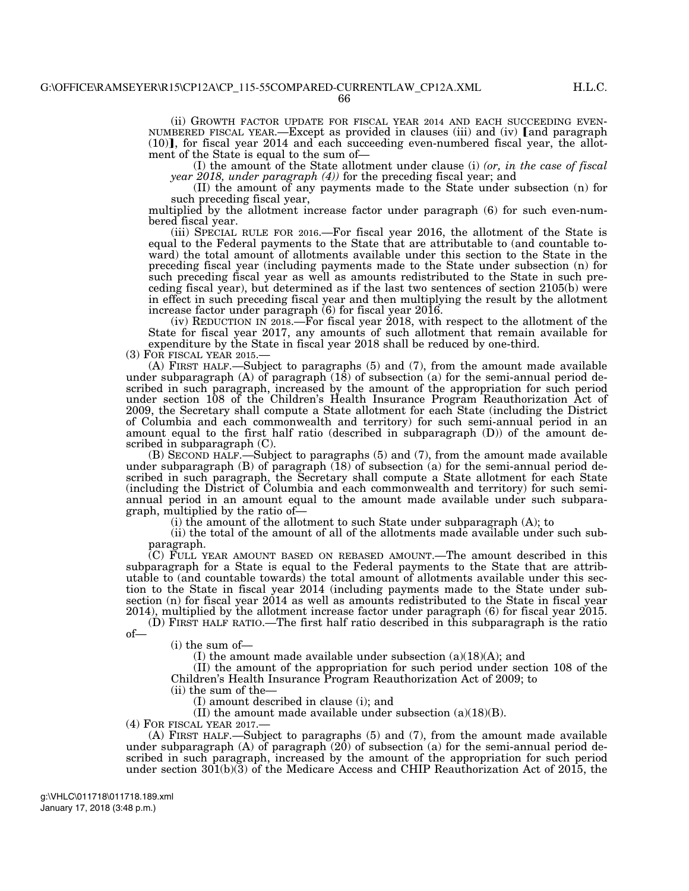(ii) GROWTH FACTOR UPDATE FOR FISCAL YEAR 2014 AND EACH SUCCEEDING EVEN-<br>NUMBERED FISCAL YEAR.—Except as provided in clauses (iii) and (iv) [and paragraph  $(10)$ , for fiscal year 2014 and each succeeding even-numbered fiscal year, the allotment of the State is equal to the sum of—

(I) the amount of the State allotment under clause (i) *(or, in the case of fiscal year 2018, under paragraph (4))* for the preceding fiscal year; and

(II) the amount of any payments made to the State under subsection (n) for such preceding fiscal year,

multiplied by the allotment increase factor under paragraph (6) for such even-numbered fiscal year.

(iii) SPECIAL RULE FOR 2016.—For fiscal year 2016, the allotment of the State is equal to the Federal payments to the State that are attributable to (and countable toward) the total amount of allotments available under this section to the State in the preceding fiscal year (including payments made to the State under subsection (n) for such preceding fiscal year as well as amounts redistributed to the State in such preceding fiscal year), but determined as if the last two sentences of section 2105(b) were in effect in such preceding fiscal year and then multiplying the result by the allotment increase factor under paragraph (6) for fiscal year 2016.

(iv) REDUCTION IN 2018.—For fiscal year 2018, with respect to the allotment of the State for fiscal year 2017, any amounts of such allotment that remain available for expenditure by the State in fiscal year 2018 shall be reduced by one-third.

(3) FOR FISCAL YEAR 2015.— (A) FIRST HALF.—Subject to paragraphs (5) and (7), from the amount made available under subparagraph  $(A)$  of paragraph  $(18)$  of subsection  $(a)$  for the semi-annual period described in such paragraph, increased by the amount of the appropriation for such period under section 108 of the Children's Health Insurance Program Reauthorization Act of 2009, the Secretary shall compute a State allotment for each State (including the District of Columbia and each commonwealth and territory) for such semi-annual period in an amount equal to the first half ratio (described in subparagraph (D)) of the amount described in subparagraph (C).

(B) SECOND HALF.—Subject to paragraphs (5) and (7), from the amount made available under subparagraph  $(B)$  of paragraph  $(B)$  of subsection (a) for the semi-annual period described in such paragraph, the Secretary shall compute a State allotment for each State (including the District of Columbia and each commonwealth and territory) for such semiannual period in an amount equal to the amount made available under such subparagraph, multiplied by the ratio of—

(i) the amount of the allotment to such State under subparagraph (A); to

(ii) the total of the amount of all of the allotments made available under such subparagraph.

(C) FULL YEAR AMOUNT BASED ON REBASED AMOUNT.—The amount described in this subparagraph for a State is equal to the Federal payments to the State that are attributable to (and countable towards) the total amount of allotments available under this section to the State in fiscal year 2014 (including payments made to the State under subsection (n) for fiscal year 2014 as well as amounts redistributed to the State in fiscal year 2014), multiplied by the allotment increase factor under paragraph (6) for fiscal year 2015.

(D) FIRST HALF RATIO.—The first half ratio described in this subparagraph is the ratio of—

(i) the sum of—

(I) the amount made available under subsection  $(a)(18)(A)$ ; and

(II) the amount of the appropriation for such period under section 108 of the Children's Health Insurance Program Reauthorization Act of 2009; to

(ii) the sum of the—

(I) amount described in clause (i); and

(II) the amount made available under subsection  $(a)(18)(B)$ .

 $(4)$  FOR FISCAL YEAR 2017.

(A) FIRST HALF.—Subject to paragraphs (5) and (7), from the amount made available under subparagraph (A) of paragraph  $(20)$  of subsection (a) for the semi-annual period described in such paragraph, increased by the amount of the appropriation for such period under section 301(b)(3) of the Medicare Access and CHIP Reauthorization Act of 2015, the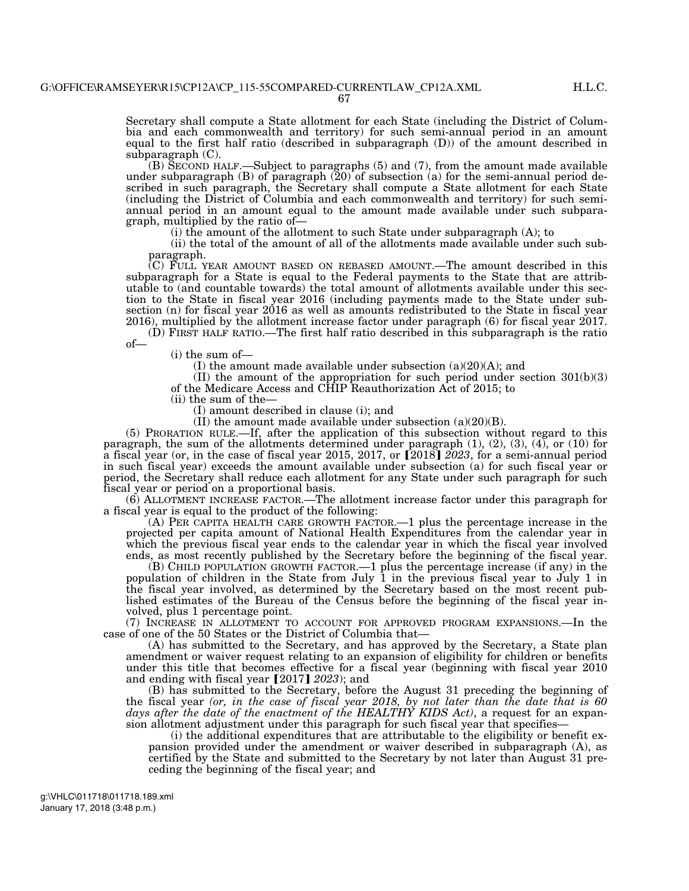Secretary shall compute a State allotment for each State (including the District of Columbia and each commonwealth and territory) for such semi-annual period in an amount equal to the first half ratio (described in subparagraph (D)) of the amount described in subparagraph (C).

(B) SECOND HALF.—Subject to paragraphs (5) and (7), from the amount made available under subparagraph (B) of paragraph  $(20)$  of subsection (a) for the semi-annual period described in such paragraph, the Secretary shall compute a State allotment for each State (including the District of Columbia and each commonwealth and territory) for such semiannual period in an amount equal to the amount made available under such subparagraph, multiplied by the ratio of—

(i) the amount of the allotment to such State under subparagraph (A); to

(ii) the total of the amount of all of the allotments made available under such subparagraph.

(C) FULL YEAR AMOUNT BASED ON REBASED AMOUNT.—The amount described in this subparagraph for a State is equal to the Federal payments to the State that are attributable to (and countable towards) the total amount of allotments available under this section to the State in fiscal year 2016 (including payments made to the State under subsection (n) for fiscal year 2016 as well as amounts redistributed to the State in fiscal year 2016), multiplied by the allotment increase factor under paragraph (6) for fiscal year 2017.

(D) FIRST HALF RATIO.—The first half ratio described in this subparagraph is the ratio of—

(i) the sum of—

(I) the amount made available under subsection (a)(20)(A); and

(II) the amount of the appropriation for such period under section 301(b)(3) of the Medicare Access and CHIP Reauthorization Act of 2015; to

(ii) the sum of the—

(I) amount described in clause (i); and

(II) the amount made available under subsection (a)(20)(B).

(5) PRORATION RULE.—If, after the application of this subsection without regard to this paragraph, the sum of the allotments determined under paragraph (1), (2), (3), (4), or (10) for a fiscal year (or, in the case of fiscal year 2015, 2017, or [2018] 2023, for a semi-annual period in such fiscal year) exceeds the amount available under subsection (a) for such fiscal year or period, the Secretary shall reduce each allotment for any State under such paragraph for such fiscal year or period on a proportional basis.

(6) ALLOTMENT INCREASE FACTOR.—The allotment increase factor under this paragraph for a fiscal year is equal to the product of the following:

(A) PER CAPITA HEALTH CARE GROWTH FACTOR.—1 plus the percentage increase in the projected per capita amount of National Health Expenditures from the calendar year in which the previous fiscal year ends to the calendar year in which the fiscal year involved ends, as most recently published by the Secretary before the beginning of the fiscal year.

(B) CHILD POPULATION GROWTH FACTOR.—1 plus the percentage increase (if any) in the population of children in the State from July 1 in the previous fiscal year to July 1 in the fiscal year involved, as determined by the Secretary based on the most recent published estimates of the Bureau of the Census before the beginning of the fiscal year involved, plus 1 percentage point.

(7) INCREASE IN ALLOTMENT TO ACCOUNT FOR APPROVED PROGRAM EXPANSIONS.—In the case of one of the 50 States or the District of Columbia that—

(A) has submitted to the Secretary, and has approved by the Secretary, a State plan amendment or waiver request relating to an expansion of eligibility for children or benefits under this title that becomes effective for a fiscal year (beginning with fiscal year 2010 and ending with fiscal year  $[2017]$   $2023$ ; and

(B) has submitted to the Secretary, before the August 31 preceding the beginning of the fiscal year *(or, in the case of fiscal year 2018, by not later than the date that is 60 days after the date of the enactment of the HEALTHY KIDS Act)*, a request for an expansion allotment adjustment under this paragraph for such fiscal year that specifies—

(i) the additional expenditures that are attributable to the eligibility or benefit expansion provided under the amendment or waiver described in subparagraph (A), as certified by the State and submitted to the Secretary by not later than August 31 preceding the beginning of the fiscal year; and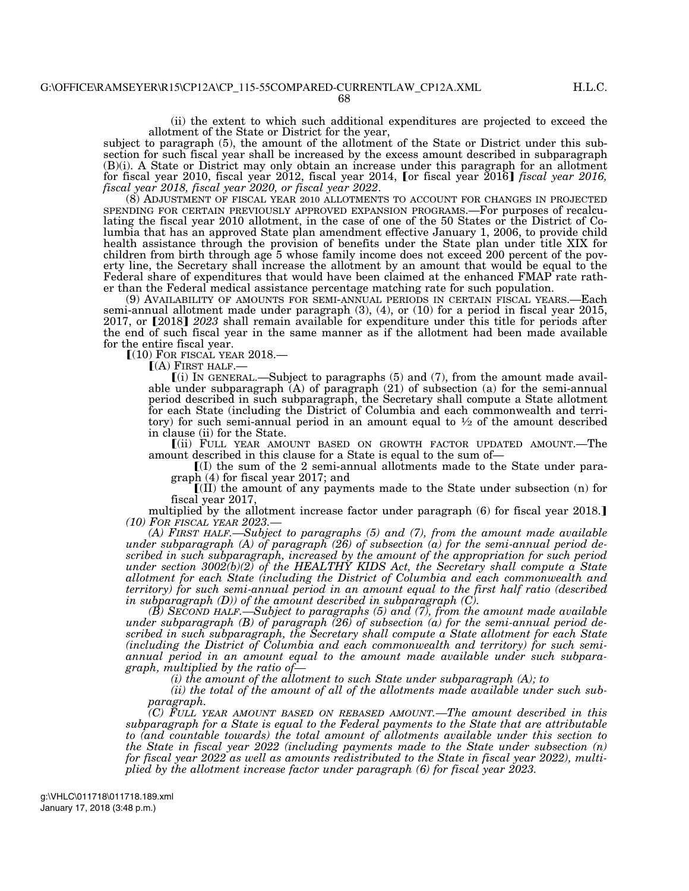68

(ii) the extent to which such additional expenditures are projected to exceed the allotment of the State or District for the year,

subject to paragraph (5), the amount of the allotment of the State or District under this subsection for such fiscal year shall be increased by the excess amount described in subparagraph (B)(i). A State or District may only obtain an increase under this paragraph for an allotment for fiscal year 2010, fiscal year 2012, fiscal year 2014, *[or fiscal year 2016] fiscal year 2016*, *fiscal year 2018, fiscal year 2020, or fiscal year 2022*. (8) ADJUSTMENT OF FISCAL YEAR 2010 ALLOTMENTS TO ACCOUNT FOR CHANGES IN PROJECTED

SPENDING FOR CERTAIN PREVIOUSLY APPROVED EXPANSION PROGRAMS.—For purposes of recalculating the fiscal year 2010 allotment, in the case of one of the 50 States or the District of Columbia that has an approved State plan amendment effective January 1, 2006, to provide child health assistance through the provision of benefits under the State plan under title XIX for children from birth through age 5 whose family income does not exceed 200 percent of the poverty line, the Secretary shall increase the allotment by an amount that would be equal to the Federal share of expenditures that would have been claimed at the enhanced FMAP rate rather than the Federal medical assistance percentage matching rate for such population.

(9) AVAILABILITY OF AMOUNTS FOR SEMI-ANNUAL PERIODS IN CERTAIN FISCAL YEARS.—Each semi-annual allotment made under paragraph (3), (4), or (10) for a period in fiscal year 2015, 2017, or [2018] 2023 shall remain available for expenditure under this title for periods after the end of such fiscal year in the same manner as if the allotment had been made available for the entire fiscal year.

 $[(10)$  For fiscal year 2018.—<br> $[(A)$  First half.—

 $(i)$  In GENERAL.—Subject to paragraphs (5) and (7), from the amount made available under subparagraph (A) of paragraph (21) of subsection (a) for the semi-annual period described in such subparagraph, the Secretary shall compute a State allotment for each State (including the District of Columbia and each commonwealth and territory) for such semi-annual period in an amount equal to  $\frac{1}{2}$  of the amount described in clause (ii) for the State.

ø(ii) FULL YEAR AMOUNT BASED ON GROWTH FACTOR UPDATED AMOUNT.—The amount described in this clause for a State is equal to the sum of—

 $\lceil$ (I) the sum of the 2 semi-annual allotments made to the State under paragraph (4) for fiscal year 2017; and

 $\llbracket$ (II) the amount of any payments made to the State under subsection (n) for fiscal year 2017,

multiplied by the allotment increase factor under paragraph  $(6)$  for fiscal year 2018. *(10) FOR FISCAL YEAR 2023.—* 

*(A) FIRST HALF.—Subject to paragraphs (5) and (7), from the amount made available under subparagraph (A) of paragraph (26) of subsection (a) for the semi-annual period described in such subparagraph, increased by the amount of the appropriation for such period under section 3002(b)(2) of the HEALTHY KIDS Act, the Secretary shall compute a State allotment for each State (including the District of Columbia and each commonwealth and territory) for such semi-annual period in an amount equal to the first half ratio (described in subparagraph (D)) of the amount described in subparagraph (C).* 

*(B) SECOND HALF.—Subject to paragraphs (5) and (7), from the amount made available under subparagraph (B) of paragraph (26) of subsection (a) for the semi-annual period described in such subparagraph, the Secretary shall compute a State allotment for each State (including the District of Columbia and each commonwealth and territory) for such semiannual period in an amount equal to the amount made available under such subparagraph, multiplied by the ratio of—* 

*(i) the amount of the allotment to such State under subparagraph (A); to* 

*(ii) the total of the amount of all of the allotments made available under such subparagraph.* 

*(C) FULL YEAR AMOUNT BASED ON REBASED AMOUNT.—The amount described in this subparagraph for a State is equal to the Federal payments to the State that are attributable to (and countable towards) the total amount of allotments available under this section to the State in fiscal year 2022 (including payments made to the State under subsection (n) for fiscal year 2022 as well as amounts redistributed to the State in fiscal year 2022), multiplied by the allotment increase factor under paragraph (6) for fiscal year 2023.*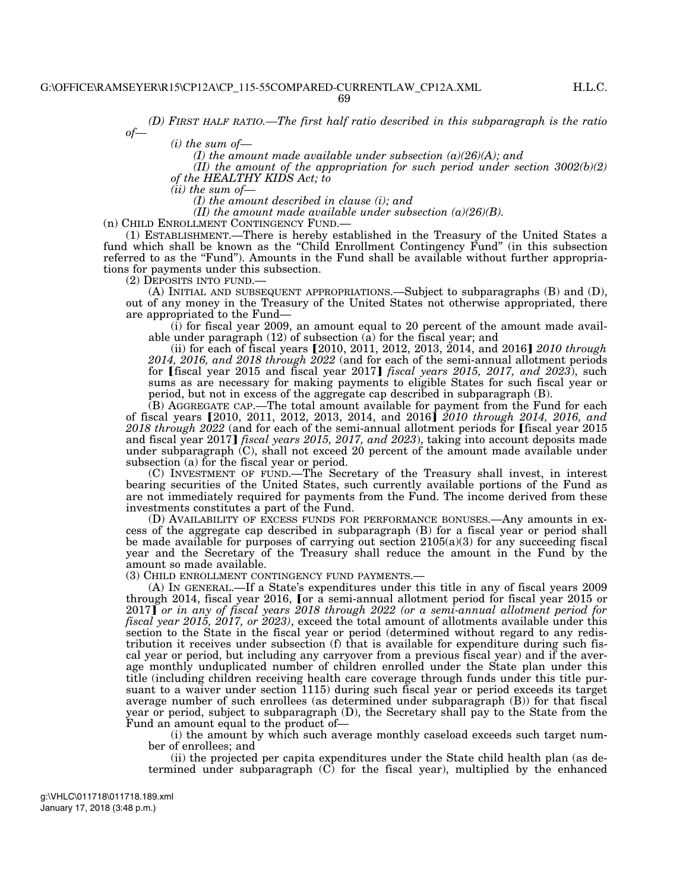*(D) FIRST HALF RATIO.—The first half ratio described in this subparagraph is the ratio of—* 

*(i) the sum of—* 

*(I) the amount made available under subsection (a)(26)(A); and* 

*(II) the amount of the appropriation for such period under section 3002(b)(2) of the HEALTHY KIDS Act; to* 

*(ii) the sum of—* 

*(I) the amount described in clause (i); and* 

*(II) the amount made available under subsection (a)(26)(B).* 

(n) CHILD ENROLLMENT CONTINGENCY FUND.—

(1) ESTABLISHMENT.—There is hereby established in the Treasury of the United States a fund which shall be known as the "Child Enrollment Contingency Fund" (in this subsection referred to as the "Fund"). Amounts in the Fund shall be available without further appropriations for payments under this subsection.

(2) DEPOSITS INTO FUND.—

(A) INITIAL AND SUBSEQUENT APPROPRIATIONS.—Subject to subparagraphs (B) and (D), out of any money in the Treasury of the United States not otherwise appropriated, there are appropriated to the Fund—

(i) for fiscal year 2009, an amount equal to 20 percent of the amount made available under paragraph (12) of subsection (a) for the fiscal year; and

(ii) for each of fiscal years [2010, 2011, 2012, 2013, 2014, and 2016] *2010 through 2014, 2016, and 2018 through 2022* (and for each of the semi-annual allotment periods for [fiscal year 2015 and fiscal year 2017] *fiscal years 2015, 2017, and 2023*), such sums as are necessary for making payments to eligible States for such fiscal year or period, but not in excess of the aggregate cap described in subparagraph (B).

(B) AGGREGATE CAP.—The total amount available for payment from the Fund for each of fiscal years ø2010, 2011, 2012, 2013, 2014, and 2016¿ *2010 through 2014, 2016, and*  2018 through 2022 (and for each of the semi-annual allotment periods for [fiscal year 2015 and fiscal year 2017] *fiscal years 2015, 2017, and 2023*), taking into account deposits made under subparagraph (C), shall not exceed 20 percent of the amount made available under subsection (a) for the fiscal year or period.

(C) INVESTMENT OF FUND.—The Secretary of the Treasury shall invest, in interest bearing securities of the United States, such currently available portions of the Fund as are not immediately required for payments from the Fund. The income derived from these investments constitutes a part of the Fund.

(D) AVAILABILITY OF EXCESS FUNDS FOR PERFORMANCE BONUSES.—Any amounts in excess of the aggregate cap described in subparagraph (B) for a fiscal year or period shall be made available for purposes of carrying out section  $2105(a)(3)$  for any succeeding fiscal year and the Secretary of the Treasury shall reduce the amount in the Fund by the amount so made available.

(3) CHILD ENROLLMENT CONTINGENCY FUND PAYMENTS.—

(A) IN GENERAL.—If a State's expenditures under this title in any of fiscal years 2009 through 2014, fiscal year 2016, [or a semi-annual allotment period for fiscal year 2015 or 2017¿ *or in any of fiscal years 2018 through 2022 (or a semi-annual allotment period for fiscal year 2015, 2017, or 2023)*, exceed the total amount of allotments available under this section to the State in the fiscal year or period (determined without regard to any redistribution it receives under subsection (f) that is available for expenditure during such fiscal year or period, but including any carryover from a previous fiscal year) and if the average monthly unduplicated number of children enrolled under the State plan under this title (including children receiving health care coverage through funds under this title pursuant to a waiver under section 1115) during such fiscal year or period exceeds its target average number of such enrollees (as determined under subparagraph (B)) for that fiscal year or period, subject to subparagraph (D), the Secretary shall pay to the State from the Fund an amount equal to the product of—

(i) the amount by which such average monthly caseload exceeds such target number of enrollees; and

(ii) the projected per capita expenditures under the State child health plan (as determined under subparagraph (C) for the fiscal year), multiplied by the enhanced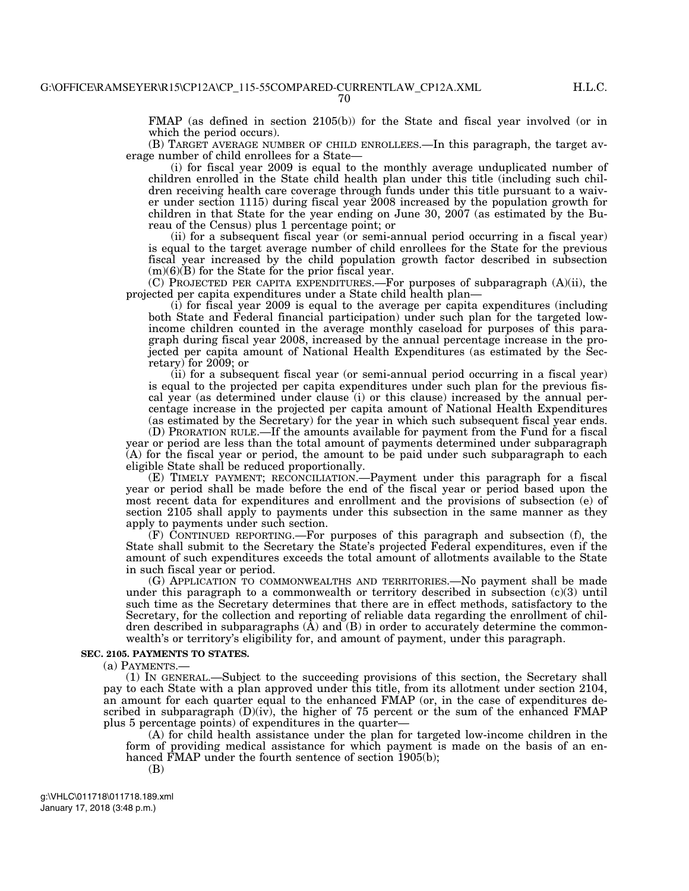FMAP (as defined in section 2105(b)) for the State and fiscal year involved (or in which the period occurs).

(B) TARGET AVERAGE NUMBER OF CHILD ENROLLEES.—In this paragraph, the target average number of child enrollees for a State—

(i) for fiscal year 2009 is equal to the monthly average unduplicated number of children enrolled in the State child health plan under this title (including such children receiving health care coverage through funds under this title pursuant to a waiver under section 1115) during fiscal year 2008 increased by the population growth for children in that State for the year ending on June 30, 2007 (as estimated by the Bureau of the Census) plus 1 percentage point; or

(ii) for a subsequent fiscal year (or semi-annual period occurring in a fiscal year) is equal to the target average number of child enrollees for the State for the previous fiscal year increased by the child population growth factor described in subsection  $(m)(6)(B)$  for the State for the prior fiscal year.

(C) PROJECTED PER CAPITA EXPENDITURES.—For purposes of subparagraph (A)(ii), the projected per capita expenditures under a State child health plan—

(i) for fiscal year 2009 is equal to the average per capita expenditures (including both State and Federal financial participation) under such plan for the targeted lowincome children counted in the average monthly caseload for purposes of this paragraph during fiscal year 2008, increased by the annual percentage increase in the projected per capita amount of National Health Expenditures (as estimated by the Secretary) for 2009; or

(ii) for a subsequent fiscal year (or semi-annual period occurring in a fiscal year) is equal to the projected per capita expenditures under such plan for the previous fiscal year (as determined under clause (i) or this clause) increased by the annual percentage increase in the projected per capita amount of National Health Expenditures (as estimated by the Secretary) for the year in which such subsequent fiscal year ends.

(D) PRORATION RULE.—If the amounts available for payment from the Fund for a fiscal year or period are less than the total amount of payments determined under subparagraph (A) for the fiscal year or period, the amount to be paid under such subparagraph to each eligible State shall be reduced proportionally.

(E) TIMELY PAYMENT; RECONCILIATION.—Payment under this paragraph for a fiscal year or period shall be made before the end of the fiscal year or period based upon the most recent data for expenditures and enrollment and the provisions of subsection (e) of section 2105 shall apply to payments under this subsection in the same manner as they apply to payments under such section.

(F) CONTINUED REPORTING.—For purposes of this paragraph and subsection (f), the State shall submit to the Secretary the State's projected Federal expenditures, even if the amount of such expenditures exceeds the total amount of allotments available to the State in such fiscal year or period.

(G) APPLICATION TO COMMONWEALTHS AND TERRITORIES.—No payment shall be made under this paragraph to a commonwealth or territory described in subsection (c)(3) until such time as the Secretary determines that there are in effect methods, satisfactory to the Secretary, for the collection and reporting of reliable data regarding the enrollment of children described in subparagraphs  $(\hat{A})$  and  $(\hat{B})$  in order to accurately determine the commonwealth's or territory's eligibility for, and amount of payment, under this paragraph.

# **SEC. 2105. PAYMENTS TO STATES.**

(a) PAYMENTS.—

(1) IN GENERAL.—Subject to the succeeding provisions of this section, the Secretary shall pay to each State with a plan approved under this title, from its allotment under section 2104, an amount for each quarter equal to the enhanced FMAP (or, in the case of expenditures described in subparagraph  $(D)(iv)$ , the higher of 75 percent or the sum of the enhanced FMAP plus 5 percentage points) of expenditures in the quarter—

(A) for child health assistance under the plan for targeted low-income children in the form of providing medical assistance for which payment is made on the basis of an enhanced FMAP under the fourth sentence of section 1905(b);

(B)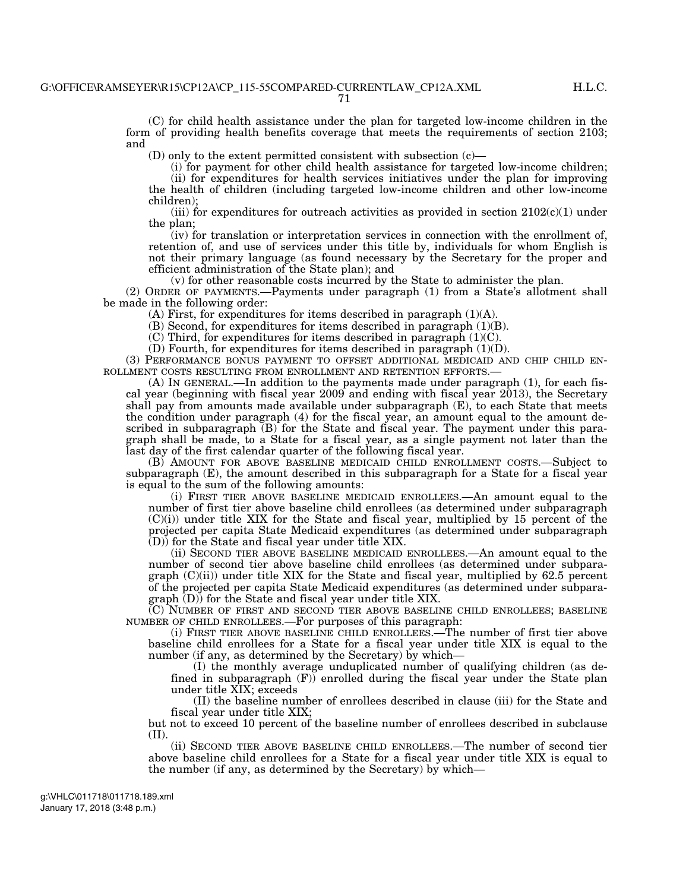(C) for child health assistance under the plan for targeted low-income children in the form of providing health benefits coverage that meets the requirements of section 2103; and

(D) only to the extent permitted consistent with subsection (c)—

(i) for payment for other child health assistance for targeted low-income children;

(ii) for expenditures for health services initiatives under the plan for improving the health of children (including targeted low-income children and other low-income children);

(iii) for expenditures for outreach activities as provided in section  $2102(c)(1)$  under the plan;

(iv) for translation or interpretation services in connection with the enrollment of, retention of, and use of services under this title by, individuals for whom English is not their primary language (as found necessary by the Secretary for the proper and efficient administration of the State plan); and

(v) for other reasonable costs incurred by the State to administer the plan.

(2) ORDER OF PAYMENTS.—Payments under paragraph (1) from a State's allotment shall be made in the following order:

 $(A)$  First, for expenditures for items described in paragraph  $(1)(A)$ .

(B) Second, for expenditures for items described in paragraph (1)(B).

(C) Third, for expenditures for items described in paragraph (1)(C).

(D) Fourth, for expenditures for items described in paragraph  $(1)(D)$ .

(3) PERFORMANCE BONUS PAYMENT TO OFFSET ADDITIONAL MEDICAID AND CHIP CHILD EN-ROLLMENT COSTS RESULTING FROM ENROLLMENT AND RETENTION EFFORTS.—

(A) IN GENERAL.—In addition to the payments made under paragraph (1), for each fiscal year (beginning with fiscal year 2009 and ending with fiscal year 2013), the Secretary shall pay from amounts made available under subparagraph (E), to each State that meets the condition under paragraph (4) for the fiscal year, an amount equal to the amount described in subparagraph (B) for the State and fiscal year. The payment under this paragraph shall be made, to a State for a fiscal year, as a single payment not later than the last day of the first calendar quarter of the following fiscal year.

(B) AMOUNT FOR ABOVE BASELINE MEDICAID CHILD ENROLLMENT COSTS.—Subject to subparagraph (E), the amount described in this subparagraph for a State for a fiscal year is equal to the sum of the following amounts:

(i) FIRST TIER ABOVE BASELINE MEDICAID ENROLLEES.—An amount equal to the number of first tier above baseline child enrollees (as determined under subparagraph (C)(i)) under title XIX for the State and fiscal year, multiplied by 15 percent of the projected per capita State Medicaid expenditures (as determined under subparagraph (D)) for the State and fiscal year under title XIX.

(ii) SECOND TIER ABOVE BASELINE MEDICAID ENROLLEES.—An amount equal to the number of second tier above baseline child enrollees (as determined under subparagraph (C)(ii)) under title XIX for the State and fiscal year, multiplied by 62.5 percent of the projected per capita State Medicaid expenditures (as determined under subparagraph (D)) for the State and fiscal year under title XIX.

(C) NUMBER OF FIRST AND SECOND TIER ABOVE BASELINE CHILD ENROLLEES; BASELINE NUMBER OF CHILD ENROLLEES.—For purposes of this paragraph:

(i) FIRST TIER ABOVE BASELINE CHILD ENROLLEES.—The number of first tier above baseline child enrollees for a State for a fiscal year under title XIX is equal to the number (if any, as determined by the Secretary) by which—

(I) the monthly average unduplicated number of qualifying children (as defined in subparagraph (F)) enrolled during the fiscal year under the State plan under title XIX; exceeds

(II) the baseline number of enrollees described in clause (iii) for the State and fiscal year under title XIX;

but not to exceed 10 percent of the baseline number of enrollees described in subclause (II).

(ii) SECOND TIER ABOVE BASELINE CHILD ENROLLEES.—The number of second tier above baseline child enrollees for a State for a fiscal year under title XIX is equal to the number (if any, as determined by the Secretary) by which—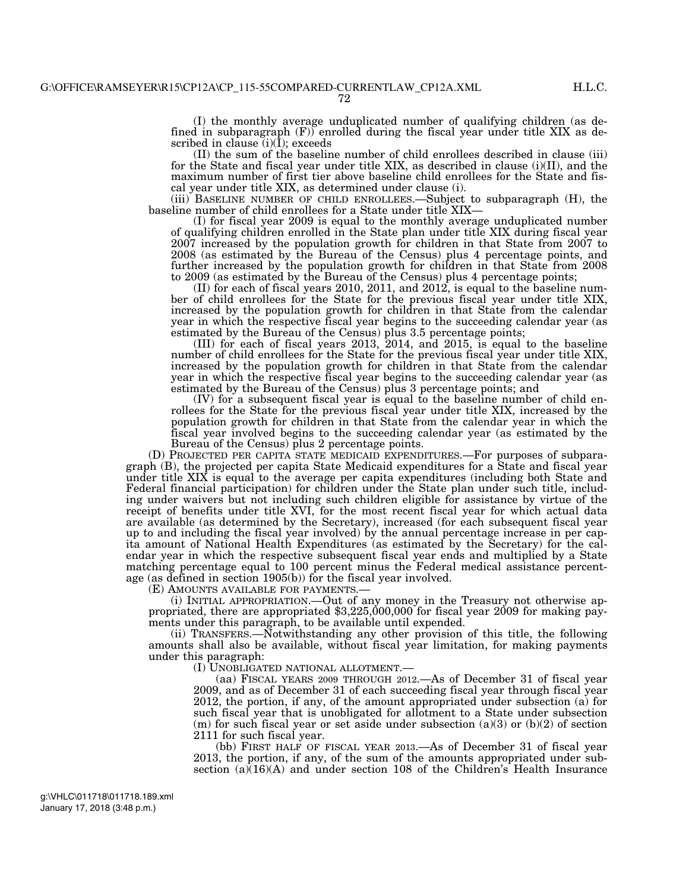(I) the monthly average unduplicated number of qualifying children (as defined in subparagraph (F)) enrolled during the fiscal year under title XIX as described in clause  $(i)(\overline{I})$ ; exceeds

(II) the sum of the baseline number of child enrollees described in clause (iii) for the State and fiscal year under title XIX, as described in clause (i)(II), and the maximum number of first tier above baseline child enrollees for the State and fiscal year under title XIX, as determined under clause (i).

(iii) BASELINE NUMBER OF CHILD ENROLLEES.—Subject to subparagraph (H), the baseline number of child enrollees for a State under title XIX—

(I) for fiscal year 2009 is equal to the monthly average unduplicated number of qualifying children enrolled in the State plan under title XIX during fiscal year 2007 increased by the population growth for children in that State from 2007 to 2008 (as estimated by the Bureau of the Census) plus 4 percentage points, and further increased by the population growth for children in that State from 2008 to 2009 (as estimated by the Bureau of the Census) plus 4 percentage points;

(II) for each of fiscal years 2010, 2011, and 2012, is equal to the baseline number of child enrollees for the State for the previous fiscal year under title XIX, increased by the population growth for children in that State from the calendar year in which the respective fiscal year begins to the succeeding calendar year (as estimated by the Bureau of the Census) plus 3.5 percentage points;

(III) for each of fiscal years 2013, 2014, and 2015, is equal to the baseline number of child enrollees for the State for the previous fiscal year under title XIX, increased by the population growth for children in that State from the calendar year in which the respective fiscal year begins to the succeeding calendar year (as estimated by the Bureau of the Census) plus 3 percentage points; and

(IV) for a subsequent fiscal year is equal to the baseline number of child enrollees for the State for the previous fiscal year under title XIX, increased by the population growth for children in that State from the calendar year in which the fiscal year involved begins to the succeeding calendar year (as estimated by the Bureau of the Census) plus 2 percentage points.

(D) PROJECTED PER CAPITA STATE MEDICAID EXPENDITURES.—For purposes of subparagraph (B), the projected per capita State Medicaid expenditures for a State and fiscal year under title XIX is equal to the average per capita expenditures (including both State and Federal financial participation) for children under the State plan under such title, including under waivers but not including such children eligible for assistance by virtue of the receipt of benefits under title XVI, for the most recent fiscal year for which actual data are available (as determined by the Secretary), increased (for each subsequent fiscal year up to and including the fiscal year involved) by the annual percentage increase in per capita amount of National Health Expenditures (as estimated by the Secretary) for the calendar year in which the respective subsequent fiscal year ends and multiplied by a State matching percentage equal to 100 percent minus the Federal medical assistance percentage (as defined in section 1905(b)) for the fiscal year involved.

(E) AMOUNTS AVAILABLE FOR PAYMENTS.—

(i) INITIAL APPROPRIATION.—Out of any money in the Treasury not otherwise appropriated, there are appropriated \$3,225,000,000 for fiscal year 2009 for making payments under this paragraph, to be available until expended.

(ii) TRANSFERS.—Notwithstanding any other provision of this title, the following amounts shall also be available, without fiscal year limitation, for making payments under this paragraph:

(I) UNOBLIGATED NATIONAL ALLOTMENT.—

(aa) FISCAL YEARS 2009 THROUGH 2012.—As of December 31 of fiscal year 2009, and as of December 31 of each succeeding fiscal year through fiscal year 2012, the portion, if any, of the amount appropriated under subsection (a) for such fiscal year that is unobligated for allotment to a State under subsection (m) for such fiscal year or set aside under subsection  $(a)(3)$  or  $(b)(2)$  of section 2111 for such fiscal year.

(bb) FIRST HALF OF FISCAL YEAR 2013.—As of December 31 of fiscal year 2013, the portion, if any, of the sum of the amounts appropriated under subsection  $(a)(16)(A)$  and under section 108 of the Children's Health Insurance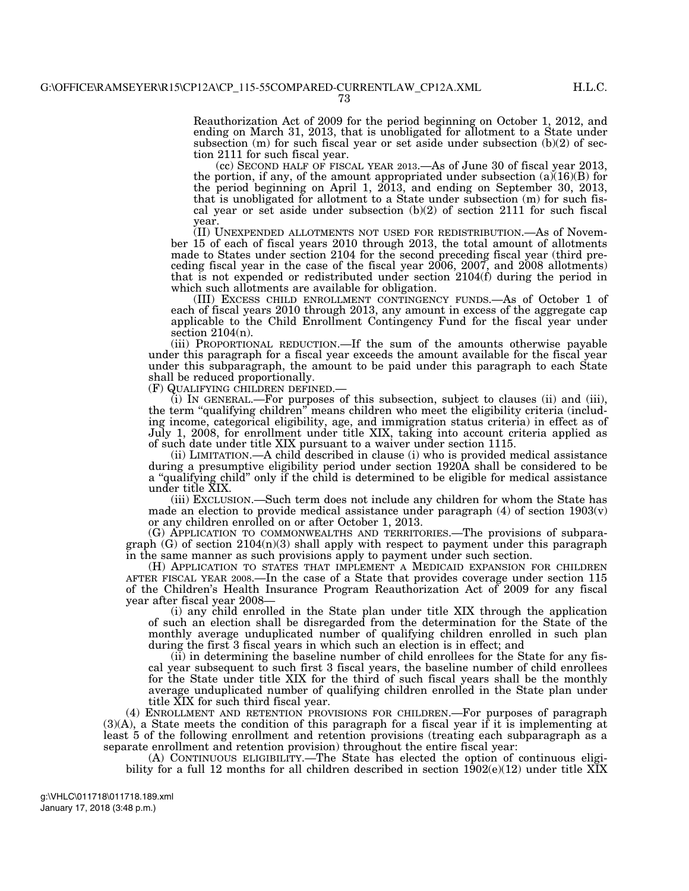Reauthorization Act of 2009 for the period beginning on October 1, 2012, and ending on March 31, 2013, that is unobligated for allotment to a State under subsection  $(m)$  for such fiscal year or set aside under subsection  $(b)(2)$  of section 2111 for such fiscal year.

(cc) SECOND HALF OF FISCAL YEAR 2013.—As of June 30 of fiscal year 2013, the portion, if any, of the amount appropriated under subsection  $(a)(16)(B)$  for the period beginning on April 1, 2013, and ending on September 30, 2013, that is unobligated for allotment to a State under subsection (m) for such fiscal year or set aside under subsection  $(b)(2)$  of section 2111 for such fiscal year.

(II) UNEXPENDED ALLOTMENTS NOT USED FOR REDISTRIBUTION.—As of November 15 of each of fiscal years 2010 through 2013, the total amount of allotments made to States under section 2104 for the second preceding fiscal year (third preceding fiscal year in the case of the fiscal year 2006, 2007, and 2008 allotments) that is not expended or redistributed under section  $2104(f)$  during the period in which such allotments are available for obligation.

(III) EXCESS CHILD ENROLLMENT CONTINGENCY FUNDS.—As of October 1 of each of fiscal years 2010 through 2013, any amount in excess of the aggregate cap applicable to the Child Enrollment Contingency Fund for the fiscal year under section  $2104(n)$ .

(iii) PROPORTIONAL REDUCTION.—If the sum of the amounts otherwise payable under this paragraph for a fiscal year exceeds the amount available for the fiscal year under this subparagraph, the amount to be paid under this paragraph to each State shall be reduced proportionally.<br>(F) QUALIFYING CHILDREN DEFINED.

(F) QUALIFYING CHILDREN DEFINED.— (i) IN GENERAL.—For purposes of this subsection, subject to clauses (ii) and (iii), the term ''qualifying children'' means children who meet the eligibility criteria (including income, categorical eligibility, age, and immigration status criteria) in effect as of July 1, 2008, for enrollment under title XIX, taking into account criteria applied as of such date under title XIX pursuant to a waiver under section 1115.

(ii) LIMITATION.—A child described in clause (i) who is provided medical assistance during a presumptive eligibility period under section 1920A shall be considered to be a ''qualifying child'' only if the child is determined to be eligible for medical assistance under title XIX.

(iii) EXCLUSION.—Such term does not include any children for whom the State has made an election to provide medical assistance under paragraph  $(4)$  of section 1903 $(v)$ or any children enrolled on or after October 1, 2013.

(G) APPLICATION TO COMMONWEALTHS AND TERRITORIES.—The provisions of subparagraph  $(G)$  of section  $2104(n)(3)$  shall apply with respect to payment under this paragraph in the same manner as such provisions apply to payment under such section.

(H) APPLICATION TO STATES THAT IMPLEMENT A MEDICAID EXPANSION FOR CHILDREN AFTER FISCAL YEAR 2008.—In the case of a State that provides coverage under section 115 of the Children's Health Insurance Program Reauthorization Act of 2009 for any fiscal year after fiscal year 2008—

(i) any child enrolled in the State plan under title XIX through the application of such an election shall be disregarded from the determination for the State of the monthly average unduplicated number of qualifying children enrolled in such plan during the first 3 fiscal years in which such an election is in effect; and

(ii) in determining the baseline number of child enrollees for the State for any fiscal year subsequent to such first 3 fiscal years, the baseline number of child enrollees for the State under title XIX for the third of such fiscal years shall be the monthly average unduplicated number of qualifying children enrolled in the State plan under title XIX for such third fiscal year.

(4) ENROLLMENT AND RETENTION PROVISIONS FOR CHILDREN.—For purposes of paragraph  $(3)(A)$ , a State meets the condition of this paragraph for a fiscal year if it is implementing at least 5 of the following enrollment and retention provisions (treating each subparagraph as a separate enrollment and retention provision) throughout the entire fiscal year:

(A) CONTINUOUS ELIGIBILITY.—The State has elected the option of continuous eligibility for a full 12 months for all children described in section  $1902(e)(12)$  under title XIX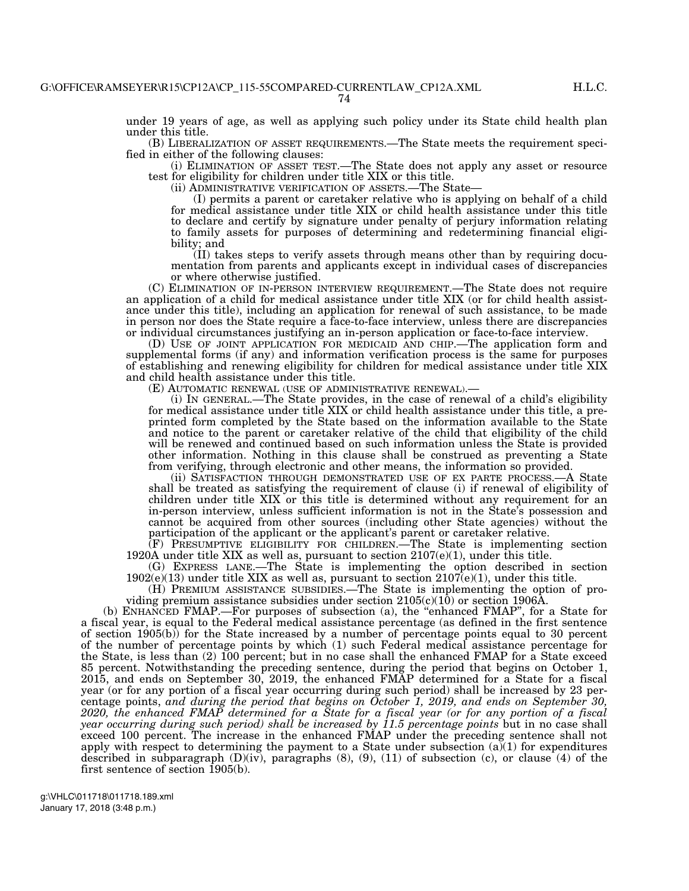under 19 years of age, as well as applying such policy under its State child health plan under this title.

(B) LIBERALIZATION OF ASSET REQUIREMENTS.—The State meets the requirement specified in either of the following clauses:

(i) ELIMINATION OF ASSET TEST.—The State does not apply any asset or resource test for eligibility for children under title XIX or this title.

(ii) ADMINISTRATIVE VERIFICATION OF ASSETS.—The State—

(I) permits a parent or caretaker relative who is applying on behalf of a child for medical assistance under title XIX or child health assistance under this title to declare and certify by signature under penalty of perjury information relating to family assets for purposes of determining and redetermining financial eligibility; and

(II) takes steps to verify assets through means other than by requiring documentation from parents and applicants except in individual cases of discrepancies or where otherwise justified.

(C) ELIMINATION OF IN-PERSON INTERVIEW REQUIREMENT.—The State does not require an application of a child for medical assistance under title XIX (or for child health assistance under this title), including an application for renewal of such assistance, to be made in person nor does the State require a face-to-face interview, unless there are discrepancies or individual circumstances justifying an in-person application or face-to-face interview.

(D) USE OF JOINT APPLICATION FOR MEDICAID AND CHIP.—The application form and supplemental forms (if any) and information verification process is the same for purposes of establishing and renewing eligibility for children for medical assistance under title XIX and child health assistance under this title.<br>(E) AUTOMATIC RENEWAL (USE OF ADMINISTRATIVE RENEWAL).—

(i) IN GENERAL.—The State provides, in the case of renewal of a child's eligibility for medical assistance under title XIX or child health assistance under this title, a preprinted form completed by the State based on the information available to the State and notice to the parent or caretaker relative of the child that eligibility of the child will be renewed and continued based on such information unless the State is provided other information. Nothing in this clause shall be construed as preventing a State from verifying, through electronic and other means, the information so provided.

(ii) SATISFACTION THROUGH DEMONSTRATED USE OF EX PARTE PROCESS.—A State shall be treated as satisfying the requirement of clause (i) if renewal of eligibility of children under title XIX or this title is determined without any requirement for an in-person interview, unless sufficient information is not in the State's possession and cannot be acquired from other sources (including other State agencies) without the participation of the applicant or the applicant's parent or caretaker relative.

(F) PRESUMPTIVE ELIGIBILITY FOR CHILDREN.—The State is implementing section 1920A under title XIX as well as, pursuant to section  $2107(e)(1)$ , under this title.

(G) EXPRESS LANE.—The State is implementing the option described in section  $1902(e)(13)$  under title XIX as well as, pursuant to section  $2107(e)(1)$ , under this title.

(H) PREMIUM ASSISTANCE SUBSIDIES.—The State is implementing the option of providing premium assistance subsidies under section  $2105(c)(10)$  or section 1906A.

(b) ENHANCED FMAP.—For purposes of subsection (a), the ''enhanced FMAP'', for a State for a fiscal year, is equal to the Federal medical assistance percentage (as defined in the first sentence of section 1905(b)) for the State increased by a number of percentage points equal to 30 percent of the number of percentage points by which (1) such Federal medical assistance percentage for the State, is less than (2) 100 percent; but in no case shall the enhanced FMAP for a State exceed 85 percent. Notwithstanding the preceding sentence, during the period that begins on October 1, 2015, and ends on September 30, 2019, the enhanced FMAP determined for a State for a fiscal year (or for any portion of a fiscal year occurring during such period) shall be increased by 23 percentage points, *and during the period that begins on October 1, 2019, and ends on September 30, 2020, the enhanced FMAP determined for a State for a fiscal year (or for any portion of a fiscal year occurring during such period) shall be increased by 11.5 percentage points* but in no case shall exceed 100 percent. The increase in the enhanced FMAP under the preceding sentence shall not apply with respect to determining the payment to a State under subsection  $(a)(1)$  for expenditures described in subparagraph  $(D)(iv)$ , paragraphs  $(8)$ ,  $(9)$ ,  $(11)$  of subsection  $(c)$ , or clause  $(4)$  of the first sentence of section 1905(b).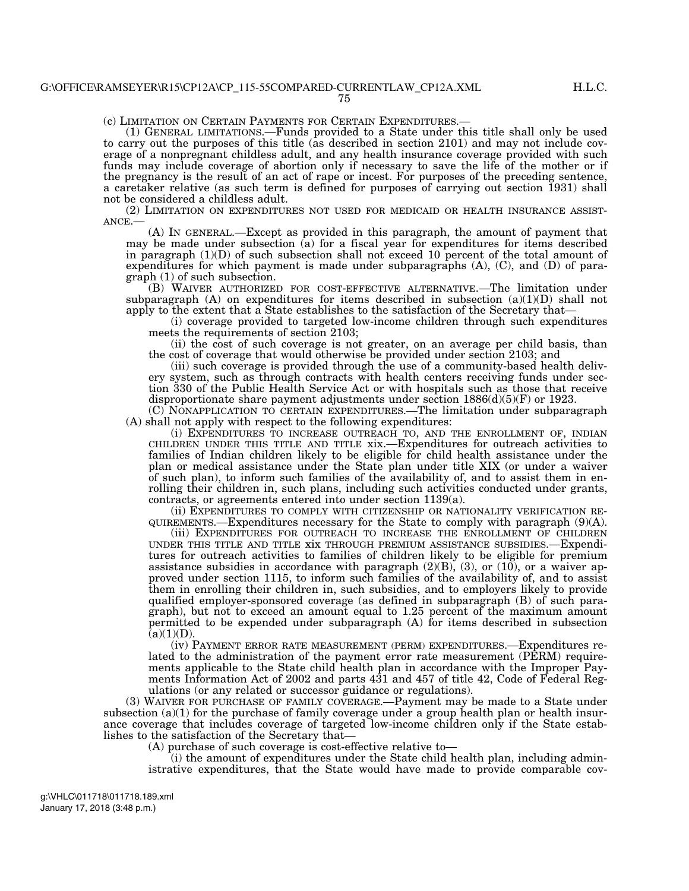(c) LIMITATION ON CERTAIN PAYMENTS FOR CERTAIN EXPENDITURES.— (1) GENERAL LIMITATIONS.—Funds provided to a State under this title shall only be used to carry out the purposes of this title (as described in section 2101) and may not include coverage of a nonpregnant childless adult, and any health insurance coverage provided with such funds may include coverage of abortion only if necessary to save the life of the mother or if the pregnancy is the result of an act of rape or incest. For purposes of the preceding sentence, a caretaker relative (as such term is defined for purposes of carrying out section 1931) shall not be considered a childless adult.<br>
(2) LIMITATION ON EXPENDITURES NOT USED FOR MEDICAID OR HEALTH INSURANCE ASSIST-

 $ANEE.$  (A) In GENERAL.—Except as provided in this paragraph, the amount of payment that may be made under subsection (a) for a fiscal year for expenditures for items described in paragraph  $(1)(D)$  of such subsection shall not exceed 10 percent of the total amount of expenditures for which payment is made under subparagraphs (A), (C), and (D) of paragraph (1) of such subsection.

(B) WAIVER AUTHORIZED FOR COST-EFFECTIVE ALTERNATIVE.—The limitation under subparagraph (A) on expenditures for items described in subsection  $(a)(1)(D)$  shall not apply to the extent that a State establishes to the satisfaction of the Secretary that—

(i) coverage provided to targeted low-income children through such expenditures meets the requirements of section 2103;

(ii) the cost of such coverage is not greater, on an average per child basis, than the cost of coverage that would otherwise be provided under section 2103; and

(iii) such coverage is provided through the use of a community-based health delivery system, such as through contracts with health centers receiving funds under section 330 of the Public Health Service Act or with hospitals such as those that receive disproportionate share payment adjustments under section  $1886(d)(5)(F)$  or 1923.

(C) NONAPPLICATION TO CERTAIN EXPENDITURES.—The limitation under subparagraph (A) shall not apply with respect to the following expenditures:

(i) EXPENDITURES TO INCREASE OUTREACH TO, AND THE ENROLLMENT OF, INDIAN CHILDREN UNDER THIS TITLE AND TITLE xix.—Expenditures for outreach activities to families of Indian children likely to be eligible for child health assistance under the plan or medical assistance under the State plan under title XIX (or under a waiver of such plan), to inform such families of the availability of, and to assist them in enrolling their children in, such plans, including such activities conducted under grants, contracts, or agreements entered into under section 1139(a).<br>(ii) EXPENDITURES TO COMPLY WITH CITIZENSHIP OR NATIONALITY VERIFICATION RE-

QUIREMENTS.—Expenditures necessary for the State to comply with paragraph  $(9)(A)$ .

(iii) EXPENDITURES FOR OUTREACH TO INCREASE THE ENROLLMENT OF CHILDREN UNDER THIS TITLE AND TITLE xix THROUGH PREMIUM ASSISTANCE SUBSIDIES.—Expenditures for outreach activities to families of children likely to be eligible for premium assistance subsidies in accordance with paragraph  $(2)(B)$ ,  $(3)$ , or  $(10)$ , or a waiver approved under section 1115, to inform such families of the availability of, and to assist them in enrolling their children in, such subsidies, and to employers likely to provide qualified employer-sponsored coverage (as defined in subparagraph (B) of such paragraph), but not to exceed an amount equal to 1.25 percent of the maximum amount permitted to be expended under subparagraph (A) for items described in subsection  $(a)(1)(D)$ .

(iv) PAYMENT ERROR RATE MEASUREMENT (PERM) EXPENDITURES.—Expenditures related to the administration of the payment error rate measurement (PERM) requirements applicable to the State child health plan in accordance with the Improper Payments Information Act of 2002 and parts 431 and 457 of title 42, Code of Federal Regulations (or any related or successor guidance or regulations).

(3) WAIVER FOR PURCHASE OF FAMILY COVERAGE.—Payment may be made to a State under subsection  $(a)(1)$  for the purchase of family coverage under a group health plan or health insurance coverage that includes coverage of targeted low-income children only if the State establishes to the satisfaction of the Secretary that—

(A) purchase of such coverage is cost-effective relative to—

(i) the amount of expenditures under the State child health plan, including administrative expenditures, that the State would have made to provide comparable cov-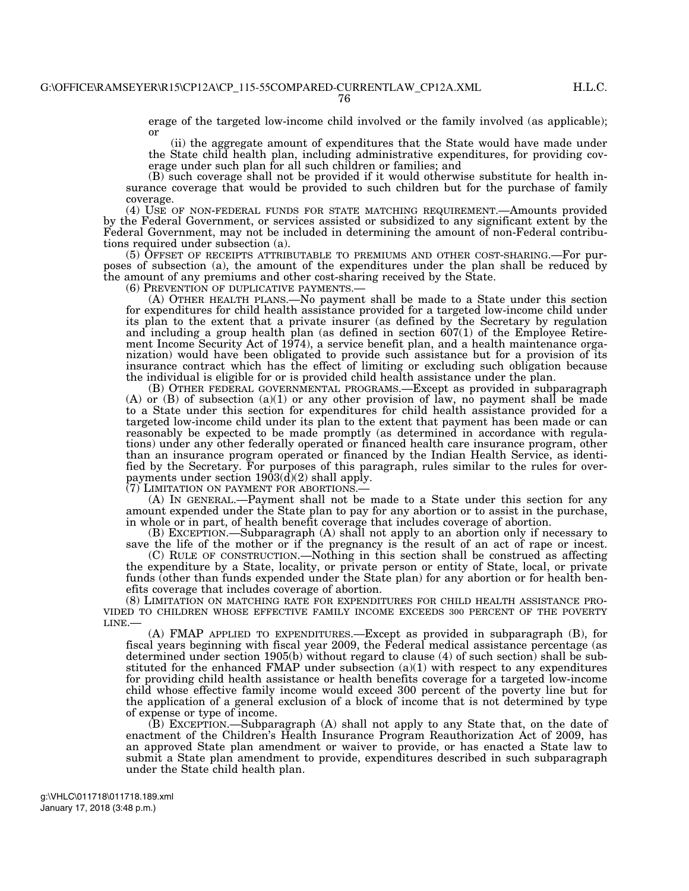erage of the targeted low-income child involved or the family involved (as applicable); or

(ii) the aggregate amount of expenditures that the State would have made under the State child health plan, including administrative expenditures, for providing coverage under such plan for all such children or families; and

(B) such coverage shall not be provided if it would otherwise substitute for health insurance coverage that would be provided to such children but for the purchase of family coverage.

(4) USE OF NON-FEDERAL FUNDS FOR STATE MATCHING REQUIREMENT.—Amounts provided by the Federal Government, or services assisted or subsidized to any significant extent by the Federal Government, may not be included in determining the amount of non-Federal contributions required under subsection (a).

(5) OFFSET OF RECEIPTS ATTRIBUTABLE TO PREMIUMS AND OTHER COST-SHARING.—For purposes of subsection (a), the amount of the expenditures under the plan shall be reduced by the amount of any premiums and other cost-sharing received by the State.

(6) PREVENTION OF DUPLICATIVE PAYMENTS.— (A) OTHER HEALTH PLANS.—No payment shall be made to a State under this section for expenditures for child health assistance provided for a targeted low-income child under its plan to the extent that a private insurer (as defined by the Secretary by regulation and including a group health plan (as defined in section 607(1) of the Employee Retirement Income Security Act of 1974), a service benefit plan, and a health maintenance organization) would have been obligated to provide such assistance but for a provision of its insurance contract which has the effect of limiting or excluding such obligation because the individual is eligible for or is provided child health assistance under the plan.

(B) OTHER FEDERAL GOVERNMENTAL PROGRAMS.—Except as provided in subparagraph (A) or (B) of subsection  $(a)(1)$  or any other provision of law, no payment shall be made to a State under this section for expenditures for child health assistance provided for a targeted low-income child under its plan to the extent that payment has been made or can reasonably be expected to be made promptly (as determined in accordance with regulations) under any other federally operated or financed health care insurance program, other than an insurance program operated or financed by the Indian Health Service, as identified by the Secretary. For purposes of this paragraph, rules similar to the rules for overpayments under section  $1903(\overline{d})(2)$  shall apply.

(7) LIMITATION ON PAYMENT FOR ABORTIONS.— (A) IN GENERAL.—Payment shall not be made to a State under this section for any amount expended under the State plan to pay for any abortion or to assist in the purchase, in whole or in part, of health benefit coverage that includes coverage of abortion.

(B) EXCEPTION.—Subparagraph (A) shall not apply to an abortion only if necessary to save the life of the mother or if the pregnancy is the result of an act of rape or incest.

(C) RULE OF CONSTRUCTION.—Nothing in this section shall be construed as affecting the expenditure by a State, locality, or private person or entity of State, local, or private funds (other than funds expended under the State plan) for any abortion or for health benefits coverage that includes coverage of abortion.

(8) LIMITATION ON MATCHING RATE FOR EXPENDITURES FOR CHILD HEALTH ASSISTANCE PRO-VIDED TO CHILDREN WHOSE EFFECTIVE FAMILY INCOME EXCEEDS 300 PERCENT OF THE POVERTY LINE.—

(A) FMAP APPLIED TO EXPENDITURES.—Except as provided in subparagraph (B), for fiscal years beginning with fiscal year 2009, the Federal medical assistance percentage (as determined under section 1905(b) without regard to clause (4) of such section) shall be substituted for the enhanced FMAP under subsection  $(a)(1)$  with respect to any expenditures for providing child health assistance or health benefits coverage for a targeted low-income child whose effective family income would exceed 300 percent of the poverty line but for the application of a general exclusion of a block of income that is not determined by type of expense or type of income.

(B) EXCEPTION.—Subparagraph (A) shall not apply to any State that, on the date of enactment of the Children's Health Insurance Program Reauthorization Act of 2009, has an approved State plan amendment or waiver to provide, or has enacted a State law to submit a State plan amendment to provide, expenditures described in such subparagraph under the State child health plan.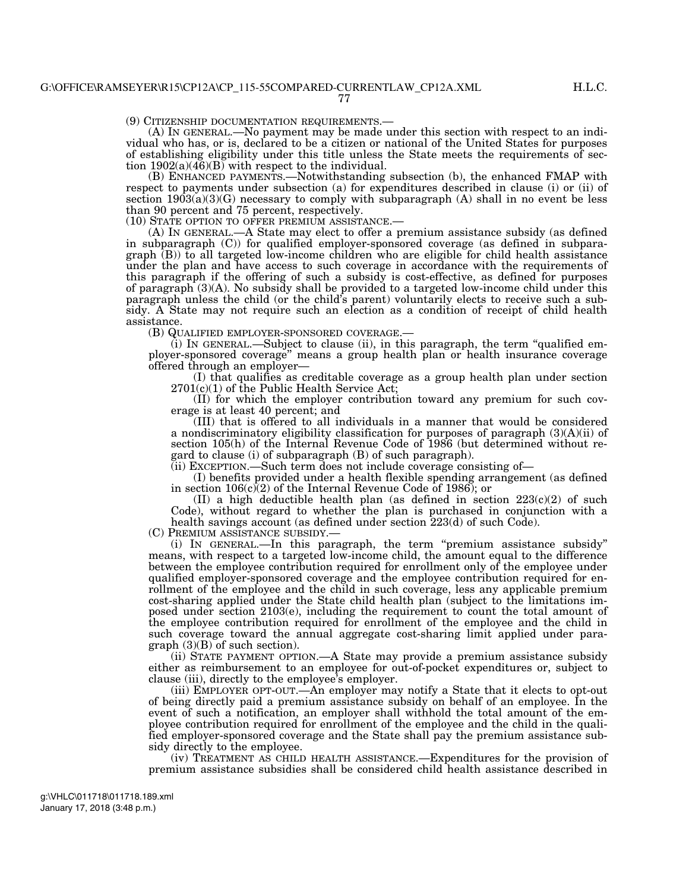(9) CITIZENSHIP DOCUMENTATION REQUIREMENTS.— (A) IN GENERAL.—No payment may be made under this section with respect to an individual who has, or is, declared to be a citizen or national of the United States for purposes of establishing eligibility under this title unless the State meets the requirements of section  $1902(a)(46)(B)$  with respect to the individual.

(B) ENHANCED PAYMENTS.—Notwithstanding subsection (b), the enhanced FMAP with respect to payments under subsection (a) for expenditures described in clause (i) or (ii) of section  $1903(a)(3)(G)$  necessary to comply with subparagraph (A) shall in no event be less than 90 percent and 75 percent, respectively.<br>(10) STATE OPTION TO OFFER PREMIUM ASSISTANCE.—

 $(A)$  In GENERAL.—A State may elect to offer a premium assistance subsidy (as defined in subparagraph (C)) for qualified employer-sponsored coverage (as defined in subparagraph (B)) to all targeted low-income children who are eligible for child health assistance under the plan and have access to such coverage in accordance with the requirements of this paragraph if the offering of such a subsidy is cost-effective, as defined for purposes of paragraph (3)(A). No subsidy shall be provided to a targeted low-income child under this paragraph unless the child (or the child's parent) voluntarily elects to receive such a subsidy. A State may not require such an election as a condition of receipt of child health assistance.<br>(B) QUALIFIED EMPLOYER-SPONSORED COVERAGE.—

 $(i)$  In GENERAL.—Subject to clause (ii), in this paragraph, the term "qualified employer-sponsored coverage'' means a group health plan or health insurance coverage offered through an employer—

(I) that qualifies as creditable coverage as a group health plan under section  $2701(c)(1)$  of the Public Health Service Act;

(II) for which the employer contribution toward any premium for such coverage is at least 40 percent; and

(III) that is offered to all individuals in a manner that would be considered a nondiscriminatory eligibility classification for purposes of paragraph (3)(A)(ii) of section 105(h) of the Internal Revenue Code of 1986 (but determined without regard to clause (i) of subparagraph (B) of such paragraph).

(ii) EXCEPTION.—Such term does not include coverage consisting of—

(I) benefits provided under a health flexible spending arrangement (as defined in section 106(c)(2) of the Internal Revenue Code of 1986); or

(II) a high deductible health plan (as defined in section 223(c)(2) of such Code), without regard to whether the plan is purchased in conjunction with a health savings account (as defined under section 223(d) of such Code).<br>(C) PREMIUM ASSISTANCE SUBSIDY.—

(i) In GENERAL.—In this paragraph, the term "premium assistance subsidy" means, with respect to a targeted low-income child, the amount equal to the difference between the employee contribution required for enrollment only of the employee under qualified employer-sponsored coverage and the employee contribution required for enrollment of the employee and the child in such coverage, less any applicable premium cost-sharing applied under the State child health plan (subject to the limitations imposed under section 2103(e), including the requirement to count the total amount of the employee contribution required for enrollment of the employee and the child in such coverage toward the annual aggregate cost-sharing limit applied under paragraph  $(3)(B)$  of such section).

(ii) STATE PAYMENT OPTION.—A State may provide a premium assistance subsidy either as reimbursement to an employee for out-of-pocket expenditures or, subject to clause (iii), directly to the employee's employer.

(iii) EMPLOYER OPT-OUT.—An employer may notify a State that it elects to opt-out of being directly paid a premium assistance subsidy on behalf of an employee. In the event of such a notification, an employer shall withhold the total amount of the employee contribution required for enrollment of the employee and the child in the qualified employer-sponsored coverage and the State shall pay the premium assistance subsidy directly to the employee.

(iv) TREATMENT AS CHILD HEALTH ASSISTANCE.—Expenditures for the provision of premium assistance subsidies shall be considered child health assistance described in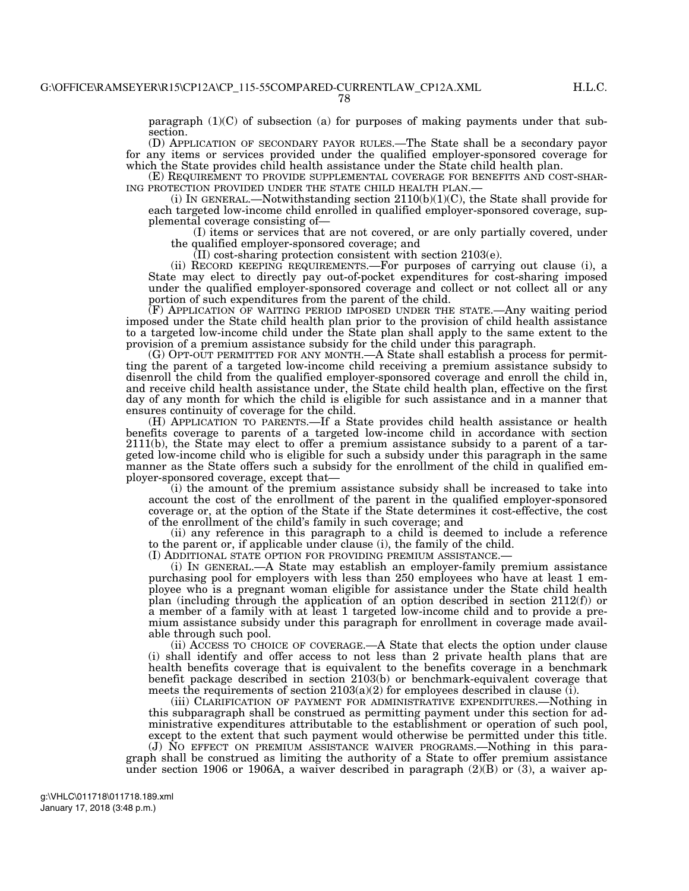78

paragraph  $(1)(C)$  of subsection (a) for purposes of making payments under that subsection.

(D) APPLICATION OF SECONDARY PAYOR RULES.—The State shall be a secondary payor for any items or services provided under the qualified employer-sponsored coverage for which the State provides child health assistance under the State child health plan.

(E) REQUIREMENT TO PROVIDE SUPPLEMENTAL COVERAGE FOR BENEFITS AND COST-SHAR- ING PROTECTION PROVIDED UNDER THE STATE CHILD HEALTH PLAN.— (i) IN GENERAL.—Notwithstanding section  $2110(b)(1)(C)$ , the State shall provide for

each targeted low-income child enrolled in qualified employer-sponsored coverage, supplemental coverage consisting of—

(I) items or services that are not covered, or are only partially covered, under the qualified employer-sponsored coverage; and

(II) cost-sharing protection consistent with section 2103(e).

(ii) RECORD KEEPING REQUIREMENTS.—For purposes of carrying out clause (i), a State may elect to directly pay out-of-pocket expenditures for cost-sharing imposed under the qualified employer-sponsored coverage and collect or not collect all or any portion of such expenditures from the parent of the child.

(F) APPLICATION OF WAITING PERIOD IMPOSED UNDER THE STATE.—Any waiting period imposed under the State child health plan prior to the provision of child health assistance to a targeted low-income child under the State plan shall apply to the same extent to the provision of a premium assistance subsidy for the child under this paragraph.

 $(G)$  OPT-OUT PERMITTED FOR ANY MONTH.—A State shall establish a process for permitting the parent of a targeted low-income child receiving a premium assistance subsidy to disenroll the child from the qualified employer-sponsored coverage and enroll the child in, and receive child health assistance under, the State child health plan, effective on the first day of any month for which the child is eligible for such assistance and in a manner that ensures continuity of coverage for the child.

(H) APPLICATION TO PARENTS.—If a State provides child health assistance or health benefits coverage to parents of a targeted low-income child in accordance with section 2111(b), the State may elect to offer a premium assistance subsidy to a parent of a targeted low-income child who is eligible for such a subsidy under this paragraph in the same manner as the State offers such a subsidy for the enrollment of the child in qualified employer-sponsored coverage, except that—

(i) the amount of the premium assistance subsidy shall be increased to take into account the cost of the enrollment of the parent in the qualified employer-sponsored coverage or, at the option of the State if the State determines it cost-effective, the cost of the enrollment of the child's family in such coverage; and

(ii) any reference in this paragraph to a child is deemed to include a reference to the parent or, if applicable under clause (i), the family of the child.<br>(I) ADDITIONAL STATE OPTION FOR PROVIDING PREMIUM ASSISTANCE.—

 $(i)$  In GENERAL.—A State may establish an employer-family premium assistance. purchasing pool for employers with less than 250 employees who have at least 1 employee who is a pregnant woman eligible for assistance under the State child health plan (including through the application of an option described in section 2112(f)) or a member of a family with at least 1 targeted low-income child and to provide a premium assistance subsidy under this paragraph for enrollment in coverage made available through such pool.

(ii) ACCESS TO CHOICE OF COVERAGE.—A State that elects the option under clause (i) shall identify and offer access to not less than 2 private health plans that are health benefits coverage that is equivalent to the benefits coverage in a benchmark benefit package described in section 2103(b) or benchmark-equivalent coverage that meets the requirements of section  $2103(a)(2)$  for employees described in clause (i).

(iii) CLARIFICATION OF PAYMENT FOR ADMINISTRATIVE EXPENDITURES.—Nothing in this subparagraph shall be construed as permitting payment under this section for administrative expenditures attributable to the establishment or operation of such pool, except to the extent that such payment would otherwise be permitted under this title.

(J) NO EFFECT ON PREMIUM ASSISTANCE WAIVER PROGRAMS.—Nothing in this paragraph shall be construed as limiting the authority of a State to offer premium assistance under section 1906 or 1906A, a waiver described in paragraph  $(2)(B)$  or  $(3)$ , a waiver ap-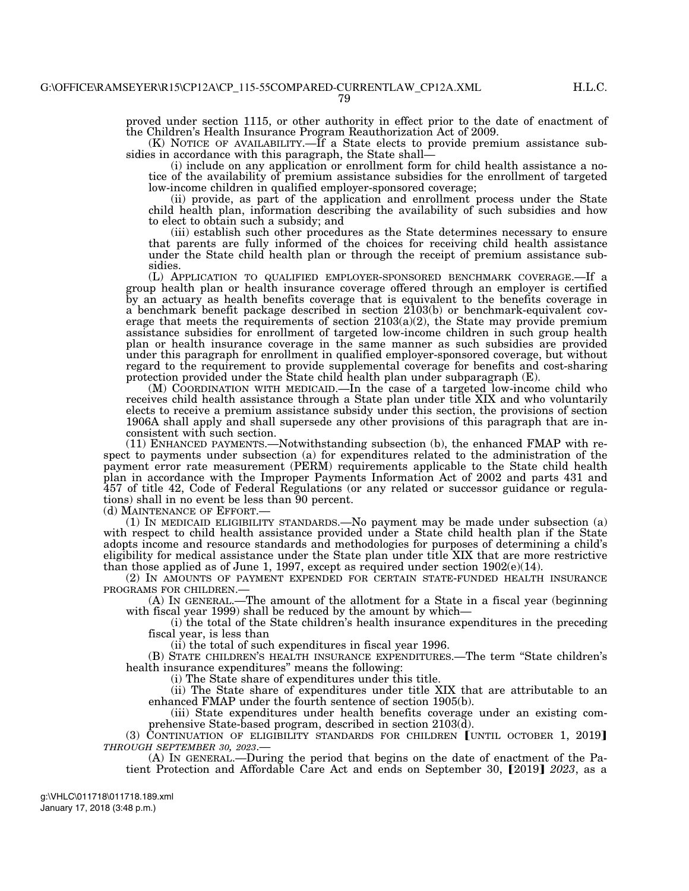79

proved under section 1115, or other authority in effect prior to the date of enactment of the Children's Health Insurance Program Reauthorization Act of 2009.

(K) NOTICE OF AVAILABILITY.—If a State elects to provide premium assistance subsidies in accordance with this paragraph, the State shall—

(i) include on any application or enrollment form for child health assistance a notice of the availability of premium assistance subsidies for the enrollment of targeted low-income children in qualified employer-sponsored coverage;

(ii) provide, as part of the application and enrollment process under the State child health plan, information describing the availability of such subsidies and how to elect to obtain such a subsidy; and

(iii) establish such other procedures as the State determines necessary to ensure that parents are fully informed of the choices for receiving child health assistance under the State child health plan or through the receipt of premium assistance subsidies.

(L) APPLICATION TO QUALIFIED EMPLOYER-SPONSORED BENCHMARK COVERAGE.—If a group health plan or health insurance coverage offered through an employer is certified by an actuary as health benefits coverage that is equivalent to the benefits coverage in a benchmark benefit package described in section 2103(b) or benchmark-equivalent coverage that meets the requirements of section  $2103(a)(2)$ , the State may provide premium assistance subsidies for enrollment of targeted low-income children in such group health plan or health insurance coverage in the same manner as such subsidies are provided under this paragraph for enrollment in qualified employer-sponsored coverage, but without regard to the requirement to provide supplemental coverage for benefits and cost-sharing protection provided under the State child health plan under subparagraph (E).

(M) COORDINATION WITH MEDICAID.—In the case of a targeted low-income child who receives child health assistance through a State plan under title XIX and who voluntarily elects to receive a premium assistance subsidy under this section, the provisions of section 1906A shall apply and shall supersede any other provisions of this paragraph that are inconsistent with such section.

(11) ENHANCED PAYMENTS.—Notwithstanding subsection (b), the enhanced FMAP with respect to payments under subsection (a) for expenditures related to the administration of the payment error rate measurement (PERM) requirements applicable to the State child health plan in accordance with the Improper Payments Information Act of 2002 and parts 431 and 457 of title 42, Code of Federal Regulations (or any related or successor guidance or regulations) shall in no event be less than 90 percent.<br>(d) MAINTENANCE OF EFFORT.—

(d) MAINTENANCE OF EFFORT.— (1) IN MEDICAID ELIGIBILITY STANDARDS.—No payment may be made under subsection (a) with respect to child health assistance provided under a State child health plan if the State adopts income and resource standards and methodologies for purposes of determining a child's eligibility for medical assistance under the State plan under title XIX that are more restrictive than those applied as of June 1, 1997, except as required under section  $1902(e)(14)$ .

(2) IN AMOUNTS OF PAYMENT EXPENDED FOR CERTAIN STATE-FUNDED HEALTH INSURANCE PROGRAMS FOR CHILDREN.—

(A) IN GENERAL.—The amount of the allotment for a State in a fiscal year (beginning with fiscal year 1999) shall be reduced by the amount by which—

(i) the total of the State children's health insurance expenditures in the preceding fiscal year, is less than

(ii) the total of such expenditures in fiscal year 1996.

(B) STATE CHILDREN'S HEALTH INSURANCE EXPENDITURES.—The term ''State children's health insurance expenditures" means the following:

(i) The State share of expenditures under this title.

(ii) The State share of expenditures under title XIX that are attributable to an enhanced FMAP under the fourth sentence of section 1905(b).

(iii) State expenditures under health benefits coverage under an existing comprehensive State-based program, described in section 2103(d).

(3) CONTINUATION OF ELIGIBILITY STANDARDS FOR CHILDREN  $[$  UNTIL OCTOBER 1, 2019 $]$ *THROUGH SEPTEMBER 30, 2023*.—

(A) IN GENERAL.—During the period that begins on the date of enactment of the Patient Protection and Affordable Care Act and ends on September 30, [2019] 2023, as a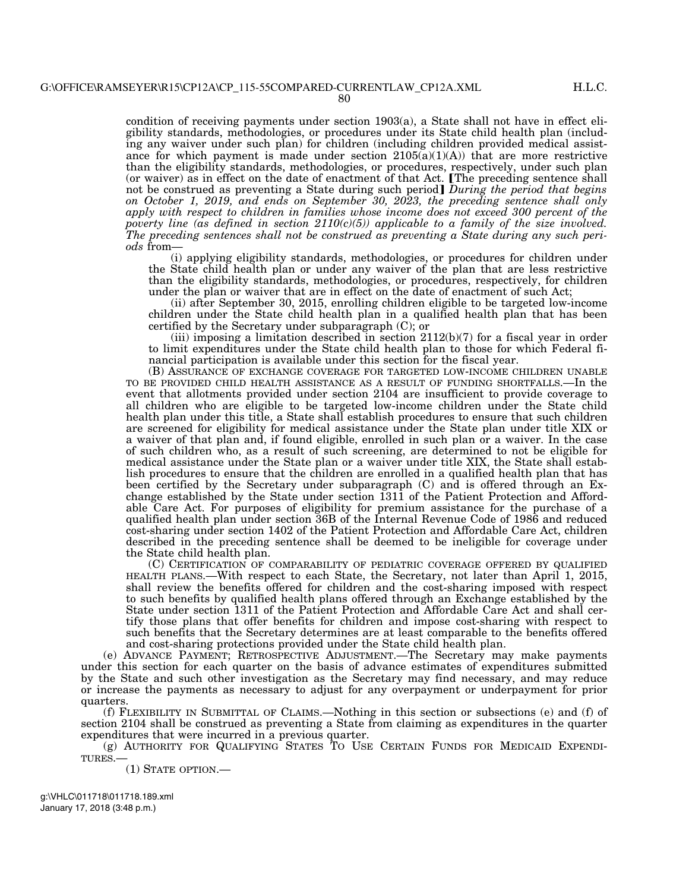condition of receiving payments under section 1903(a), a State shall not have in effect eligibility standards, methodologies, or procedures under its State child health plan (including any waiver under such plan) for children (including children provided medical assistance for which payment is made under section  $2105(a)(1)(A)$  that are more restrictive than the eligibility standards, methodologies, or procedures, respectively, under such plan (or waiver) as in effect on the date of enactment of that Act. The preceding sentence shall not be construed as preventing a State during such period] *During the period that begins on October 1, 2019, and ends on September 30, 2023, the preceding sentence shall only apply with respect to children in families whose income does not exceed 300 percent of the poverty line (as defined in section 2110(c)(5)) applicable to a family of the size involved. The preceding sentences shall not be construed as preventing a State during any such periods* from—

(i) applying eligibility standards, methodologies, or procedures for children under the State child health plan or under any waiver of the plan that are less restrictive than the eligibility standards, methodologies, or procedures, respectively, for children under the plan or waiver that are in effect on the date of enactment of such Act;

(ii) after September 30, 2015, enrolling children eligible to be targeted low-income children under the State child health plan in a qualified health plan that has been certified by the Secretary under subparagraph (C); or

(iii) imposing a limitation described in section  $2112(b)(7)$  for a fiscal year in order to limit expenditures under the State child health plan to those for which Federal financial participation is available under this section for the fiscal year.

(B) ASSURANCE OF EXCHANGE COVERAGE FOR TARGETED LOW-INCOME CHILDREN UNABLE TO BE PROVIDED CHILD HEALTH ASSISTANCE AS A RESULT OF FUNDING SHORTFALLS.—In the event that allotments provided under section 2104 are insufficient to provide coverage to all children who are eligible to be targeted low-income children under the State child health plan under this title, a State shall establish procedures to ensure that such children are screened for eligibility for medical assistance under the State plan under title XIX or a waiver of that plan and, if found eligible, enrolled in such plan or a waiver. In the case of such children who, as a result of such screening, are determined to not be eligible for medical assistance under the State plan or a waiver under title XIX, the State shall establish procedures to ensure that the children are enrolled in a qualified health plan that has been certified by the Secretary under subparagraph (C) and is offered through an Exchange established by the State under section 1311 of the Patient Protection and Affordable Care Act. For purposes of eligibility for premium assistance for the purchase of a qualified health plan under section 36B of the Internal Revenue Code of 1986 and reduced cost-sharing under section 1402 of the Patient Protection and Affordable Care Act, children described in the preceding sentence shall be deemed to be ineligible for coverage under the State child health plan.

(C) CERTIFICATION OF COMPARABILITY OF PEDIATRIC COVERAGE OFFERED BY QUALIFIED HEALTH PLANS.—With respect to each State, the Secretary, not later than April 1, 2015, shall review the benefits offered for children and the cost-sharing imposed with respect to such benefits by qualified health plans offered through an Exchange established by the State under section 1311 of the Patient Protection and Affordable Care Act and shall certify those plans that offer benefits for children and impose cost-sharing with respect to such benefits that the Secretary determines are at least comparable to the benefits offered and cost-sharing protections provided under the State child health plan.

(e) ADVANCE PAYMENT; RETROSPECTIVE ADJUSTMENT.—The Secretary may make payments under this section for each quarter on the basis of advance estimates of expenditures submitted by the State and such other investigation as the Secretary may find necessary, and may reduce or increase the payments as necessary to adjust for any overpayment or underpayment for prior quarters.

(f) FLEXIBILITY IN SUBMITTAL OF CLAIMS.—Nothing in this section or subsections (e) and (f) of section 2104 shall be construed as preventing a State from claiming as expenditures in the quarter expenditures that were incurred in a previous quarter.

(g) AUTHORITY FOR QUALIFYING STATES TO USE CERTAIN FUNDS FOR MEDICAID EXPENDI-TURES.—

(1) STATE OPTION.—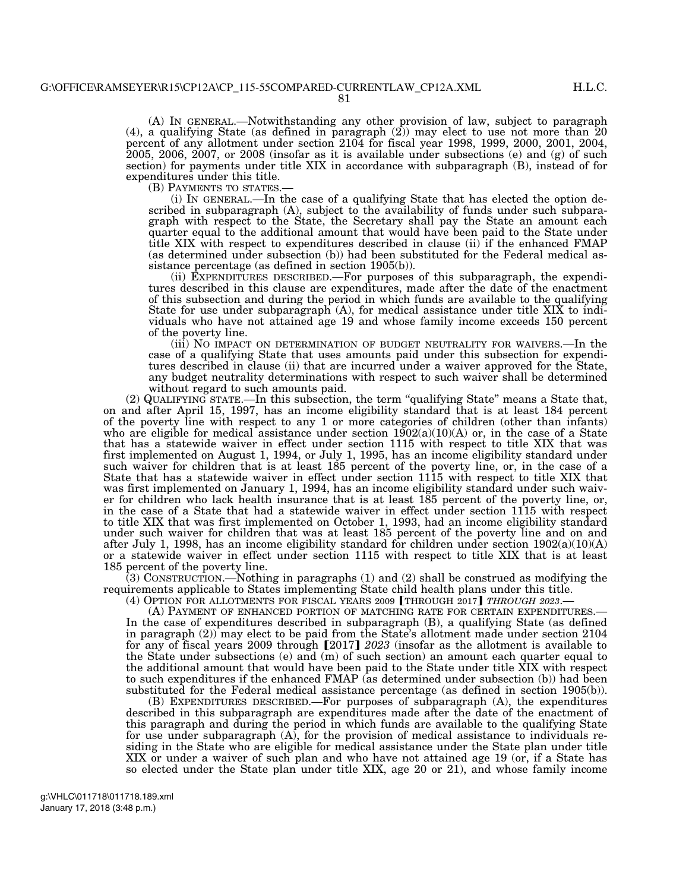(A) IN GENERAL.—Notwithstanding any other provision of law, subject to paragraph (4), a qualifying State (as defined in paragraph  $(2)$ ) may elect to use not more than 20 percent of any allotment under section 2104 for fiscal year 1998, 1999, 2000, 2001, 2004, 2005, 2006, 2007, or 2008 (insofar as it is available under subsections (e) and (g) of such section) for payments under title XIX in accordance with subparagraph (B), instead of for

expenditures under this title.<br>(B) PAYMENTS TO STATES.

 $(i)$  In GENERAL.—In the case of a qualifying State that has elected the option described in subparagraph (A), subject to the availability of funds under such subparagraph with respect to the State, the Secretary shall pay the State an amount each quarter equal to the additional amount that would have been paid to the State under title XIX with respect to expenditures described in clause (ii) if the enhanced FMAP (as determined under subsection (b)) had been substituted for the Federal medical assistance percentage (as defined in section 1905(b)).

(ii) EXPENDITURES DESCRIBED.—For purposes of this subparagraph, the expenditures described in this clause are expenditures, made after the date of the enactment of this subsection and during the period in which funds are available to the qualifying State for use under subparagraph (A), for medical assistance under title XIX to individuals who have not attained age 19 and whose family income exceeds 150 percent of the poverty line.

(iii) NO IMPACT ON DETERMINATION OF BUDGET NEUTRALITY FOR WAIVERS.—In the case of a qualifying State that uses amounts paid under this subsection for expenditures described in clause (ii) that are incurred under a waiver approved for the State, any budget neutrality determinations with respect to such waiver shall be determined without regard to such amounts paid.

(2) QUALIFYING STATE.—In this subsection, the term ''qualifying State'' means a State that, on and after April 15, 1997, has an income eligibility standard that is at least 184 percent of the poverty line with respect to any 1 or more categories of children (other than infants) who are eligible for medical assistance under section  $1902(a)(10)(A)$  or, in the case of a State that has a statewide waiver in effect under section 1115 with respect to title XIX that was first implemented on August 1, 1994, or July 1, 1995, has an income eligibility standard under such waiver for children that is at least 185 percent of the poverty line, or, in the case of a State that has a statewide waiver in effect under section 1115 with respect to title XIX that was first implemented on January 1, 1994, has an income eligibility standard under such waiver for children who lack health insurance that is at least 185 percent of the poverty line, or, in the case of a State that had a statewide waiver in effect under section 1115 with respect to title XIX that was first implemented on October 1, 1993, had an income eligibility standard under such waiver for children that was at least 185 percent of the poverty line and on and after July 1, 1998, has an income eligibility standard for children under section  $1902(a)(10)(A)$ or a statewide waiver in effect under section 1115 with respect to title XIX that is at least 185 percent of the poverty line.

 $(3)$  CONSTRUCTION.—Nothing in paragraphs  $(1)$  and  $(2)$  shall be construed as modifying the requirements applicable to States implementing State child health plans under this title.

(4) OPTION FOR ALLOTMENTS FOR FISCAL YEARS 2009 [THROUGH 2017] THROUGH 2023.

(A) PAYMENT OF ENHANCED PORTION OF MATCHING RATE FOR CERTAIN EXPENDITURES.— In the case of expenditures described in subparagraph (B), a qualifying State (as defined in paragraph (2)) may elect to be paid from the State's allotment made under section 2104 for any of fiscal years  $2009$  through  $[2017]$   $2023$  (insofar as the allotment is available to the State under subsections (e) and (m) of such section) an amount each quarter equal to the additional amount that would have been paid to the State under title XIX with respect to such expenditures if the enhanced FMAP (as determined under subsection (b)) had been substituted for the Federal medical assistance percentage (as defined in section 1905(b)).

(B) EXPENDITURES DESCRIBED.—For purposes of subparagraph (A), the expenditures described in this subparagraph are expenditures made after the date of the enactment of this paragraph and during the period in which funds are available to the qualifying State for use under subparagraph (A), for the provision of medical assistance to individuals residing in the State who are eligible for medical assistance under the State plan under title XIX or under a waiver of such plan and who have not attained age 19 (or, if a State has so elected under the State plan under title XIX, age 20 or 21), and whose family income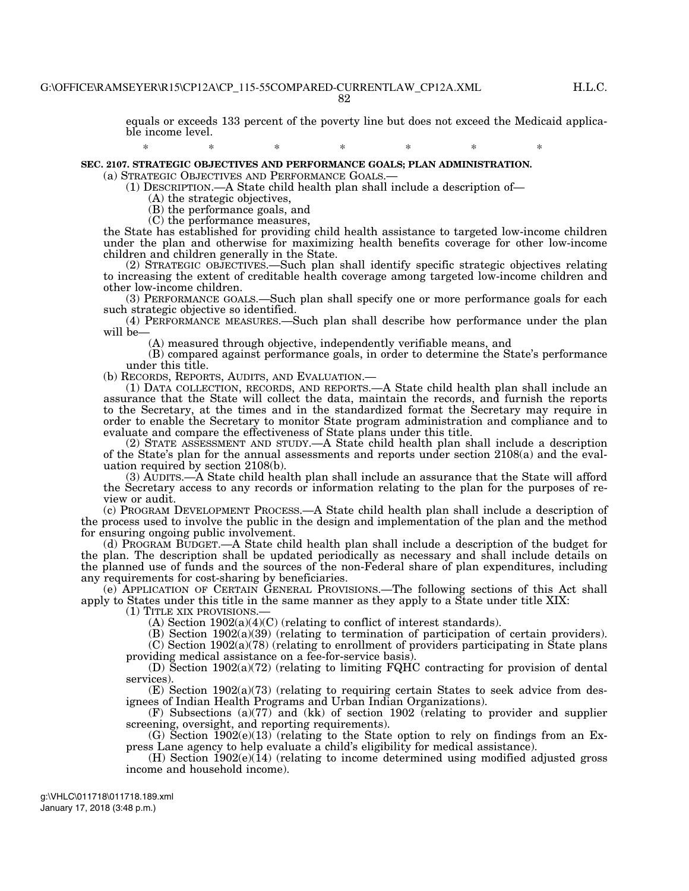82

\* \* \* \* \* \* \* \*

equals or exceeds 133 percent of the poverty line but does not exceed the Medicaid applicable income level.

### **SEC. 2107. STRATEGIC OBJECTIVES AND PERFORMANCE GOALS; PLAN ADMINISTRATION.**

(a) STRATEGIC OBJECTIVES AND PERFORMANCE GOALS.— (1) DESCRIPTION.—A State child health plan shall include a description of—

(A) the strategic objectives,

(B) the performance goals, and

(C) the performance measures,

the State has established for providing child health assistance to targeted low-income children under the plan and otherwise for maximizing health benefits coverage for other low-income children and children generally in the State.

(2) STRATEGIC OBJECTIVES.—Such plan shall identify specific strategic objectives relating to increasing the extent of creditable health coverage among targeted low-income children and other low-income children.

(3) PERFORMANCE GOALS.—Such plan shall specify one or more performance goals for each such strategic objective so identified.

(4) PERFORMANCE MEASURES.—Such plan shall describe how performance under the plan will be—

(A) measured through objective, independently verifiable means, and

(B) compared against performance goals, in order to determine the State's performance under this title.<br>(b) RECORDS, REPORTS, AUDITS, AND EVALUATION.—

 $(1)$  DATA COLLECTION, RECORDS, AND REPORTS.—A State child health plan shall include an assurance that the State will collect the data, maintain the records, and furnish the reports to the Secretary, at the times and in the standardized format the Secretary may require in order to enable the Secretary to monitor State program administration and compliance and to evaluate and compare the effectiveness of State plans under this title.

(2) STATE ASSESSMENT AND STUDY.—A State child health plan shall include a description of the State's plan for the annual assessments and reports under section 2108(a) and the evaluation required by section 2108(b).

(3) AUDITS.—A State child health plan shall include an assurance that the State will afford the Secretary access to any records or information relating to the plan for the purposes of review or audit.

(c) PROGRAM DEVELOPMENT PROCESS.—A State child health plan shall include a description of the process used to involve the public in the design and implementation of the plan and the method for ensuring ongoing public involvement.

(d) PROGRAM BUDGET.—A State child health plan shall include a description of the budget for the plan. The description shall be updated periodically as necessary and shall include details on the planned use of funds and the sources of the non-Federal share of plan expenditures, including any requirements for cost-sharing by beneficiaries.

(e) APPLICATION OF CERTAIN GENERAL PROVISIONS.—The following sections of this Act shall apply to States under this title in the same manner as they apply to a State under title XIX:

(1) TITLE XIX PROVISIONS.—

 $(A)$  Section 1902 $(a)(4)(C)$  (relating to conflict of interest standards).

(B) Section 1902(a)(39) (relating to termination of participation of certain providers).

(C) Section 1902(a)(78) (relating to enrollment of providers participating in State plans providing medical assistance on a fee-for-service basis).

(D) Section 1902(a)(72) (relating to limiting FQHC contracting for provision of dental services).

 $(E)$  Section 1902(a)(73) (relating to requiring certain States to seek advice from designees of Indian Health Programs and Urban Indian Organizations).

(F) Subsections (a)(77) and (kk) of section 1902 (relating to provider and supplier screening, oversight, and reporting requirements).

 $(G)$  Section  $1902(e)(13)$  (relating to the State option to rely on findings from an Express Lane agency to help evaluate a child's eligibility for medical assistance).

(H) Section 1902(e)(14) (relating to income determined using modified adjusted gross income and household income).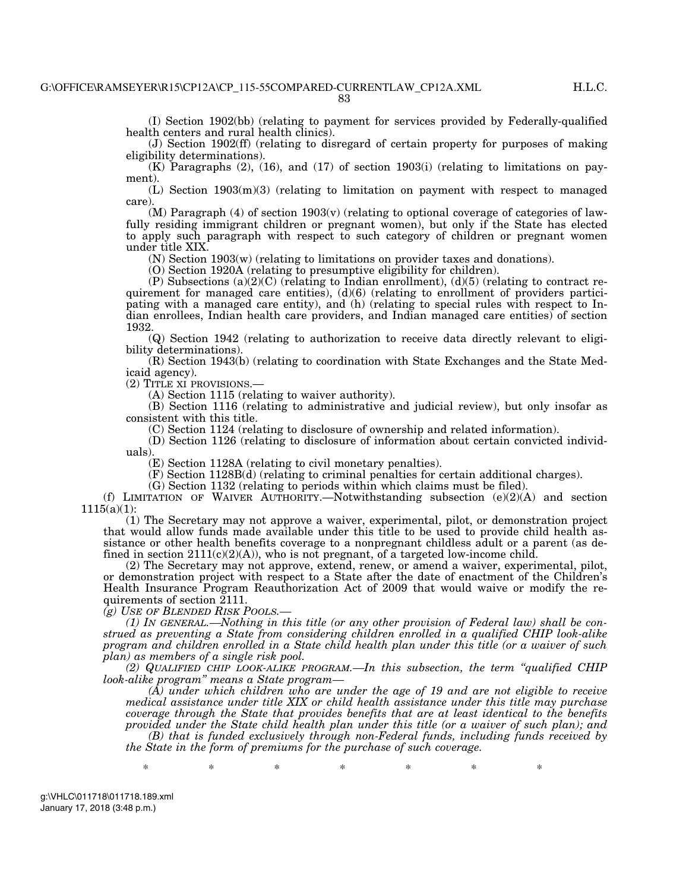83

(I) Section 1902(bb) (relating to payment for services provided by Federally-qualified health centers and rural health clinics).

(J) Section 1902(ff) (relating to disregard of certain property for purposes of making eligibility determinations).

(K) Paragraphs (2), (16), and (17) of section 1903(i) (relating to limitations on payment).

 $(L)$  Section 1903 $(m)(3)$  (relating to limitation on payment with respect to managed care).

 $(M)$  Paragraph (4) of section 1903(v) (relating to optional coverage of categories of lawfully residing immigrant children or pregnant women), but only if the State has elected to apply such paragraph with respect to such category of children or pregnant women under title XIX.

(N) Section 1903(w) (relating to limitations on provider taxes and donations).

(O) Section 1920A (relating to presumptive eligibility for children).

(P) Subsections  $(a)(2)(C)$  (relating to Indian enrollment),  $(d)(5)$  (relating to contract requirement for managed care entities),  $(d)(6)$  (relating to enrollment of providers participating with a managed care entity), and (h) (relating to special rules with respect to Indian enrollees, Indian health care providers, and Indian managed care entities) of section 1932.

(Q) Section 1942 (relating to authorization to receive data directly relevant to eligibility determinations).

(R) Section 1943(b) (relating to coordination with State Exchanges and the State Medicaid agency).

(2) TITLE XI PROVISIONS.—

(A) Section 1115 (relating to waiver authority).

(B) Section 1116 (relating to administrative and judicial review), but only insofar as consistent with this title.

(C) Section 1124 (relating to disclosure of ownership and related information).

(D) Section 1126 (relating to disclosure of information about certain convicted individuals).

(E) Section 1128A (relating to civil monetary penalties).

(F) Section 1128B(d) (relating to criminal penalties for certain additional charges).

(G) Section 1132 (relating to periods within which claims must be filed).

(f) LIMITATION OF WAIVER AUTHORITY.—Notwithstanding subsection  $(e)(2)(A)$  and section  $1115(a)(1)$ :

(1) The Secretary may not approve a waiver, experimental, pilot, or demonstration project that would allow funds made available under this title to be used to provide child health assistance or other health benefits coverage to a nonpregnant childless adult or a parent (as defined in section  $2111(c)(2)(A)$ , who is not pregnant, of a targeted low-income child.

(2) The Secretary may not approve, extend, renew, or amend a waiver, experimental, pilot, or demonstration project with respect to a State after the date of enactment of the Children's Health Insurance Program Reauthorization Act of 2009 that would waive or modify the requirements of section 2111.

*(g) USE OF BLENDED RISK POOLS.—* 

*(1) IN GENERAL.—Nothing in this title (or any other provision of Federal law) shall be construed as preventing a State from considering children enrolled in a qualified CHIP look-alike program and children enrolled in a State child health plan under this title (or a waiver of such plan) as members of a single risk pool.* 

*(2) QUALIFIED CHIP LOOK-ALIKE PROGRAM.—In this subsection, the term ''qualified CHIP look-alike program'' means a State program—* 

*(A) under which children who are under the age of 19 and are not eligible to receive medical assistance under title XIX or child health assistance under this title may purchase coverage through the State that provides benefits that are at least identical to the benefits provided under the State child health plan under this title (or a waiver of such plan); and* 

*(B) that is funded exclusively through non-Federal funds, including funds received by the State in the form of premiums for the purchase of such coverage.* 

\* \* \* \* \* \* \* \*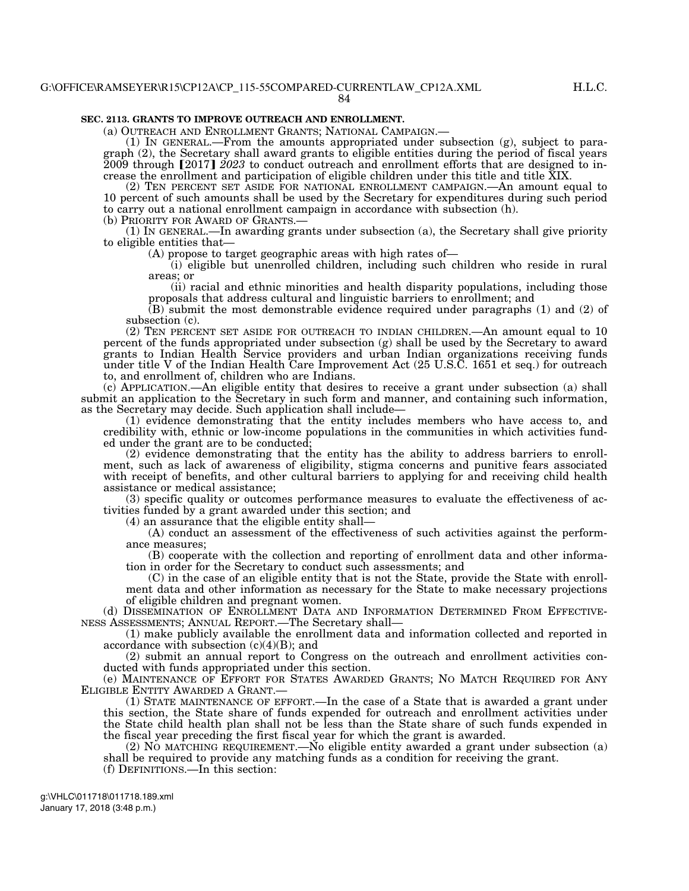84

### **SEC. 2113. GRANTS TO IMPROVE OUTREACH AND ENROLLMENT.**

(a) OUTREACH AND ENROLLMENT GRANTS; NATIONAL CAMPAIGN.— (1) IN GENERAL.—From the amounts appropriated under subsection (g), subject to paragraph (2), the Secretary shall award grants to eligible entities during the period of fiscal years<br>2009 through [2017] *2023* to conduct outreach and enrollment efforts that are designed to increase the enrollment and participation of eligible children under this title and title XIX.

(2) TEN PERCENT SET ASIDE FOR NATIONAL ENROLLMENT CAMPAIGN.—An amount equal to 10 percent of such amounts shall be used by the Secretary for expenditures during such period to carry out a national enrollment campaign in accordance with subsection (h). (b) PRIORITY FOR AWARD OF GRANTS.—

 $(1)$  In GENERAL.—In awarding grants under subsection (a), the Secretary shall give priority to eligible entities that—

(A) propose to target geographic areas with high rates of—

(i) eligible but unenrolled children, including such children who reside in rural areas; or

(ii) racial and ethnic minorities and health disparity populations, including those proposals that address cultural and linguistic barriers to enrollment; and

(B) submit the most demonstrable evidence required under paragraphs (1) and (2) of subsection (c).

(2) TEN PERCENT SET ASIDE FOR OUTREACH TO INDIAN CHILDREN.—An amount equal to 10 percent of the funds appropriated under subsection (g) shall be used by the Secretary to award grants to Indian Health Service providers and urban Indian organizations receiving funds under title V of the Indian Health Care Improvement Act (25 U.S.C. 1651 et seq.) for outreach to, and enrollment of, children who are Indians.

(c) APPLICATION.—An eligible entity that desires to receive a grant under subsection (a) shall submit an application to the Secretary in such form and manner, and containing such information, as the Secretary may decide. Such application shall include—

(1) evidence demonstrating that the entity includes members who have access to, and credibility with, ethnic or low-income populations in the communities in which activities funded under the grant are to be conducted;

(2) evidence demonstrating that the entity has the ability to address barriers to enrollment, such as lack of awareness of eligibility, stigma concerns and punitive fears associated with receipt of benefits, and other cultural barriers to applying for and receiving child health assistance or medical assistance;

(3) specific quality or outcomes performance measures to evaluate the effectiveness of activities funded by a grant awarded under this section; and

(4) an assurance that the eligible entity shall—

(A) conduct an assessment of the effectiveness of such activities against the performance measures;

(B) cooperate with the collection and reporting of enrollment data and other information in order for the Secretary to conduct such assessments; and

(C) in the case of an eligible entity that is not the State, provide the State with enrollment data and other information as necessary for the State to make necessary projections of eligible children and pregnant women.

(d) DISSEMINATION OF ENROLLMENT DATA AND INFORMATION DETERMINED FROM EFFECTIVE-NESS ASSESSMENTS; ANNUAL REPORT.—The Secretary shall—

(1) make publicly available the enrollment data and information collected and reported in accordance with subsection  $(c)(4)(B)$ ; and

(2) submit an annual report to Congress on the outreach and enrollment activities conducted with funds appropriated under this section.

(e) MAINTENANCE OF EFFORT FOR STATES AWARDED GRANTS; NO MATCH REQUIRED FOR ANY ELIGIBLE ENTITY AWARDED A GRANT.—

(1) STATE MAINTENANCE OF EFFORT.—In the case of a State that is awarded a grant under this section, the State share of funds expended for outreach and enrollment activities under the State child health plan shall not be less than the State share of such funds expended in the fiscal year preceding the first fiscal year for which the grant is awarded.

(2) NO MATCHING REQUIREMENT.—No eligible entity awarded a grant under subsection (a) shall be required to provide any matching funds as a condition for receiving the grant. (f) DEFINITIONS.—In this section: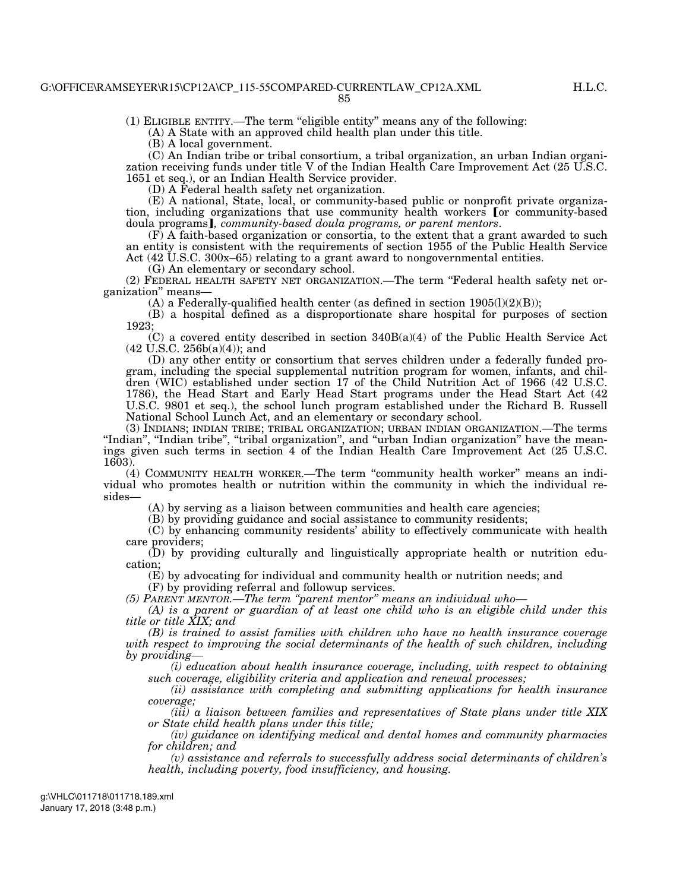85

(1) ELIGIBLE ENTITY.—The term ''eligible entity'' means any of the following:

(A) A State with an approved child health plan under this title.

(B) A local government.

(C) An Indian tribe or tribal consortium, a tribal organization, an urban Indian organization receiving funds under title V of the Indian Health Care Improvement Act (25 U.S.C. 1651 et seq.), or an Indian Health Service provider.

(D) A Federal health safety net organization.

(E) A national, State, local, or community-based public or nonprofit private organization, including organizations that use community health workers [or community-based doula programs], *community-based doula programs*, *or parent mentors*.

(F) A faith-based organization or consortia, to the extent that a grant awarded to such an entity is consistent with the requirements of section 1955 of the Public Health Service Act (42 U.S.C. 300x–65) relating to a grant award to nongovernmental entities.

(G) An elementary or secondary school.

(2) FEDERAL HEALTH SAFETY NET ORGANIZATION.—The term ''Federal health safety net organization'' means—

(A) a Federally-qualified health center (as defined in section  $1905(l)(2)(B)$ );

(B) a hospital defined as a disproportionate share hospital for purposes of section 1923;

 $(C)$  a covered entity described in section  $340B(a)(4)$  of the Public Health Service Act  $(42 \text{ U.S.C. } 256b(a)(4))$ ; and

(D) any other entity or consortium that serves children under a federally funded program, including the special supplemental nutrition program for women, infants, and children (WIC) established under section 17 of the Child Nutrition Act of 1966 (42 U.S.C. 1786), the Head Start and Early Head Start programs under the Head Start Act (42 U.S.C. 9801 et seq.), the school lunch program established under the Richard B. Russell National School Lunch Act, and an elementary or secondary school.

(3) INDIANS; INDIAN TRIBE; TRIBAL ORGANIZATION; URBAN INDIAN ORGANIZATION.—The terms ''Indian'', ''Indian tribe'', ''tribal organization'', and ''urban Indian organization'' have the meanings given such terms in section 4 of the Indian Health Care Improvement Act (25 U.S.C. 1603).

(4) COMMUNITY HEALTH WORKER.—The term ''community health worker'' means an individual who promotes health or nutrition within the community in which the individual resides—

(A) by serving as a liaison between communities and health care agencies;

(B) by providing guidance and social assistance to community residents;

(C) by enhancing community residents' ability to effectively communicate with health care providers;

(D) by providing culturally and linguistically appropriate health or nutrition education;

(E) by advocating for individual and community health or nutrition needs; and

(F) by providing referral and followup services.

*(5) PARENT MENTOR.—The term ''parent mentor'' means an individual who—* 

*(A) is a parent or guardian of at least one child who is an eligible child under this title or title XIX; and* 

*(B) is trained to assist families with children who have no health insurance coverage with respect to improving the social determinants of the health of such children, including by providing—* 

*(i) education about health insurance coverage, including, with respect to obtaining such coverage, eligibility criteria and application and renewal processes;* 

*(ii) assistance with completing and submitting applications for health insurance coverage;* 

*(iii) a liaison between families and representatives of State plans under title XIX or State child health plans under this title;* 

*(iv) guidance on identifying medical and dental homes and community pharmacies for children; and* 

*(v) assistance and referrals to successfully address social determinants of children's health, including poverty, food insufficiency, and housing.*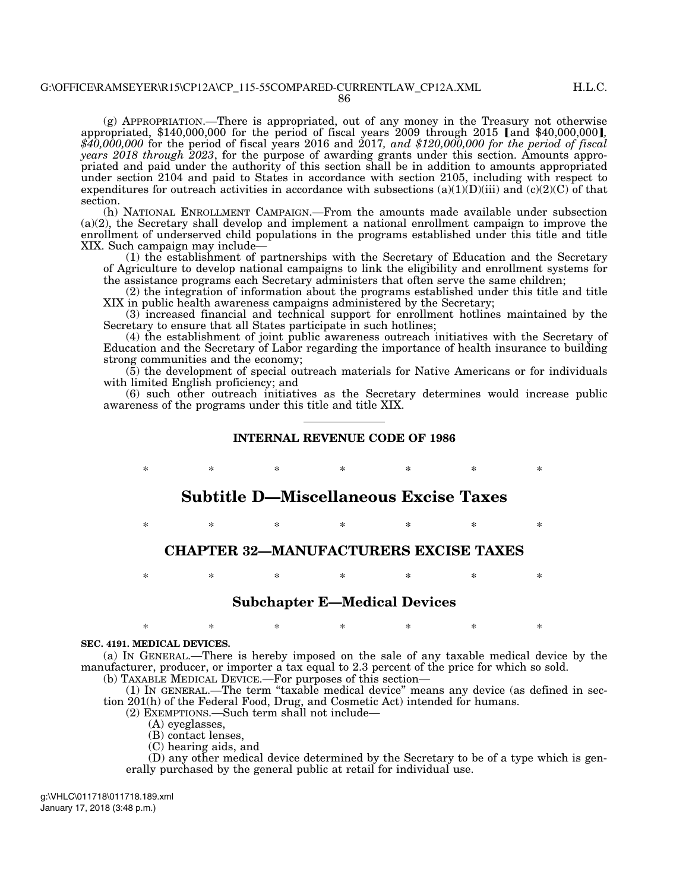H.L.C.

(g) APPROPRIATION.—There is appropriated, out of any money in the Treasury not otherwise appropriated, \$140,000,000 for the period of fiscal years 2009 through 2015 [and \$40,000,000], *\$40,000,000* for the period of fiscal years 2016 and 2017*, and \$120,000,000 for the period of fiscal years 2018 through 2023*, for the purpose of awarding grants under this section. Amounts appropriated and paid under the authority of this section shall be in addition to amounts appropriated under section 2104 and paid to States in accordance with section 2105, including with respect to expenditures for outreach activities in accordance with subsections (a)(1)(D)(iii) and (c)(2)(C) of that section.

(h) NATIONAL ENROLLMENT CAMPAIGN.—From the amounts made available under subsection (a)(2), the Secretary shall develop and implement a national enrollment campaign to improve the enrollment of underserved child populations in the programs established under this title and title XIX. Such campaign may include—

(1) the establishment of partnerships with the Secretary of Education and the Secretary of Agriculture to develop national campaigns to link the eligibility and enrollment systems for the assistance programs each Secretary administers that often serve the same children;

(2) the integration of information about the programs established under this title and title XIX in public health awareness campaigns administered by the Secretary;

(3) increased financial and technical support for enrollment hotlines maintained by the Secretary to ensure that all States participate in such hotlines;

(4) the establishment of joint public awareness outreach initiatives with the Secretary of Education and the Secretary of Labor regarding the importance of health insurance to building strong communities and the economy;

(5) the development of special outreach materials for Native Americans or for individuals with limited English proficiency; and

(6) such other outreach initiatives as the Secretary determines would increase public awareness of the programs under this title and title XIX.

## **INTERNAL REVENUE CODE OF 1986**

# \* \* \* \* \* \* \* **Subtitle D—Miscellaneous Excise Taxes**

\* \* \* \* \* \* \* \*

# **CHAPTER 32—MANUFACTURERS EXCISE TAXES**

\* \* \* \* \* \* \*

# **Subchapter E—Medical Devices**

\* \* \* \* \* \* \*

#### **SEC. 4191. MEDICAL DEVICES.**

(a) IN GENERAL.—There is hereby imposed on the sale of any taxable medical device by the manufacturer, producer, or importer a tax equal to 2.3 percent of the price for which so sold. (b) TAXABLE MEDICAL DEVICE.—For purposes of this section—

(1) IN GENERAL.—The term ''taxable medical device'' means any device (as defined in section 201(h) of the Federal Food, Drug, and Cosmetic Act) intended for humans.

(2) EXEMPTIONS.—Such term shall not include—

(A) eyeglasses,

(B) contact lenses,

(C) hearing aids, and

(D) any other medical device determined by the Secretary to be of a type which is generally purchased by the general public at retail for individual use.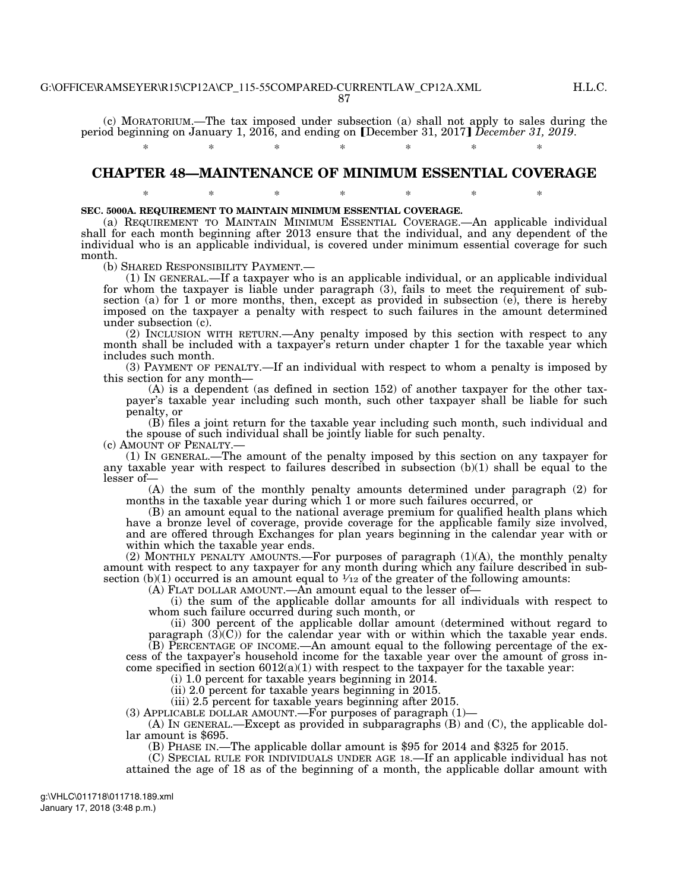87

(c) MORATORIUM.—The tax imposed under subsection (a) shall not apply to sales during the period beginning on January 1, 2016, and ending on [December 31, 2017] *December 31, 2019*. \* \* \* \* \* \* \* \*

# **CHAPTER 48—MAINTENANCE OF MINIMUM ESSENTIAL COVERAGE**  \* \* \* \* \* \* \*

#### **SEC. 5000A. REQUIREMENT TO MAINTAIN MINIMUM ESSENTIAL COVERAGE.**

(a) REQUIREMENT TO MAINTAIN MINIMUM ESSENTIAL COVERAGE.—An applicable individual shall for each month beginning after 2013 ensure that the individual, and any dependent of the individual who is an applicable individual, is covered under minimum essential coverage for such month.<br>(b) SHARED RESPONSIBILITY PAYMENT.—

 $(1)$  In GENERAL.—If a taxpayer who is an applicable individual, or an applicable individual for whom the taxpayer is liable under paragraph (3), fails to meet the requirement of subsection (a) for 1 or more months, then, except as provided in subsection  $(e)$ , there is hereby imposed on the taxpayer a penalty with respect to such failures in the amount determined under subsection (c).

(2) INCLUSION WITH RETURN.—Any penalty imposed by this section with respect to any month shall be included with a taxpayer's return under chapter 1 for the taxable year which includes such month.

(3) PAYMENT OF PENALTY.—If an individual with respect to whom a penalty is imposed by this section for any month—

(A) is a dependent (as defined in section 152) of another taxpayer for the other taxpayer's taxable year including such month, such other taxpayer shall be liable for such penalty, or

(B) files a joint return for the taxable year including such month, such individual and the spouse of such individual shall be jointly liable for such penalty.<br>(c) AMOUNT OF PENALTY.—

 $(1)$  In GENERAL.—The amount of the penalty imposed by this section on any taxpayer for any taxable year with respect to failures described in subsection  $(b)(1)$  shall be equal to the lesser of—

(A) the sum of the monthly penalty amounts determined under paragraph (2) for months in the taxable year during which 1 or more such failures occurred, or

(B) an amount equal to the national average premium for qualified health plans which have a bronze level of coverage, provide coverage for the applicable family size involved, and are offered through Exchanges for plan years beginning in the calendar year with or within which the taxable year ends.

(2) MONTHLY PENALTY AMOUNTS.—For purposes of paragraph (1)(A), the monthly penalty amount with respect to any taxpayer for any month during which any failure described in subsection  $(b)(1)$  occurred is an amount equal to  $\frac{1}{12}$  of the greater of the following amounts:

(A) FLAT DOLLAR AMOUNT.—An amount equal to the lesser of—

(i) the sum of the applicable dollar amounts for all individuals with respect to whom such failure occurred during such month, or

(ii) 300 percent of the applicable dollar amount (determined without regard to paragraph  $(3)(C)$ ) for the calendar year with or within which the taxable year ends. (B) PERCENTAGE OF INCOME.—An amount equal to the following percentage of the ex-

cess of the taxpayer's household income for the taxable year over the amount of gross income specified in section  $6012(a)(1)$  with respect to the taxpayer for the taxable year: (i) 1.0 percent for taxable years beginning in 2014.

(ii) 2.0 percent for taxable years beginning in 2015.

(iii) 2.5 percent for taxable years beginning after 2015.

(3) APPLICABLE DOLLAR AMOUNT.—For purposes of paragraph (1)—

(A) IN GENERAL.—Except as provided in subparagraphs (B) and (C), the applicable dollar amount is \$695.

(B) PHASE IN.—The applicable dollar amount is \$95 for 2014 and \$325 for 2015.

(C) SPECIAL RULE FOR INDIVIDUALS UNDER AGE 18.—If an applicable individual has not attained the age of 18 as of the beginning of a month, the applicable dollar amount with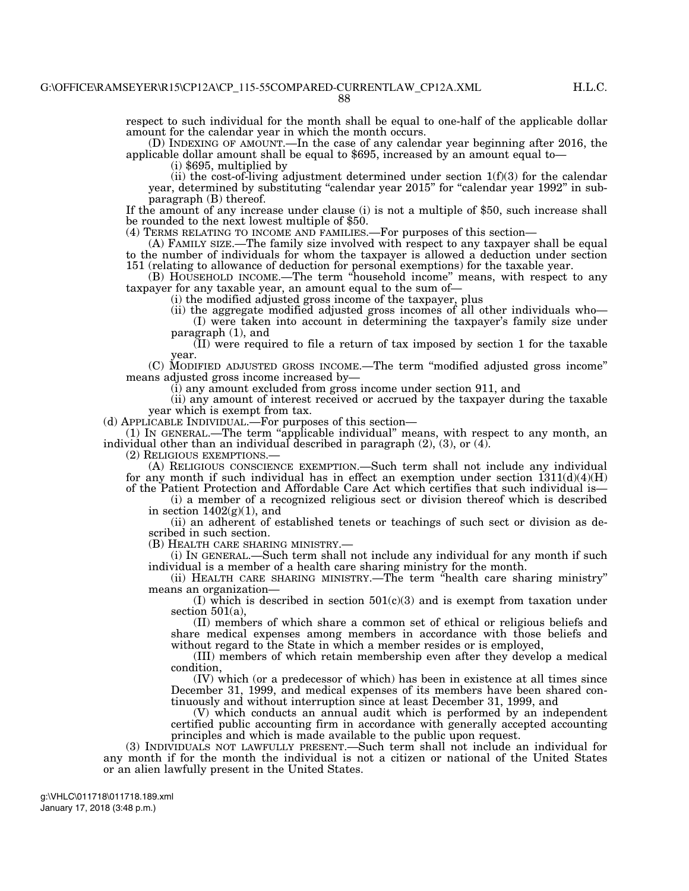88

respect to such individual for the month shall be equal to one-half of the applicable dollar amount for the calendar year in which the month occurs.

(D) INDEXING OF AMOUNT.—In the case of any calendar year beginning after 2016, the applicable dollar amount shall be equal to \$695, increased by an amount equal to— (i) \$695, multiplied by

 $(iii)$  the cost-of-living adjustment determined under section  $1(f)(3)$  for the calendar year, determined by substituting "calendar year 2015" for "calendar year 1992" in sub-<br>paragraph (B) thereof.

If the amount of any increase under clause (i) is not a multiple of \$50, such increase shall be rounded to the next lowest multiple of \$50.

(4) TERMS RELATING TO INCOME AND FAMILIES.—For purposes of this section—

(A) FAMILY SIZE.—The family size involved with respect to any taxpayer shall be equal to the number of individuals for whom the taxpayer is allowed a deduction under section 151 (relating to allowance of deduction for personal exemptions) for the taxable year.

(B) HOUSEHOLD INCOME.—The term ''household income'' means, with respect to any taxpayer for any taxable year, an amount equal to the sum of—

(i) the modified adjusted gross income of the taxpayer, plus

(ii) the aggregate modified adjusted gross incomes of all other individuals who— (I) were taken into account in determining the taxpayer's family size under paragraph (1), and

(II) were required to file a return of tax imposed by section 1 for the taxable year.

(C) MODIFIED ADJUSTED GROSS INCOME.—The term ''modified adjusted gross income'' means adjusted gross income increased by—

(i) any amount excluded from gross income under section 911, and

(ii) any amount of interest received or accrued by the taxpayer during the taxable year which is exempt from tax.

(d) APPLICABLE INDIVIDUAL.—For purposes of this section—

(1) IN GENERAL.—The term ''applicable individual'' means, with respect to any month, an individual other than an individual described in paragraph (2), (3), or (4).

(2) RELIGIOUS EXEMPTIONS.— (A) RELIGIOUS CONSCIENCE EXEMPTION.—Such term shall not include any individual for any month if such individual has in effect an exemption under section  $1311(d)(4)(H)$ of the Patient Protection and Affordable Care Act which certifies that such individual is—

(i) a member of a recognized religious sect or division thereof which is described in section  $1402(g)(1)$ , and

(ii) an adherent of established tenets or teachings of such sect or division as de-

scribed in such section.<br>(B) HEALTH CARE SHARING MINISTRY.—

(i) IN GENERAL.—Such term shall not include any individual for any month if such individual is a member of a health care sharing ministry for the month.

(ii) HEALTH CARE SHARING MINISTRY.—The term ''health care sharing ministry'' means an organization—

(I) which is described in section  $501(c)(3)$  and is exempt from taxation under section  $501(a)$ ,

(II) members of which share a common set of ethical or religious beliefs and share medical expenses among members in accordance with those beliefs and without regard to the State in which a member resides or is employed,

(III) members of which retain membership even after they develop a medical condition,

(IV) which (or a predecessor of which) has been in existence at all times since December 31, 1999, and medical expenses of its members have been shared continuously and without interruption since at least December 31, 1999, and

(V) which conducts an annual audit which is performed by an independent certified public accounting firm in accordance with generally accepted accounting principles and which is made available to the public upon request.

(3) INDIVIDUALS NOT LAWFULLY PRESENT.—Such term shall not include an individual for any month if for the month the individual is not a citizen or national of the United States or an alien lawfully present in the United States.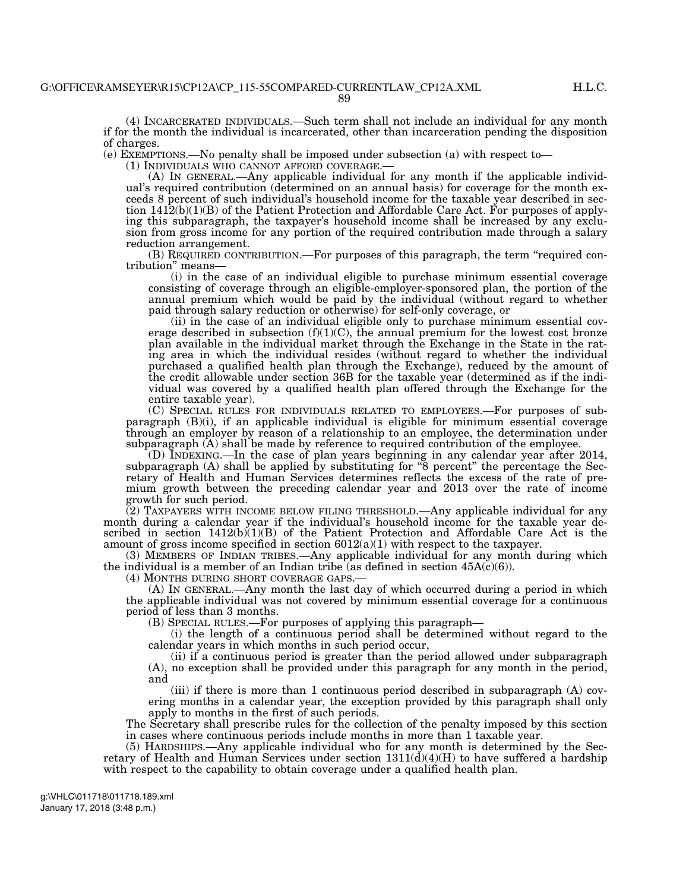(4) INCARCERATED INDIVIDUALS.—Such term shall not include an individual for any month if for the month the individual is incarcerated, other than incarceration pending the disposition of charges.

(e) EXEMPTIONS.—No penalty shall be imposed under subsection (a) with respect to—

 $(A)$  In GENERAL.—Any applicable individual for any month if the applicable individual's required contribution (determined on an annual basis) for coverage for the month exceeds 8 percent of such individual's household income for the taxable year described in section  $1412(b)(1)(B)$  of the Patient Protection and Affordable Care Act. For purposes of applying this subparagraph, the taxpayer's household income shall be increased by any exclusion from gross income for any portion of the required contribution made through a salary reduction arrangement.

(B) REQUIRED CONTRIBUTION.—For purposes of this paragraph, the term ''required contribution'' means—

(i) in the case of an individual eligible to purchase minimum essential coverage consisting of coverage through an eligible-employer-sponsored plan, the portion of the annual premium which would be paid by the individual (without regard to whether paid through salary reduction or otherwise) for self-only coverage, or

(ii) in the case of an individual eligible only to purchase minimum essential coverage described in subsection  $(f)(1)(C)$ , the annual premium for the lowest cost bronze plan available in the individual market through the Exchange in the State in the rating area in which the individual resides (without regard to whether the individual purchased a qualified health plan through the Exchange), reduced by the amount of the credit allowable under section 36B for the taxable year (determined as if the individual was covered by a qualified health plan offered through the Exchange for the entire taxable year).

(C) SPECIAL RULES FOR INDIVIDUALS RELATED TO EMPLOYEES.—For purposes of subparagraph (B)(i), if an applicable individual is eligible for minimum essential coverage through an employer by reason of a relationship to an employee, the determination under subparagraph (A) shall be made by reference to required contribution of the employee.

(D) INDEXING.—In the case of plan years beginning in any calendar year after 2014, subparagraph (A) shall be applied by substituting for "8 percent" the percentage the Secretary of Health and Human Services determines reflects the excess of the rate of premium growth between the preceding calendar year and 2013 over the rate of income growth for such period.

(2) TAXPAYERS WITH INCOME BELOW FILING THRESHOLD.—Any applicable individual for any month during a calendar year if the individual's household income for the taxable year described in section  $1412(b)(1)(B)$  of the Patient Protection and Affordable Care Act is the amount of gross income specified in section  $6012(a)(1)$  with respect to the taxpayer.

(3) MEMBERS OF INDIAN TRIBES.—Any applicable individual for any month during which the individual is a member of an Indian tribe (as defined in section  $45A(c)(6)$ ).

(4) MONTHS DURING SHORT COVERAGE GAPS.—

(A) IN GENERAL.—Any month the last day of which occurred during a period in which the applicable individual was not covered by minimum essential coverage for a continuous period of less than 3 months.

(B) SPECIAL RULES.—For purposes of applying this paragraph—

(i) the length of a continuous period shall be determined without regard to the calendar years in which months in such period occur,

(ii) if a continuous period is greater than the period allowed under subparagraph (A), no exception shall be provided under this paragraph for any month in the period, and

(iii) if there is more than 1 continuous period described in subparagraph (A) covering months in a calendar year, the exception provided by this paragraph shall only apply to months in the first of such periods.

The Secretary shall prescribe rules for the collection of the penalty imposed by this section in cases where continuous periods include months in more than 1 taxable year.

(5) HARDSHIPS.—Any applicable individual who for any month is determined by the Secretary of Health and Human Services under section  $1311(\text{d})(4)(\text{H})$  to have suffered a hardship with respect to the capability to obtain coverage under a qualified health plan.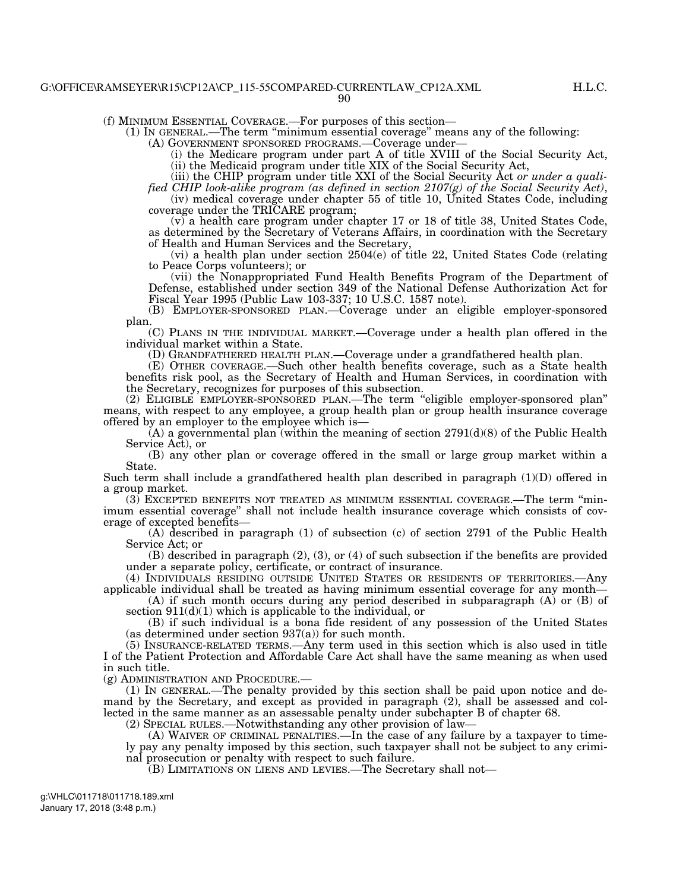$90$ 

(f) MINIMUM ESSENTIAL COVERAGE.—For purposes of this section—

(1) IN GENERAL.—The term ''minimum essential coverage'' means any of the following:

(A) GOVERNMENT SPONSORED PROGRAMS.—Coverage under—

(i) the Medicare program under part A of title XVIII of the Social Security Act, (ii) the Medicaid program under title XIX of the Social Security Act,

(iii) the CHIP program under title XXI of the Social Security Act *or under a quali-*<br>fied CHIP look-alike program (as defined in section 2107(g) of the Social Security Act),

*fied CHIP look-alike program (as defined in section 2107(g) of the Social Security Act)*, (iv) medical coverage under chapter 55 of title 10, United States Code, including

coverage under the TRICARE program;

(v) a health care program under chapter 17 or 18 of title 38, United States Code, as determined by the Secretary of Veterans Affairs, in coordination with the Secretary of Health and Human Services and the Secretary,

(vi) a health plan under section 2504(e) of title 22, United States Code (relating to Peace Corps volunteers); or

(vii) the Nonappropriated Fund Health Benefits Program of the Department of Defense, established under section 349 of the National Defense Authorization Act for Fiscal Year 1995 (Public Law 103-337; 10 U.S.C. 1587 note).

(B) EMPLOYER-SPONSORED PLAN.—Coverage under an eligible employer-sponsored plan.

(C) PLANS IN THE INDIVIDUAL MARKET.—Coverage under a health plan offered in the individual market within a State.

(D) GRANDFATHERED HEALTH PLAN.—Coverage under a grandfathered health plan.

(E) OTHER COVERAGE.—Such other health benefits coverage, such as a State health benefits risk pool, as the Secretary of Health and Human Services, in coordination with the Secretary, recognizes for purposes of this subsection.

(2) ELIGIBLE EMPLOYER-SPONSORED PLAN.—The term ''eligible employer-sponsored plan'' means, with respect to any employee, a group health plan or group health insurance coverage offered by an employer to the employee which is—

 $(A)$  a governmental plan (within the meaning of section 2791(d)(8) of the Public Health Service Act), or

(B) any other plan or coverage offered in the small or large group market within a State.

Such term shall include a grandfathered health plan described in paragraph  $(1)(D)$  offered in a group market.

(3) EXCEPTED BENEFITS NOT TREATED AS MINIMUM ESSENTIAL COVERAGE.—The term ''minimum essential coverage'' shall not include health insurance coverage which consists of coverage of excepted benefits—

(A) described in paragraph (1) of subsection (c) of section 2791 of the Public Health Service Act; or

(B) described in paragraph (2), (3), or (4) of such subsection if the benefits are provided under a separate policy, certificate, or contract of insurance.

(4) INDIVIDUALS RESIDING OUTSIDE UNITED STATES OR RESIDENTS OF TERRITORIES.—Any applicable individual shall be treated as having minimum essential coverage for any month— (A) if such month occurs during any period described in subparagraph (A) or (B) of

section  $911(d)(1)$  which is applicable to the individual, or

(B) if such individual is a bona fide resident of any possession of the United States (as determined under section 937(a)) for such month.

(5) INSURANCE-RELATED TERMS.—Any term used in this section which is also used in title I of the Patient Protection and Affordable Care Act shall have the same meaning as when used in such title.

(g) ADMINISTRATION AND PROCEDURE.—

(1) IN GENERAL.—The penalty provided by this section shall be paid upon notice and demand by the Secretary, and except as provided in paragraph (2), shall be assessed and collected in the same manner as an assessable penalty under subchapter B of chapter 68.

(2) SPECIAL RULES.—Notwithstanding any other provision of law—

(A) WAIVER OF CRIMINAL PENALTIES.—In the case of any failure by a taxpayer to timely pay any penalty imposed by this section, such taxpayer shall not be subject to any criminal prosecution or penalty with respect to such failure.

(B) LIMITATIONS ON LIENS AND LEVIES.—The Secretary shall not—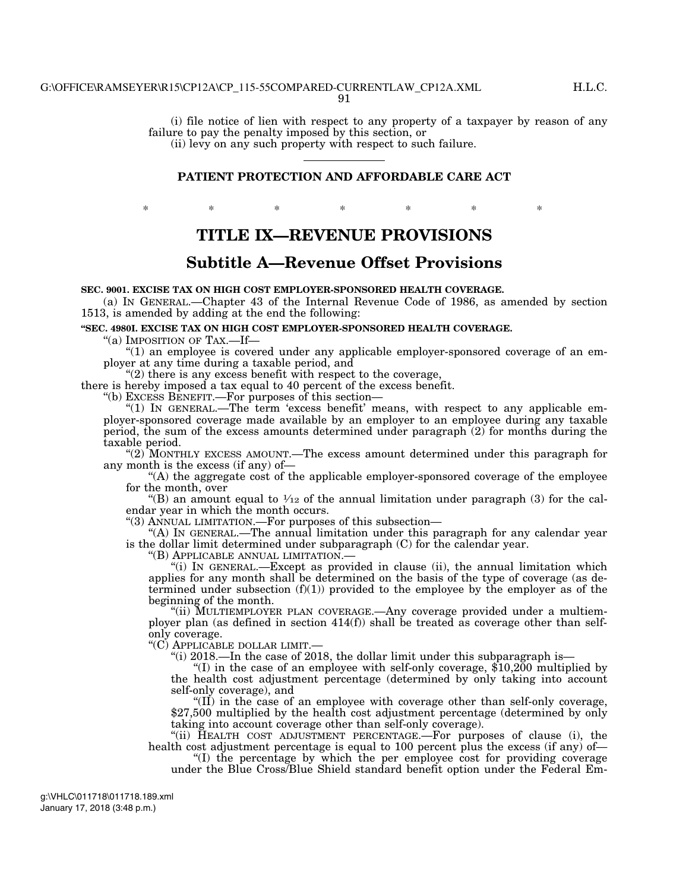91

(i) file notice of lien with respect to any property of a taxpayer by reason of any failure to pay the penalty imposed by this section, or

(ii) levy on any such property with respect to such failure.

### **PATIENT PROTECTION AND AFFORDABLE CARE ACT**

\* \* \* \* \* \* \* \*

# **TITLE IX—REVENUE PROVISIONS**

# **Subtitle A—Revenue Offset Provisions**

#### **SEC. 9001. EXCISE TAX ON HIGH COST EMPLOYER-SPONSORED HEALTH COVERAGE.**

(a) IN GENERAL.—Chapter 43 of the Internal Revenue Code of 1986, as amended by section 1513, is amended by adding at the end the following:

### **''SEC. 4980I. EXCISE TAX ON HIGH COST EMPLOYER-SPONSORED HEALTH COVERAGE.**

"(a) IMPOSITION OF TAX.—If—

''(1) an employee is covered under any applicable employer-sponsored coverage of an employer at any time during a taxable period, and

" $(2)$  there is any excess benefit with respect to the coverage,

there is hereby imposed a tax equal to 40 percent of the excess benefit.

''(b) EXCESS BENEFIT.—For purposes of this section—

''(1) IN GENERAL.—The term 'excess benefit' means, with respect to any applicable employer-sponsored coverage made available by an employer to an employee during any taxable period, the sum of the excess amounts determined under paragraph (2) for months during the taxable period.

''(2) MONTHLY EXCESS AMOUNT.—The excess amount determined under this paragraph for any month is the excess (if any) of—

''(A) the aggregate cost of the applicable employer-sponsored coverage of the employee for the month, over

"(B) an amount equal to  $\frac{1}{2}$  of the annual limitation under paragraph (3) for the calendar year in which the month occurs.

''(3) ANNUAL LIMITATION.—For purposes of this subsection—

''(A) IN GENERAL.—The annual limitation under this paragraph for any calendar year is the dollar limit determined under subparagraph (C) for the calendar year.

''(B) APPLICABLE ANNUAL LIMITATION.—

''(i) IN GENERAL.—Except as provided in clause (ii), the annual limitation which applies for any month shall be determined on the basis of the type of coverage (as determined under subsection  $(f)(1)$  provided to the employee by the employer as of the beginning of the month.

''(ii) MULTIEMPLOYER PLAN COVERAGE.—Any coverage provided under a multiemployer plan (as defined in section  $414(f)$ ) shall be treated as coverage other than selfonly coverage.

''(C) APPLICABLE DOLLAR LIMIT.—

"(i)  $2018$ —In the case of  $2018$ , the dollar limit under this subparagraph is—

 $\degree$ (I) in the case of an employee with self-only coverage, \$10,200 multiplied by the health cost adjustment percentage (determined by only taking into account self-only coverage), and

''(II) in the case of an employee with coverage other than self-only coverage, \$27,500 multiplied by the health cost adjustment percentage (determined by only taking into account coverage other than self-only coverage).

''(ii) HEALTH COST ADJUSTMENT PERCENTAGE.—For purposes of clause (i), the health cost adjustment percentage is equal to 100 percent plus the excess (if any) of-

''(I) the percentage by which the per employee cost for providing coverage under the Blue Cross/Blue Shield standard benefit option under the Federal Em-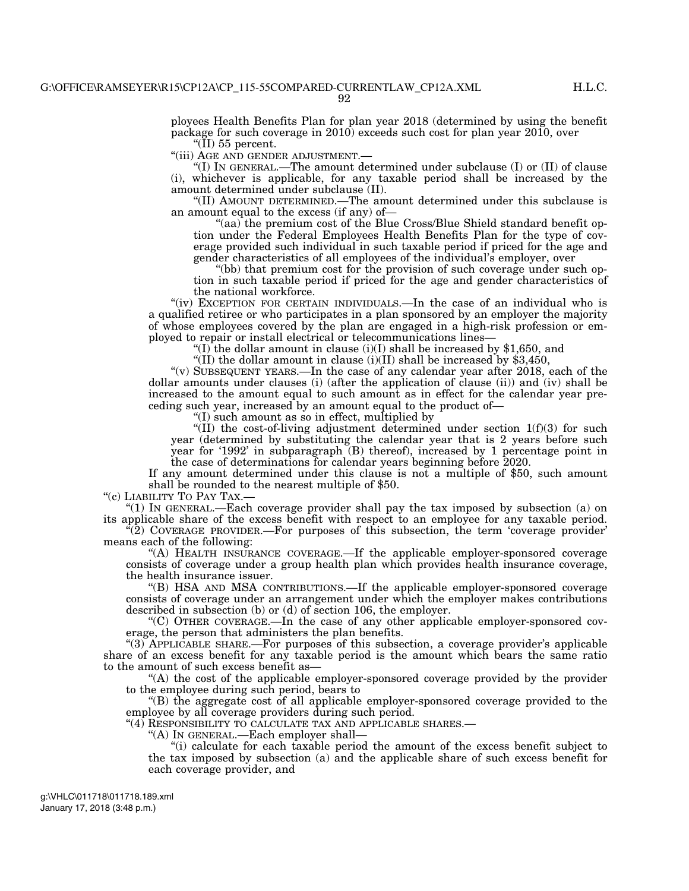ployees Health Benefits Plan for plan year 2018 (determined by using the benefit package for such coverage in 2010) exceeds such cost for plan year 2010, over ''(II) 55 percent.

''(iii) AGE AND GENDER ADJUSTMENT.—

''(I) IN GENERAL.—The amount determined under subclause (I) or (II) of clause (i), whichever is applicable, for any taxable period shall be increased by the amount determined under subclause (II).

''(II) AMOUNT DETERMINED.—The amount determined under this subclause is an amount equal to the excess (if any) of—

"(aa) the premium cost of the Blue Cross/Blue Shield standard benefit option under the Federal Employees Health Benefits Plan for the type of coverage provided such individual in such taxable period if priced for the age and gender characteristics of all employees of the individual's employer, over

"(bb) that premium cost for the provision of such coverage under such option in such taxable period if priced for the age and gender characteristics of the national workforce.

"(iv) EXCEPTION FOR CERTAIN INDIVIDUALS.—In the case of an individual who is a qualified retiree or who participates in a plan sponsored by an employer the majority of whose employees covered by the plan are engaged in a high-risk profession or employed to repair or install electrical or telecommunications lines—

"(I) the dollar amount in clause (i)(I) shall be increased by \$1,650, and

"(II) the dollar amount in clause (i)(II) shall be increased by \$3,450,

''(v) SUBSEQUENT YEARS.—In the case of any calendar year after 2018, each of the dollar amounts under clauses (i) (after the application of clause (ii)) and (iv) shall be increased to the amount equal to such amount as in effect for the calendar year preceding such year, increased by an amount equal to the product of—

''(I) such amount as so in effect, multiplied by

"(II) the cost-of-living adjustment determined under section  $1(f)(3)$  for such year (determined by substituting the calendar year that is 2 years before such year for '1992' in subparagraph (B) thereof), increased by 1 percentage point in the case of determinations for calendar years beginning before 2020.

If any amount determined under this clause is not a multiple of \$50, such amount shall be rounded to the nearest multiple of \$50.

''(c) LIABILITY TO PAY TAX.—

''(1) IN GENERAL.—Each coverage provider shall pay the tax imposed by subsection (a) on its applicable share of the excess benefit with respect to an employee for any taxable period.

 $(2)$  COVERAGE PROVIDER.—For purposes of this subsection, the term 'coverage provider' means each of the following:

''(A) HEALTH INSURANCE COVERAGE.—If the applicable employer-sponsored coverage consists of coverage under a group health plan which provides health insurance coverage, the health insurance issuer.

''(B) HSA AND MSA CONTRIBUTIONS.—If the applicable employer-sponsored coverage consists of coverage under an arrangement under which the employer makes contributions described in subsection (b) or (d) of section 106, the employer.

''(C) OTHER COVERAGE.—In the case of any other applicable employer-sponsored coverage, the person that administers the plan benefits.

''(3) APPLICABLE SHARE.—For purposes of this subsection, a coverage provider's applicable share of an excess benefit for any taxable period is the amount which bears the same ratio to the amount of such excess benefit as—

''(A) the cost of the applicable employer-sponsored coverage provided by the provider to the employee during such period, bears to

''(B) the aggregate cost of all applicable employer-sponsored coverage provided to the employee by all coverage providers during such period.

"(4) RESPONSIBILITY TO CALCULATE TAX AND APPLICABLE SHARES.—

''(A) IN GENERAL.—Each employer shall—

''(i) calculate for each taxable period the amount of the excess benefit subject to the tax imposed by subsection (a) and the applicable share of such excess benefit for each coverage provider, and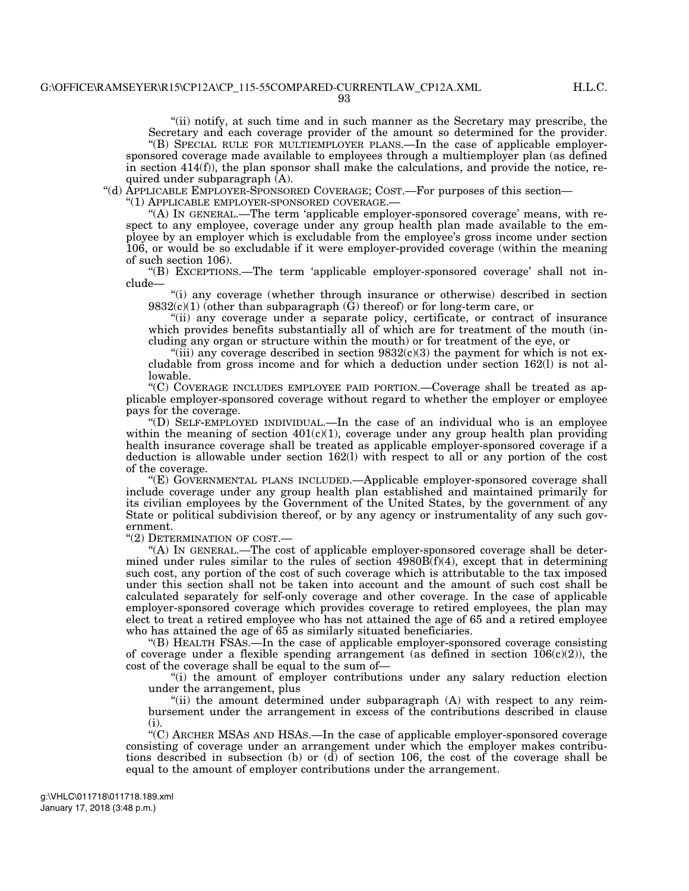93

''(ii) notify, at such time and in such manner as the Secretary may prescribe, the Secretary and each coverage provider of the amount so determined for the provider. ''(B) SPECIAL RULE FOR MULTIEMPLOYER PLANS.—In the case of applicable employersponsored coverage made available to employees through a multiemployer plan (as defined in section  $414(f)$ , the plan sponsor shall make the calculations, and provide the notice, required under subparagraph (A).

''(d) APPLICABLE EMPLOYER-SPONSORED COVERAGE; COST.—For purposes of this section—

''(1) APPLICABLE EMPLOYER-SPONSORED COVERAGE.—

''(A) IN GENERAL.—The term 'applicable employer-sponsored coverage' means, with respect to any employee, coverage under any group health plan made available to the employee by an employer which is excludable from the employee's gross income under section 106, or would be so excludable if it were employer-provided coverage (within the meaning of such section 106).

''(B) EXCEPTIONS.—The term 'applicable employer-sponsored coverage' shall not include—

''(i) any coverage (whether through insurance or otherwise) described in section  $9832(c)(1)$  (other than subparagraph  $(\bar{G})$  thereof) or for long-term care, or

''(ii) any coverage under a separate policy, certificate, or contract of insurance which provides benefits substantially all of which are for treatment of the mouth (including any organ or structure within the mouth) or for treatment of the eye, or

"(iii) any coverage described in section  $9832(c)(3)$  the payment for which is not excludable from gross income and for which a deduction under section 162(l) is not allowable.

''(C) COVERAGE INCLUDES EMPLOYEE PAID PORTION.—Coverage shall be treated as applicable employer-sponsored coverage without regard to whether the employer or employee pays for the coverage.

''(D) SELF-EMPLOYED INDIVIDUAL.—In the case of an individual who is an employee within the meaning of section  $401(c)(1)$ , coverage under any group health plan providing health insurance coverage shall be treated as applicable employer-sponsored coverage if a deduction is allowable under section 162(l) with respect to all or any portion of the cost of the coverage.

''(E) GOVERNMENTAL PLANS INCLUDED.—Applicable employer-sponsored coverage shall include coverage under any group health plan established and maintained primarily for its civilian employees by the Government of the United States, by the government of any State or political subdivision thereof, or by any agency or instrumentality of any such government.

''(2) DETERMINATION OF COST.—

''(A) IN GENERAL.—The cost of applicable employer-sponsored coverage shall be determined under rules similar to the rules of section  $4980B(f)(4)$ , except that in determining such cost, any portion of the cost of such coverage which is attributable to the tax imposed under this section shall not be taken into account and the amount of such cost shall be calculated separately for self-only coverage and other coverage. In the case of applicable employer-sponsored coverage which provides coverage to retired employees, the plan may elect to treat a retired employee who has not attained the age of 65 and a retired employee who has attained the age of 65 as similarly situated beneficiaries.

''(B) HEALTH FSAS.—In the case of applicable employer-sponsored coverage consisting of coverage under a flexible spending arrangement (as defined in section  $106(c)(2)$ ), the cost of the coverage shall be equal to the sum of—

''(i) the amount of employer contributions under any salary reduction election under the arrangement, plus

''(ii) the amount determined under subparagraph (A) with respect to any reimbursement under the arrangement in excess of the contributions described in clause (i).

''(C) ARCHER MSAS AND HSAS.—In the case of applicable employer-sponsored coverage consisting of coverage under an arrangement under which the employer makes contributions described in subsection (b) or (d) of section 106, the cost of the coverage shall be equal to the amount of employer contributions under the arrangement.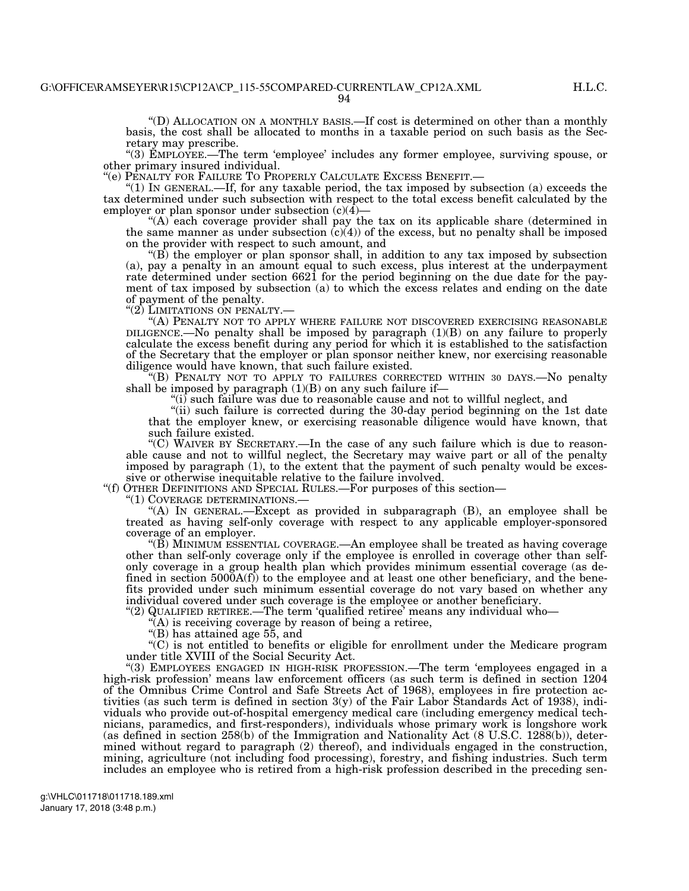''(D) ALLOCATION ON A MONTHLY BASIS.—If cost is determined on other than a monthly basis, the cost shall be allocated to months in a taxable period on such basis as the Secretary may prescribe.

"(3) EMPLOYEE.—The term 'employee' includes any former employee, surviving spouse, or other primary insured individual.<br>"(e) PENALTY FOR FAILURE TO PROPERLY CALCULATE EXCESS BENEFIT.—

"(1) IN GENERAL.—If, for any taxable period, the tax imposed by subsection (a) exceeds the tax determined under such subsection with respect to the total excess benefit calculated by the employer or plan sponsor under subsection  $(c)(4)$ —

" $(A)$  each coverage provider shall pay the tax on its applicable share (determined in the same manner as under subsection  $(c)(4)$  of the excess, but no penalty shall be imposed on the provider with respect to such amount, and

''(B) the employer or plan sponsor shall, in addition to any tax imposed by subsection (a), pay a penalty in an amount equal to such excess, plus interest at the underpayment rate determined under section 6621 for the period beginning on the due date for the payment of tax imposed by subsection (a) to which the excess relates and ending on the date of payment of the penalty.<br>"(2) LIMITATIONS ON PENALTY.—

"(A) PENALTY NOT TO APPLY WHERE FAILURE NOT DISCOVERED EXERCISING REASONABLE DILIGENCE.—No penalty shall be imposed by paragraph  $(1)(B)$  on any failure to properly calculate the excess benefit during any period for which it is established to the satisfaction of the Secretary that the employer or plan sponsor neither knew, nor exercising reasonable diligence would have known, that such failure existed.

''(B) PENALTY NOT TO APPLY TO FAILURES CORRECTED WITHIN 30 DAYS.—No penalty shall be imposed by paragraph  $(1)(B)$  on any such failure if-

''(i) such failure was due to reasonable cause and not to willful neglect, and

''(ii) such failure is corrected during the 30-day period beginning on the 1st date that the employer knew, or exercising reasonable diligence would have known, that such failure existed.

''(C) WAIVER BY SECRETARY.—In the case of any such failure which is due to reasonable cause and not to willful neglect, the Secretary may waive part or all of the penalty imposed by paragraph (1), to the extent that the payment of such penalty would be excessive or otherwise inequitable relative to the failure involved.

"(f) OTHER DEFINITIONS AND SPECIAL RULES.—For purposes of this section— $"(1)$  COVERAGE DETERMINATIONS.—

''(1) COVERAGE DETERMINATIONS.— ''(A) IN GENERAL.—Except as provided in subparagraph (B), an employee shall be treated as having self-only coverage with respect to any applicable employer-sponsored coverage of an employer.

" $(B)$  MINIMUM ESSENTIAL COVERAGE.—An employee shall be treated as having coverage other than self-only coverage only if the employee is enrolled in coverage other than selfonly coverage in a group health plan which provides minimum essential coverage (as defined in section  $5000A(f)$  to the employee and at least one other beneficiary, and the benefits provided under such minimum essential coverage do not vary based on whether any individual covered under such coverage is the employee or another beneficiary.

''(2) QUALIFIED RETIREE.—The term 'qualified retiree' means any individual who—

''(A) is receiving coverage by reason of being a retiree,

''(B) has attained age 55, and

''(C) is not entitled to benefits or eligible for enrollment under the Medicare program under title XVIII of the Social Security Act.

''(3) EMPLOYEES ENGAGED IN HIGH-RISK PROFESSION.—The term 'employees engaged in a high-risk profession' means law enforcement officers (as such term is defined in section 1204 of the Omnibus Crime Control and Safe Streets Act of 1968), employees in fire protection activities (as such term is defined in section 3(y) of the Fair Labor Standards Act of 1938), individuals who provide out-of-hospital emergency medical care (including emergency medical technicians, paramedics, and first-responders), individuals whose primary work is longshore work (as defined in section 258(b) of the Immigration and Nationality Act (8 U.S.C. 1288(b)), determined without regard to paragraph (2) thereof), and individuals engaged in the construction, mining, agriculture (not including food processing), forestry, and fishing industries. Such term includes an employee who is retired from a high-risk profession described in the preceding sen-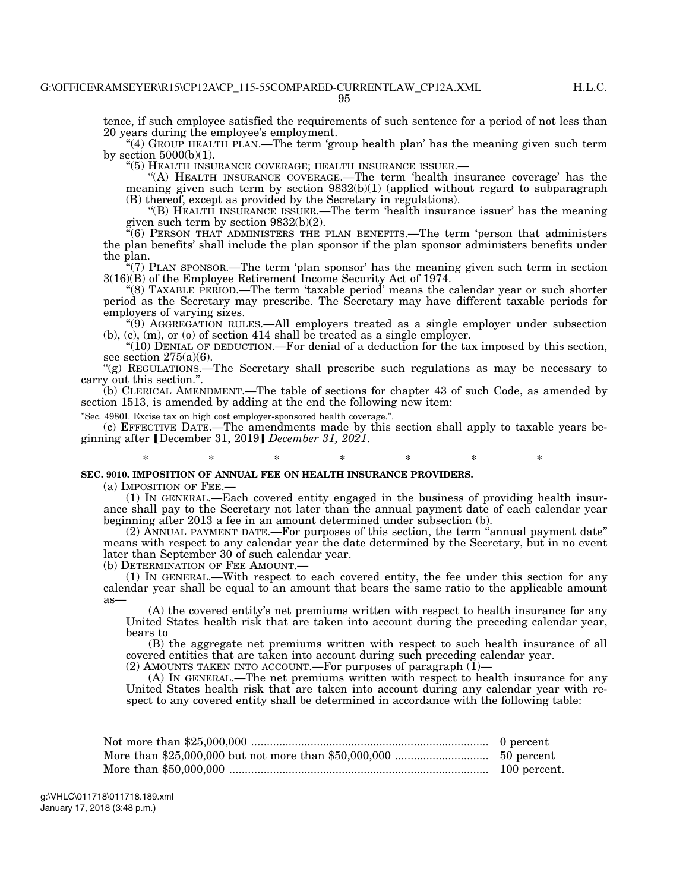H.L.C.

tence, if such employee satisfied the requirements of such sentence for a period of not less than 20 years during the employee's employment.

''(4) GROUP HEALTH PLAN.—The term 'group health plan' has the meaning given such term by section  $5000(b)(1)$ .<br>
"(5) HEALTH INSURANCE COVERAGE; HEALTH INSURANCE ISSUER.—

"(A) HEALTH INSURANCE COVERAGE.— The term 'health insurance coverage' has the meaning given such term by section 9832(b)(1) (applied without regard to subparagraph (B) thereof, except as provided by the Secretary in regulations).

''(B) HEALTH INSURANCE ISSUER.—The term 'health insurance issuer' has the meaning given such term by section 9832(b)(2).

''(6) PERSON THAT ADMINISTERS THE PLAN BENEFITS.—The term 'person that administers the plan benefits' shall include the plan sponsor if the plan sponsor administers benefits under the plan.

''(7) PLAN SPONSOR.—The term 'plan sponsor' has the meaning given such term in section 3(16)(B) of the Employee Retirement Income Security Act of 1974.

''(8) TAXABLE PERIOD.—The term 'taxable period' means the calendar year or such shorter period as the Secretary may prescribe. The Secretary may have different taxable periods for employers of varying sizes.

''(9) AGGREGATION RULES.—All employers treated as a single employer under subsection (b), (c), (m), or (o) of section 414 shall be treated as a single employer.

" $(10)$  DENIAL OF DEDUCTION.—For denial of a deduction for the tax imposed by this section, see section 275(a)(6).

 $\gamma(g)$  REGULATIONS.—The Secretary shall prescribe such regulations as may be necessary to carry out this section.''.

(b) CLERICAL AMENDMENT.—The table of sections for chapter 43 of such Code, as amended by section 1513, is amended by adding at the end the following new item:

''Sec. 4980I. Excise tax on high cost employer-sponsored health coverage.''.

(c) EFFECTIVE DATE.—The amendments made by this section shall apply to taxable years beginning after [December 31, 2019] *December 31, 2021*.

\* \* \* \* \* \* \*

**SEC. 9010. IMPOSITION OF ANNUAL FEE ON HEALTH INSURANCE PROVIDERS.** 

(a) IMPOSITION OF FEE.—

(1) IN GENERAL.—Each covered entity engaged in the business of providing health insurance shall pay to the Secretary not later than the annual payment date of each calendar year beginning after 2013 a fee in an amount determined under subsection (b).

(2) ANNUAL PAYMENT DATE.—For purposes of this section, the term ''annual payment date'' means with respect to any calendar year the date determined by the Secretary, but in no event later than September 30 of such calendar year.

(b) DETERMINATION OF FEE AMOUNT.—

(1) IN GENERAL.—With respect to each covered entity, the fee under this section for any calendar year shall be equal to an amount that bears the same ratio to the applicable amount as—

(A) the covered entity's net premiums written with respect to health insurance for any United States health risk that are taken into account during the preceding calendar year, bears to

(B) the aggregate net premiums written with respect to such health insurance of all covered entities that are taken into account during such preceding calendar year.

(2) AMOUNTS TAKEN INTO ACCOUNT. For purposes of paragraph  $(I)$ -

(A) IN GENERAL.—The net premiums written with respect to health insurance for any United States health risk that are taken into account during any calendar year with respect to any covered entity shall be determined in accordance with the following table: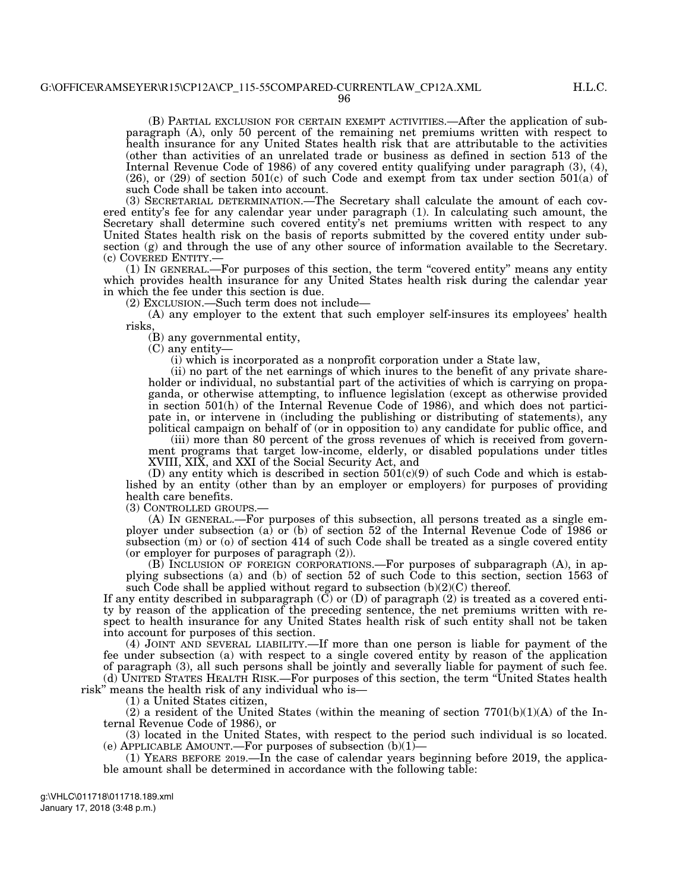96

(B) PARTIAL EXCLUSION FOR CERTAIN EXEMPT ACTIVITIES.—After the application of subparagraph (A), only 50 percent of the remaining net premiums written with respect to health insurance for any United States health risk that are attributable to the activities (other than activities of an unrelated trade or business as defined in section 513 of the Internal Revenue Code of 1986) of any covered entity qualifying under paragraph (3), (4), (26), or (29) of section 501(c) of such Code and exempt from tax under section 501(a) of such Code shall be taken into account.

(3) SECRETARIAL DETERMINATION.—The Secretary shall calculate the amount of each covered entity's fee for any calendar year under paragraph (1). In calculating such amount, the Secretary shall determine such covered entity's net premiums written with respect to any United States health risk on the basis of reports submitted by the covered entity under subsection (g) and through the use of any other source of information available to the Secretary. (c) COVERED ENTITY.—

(1) IN GENERAL.—For purposes of this section, the term ''covered entity'' means any entity which provides health insurance for any United States health risk during the calendar year in which the fee under this section is due.

(2) EXCLUSION.—Such term does not include—

(A) any employer to the extent that such employer self-insures its employees' health risks,

(B) any governmental entity,

(C) any entity—

(i) which is incorporated as a nonprofit corporation under a State law,

(ii) no part of the net earnings of which inures to the benefit of any private shareholder or individual, no substantial part of the activities of which is carrying on propaganda, or otherwise attempting, to influence legislation (except as otherwise provided in section 501(h) of the Internal Revenue Code of 1986), and which does not participate in, or intervene in (including the publishing or distributing of statements), any political campaign on behalf of (or in opposition to) any candidate for public office, and

(iii) more than 80 percent of the gross revenues of which is received from government programs that target low-income, elderly, or disabled populations under titles XVIII, XIX, and XXI of the Social Security Act, and

(D) any entity which is described in section  $501(c)(9)$  of such Code and which is established by an entity (other than by an employer or employers) for purposes of providing health care benefits.

(3) CONTROLLED GROUPS.—

(A) IN GENERAL.—For purposes of this subsection, all persons treated as a single employer under subsection (a) or (b) of section 52 of the Internal Revenue Code of 1986 or subsection (m) or (o) of section 414 of such Code shall be treated as a single covered entity (or employer for purposes of paragraph (2)).

(B) INCLUSION OF FOREIGN CORPORATIONS.—For purposes of subparagraph (A), in applying subsections (a) and (b) of section 52 of such Code to this section, section 1563 of such Code shall be applied without regard to subsection  $(b)(2)(C)$  thereof.

If any entity described in subparagraph (C) or (D) of paragraph (2) is treated as a covered entity by reason of the application of the preceding sentence, the net premiums written with respect to health insurance for any United States health risk of such entity shall not be taken into account for purposes of this section.

(4) JOINT AND SEVERAL LIABILITY.—If more than one person is liable for payment of the fee under subsection (a) with respect to a single covered entity by reason of the application of paragraph (3), all such persons shall be jointly and severally liable for payment of such fee.

(d) UNITED STATES HEALTH RISK.—For purposes of this section, the term ''United States health risk'' means the health risk of any individual who is—

(1) a United States citizen,

(2) a resident of the United States (within the meaning of section  $7701(b)(1)(A)$  of the Internal Revenue Code of 1986), or

(3) located in the United States, with respect to the period such individual is so located. (e) APPLICABLE AMOUNT.—For purposes of subsection  $(b)(1)$ -

(1) YEARS BEFORE 2019.—In the case of calendar years beginning before 2019, the applicable amount shall be determined in accordance with the following table: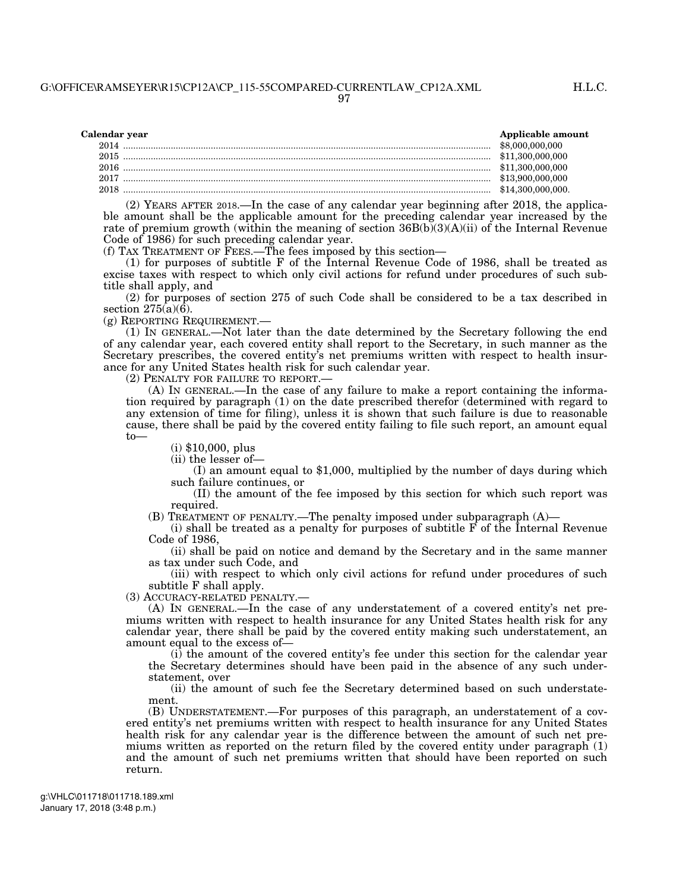**97** 

| Calendar year | Applicable amount |
|---------------|-------------------|
| 2014          | \$8,000,000,000   |
| 2015          | \$11,300,000,000  |
| 2016          | \$11.300.000.000  |
| 2017          | \$13,900,000,000  |
| 2018          | \$14,300,000,000. |

(2) YEARS AFTER 2018.—In the case of any calendar year beginning after 2018, the applicable amount shall be the applicable amount for the preceding calendar year increased by the rate of premium growth (within the meaning of section  $36B(b)(3)(A)(ii)$  of the Internal Revenue Code of 1986) for such preceding calendar year.

(f) TAX TREATMENT OF FEES.—The fees imposed by this section—

(1) for purposes of subtitle F of the Internal Revenue Code of 1986, shall be treated as excise taxes with respect to which only civil actions for refund under procedures of such subtitle shall apply, and

(2) for purposes of section 275 of such Code shall be considered to be a tax described in section  $275(a)(\overline{6})$ .

(g) REPORTING REQUIREMENT.—

(1) IN GENERAL.—Not later than the date determined by the Secretary following the end of any calendar year, each covered entity shall report to the Secretary, in such manner as the Secretary prescribes, the covered entity's net premiums written with respect to health insurance for any United States health risk for such calendar year.

(2) PENALTY FOR FAILURE TO REPORT.—

(A) IN GENERAL.—In the case of any failure to make a report containing the information required by paragraph (1) on the date prescribed therefor (determined with regard to any extension of time for filing), unless it is shown that such failure is due to reasonable cause, there shall be paid by the covered entity failing to file such report, an amount equal to—

(i) \$10,000, plus

(ii) the lesser of—

(I) an amount equal to \$1,000, multiplied by the number of days during which such failure continues, or

(II) the amount of the fee imposed by this section for which such report was required.

(B) TREATMENT OF PENALTY.—The penalty imposed under subparagraph (A)—

(i) shall be treated as a penalty for purposes of subtitle  $\overline{F}$  of the Internal Revenue Code of 1986,

(ii) shall be paid on notice and demand by the Secretary and in the same manner as tax under such Code, and

(iii) with respect to which only civil actions for refund under procedures of such subtitle F shall apply.

(3) ACCURACY-RELATED PENALTY.—

(A) IN GENERAL.—In the case of any understatement of a covered entity's net premiums written with respect to health insurance for any United States health risk for any calendar year, there shall be paid by the covered entity making such understatement, an amount equal to the excess of—

(i) the amount of the covered entity's fee under this section for the calendar year the Secretary determines should have been paid in the absence of any such understatement, over

(ii) the amount of such fee the Secretary determined based on such understatement.

(B) UNDERSTATEMENT.—For purposes of this paragraph, an understatement of a covered entity's net premiums written with respect to health insurance for any United States health risk for any calendar year is the difference between the amount of such net premiums written as reported on the return filed by the covered entity under paragraph (1) and the amount of such net premiums written that should have been reported on such return.